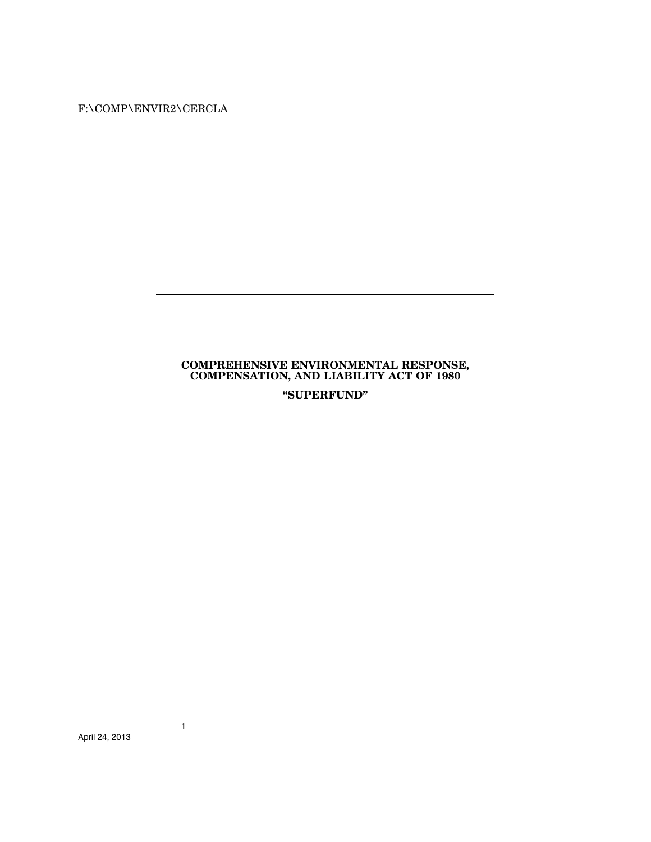F:\COMP\ENVIR2\CERCLA

 $\equiv$ 

 $\overline{a}$ 

# **COMPREHENSIVE ENVIRONMENTAL RESPONSE, COMPENSATION, AND LIABILITY ACT OF 1980 ''SUPERFUND''**

÷

**1**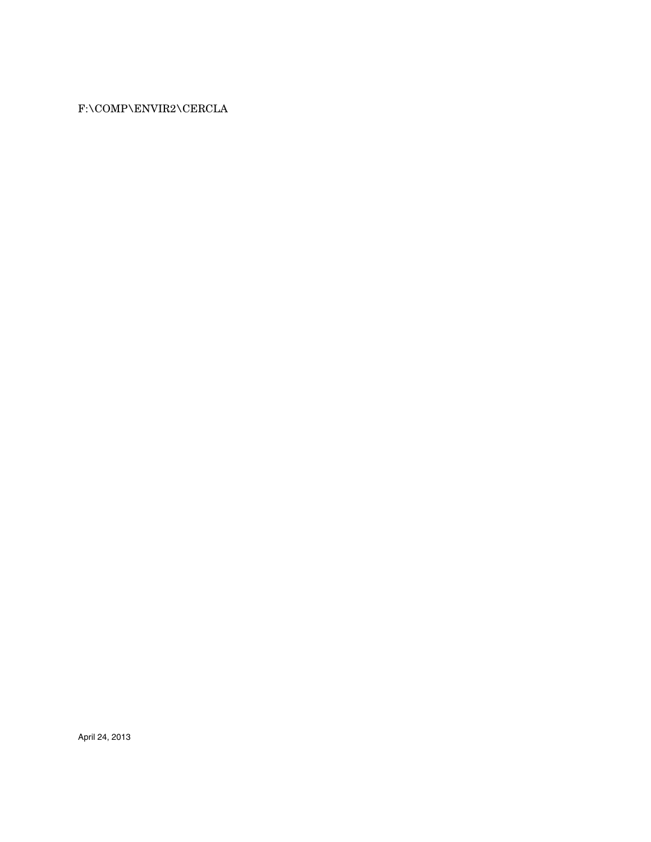F:\COMP\ENVIR2\CERCLA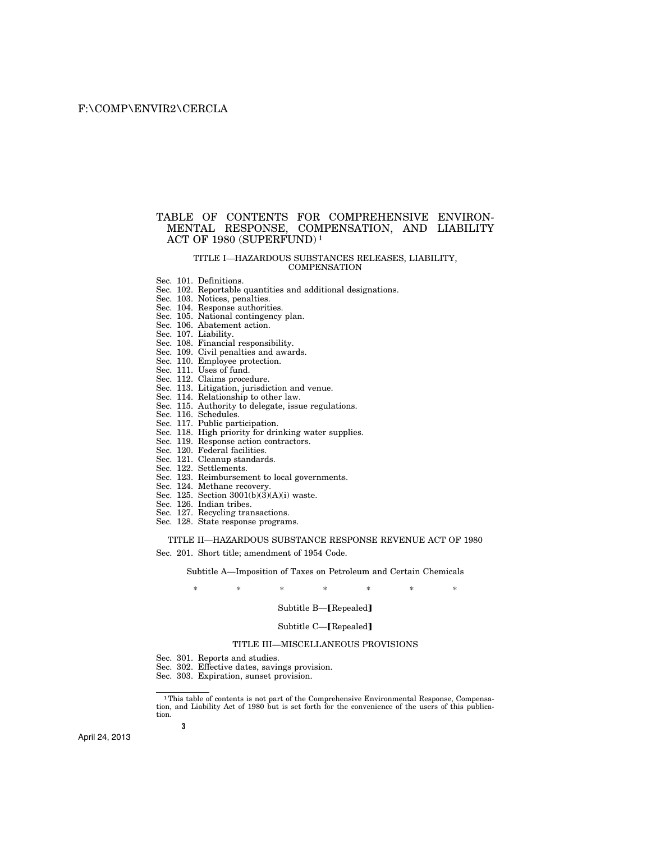## TABLE OF CONTENTS FOR COMPREHENSIVE ENVIRON-MENTAL RESPONSE, COMPENSATION, AND LIABILITY ACT OF 1980 (SUPERFUND) 1

#### TITLE I—HAZARDOUS SUBSTANCES RELEASES, LIABILITY, **COMPENSATION**

- Sec. 101. Definitions.
- Sec. 102. Reportable quantities and additional designations.
- Sec. 103. Notices, penalties.
- Sec. 104. Response authorities.
- Sec. 105. National contingency plan.
- Sec. 106. Abatement action.
- Sec. 107. Liability.
- Sec. 108. Financial responsibility.
- Sec. 109. Civil penalties and awards.
- Sec. 110. Employee protection.
- Sec. 111. Uses of fund.
- Sec. 112. Claims procedure.
- Sec. 113. Litigation, jurisdiction and venue.
- Sec. 114. Relationship to other law.
- Sec. 115. Authority to delegate, issue regulations.
- Sec. 116. Schedules.
- Sec. 117. Public participation.
- Sec. 118. High priority for drinking water supplies.
- Sec. 119. Response action contractors.
- Sec. 120. Federal facilities.
- Sec. 121. Cleanup standards.
- Sec. 122. Settlements.
- Sec. 123. Reimbursement to local governments.
- Sec. 124. Methane recovery.
- Sec. 125. Section  $3001(b)(3)(A)(i)$  waste.
- Sec. 126. Indian tribes.
- Sec. 127. Recycling transactions.
- Sec. 128. State response programs.

#### TITLE II—HAZARDOUS SUBSTANCE RESPONSE REVENUE ACT OF 1980

Sec. 201. Short title; amendment of 1954 Code.

#### Subtitle A—Imposition of Taxes on Petroleum and Certain Chemicals

\* \* \* \* \* \* \* \*

#### Subtitle B-[Repealed]

### Subtitle C—[Repealed]

#### TITLE III—MISCELLANEOUS PROVISIONS

- Sec. 301. Reports and studies.
- Sec. 302. Effective dates, savings provision.
- Sec. 303. Expiration, sunset provision.

<sup>&</sup>lt;sup>1</sup>This table of contents is not part of the Comprehensive Environmental Response, Compensation, and Liability Act of 1980 but is set forth for the convenience of the users of this publication.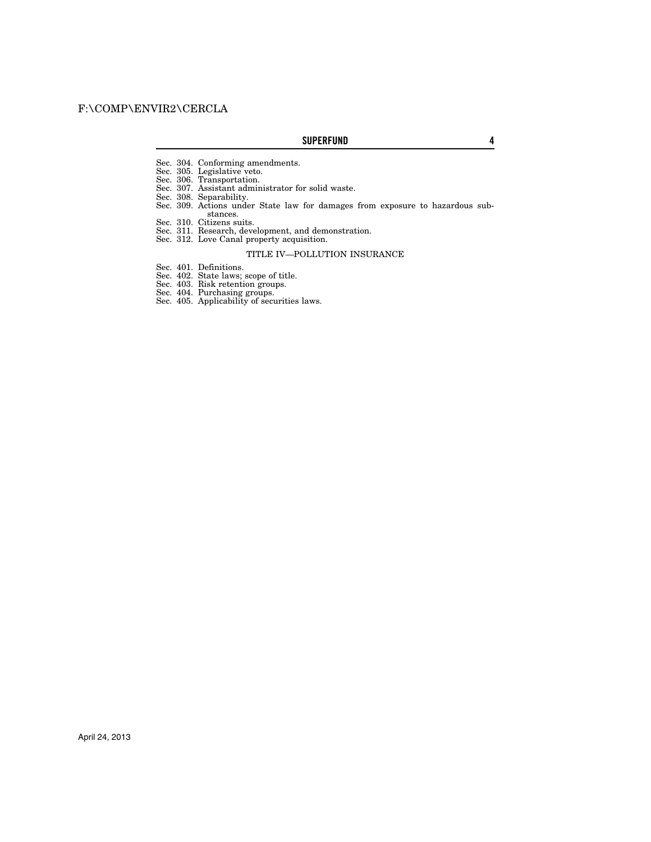# F:\COMP\ENVIR2\CERCLA

## **SUPERFUND 4**

- Sec. 304. Conforming amendments.
- Sec. 305. Legislative veto. Sec. 306. Transportation.
- Sec. 307. Assistant administrator for solid waste.
- Sec. 308. Separability.
- Sec. 309. Actions under State law for damages from exposure to hazardous substances.
- Sec. 310. Citizens suits.
- Sec. 311. Research, development, and demonstration.
- Sec. 312. Love Canal property acquisition.

## TITLE IV—POLLUTION INSURANCE

- Sec. 401. Definitions.
- Sec. 402. State laws; scope of title.
- Sec. 403. Risk retention groups.
- Sec. 404. Purchasing groups.
- Sec. 405. Applicability of securities laws.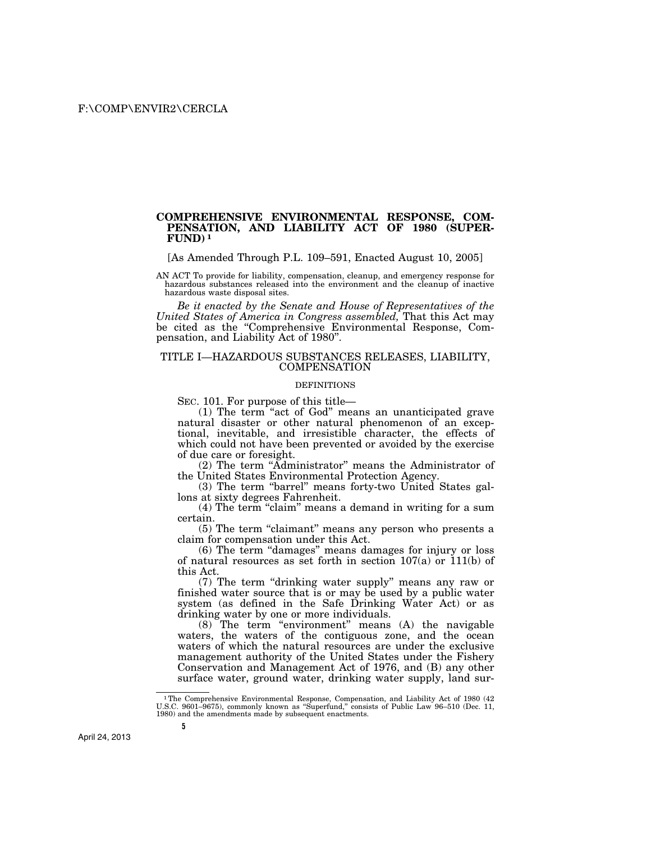## **COMPREHENSIVE ENVIRONMENTAL RESPONSE, COM-PENSATION, AND LIABILITY ACT OF 1980 (SUPER-FUND) 1**

[As Amended Through P.L. 109–591, Enacted August 10, 2005]

AN ACT To provide for liability, compensation, cleanup, and emergency response for hazardous substances released into the environment and the cleanup of inactive hazardous waste disposal sites.

*Be it enacted by the Senate and House of Representatives of the United States of America in Congress assembled,* That this Act may be cited as the ''Comprehensive Environmental Response, Compensation, and Liability Act of 1980''.

## TITLE I—HAZARDOUS SUBSTANCES RELEASES, LIABILITY, COMPENSATION

## DEFINITIONS

SEC. 101. For purpose of this title—

(1) The term ''act of God'' means an unanticipated grave natural disaster or other natural phenomenon of an exceptional, inevitable, and irresistible character, the effects of which could not have been prevented or avoided by the exercise of due care or foresight.

(2) The term ''Administrator'' means the Administrator of the United States Environmental Protection Agency.

(3) The term ''barrel'' means forty-two United States gallons at sixty degrees Fahrenheit.

 $(4)$  The term "claim" means a demand in writing for a sum certain.

(5) The term "claimant" means any person who presents a claim for compensation under this Act.

(6) The term ''damages'' means damages for injury or loss of natural resources as set forth in section 107(a) or 111(b) of this Act.

(7) The term ''drinking water supply'' means any raw or finished water source that is or may be used by a public water system (as defined in the Safe Drinking Water Act) or as drinking water by one or more individuals.

 $(8)$  The term "environment" means  $(A)$  the navigable waters, the waters of the contiguous zone, and the ocean waters of which the natural resources are under the exclusive management authority of the United States under the Fishery Conservation and Management Act of 1976, and (B) any other surface water, ground water, drinking water supply, land sur-

April 24, 2013

**5** 

<sup>1</sup>The Comprehensive Environmental Response, Compensation, and Liability Act of 1980 (42 U.S.C. 9601–9675), commonly known as ''Superfund,'' consists of Public Law 96–510 (Dec. 11, 1980) and the amendments made by subsequent enactments.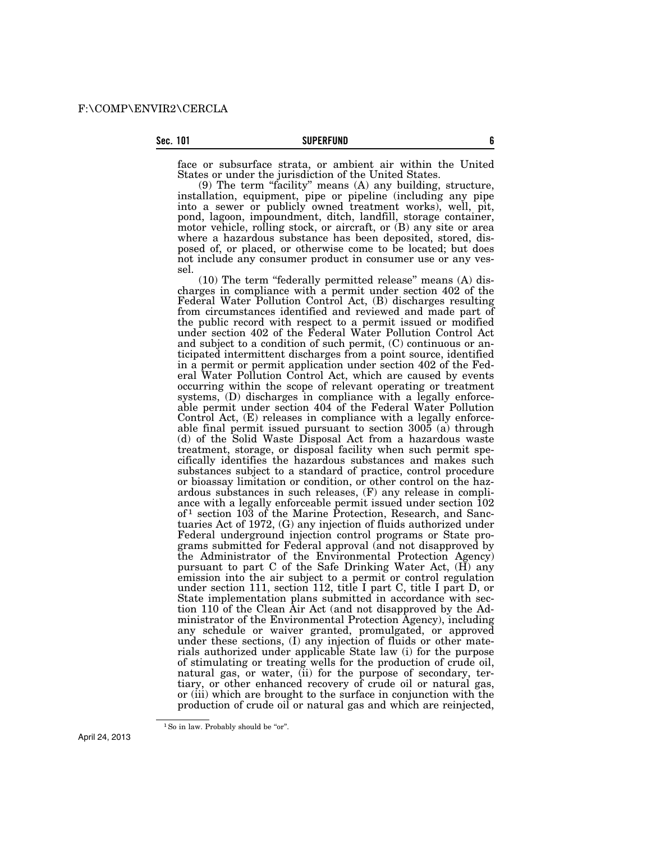face or subsurface strata, or ambient air within the United States or under the jurisdiction of the United States.

(9) The term ''facility'' means (A) any building, structure, installation, equipment, pipe or pipeline (including any pipe into a sewer or publicly owned treatment works), well, pit, pond, lagoon, impoundment, ditch, landfill, storage container, motor vehicle, rolling stock, or aircraft, or (B) any site or area where a hazardous substance has been deposited, stored, disposed of, or placed, or otherwise come to be located; but does not include any consumer product in consumer use or any vessel.

 $(10)$  The term "federally permitted release" means  $(A)$  discharges in compliance with a permit under section 402 of the Federal Water Pollution Control Act, (B) discharges resulting from circumstances identified and reviewed and made part of the public record with respect to a permit issued or modified under section 402 of the Federal Water Pollution Control Act and subject to a condition of such permit, (C) continuous or anticipated intermittent discharges from a point source, identified in a permit or permit application under section 402 of the Federal Water Pollution Control Act, which are caused by events occurring within the scope of relevant operating or treatment systems, (D) discharges in compliance with a legally enforceable permit under section 404 of the Federal Water Pollution Control Act, (E) releases in compliance with a legally enforceable final permit issued pursuant to section 3005 (a) through (d) of the Solid Waste Disposal Act from a hazardous waste treatment, storage, or disposal facility when such permit specifically identifies the hazardous substances and makes such substances subject to a standard of practice, control procedure or bioassay limitation or condition, or other control on the hazardous substances in such releases, (F) any release in compliance with a legally enforceable permit issued under section 102 of <sup>1</sup> section  $10\overline{3}$  of the Marine Protection, Research, and Sanctuaries Act of 1972, (G) any injection of fluids authorized under Federal underground injection control programs or State programs submitted for Federal approval (and not disapproved by the Administrator of the Environmental Protection Agency) pursuant to part C of the Safe Drinking Water Act, (H) any emission into the air subject to a permit or control regulation under section 111, section 112, title I part C, title I part D, or State implementation plans submitted in accordance with section 110 of the Clean Air Act (and not disapproved by the Administrator of the Environmental Protection Agency), including any schedule or waiver granted, promulgated, or approved under these sections, (I) any injection of fluids or other materials authorized under applicable State law (i) for the purpose of stimulating or treating wells for the production of crude oil, natural gas, or water, (ii) for the purpose of secondary, tertiary, or other enhanced recovery of crude oil or natural gas, or (iii) which are brought to the surface in conjunction with the production of crude oil or natural gas and which are reinjected,

<sup>&</sup>lt;sup>1</sup>So in law. Probably should be "or".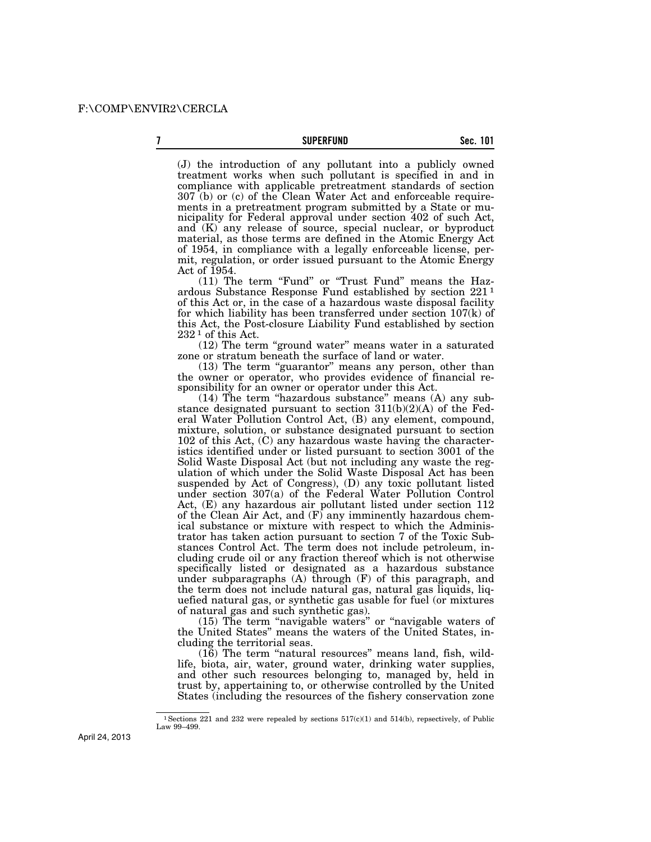(J) the introduction of any pollutant into a publicly owned treatment works when such pollutant is specified in and in compliance with applicable pretreatment standards of section 307 (b) or (c) of the Clean Water Act and enforceable requirements in a pretreatment program submitted by a State or municipality for Federal approval under section 402 of such Act, and  $(K)$  any release of source, special nuclear, or byproduct material, as those terms are defined in the Atomic Energy Act of 1954, in compliance with a legally enforceable license, permit, regulation, or order issued pursuant to the Atomic Energy Act of 1954.

(11) The term "Fund" or "Trust Fund" means the Hazardous Substance Response Fund established by section 221 1 of this Act or, in the case of a hazardous waste disposal facility for which liability has been transferred under section 107(k) of this Act, the Post-closure Liability Fund established by section  $232<sup>1</sup>$  of this Act.

(12) The term ''ground water'' means water in a saturated zone or stratum beneath the surface of land or water.

(13) The term "guarantor" means any person, other than the owner or operator, who provides evidence of financial responsibility for an owner or operator under this Act.

(14) The term ''hazardous substance'' means (A) any substance designated pursuant to section  $311(b)(2)(A)$  of the Federal Water Pollution Control Act, (B) any element, compound, mixture, solution, or substance designated pursuant to section 102 of this Act, (C) any hazardous waste having the characteristics identified under or listed pursuant to section 3001 of the Solid Waste Disposal Act (but not including any waste the regulation of which under the Solid Waste Disposal Act has been suspended by Act of Congress), (D) any toxic pollutant listed under section 307(a) of the Federal Water Pollution Control Act, (E) any hazardous air pollutant listed under section 112 of the Clean Air Act, and (F) any imminently hazardous chemical substance or mixture with respect to which the Administrator has taken action pursuant to section 7 of the Toxic Substances Control Act. The term does not include petroleum, including crude oil or any fraction thereof which is not otherwise specifically listed or designated as a hazardous substance under subparagraphs (A) through (F) of this paragraph, and the term does not include natural gas, natural gas liquids, liquefied natural gas, or synthetic gas usable for fuel (or mixtures of natural gas and such synthetic gas).

(15) The term ''navigable waters'' or ''navigable waters of the United States'' means the waters of the United States, including the territorial seas.

 $(16)$  The term "natural resources" means land, fish, wildlife, biota, air, water, ground water, drinking water supplies, and other such resources belonging to, managed by, held in trust by, appertaining to, or otherwise controlled by the United States (including the resources of the fishery conservation zone

<sup>&</sup>lt;sup>1</sup> Sections 221 and 232 were repealed by sections  $517(c)(1)$  and  $514(b)$ , repsectively, of Public Law 99–499.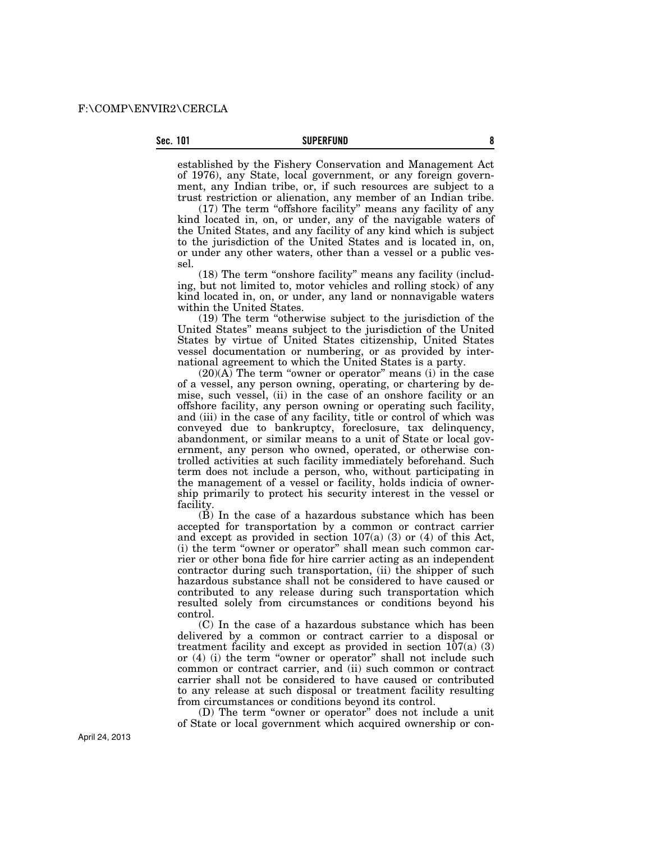established by the Fishery Conservation and Management Act of 1976), any State, local government, or any foreign government, any Indian tribe, or, if such resources are subject to a trust restriction or alienation, any member of an Indian tribe.

(17) The term ''offshore facility'' means any facility of any kind located in, on, or under, any of the navigable waters of the United States, and any facility of any kind which is subject to the jurisdiction of the United States and is located in, on, or under any other waters, other than a vessel or a public vessel.

(18) The term ''onshore facility'' means any facility (including, but not limited to, motor vehicles and rolling stock) of any kind located in, on, or under, any land or nonnavigable waters within the United States.

(19) The term ''otherwise subject to the jurisdiction of the United States'' means subject to the jurisdiction of the United States by virtue of United States citizenship, United States vessel documentation or numbering, or as provided by international agreement to which the United States is a party.

 $(20)(\overrightarrow{A})$  The term "owner or operator" means (i) in the case of a vessel, any person owning, operating, or chartering by demise, such vessel, (ii) in the case of an onshore facility or an offshore facility, any person owning or operating such facility, and (iii) in the case of any facility, title or control of which was conveyed due to bankruptcy, foreclosure, tax delinquency, abandonment, or similar means to a unit of State or local government, any person who owned, operated, or otherwise controlled activities at such facility immediately beforehand. Such term does not include a person, who, without participating in the management of a vessel or facility, holds indicia of ownership primarily to protect his security interest in the vessel or facility.

(B) In the case of a hazardous substance which has been accepted for transportation by a common or contract carrier and except as provided in section  $107(a)$  (3) or (4) of this Act, (i) the term "owner or operator" shall mean such common carrier or other bona fide for hire carrier acting as an independent contractor during such transportation, (ii) the shipper of such hazardous substance shall not be considered to have caused or contributed to any release during such transportation which resulted solely from circumstances or conditions beyond his control.

(C) In the case of a hazardous substance which has been delivered by a common or contract carrier to a disposal or treatment facility and except as provided in section  $107(a)$  (3) or (4) (i) the term ''owner or operator'' shall not include such common or contract carrier, and (ii) such common or contract carrier shall not be considered to have caused or contributed to any release at such disposal or treatment facility resulting from circumstances or conditions beyond its control.

(D) The term ''owner or operator'' does not include a unit of State or local government which acquired ownership or con-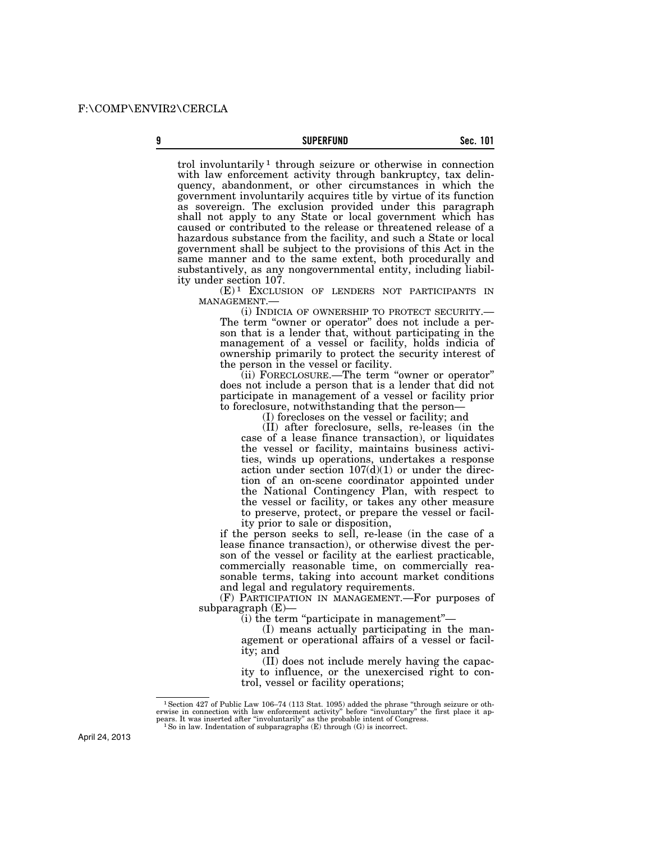### **9** SUPERFUND SEC. 101

trol involuntarily 1 through seizure or otherwise in connection with law enforcement activity through bankruptcy, tax delinquency, abandonment, or other circumstances in which the government involuntarily acquires title by virtue of its function as sovereign. The exclusion provided under this paragraph shall not apply to any State or local government which has caused or contributed to the release or threatened release of a hazardous substance from the facility, and such a State or local government shall be subject to the provisions of this Act in the same manner and to the same extent, both procedurally and substantively, as any nongovernmental entity, including liability under section 107.

 $(E)^1$  EXCLUSION OF LENDERS NOT PARTICIPANTS IN MANAGEMENT.

(i) INDICIA OF OWNERSHIP TO PROTECT SECURITY.—<br>The term "owner or operator" does not include a person that is a lender that, without participating in the management of a vessel or facility, holds indicia of ownership primarily to protect the security interest of the person in the vessel or facility.

(ii) FORECLOSURE.—The term ''owner or operator'' does not include a person that is a lender that did not participate in management of a vessel or facility prior to foreclosure, notwithstanding that the person—

(I) forecloses on the vessel or facility; and

(II) after foreclosure, sells, re-leases (in the case of a lease finance transaction), or liquidates the vessel or facility, maintains business activities, winds up operations, undertakes a response action under section 107(d)(1) or under the direction of an on-scene coordinator appointed under the National Contingency Plan, with respect to the vessel or facility, or takes any other measure to preserve, protect, or prepare the vessel or facility prior to sale or disposition,

if the person seeks to sell, re-lease (in the case of a lease finance transaction), or otherwise divest the person of the vessel or facility at the earliest practicable, commercially reasonable time, on commercially reasonable terms, taking into account market conditions and legal and regulatory requirements.

(F) PARTICIPATION IN MANAGEMENT.—For purposes of subparagraph (E)—

(i) the term ''participate in management''—

(I) means actually participating in the management or operational affairs of a vessel or facility; and

(II) does not include merely having the capacity to influence, or the unexercised right to control, vessel or facility operations;

<sup>&</sup>lt;sup>1</sup>Section 427 of Public Law 106–74 (113 Stat. 1095) added the phrase "through seizure or otherwise in connection with law enforcement activity" before "involuntary" the first place it appears. It was inserted after "invo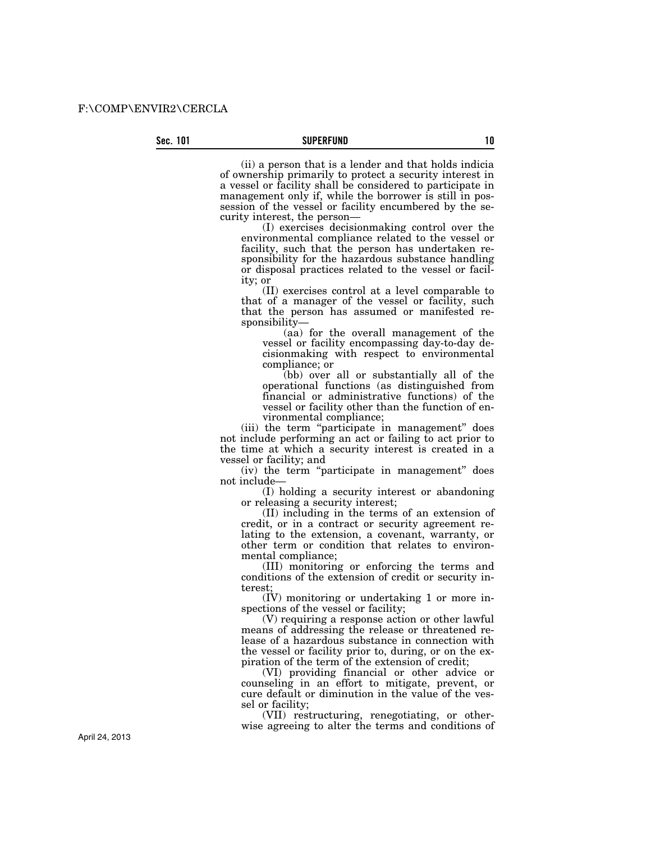### Sec. 101 **SUPERFUND** 500 **SUPERFUND**

(ii) a person that is a lender and that holds indicia of ownership primarily to protect a security interest in a vessel or facility shall be considered to participate in management only if, while the borrower is still in possession of the vessel or facility encumbered by the security interest, the person—

(I) exercises decisionmaking control over the environmental compliance related to the vessel or facility, such that the person has undertaken responsibility for the hazardous substance handling or disposal practices related to the vessel or facility; or

(II) exercises control at a level comparable to that of a manager of the vessel or facility, such that the person has assumed or manifested responsibility—

(aa) for the overall management of the vessel or facility encompassing day-to-day decisionmaking with respect to environmental compliance; or

(bb) over all or substantially all of the operational functions (as distinguished from financial or administrative functions) of the vessel or facility other than the function of environmental compliance;

(iii) the term "participate in management" does not include performing an act or failing to act prior to the time at which a security interest is created in a vessel or facility; and

(iv) the term ''participate in management'' does not include—

(I) holding a security interest or abandoning or releasing a security interest;

(II) including in the terms of an extension of credit, or in a contract or security agreement relating to the extension, a covenant, warranty, or other term or condition that relates to environmental compliance;

(III) monitoring or enforcing the terms and conditions of the extension of credit or security interest;

(IV) monitoring or undertaking 1 or more inspections of the vessel or facility;

(V) requiring a response action or other lawful means of addressing the release or threatened release of a hazardous substance in connection with the vessel or facility prior to, during, or on the expiration of the term of the extension of credit;

(VI) providing financial or other advice or counseling in an effort to mitigate, prevent, or cure default or diminution in the value of the vessel or facility;

(VII) restructuring, renegotiating, or otherwise agreeing to alter the terms and conditions of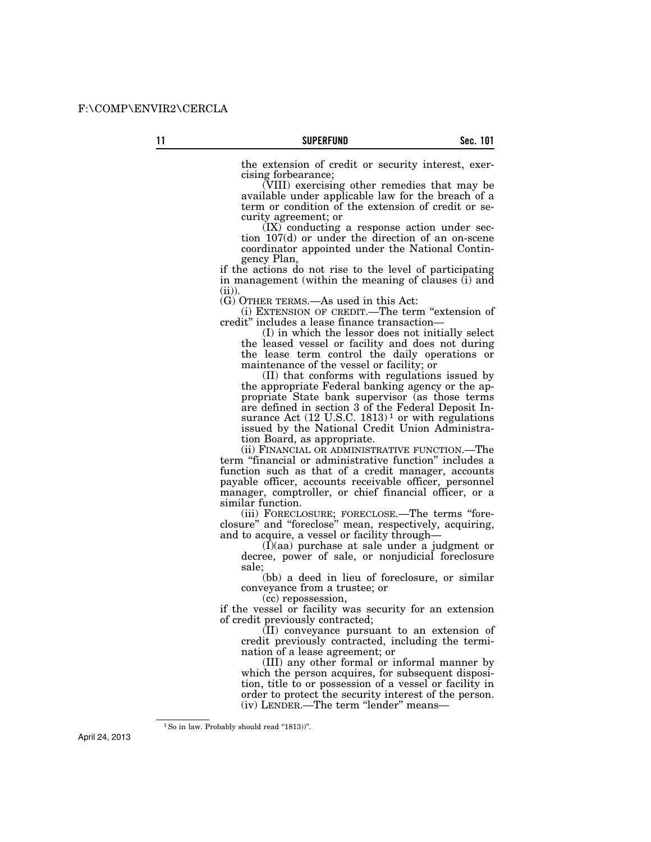the extension of credit or security interest, exercising forbearance;

(VIII) exercising other remedies that may be available under applicable law for the breach of a term or condition of the extension of credit or security agreement; or

(IX) conducting a response action under section 107(d) or under the direction of an on-scene coordinator appointed under the National Contingency Plan,

if the actions do not rise to the level of participating in management (within the meaning of clauses (i) and (ii)).

(G) OTHER TERMS.—As used in this Act:

(i) EXTENSION OF CREDIT.—The term ''extension of credit'' includes a lease finance transaction—

(I) in which the lessor does not initially select the leased vessel or facility and does not during the lease term control the daily operations or maintenance of the vessel or facility; or

(II) that conforms with regulations issued by the appropriate Federal banking agency or the appropriate State bank supervisor (as those terms are defined in section 3 of the Federal Deposit Insurance Act  $(12 \text{ U.S.C. } 1813)^1$  or with regulations issued by the National Credit Union Administration Board, as appropriate.

(ii) FINANCIAL OR ADMINISTRATIVE FUNCTION.—The term ''financial or administrative function'' includes a function such as that of a credit manager, accounts payable officer, accounts receivable officer, personnel manager, comptroller, or chief financial officer, or a similar function.

(iii) FORECLOSURE; FORECLOSE.—The terms ''foreclosure'' and ''foreclose'' mean, respectively, acquiring, and to acquire, a vessel or facility through—

(I)(aa) purchase at sale under a judgment or decree, power of sale, or nonjudicial foreclosure sale;

(bb) a deed in lieu of foreclosure, or similar conveyance from a trustee; or

(cc) repossession,

if the vessel or facility was security for an extension of credit previously contracted;

(II) conveyance pursuant to an extension of credit previously contracted, including the termination of a lease agreement; or

(III) any other formal or informal manner by which the person acquires, for subsequent disposition, title to or possession of a vessel or facility in order to protect the security interest of the person. (iv) LENDER.—The term ''lender'' means—

<sup>&</sup>lt;sup>1</sup>So in law. Probably should read "1813))".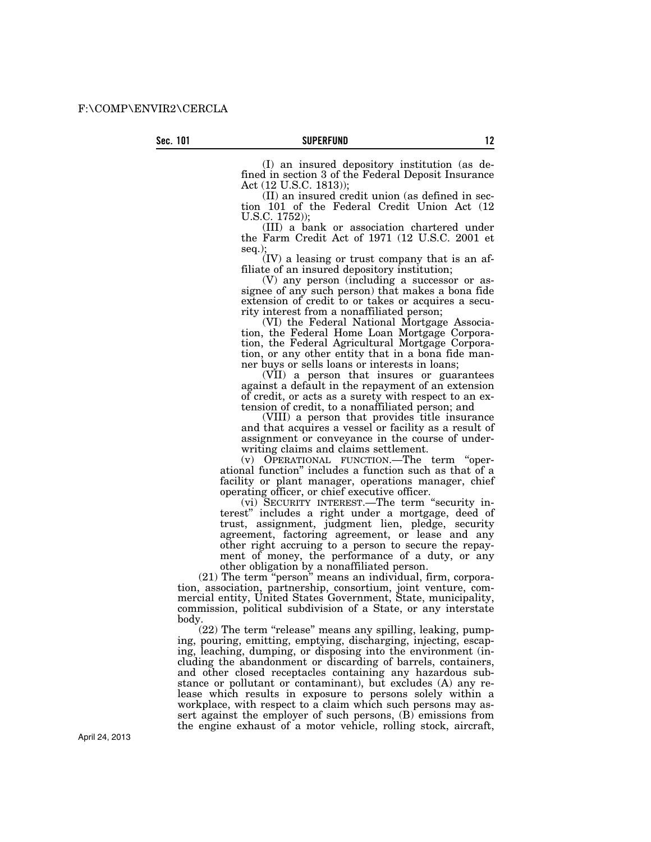(I) an insured depository institution (as defined in section 3 of the Federal Deposit Insurance Act (12 U.S.C. 1813));

II) an insured credit union (as defined in section 101 of the Federal Credit Union Act (12 U.S.C. 1752));

(III) a bank or association chartered under the Farm Credit Act of 1971 (12 U.S.C. 2001 et seq.);

(IV) a leasing or trust company that is an affiliate of an insured depository institution;

(V) any person (including a successor or assignee of any such person) that makes a bona fide extension of credit to or takes or acquires a security interest from a nonaffiliated person;

(VI) the Federal National Mortgage Association, the Federal Home Loan Mortgage Corporation, the Federal Agricultural Mortgage Corporation, or any other entity that in a bona fide manner buys or sells loans or interests in loans;

(VII) a person that insures or guarantees against a default in the repayment of an extension of credit, or acts as a surety with respect to an extension of credit, to a nonaffiliated person; and

(VIII) a person that provides title insurance and that acquires a vessel or facility as a result of assignment or conveyance in the course of underwriting claims and claims settlement.

(v) OPERATIONAL FUNCTION.—The term ''operational function'' includes a function such as that of a facility or plant manager, operations manager, chief operating officer, or chief executive officer.

(vi) SECURITY INTEREST.—The term ''security interest'' includes a right under a mortgage, deed of trust, assignment, judgment lien, pledge, security agreement, factoring agreement, or lease and any other right accruing to a person to secure the repayment of money, the performance of a duty, or any other obligation by a nonaffiliated person.

(21) The term "person" means an individual, firm, corporation, association, partnership, consortium, joint venture, commercial entity, United States Government, State, municipality, commission, political subdivision of a State, or any interstate body.

(22) The term ''release'' means any spilling, leaking, pumping, pouring, emitting, emptying, discharging, injecting, escaping, leaching, dumping, or disposing into the environment (including the abandonment or discarding of barrels, containers, and other closed receptacles containing any hazardous substance or pollutant or contaminant), but excludes (A) any release which results in exposure to persons solely within a workplace, with respect to a claim which such persons may assert against the employer of such persons, (B) emissions from the engine exhaust of a motor vehicle, rolling stock, aircraft,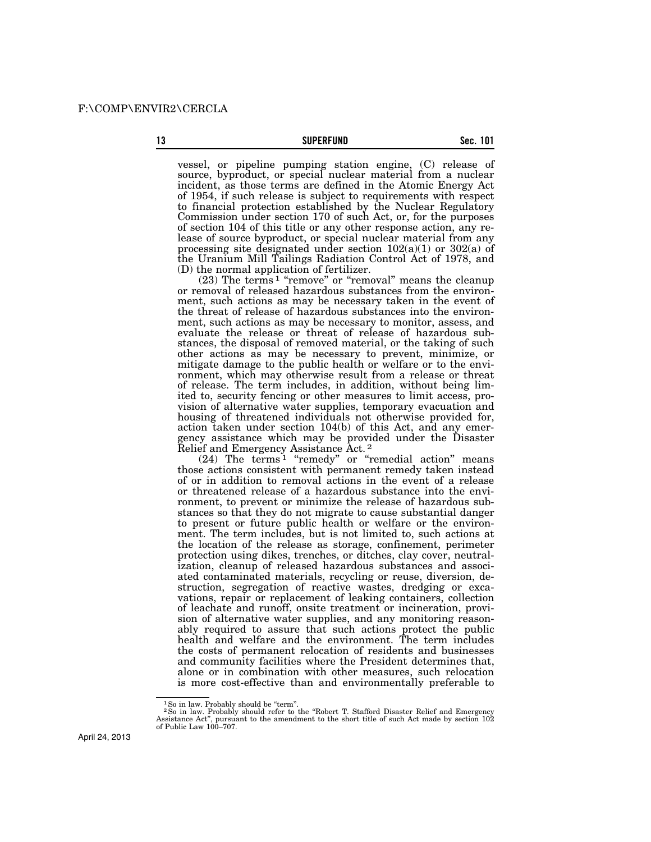vessel, or pipeline pumping station engine, (C) release of source, byproduct, or special nuclear material from a nuclear incident, as those terms are defined in the Atomic Energy Act of 1954, if such release is subject to requirements with respect to financial protection established by the Nuclear Regulatory Commission under section 170 of such Act, or, for the purposes of section 104 of this title or any other response action, any release of source byproduct, or special nuclear material from any processing site designated under section  $102(a)(1)$  or  $302(a)$  of the Uranium Mill Tailings Radiation Control Act of 1978, and (D) the normal application of fertilizer.

(23) The terms 1 ''remove'' or ''removal'' means the cleanup or removal of released hazardous substances from the environment, such actions as may be necessary taken in the event of the threat of release of hazardous substances into the environment, such actions as may be necessary to monitor, assess, and evaluate the release or threat of release of hazardous substances, the disposal of removed material, or the taking of such other actions as may be necessary to prevent, minimize, or mitigate damage to the public health or welfare or to the environment, which may otherwise result from a release or threat of release. The term includes, in addition, without being limited to, security fencing or other measures to limit access, provision of alternative water supplies, temporary evacuation and housing of threatened individuals not otherwise provided for, action taken under section 104(b) of this Act, and any emergency assistance which may be provided under the Disaster Relief and Emergency Assistance Act.<sup>2</sup>

(24) The terms<sup>1</sup> "remedy" or "remedial action" means those actions consistent with permanent remedy taken instead of or in addition to removal actions in the event of a release or threatened release of a hazardous substance into the environment, to prevent or minimize the release of hazardous substances so that they do not migrate to cause substantial danger to present or future public health or welfare or the environment. The term includes, but is not limited to, such actions at the location of the release as storage, confinement, perimeter protection using dikes, trenches, or ditches, clay cover, neutralization, cleanup of released hazardous substances and associated contaminated materials, recycling or reuse, diversion, destruction, segregation of reactive wastes, dredging or excavations, repair or replacement of leaking containers, collection of leachate and runoff, onsite treatment or incineration, provision of alternative water supplies, and any monitoring reasonably required to assure that such actions protect the public health and welfare and the environment. The term includes the costs of permanent relocation of residents and businesses and community facilities where the President determines that, alone or in combination with other measures, such relocation is more cost-effective than and environmentally preferable to

<sup>&</sup>lt;sup>1</sup>So in law. Probably should be "term".

<sup>2</sup>So in law. Probably should refer to the ''Robert T. Stafford Disaster Relief and Emergency Assistance Act'', pursuant to the amendment to the short title of such Act made by section 102 of Public Law 100–707.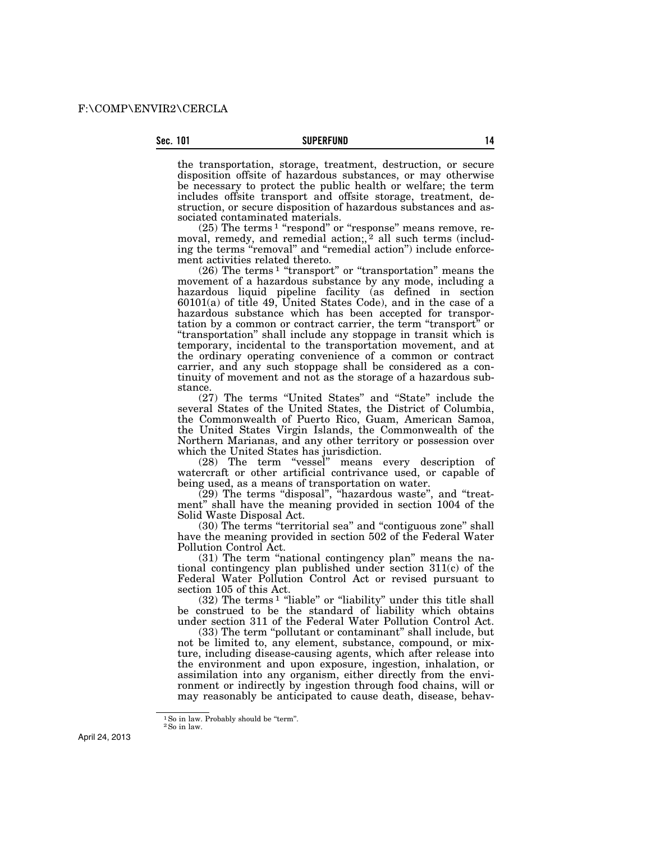the transportation, storage, treatment, destruction, or secure disposition offsite of hazardous substances, or may otherwise be necessary to protect the public health or welfare; the term includes offsite transport and offsite storage, treatment, destruction, or secure disposition of hazardous substances and associated contaminated materials.

(25) The terms <sup>1</sup> "respond" or "response" means remove, removal, remedy, and remedial action;,<sup>2</sup> all such terms (including the terms "removal" and "remedial action") include enforcement activities related thereto.

 $(26)$  The terms<sup>1</sup> "transport" or "transportation" means the movement of a hazardous substance by any mode, including a hazardous liquid pipeline facility (as defined in section 60101(a) of title 49, United States Code), and in the case of a hazardous substance which has been accepted for transportation by a common or contract carrier, the term ''transport'' or ''transportation'' shall include any stoppage in transit which is temporary, incidental to the transportation movement, and at the ordinary operating convenience of a common or contract carrier, and any such stoppage shall be considered as a continuity of movement and not as the storage of a hazardous substance.

(27) The terms ''United States'' and ''State'' include the several States of the United States, the District of Columbia, the Commonwealth of Puerto Rico, Guam, American Samoa, the United States Virgin Islands, the Commonwealth of the Northern Marianas, and any other territory or possession over which the United States has jurisdiction.

(28) The term ''vessel'' means every description of watercraft or other artificial contrivance used, or capable of being used, as a means of transportation on water.

(29) The terms ''disposal'', ''hazardous waste'', and ''treatment'' shall have the meaning provided in section 1004 of the Solid Waste Disposal Act.

(30) The terms ''territorial sea'' and ''contiguous zone'' shall have the meaning provided in section 502 of the Federal Water Pollution Control Act.

(31) The term "national contingency plan" means the national contingency plan published under section 311(c) of the Federal Water Pollution Control Act or revised pursuant to section 105 of this Act.

 $(32)$  The terms <sup>1</sup> "liable" or "liability" under this title shall be construed to be the standard of liability which obtains under section 311 of the Federal Water Pollution Control Act.

(33) The term ''pollutant or contaminant'' shall include, but not be limited to, any element, substance, compound, or mixture, including disease-causing agents, which after release into the environment and upon exposure, ingestion, inhalation, or assimilation into any organism, either directly from the environment or indirectly by ingestion through food chains, will or may reasonably be anticipated to cause death, disease, behav-

<sup>&</sup>lt;sup>1</sup>So in law. Probably should be "term".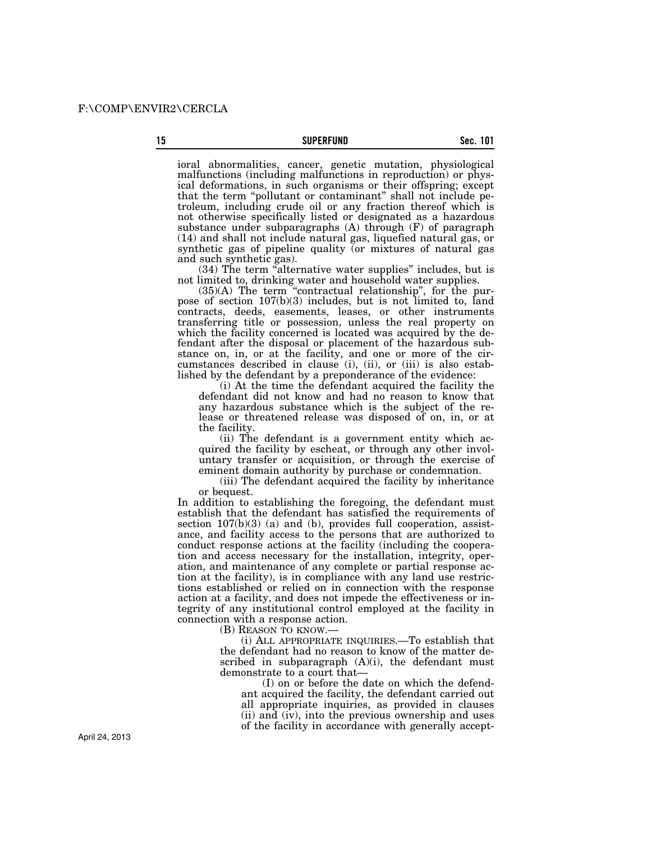ioral abnormalities, cancer, genetic mutation, physiological malfunctions (including malfunctions in reproduction) or physical deformations, in such organisms or their offspring; except that the term "pollutant or contaminant" shall not include petroleum, including crude oil or any fraction thereof which is not otherwise specifically listed or designated as a hazardous substance under subparagraphs (A) through (F) of paragraph (14) and shall not include natural gas, liquefied natural gas, or synthetic gas of pipeline quality (or mixtures of natural gas and such synthetic gas).

(34) The term ''alternative water supplies'' includes, but is not limited to, drinking water and household water supplies.

 $(35)(A)$  The term "contractual relationship", for the purpose of section 107(b)(3) includes, but is not limited to, land contracts, deeds, easements, leases, or other instruments transferring title or possession, unless the real property on which the facility concerned is located was acquired by the defendant after the disposal or placement of the hazardous substance on, in, or at the facility, and one or more of the circumstances described in clause (i), (ii), or (iii) is also established by the defendant by a preponderance of the evidence:

(i) At the time the defendant acquired the facility the defendant did not know and had no reason to know that any hazardous substance which is the subject of the release or threatened release was disposed of on, in, or at the facility.

(ii) The defendant is a government entity which acquired the facility by escheat, or through any other involuntary transfer or acquisition, or through the exercise of eminent domain authority by purchase or condemnation.

(iii) The defendant acquired the facility by inheritance or bequest.

In addition to establishing the foregoing, the defendant must establish that the defendant has satisfied the requirements of section  $107(b)(3)$  (a) and (b), provides full cooperation, assistance, and facility access to the persons that are authorized to conduct response actions at the facility (including the cooperation and access necessary for the installation, integrity, operation, and maintenance of any complete or partial response action at the facility), is in compliance with any land use restrictions established or relied on in connection with the response action at a facility, and does not impede the effectiveness or integrity of any institutional control employed at the facility in connection with a response action.

(B) REASON TO KNOW.—

(i) ALL APPROPRIATE INQUIRIES.—To establish that the defendant had no reason to know of the matter described in subparagraph  $(A)(i)$ , the defendant must demonstrate to a court that-

(I) on or before the date on which the defendant acquired the facility, the defendant carried out all appropriate inquiries, as provided in clauses (ii) and (iv), into the previous ownership and uses of the facility in accordance with generally accept-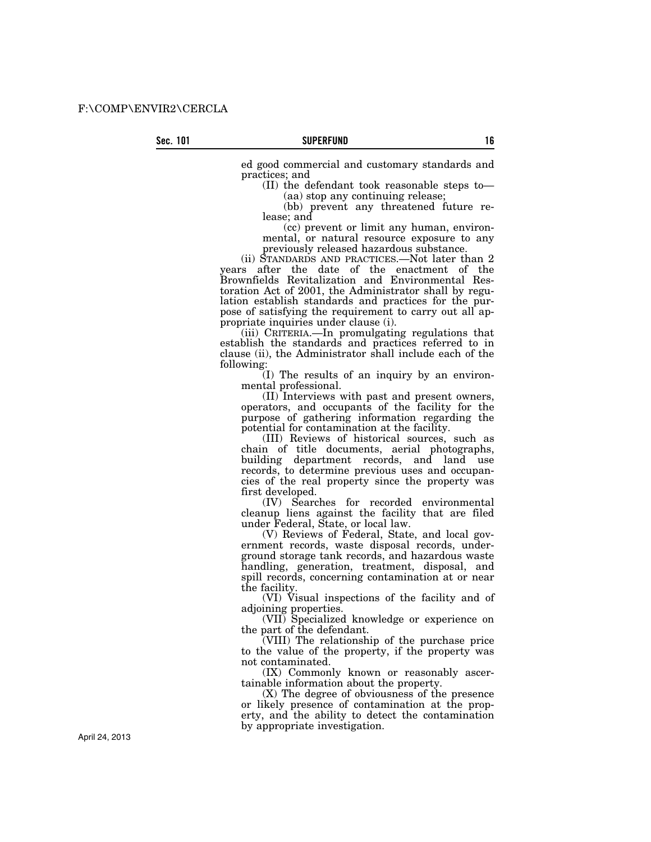ed good commercial and customary standards and practices; and

(II) the defendant took reasonable steps to— (aa) stop any continuing release;

(bb) prevent any threatened future release; and

(cc) prevent or limit any human, environmental, or natural resource exposure to any previously released hazardous substance.

(ii) STANDARDS AND PRACTICES.—Not later than 2 years after the date of the enactment of the Brownfields Revitalization and Environmental Restoration Act of 2001, the Administrator shall by regulation establish standards and practices for the purpose of satisfying the requirement to carry out all appropriate inquiries under clause (i).

(iii) CRITERIA.—In promulgating regulations that establish the standards and practices referred to in clause (ii), the Administrator shall include each of the following:

(I) The results of an inquiry by an environmental professional.

(II) Interviews with past and present owners, operators, and occupants of the facility for the purpose of gathering information regarding the potential for contamination at the facility.

(III) Reviews of historical sources, such as chain of title documents, aerial photographs, building department records, and land use records, to determine previous uses and occupancies of the real property since the property was first developed.

(IV) Searches for recorded environmental cleanup liens against the facility that are filed under Federal, State, or local law.

(V) Reviews of Federal, State, and local government records, waste disposal records, underground storage tank records, and hazardous waste handling, generation, treatment, disposal, and spill records, concerning contamination at or near the facility.

(VI) Visual inspections of the facility and of adjoining properties.

(VII) Specialized knowledge or experience on the part of the defendant.

(VIII) The relationship of the purchase price to the value of the property, if the property was not contaminated.

(IX) Commonly known or reasonably ascertainable information about the property.

(X) The degree of obviousness of the presence or likely presence of contamination at the property, and the ability to detect the contamination by appropriate investigation.

April 24, 2013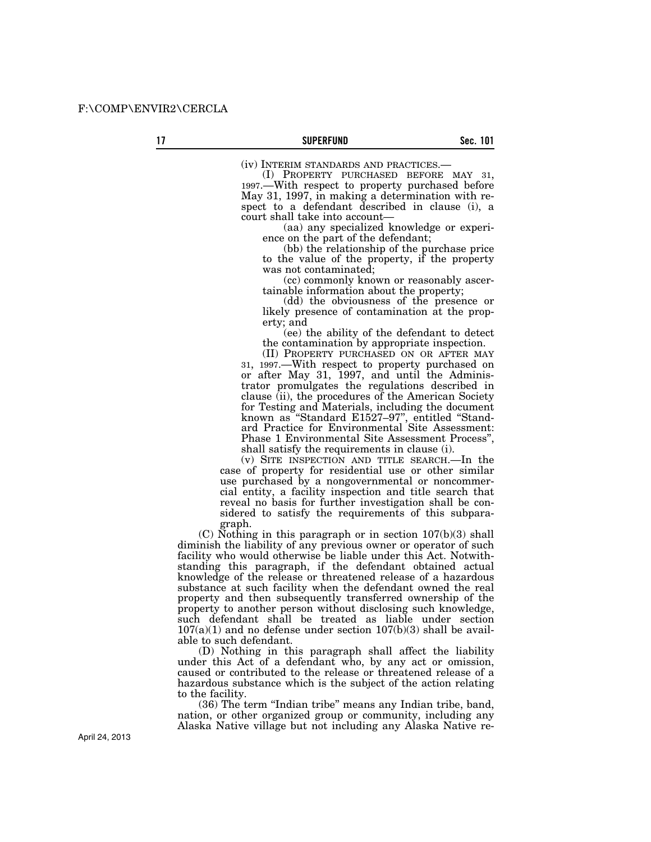(iv) INTERIM STANDARDS AND PRACTICES.— (I) PROPERTY PURCHASED BEFORE MAY 31, 1997.—With respect to property purchased before May 31, 1997, in making a determination with respect to a defendant described in clause (i), a court shall take into account—

(aa) any specialized knowledge or experience on the part of the defendant;

(bb) the relationship of the purchase price to the value of the property, if the property was not contaminated;

(cc) commonly known or reasonably ascertainable information about the property;

(dd) the obviousness of the presence or likely presence of contamination at the property; and

(ee) the ability of the defendant to detect the contamination by appropriate inspection.

(II) PROPERTY PURCHASED ON OR AFTER MAY 31, 1997.—With respect to property purchased on or after May 31, 1997, and until the Administrator promulgates the regulations described in clause (ii), the procedures of the American Society for Testing and Materials, including the document known as ''Standard E1527–97'', entitled ''Standard Practice for Environmental Site Assessment: Phase 1 Environmental Site Assessment Process'', shall satisfy the requirements in clause (i).

(v) SITE INSPECTION AND TITLE SEARCH.—In the case of property for residential use or other similar use purchased by a nongovernmental or noncommercial entity, a facility inspection and title search that reveal no basis for further investigation shall be considered to satisfy the requirements of this subparagraph.

(C) Nothing in this paragraph or in section 107(b)(3) shall diminish the liability of any previous owner or operator of such facility who would otherwise be liable under this Act. Notwithstanding this paragraph, if the defendant obtained actual knowledge of the release or threatened release of a hazardous substance at such facility when the defendant owned the real property and then subsequently transferred ownership of the property to another person without disclosing such knowledge, such defendant shall be treated as liable under section  $107(a)(1)$  and no defense under section  $107(b)(3)$  shall be available to such defendant.

(D) Nothing in this paragraph shall affect the liability under this Act of a defendant who, by any act or omission, caused or contributed to the release or threatened release of a hazardous substance which is the subject of the action relating to the facility.

(36) The term ''Indian tribe'' means any Indian tribe, band, nation, or other organized group or community, including any Alaska Native village but not including any Alaska Native re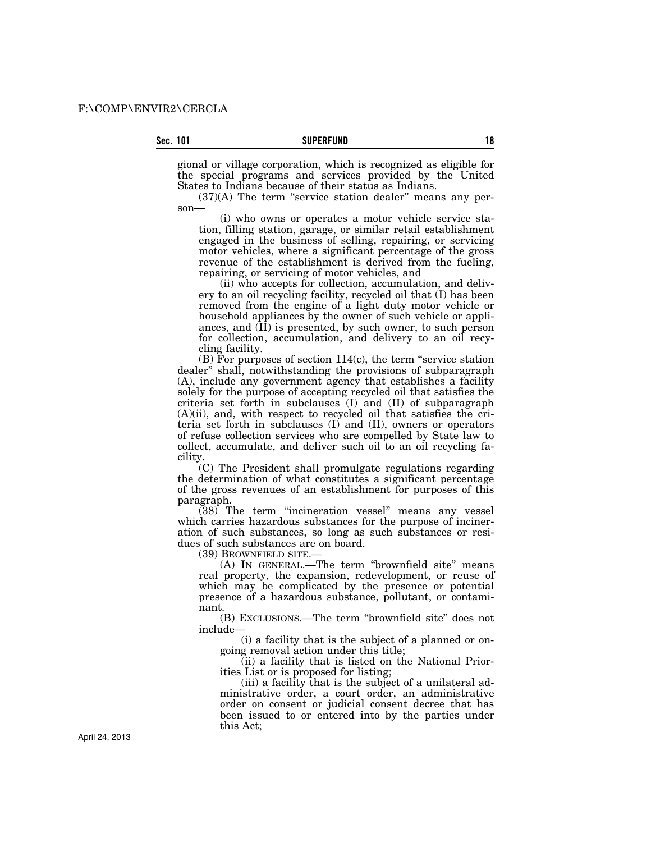gional or village corporation, which is recognized as eligible for the special programs and services provided by the United States to Indians because of their status as Indians.

 $(37)(A)$  The term "service station dealer" means any person—

(i) who owns or operates a motor vehicle service station, filling station, garage, or similar retail establishment engaged in the business of selling, repairing, or servicing motor vehicles, where a significant percentage of the gross revenue of the establishment is derived from the fueling, repairing, or servicing of motor vehicles, and

(ii) who accepts for collection, accumulation, and delivery to an oil recycling facility, recycled oil that (I) has been removed from the engine of a light duty motor vehicle or household appliances by the owner of such vehicle or appliances, and (II) is presented, by such owner, to such person for collection, accumulation, and delivery to an oil recycling facility.

 $(B)$  For purposes of section 114 $(c)$ , the term "service station" dealer'' shall, notwithstanding the provisions of subparagraph (A), include any government agency that establishes a facility solely for the purpose of accepting recycled oil that satisfies the criteria set forth in subclauses (I) and (II) of subparagraph (A)(ii), and, with respect to recycled oil that satisfies the criteria set forth in subclauses (I) and (II), owners or operators of refuse collection services who are compelled by State law to collect, accumulate, and deliver such oil to an oil recycling facility.

(C) The President shall promulgate regulations regarding the determination of what constitutes a significant percentage of the gross revenues of an establishment for purposes of this paragraph.

 $(38)$  The term "incineration vessel" means any vessel which carries hazardous substances for the purpose of incineration of such substances, so long as such substances or residues of such substances are on board.

(39) BROWNFIELD SITE.—

(A) IN GENERAL.—The term ''brownfield site'' means real property, the expansion, redevelopment, or reuse of which may be complicated by the presence or potential presence of a hazardous substance, pollutant, or contaminant.

(B) EXCLUSIONS.—The term ''brownfield site'' does not include—

(i) a facility that is the subject of a planned or ongoing removal action under this title;

(ii) a facility that is listed on the National Priorities List or is proposed for listing;

(iii) a facility that is the subject of a unilateral administrative order, a court order, an administrative order on consent or judicial consent decree that has been issued to or entered into by the parties under this Act;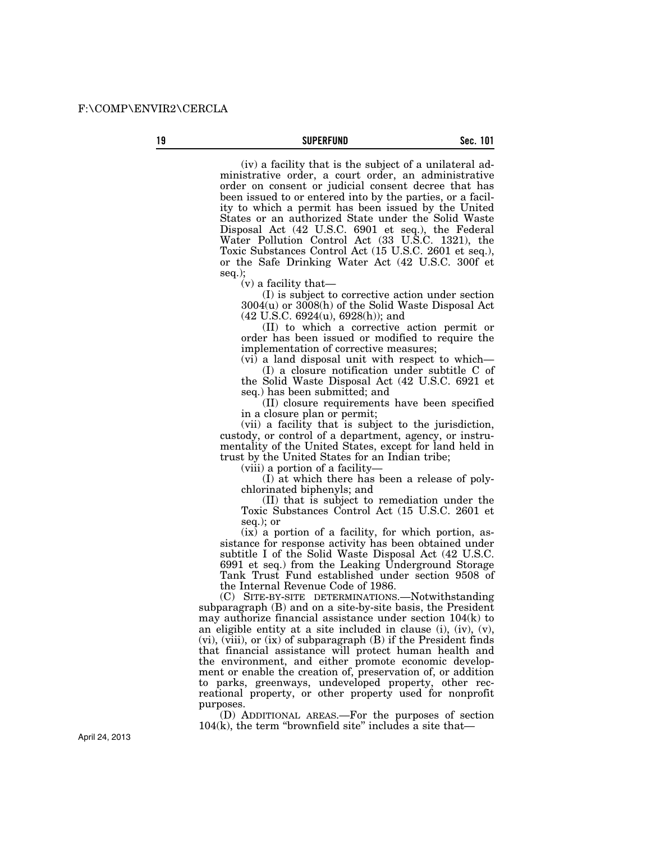(iv) a facility that is the subject of a unilateral administrative order, a court order, an administrative order on consent or judicial consent decree that has been issued to or entered into by the parties, or a facility to which a permit has been issued by the United States or an authorized State under the Solid Waste Disposal Act (42 U.S.C. 6901 et seq.), the Federal Water Pollution Control Act (33 U.S.C. 1321), the Toxic Substances Control Act (15 U.S.C. 2601 et seq.), or the Safe Drinking Water Act (42 U.S.C. 300f et seq.);

(v) a facility that—

(I) is subject to corrective action under section 3004(u) or 3008(h) of the Solid Waste Disposal Act (42 U.S.C. 6924(u), 6928(h)); and

(II) to which a corrective action permit or order has been issued or modified to require the implementation of corrective measures;

(vi) a land disposal unit with respect to which—

(I) a closure notification under subtitle C of the Solid Waste Disposal Act (42 U.S.C. 6921 et seq.) has been submitted; and

(II) closure requirements have been specified in a closure plan or permit;

(vii) a facility that is subject to the jurisdiction, custody, or control of a department, agency, or instrumentality of the United States, except for land held in trust by the United States for an Indian tribe;

(viii) a portion of a facility—

(I) at which there has been a release of polychlorinated biphenyls; and

(II) that is subject to remediation under the Toxic Substances Control Act (15 U.S.C. 2601 et seq.); or

 $(ix)$  a portion of a facility, for which portion, assistance for response activity has been obtained under subtitle I of the Solid Waste Disposal Act (42 U.S.C. 6991 et seq.) from the Leaking Underground Storage Tank Trust Fund established under section 9508 of the Internal Revenue Code of 1986.

(C) SITE-BY-SITE DETERMINATIONS.—Notwithstanding subparagraph (B) and on a site-by-site basis, the President may authorize financial assistance under section 104(k) to an eligible entity at a site included in clause (i), (iv), (v), (vi), (viii), or (ix) of subparagraph (B) if the President finds that financial assistance will protect human health and the environment, and either promote economic development or enable the creation of, preservation of, or addition to parks, greenways, undeveloped property, other recreational property, or other property used for nonprofit purposes.

(D) ADDITIONAL AREAS.—For the purposes of section  $104(k)$ , the term "brownfield site" includes a site that—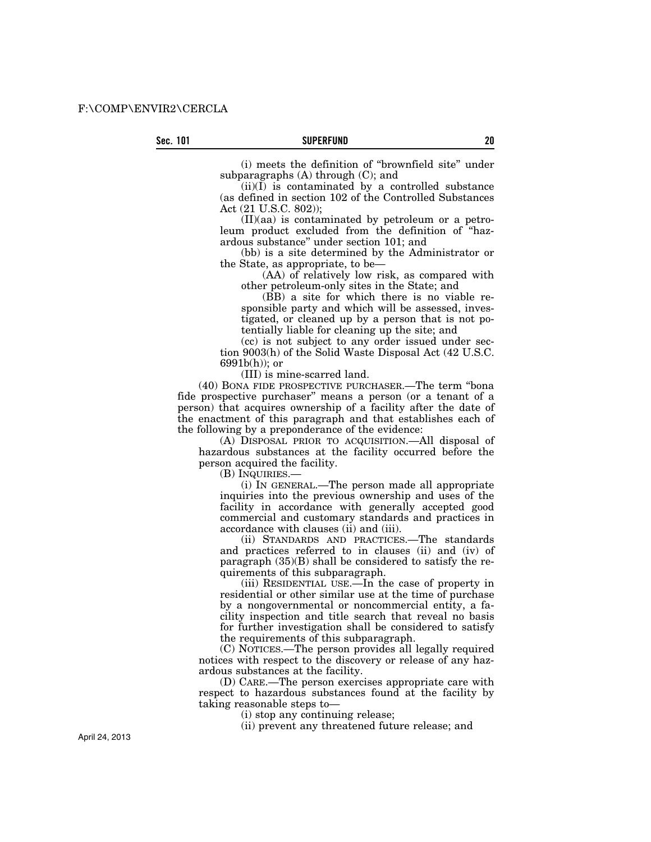(i) meets the definition of ''brownfield site'' under subparagraphs (A) through (C); and

 $(ii)(\tilde{I})$  is contaminated by a controlled substance (as defined in section 102 of the Controlled Substances Act (21 U.S.C. 802));

(II)(aa) is contaminated by petroleum or a petroleum product excluded from the definition of ''hazardous substance'' under section 101; and

(bb) is a site determined by the Administrator or the State, as appropriate, to be—

(AA) of relatively low risk, as compared with other petroleum-only sites in the State; and

(BB) a site for which there is no viable responsible party and which will be assessed, investigated, or cleaned up by a person that is not potentially liable for cleaning up the site; and

(cc) is not subject to any order issued under section 9003(h) of the Solid Waste Disposal Act (42 U.S.C. 6991b(h)); or

(III) is mine-scarred land.

(40) BONA FIDE PROSPECTIVE PURCHASER.—The term ''bona fide prospective purchaser'' means a person (or a tenant of a person) that acquires ownership of a facility after the date of the enactment of this paragraph and that establishes each of the following by a preponderance of the evidence:

(A) DISPOSAL PRIOR TO ACQUISITION.—All disposal of hazardous substances at the facility occurred before the person acquired the facility.

(B) INQUIRIES.—

(i) IN GENERAL.—The person made all appropriate inquiries into the previous ownership and uses of the facility in accordance with generally accepted good commercial and customary standards and practices in accordance with clauses (ii) and (iii).

(ii) STANDARDS AND PRACTICES.—The standards and practices referred to in clauses (ii) and (iv) of paragraph (35)(B) shall be considered to satisfy the requirements of this subparagraph.

(iii) RESIDENTIAL USE.—In the case of property in residential or other similar use at the time of purchase by a nongovernmental or noncommercial entity, a facility inspection and title search that reveal no basis for further investigation shall be considered to satisfy the requirements of this subparagraph.

(C) NOTICES.—The person provides all legally required notices with respect to the discovery or release of any hazardous substances at the facility.

(D) CARE.—The person exercises appropriate care with respect to hazardous substances found at the facility by taking reasonable steps to—

(i) stop any continuing release;

(ii) prevent any threatened future release; and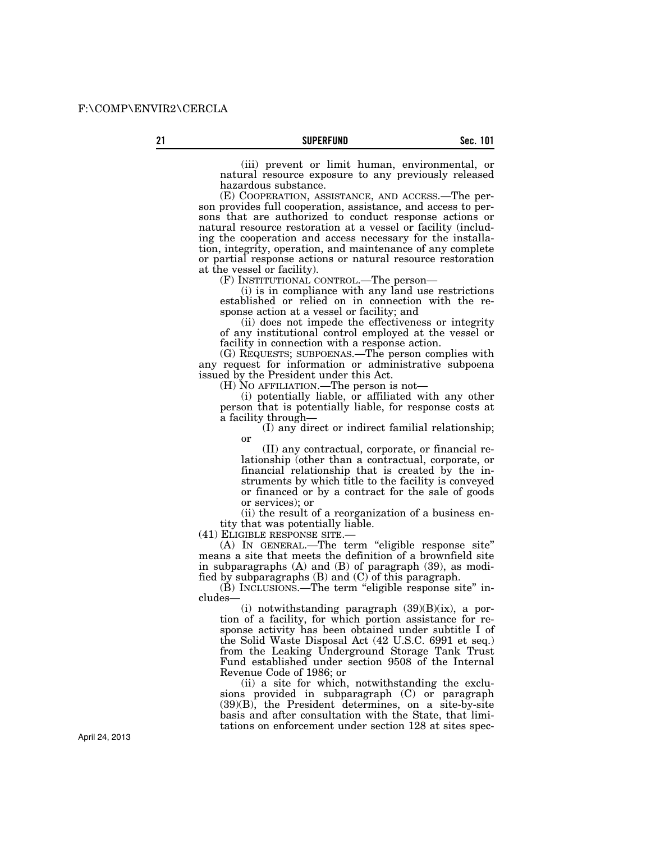(iii) prevent or limit human, environmental, or natural resource exposure to any previously released hazardous substance.

(E) COOPERATION, ASSISTANCE, AND ACCESS.—The person provides full cooperation, assistance, and access to persons that are authorized to conduct response actions or natural resource restoration at a vessel or facility (including the cooperation and access necessary for the installation, integrity, operation, and maintenance of any complete or partial response actions or natural resource restoration at the vessel or facility).

(F) INSTITUTIONAL CONTROL.—The person—

(i) is in compliance with any land use restrictions established or relied on in connection with the response action at a vessel or facility; and

(ii) does not impede the effectiveness or integrity of any institutional control employed at the vessel or facility in connection with a response action.

(G) REQUESTS; SUBPOENAS.—The person complies with any request for information or administrative subpoena issued by the President under this Act.

(H) NO AFFILIATION.—The person is not—

(i) potentially liable, or affiliated with any other person that is potentially liable, for response costs at a facility through—

(I) any direct or indirect familial relationship; or

(II) any contractual, corporate, or financial relationship (other than a contractual, corporate, or financial relationship that is created by the instruments by which title to the facility is conveyed or financed or by a contract for the sale of goods or services); or

(ii) the result of a reorganization of a business entity that was potentially liable.

(41) ELIGIBLE RESPONSE SITE.—

(A) IN GENERAL.—The term ''eligible response site'' means a site that meets the definition of a brownfield site in subparagraphs (A) and (B) of paragraph (39), as modified by subparagraphs (B) and (C) of this paragraph.

(B) INCLUSIONS.—The term ''eligible response site'' includes

(i) notwithstanding paragraph  $(39)(B)(ix)$ , a portion of a facility, for which portion assistance for response activity has been obtained under subtitle I of the Solid Waste Disposal Act (42 U.S.C. 6991 et seq.) from the Leaking Underground Storage Tank Trust Fund established under section 9508 of the Internal Revenue Code of 1986; or

(ii) a site for which, notwithstanding the exclusions provided in subparagraph (C) or paragraph (39)(B), the President determines, on a site-by-site basis and after consultation with the State, that limitations on enforcement under section 128 at sites spec-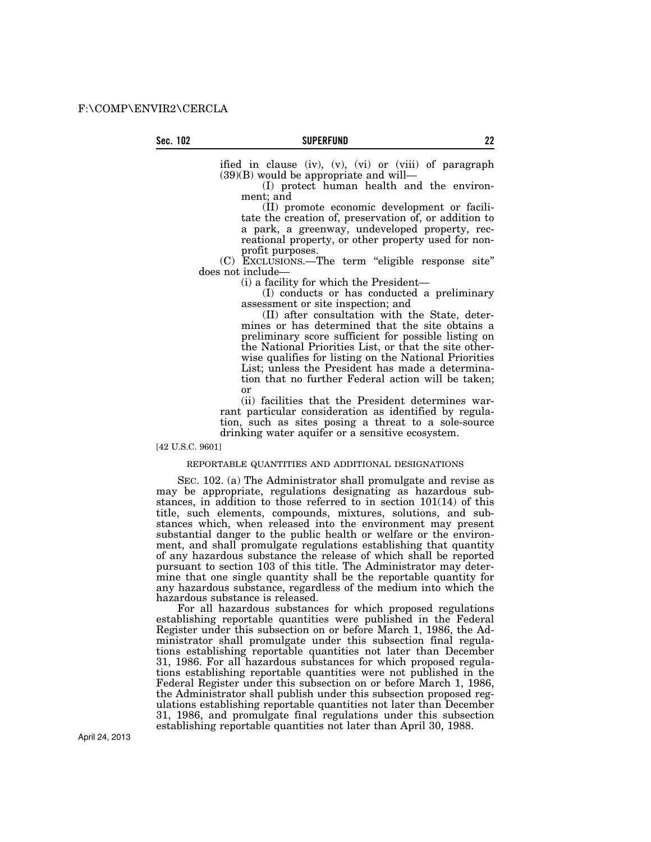ified in clause (iv), (v), (vi) or (viii) of paragraph (39)(B) would be appropriate and will—

(I) protect human health and the environment; and

(II) promote economic development or facilitate the creation of, preservation of, or addition to a park, a greenway, undeveloped property, recreational property, or other property used for nonprofit purposes.

(C) EXCLUSIONS.—The term ''eligible response site'' does not include—

(i) a facility for which the President—

(I) conducts or has conducted a preliminary assessment or site inspection; and

(II) after consultation with the State, determines or has determined that the site obtains a preliminary score sufficient for possible listing on the National Priorities List, or that the site otherwise qualifies for listing on the National Priorities List; unless the President has made a determination that no further Federal action will be taken; or

(ii) facilities that the President determines warrant particular consideration as identified by regulation, such as sites posing a threat to a sole-source drinking water aquifer or a sensitive ecosystem.

[42 U.S.C. 9601]

### REPORTABLE QUANTITIES AND ADDITIONAL DESIGNATIONS

SEC. 102. (a) The Administrator shall promulgate and revise as may be appropriate, regulations designating as hazardous substances, in addition to those referred to in section 101(14) of this title, such elements, compounds, mixtures, solutions, and substances which, when released into the environment may present substantial danger to the public health or welfare or the environment, and shall promulgate regulations establishing that quantity of any hazardous substance the release of which shall be reported pursuant to section 103 of this title. The Administrator may determine that one single quantity shall be the reportable quantity for any hazardous substance, regardless of the medium into which the hazardous substance is released.

For all hazardous substances for which proposed regulations establishing reportable quantities were published in the Federal Register under this subsection on or before March 1, 1986, the Administrator shall promulgate under this subsection final regulations establishing reportable quantities not later than December 31, 1986. For all hazardous substances for which proposed regulations establishing reportable quantities were not published in the Federal Register under this subsection on or before March 1, 1986, the Administrator shall publish under this subsection proposed regulations establishing reportable quantities not later than December 31, 1986, and promulgate final regulations under this subsection establishing reportable quantities not later than April 30, 1988.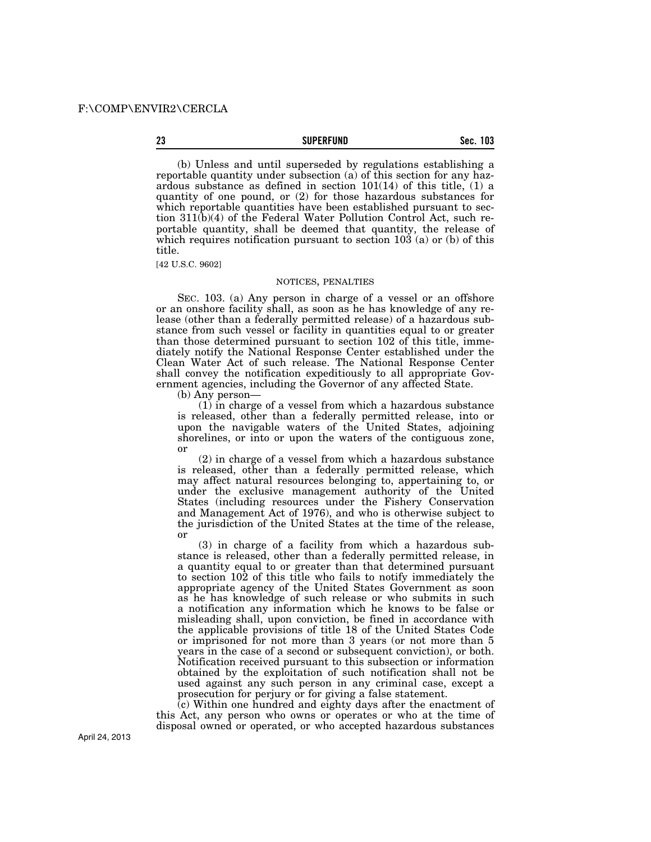(b) Unless and until superseded by regulations establishing a reportable quantity under subsection (a) of this section for any hazardous substance as defined in section 101(14) of this title, (1) a quantity of one pound, or (2) for those hazardous substances for which reportable quantities have been established pursuant to section 311(b)(4) of the Federal Water Pollution Control Act, such reportable quantity, shall be deemed that quantity, the release of which requires notification pursuant to section 103 (a) or (b) of this title.

[42 U.S.C. 9602]

#### NOTICES, PENALTIES

SEC. 103. (a) Any person in charge of a vessel or an offshore or an onshore facility shall, as soon as he has knowledge of any release (other than a federally permitted release) of a hazardous substance from such vessel or facility in quantities equal to or greater than those determined pursuant to section 102 of this title, immediately notify the National Response Center established under the Clean Water Act of such release. The National Response Center shall convey the notification expeditiously to all appropriate Government agencies, including the Governor of any affected State.

(b) Any person—

(1) in charge of a vessel from which a hazardous substance is released, other than a federally permitted release, into or upon the navigable waters of the United States, adjoining shorelines, or into or upon the waters of the contiguous zone, or

(2) in charge of a vessel from which a hazardous substance is released, other than a federally permitted release, which may affect natural resources belonging to, appertaining to, or under the exclusive management authority of the United States (including resources under the Fishery Conservation and Management Act of 1976), and who is otherwise subject to the jurisdiction of the United States at the time of the release, or

(3) in charge of a facility from which a hazardous substance is released, other than a federally permitted release, in a quantity equal to or greater than that determined pursuant to section 102 of this title who fails to notify immediately the appropriate agency of the United States Government as soon as he has knowledge of such release or who submits in such a notification any information which he knows to be false or misleading shall, upon conviction, be fined in accordance with the applicable provisions of title 18 of the United States Code or imprisoned for not more than 3 years (or not more than 5 years in the case of a second or subsequent conviction), or both. Notification received pursuant to this subsection or information obtained by the exploitation of such notification shall not be used against any such person in any criminal case, except a prosecution for perjury or for giving a false statement.

(c) Within one hundred and eighty days after the enactment of this Act, any person who owns or operates or who at the time of disposal owned or operated, or who accepted hazardous substances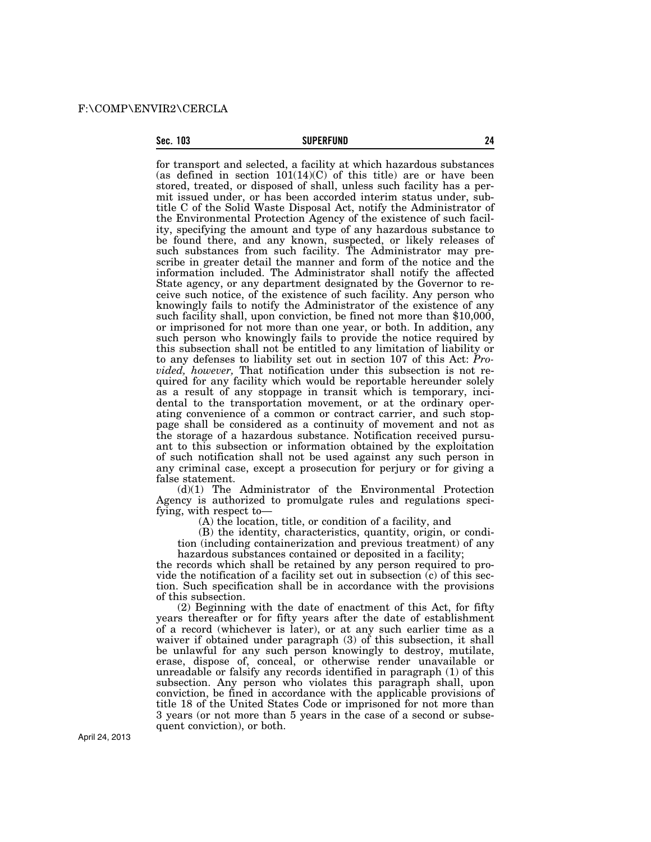for transport and selected, a facility at which hazardous substances (as defined in section  $101(14)(C)$  of this title) are or have been stored, treated, or disposed of shall, unless such facility has a permit issued under, or has been accorded interim status under, subtitle C of the Solid Waste Disposal Act, notify the Administrator of the Environmental Protection Agency of the existence of such facility, specifying the amount and type of any hazardous substance to be found there, and any known, suspected, or likely releases of such substances from such facility. The Administrator may prescribe in greater detail the manner and form of the notice and the information included. The Administrator shall notify the affected State agency, or any department designated by the Governor to receive such notice, of the existence of such facility. Any person who knowingly fails to notify the Administrator of the existence of any such facility shall, upon conviction, be fined not more than \$10,000, or imprisoned for not more than one year, or both. In addition, any such person who knowingly fails to provide the notice required by this subsection shall not be entitled to any limitation of liability or to any defenses to liability set out in section 107 of this Act: *Provided, however,* That notification under this subsection is not required for any facility which would be reportable hereunder solely as a result of any stoppage in transit which is temporary, incidental to the transportation movement, or at the ordinary operating convenience of a common or contract carrier, and such stoppage shall be considered as a continuity of movement and not as the storage of a hazardous substance. Notification received pursuant to this subsection or information obtained by the exploitation of such notification shall not be used against any such person in any criminal case, except a prosecution for perjury or for giving a false statement.

(d)(1) The Administrator of the Environmental Protection Agency is authorized to promulgate rules and regulations specifying, with respect to—

(A) the location, title, or condition of a facility, and

(B) the identity, characteristics, quantity, origin, or condition (including containerization and previous treatment) of any hazardous substances contained or deposited in a facility;

the records which shall be retained by any person required to provide the notification of a facility set out in subsection  $(c)$  of this section. Such specification shall be in accordance with the provisions of this subsection.

(2) Beginning with the date of enactment of this Act, for fifty years thereafter or for fifty years after the date of establishment of a record (whichever is later), or at any such earlier time as a waiver if obtained under paragraph (3) of this subsection, it shall be unlawful for any such person knowingly to destroy, mutilate, erase, dispose of, conceal, or otherwise render unavailable or unreadable or falsify any records identified in paragraph (1) of this subsection. Any person who violates this paragraph shall, upon conviction, be fined in accordance with the applicable provisions of title 18 of the United States Code or imprisoned for not more than 3 years (or not more than 5 years in the case of a second or subsequent conviction), or both.

April 24, 2013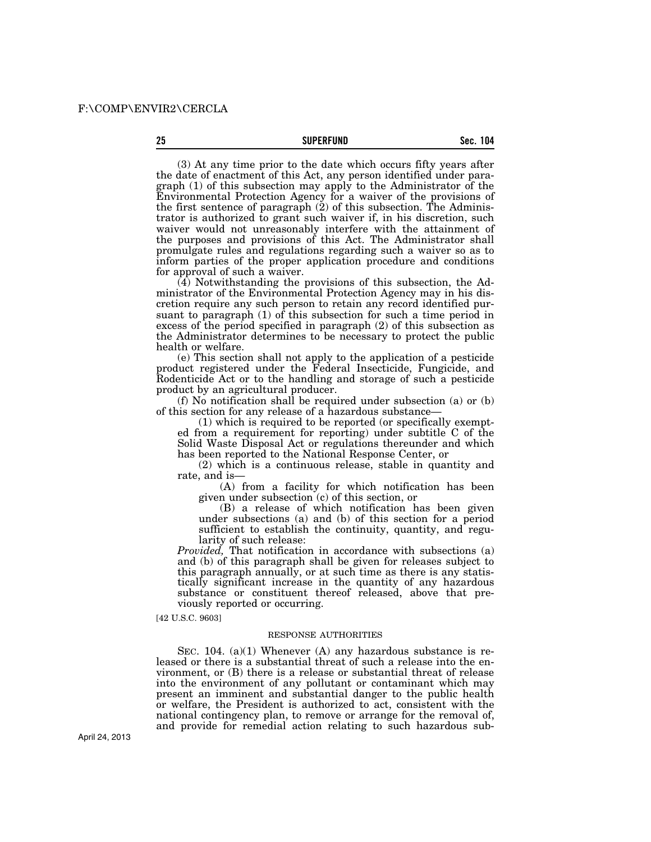(3) At any time prior to the date which occurs fifty years after the date of enactment of this Act, any person identified under paragraph (1) of this subsection may apply to the Administrator of the Environmental Protection Agency for a waiver of the provisions of the first sentence of paragraph (2) of this subsection. The Administrator is authorized to grant such waiver if, in his discretion, such waiver would not unreasonably interfere with the attainment of the purposes and provisions of this Act. The Administrator shall promulgate rules and regulations regarding such a waiver so as to inform parties of the proper application procedure and conditions for approval of such a waiver.

 $\overline{(4)}$  Notwithstanding the provisions of this subsection, the Administrator of the Environmental Protection Agency may in his discretion require any such person to retain any record identified pursuant to paragraph (1) of this subsection for such a time period in excess of the period specified in paragraph (2) of this subsection as the Administrator determines to be necessary to protect the public health or welfare.

(e) This section shall not apply to the application of a pesticide product registered under the Federal Insecticide, Fungicide, and Rodenticide Act or to the handling and storage of such a pesticide product by an agricultural producer.

(f) No notification shall be required under subsection (a) or (b) of this section for any release of a hazardous substance—

(1) which is required to be reported (or specifically exempted from a requirement for reporting) under subtitle C of the Solid Waste Disposal Act or regulations thereunder and which has been reported to the National Response Center, or

(2) which is a continuous release, stable in quantity and rate, and is—

(A) from a facility for which notification has been given under subsection (c) of this section, or

(B) a release of which notification has been given under subsections (a) and (b) of this section for a period sufficient to establish the continuity, quantity, and regularity of such release:

*Provided,* That notification in accordance with subsections (a) and (b) of this paragraph shall be given for releases subject to this paragraph annually, or at such time as there is any statistically significant increase in the quantity of any hazardous substance or constituent thereof released, above that previously reported or occurring.

[42 U.S.C. 9603]

#### RESPONSE AUTHORITIES

SEC. 104.  $(a)(1)$  Whenever  $(A)$  any hazardous substance is released or there is a substantial threat of such a release into the environment, or (B) there is a release or substantial threat of release into the environment of any pollutant or contaminant which may present an imminent and substantial danger to the public health or welfare, the President is authorized to act, consistent with the national contingency plan, to remove or arrange for the removal of, and provide for remedial action relating to such hazardous sub-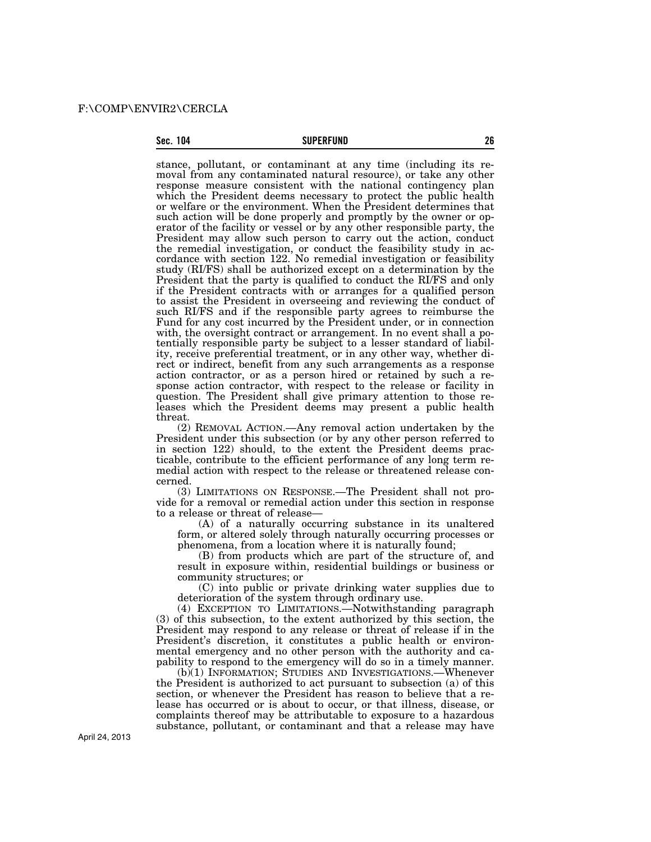stance, pollutant, or contaminant at any time (including its removal from any contaminated natural resource), or take any other response measure consistent with the national contingency plan which the President deems necessary to protect the public health or welfare or the environment. When the President determines that such action will be done properly and promptly by the owner or operator of the facility or vessel or by any other responsible party, the President may allow such person to carry out the action, conduct the remedial investigation, or conduct the feasibility study in accordance with section 122. No remedial investigation or feasibility study (RI/FS) shall be authorized except on a determination by the President that the party is qualified to conduct the RI/FS and only if the President contracts with or arranges for a qualified person to assist the President in overseeing and reviewing the conduct of such RI/FS and if the responsible party agrees to reimburse the Fund for any cost incurred by the President under, or in connection with, the oversight contract or arrangement. In no event shall a potentially responsible party be subject to a lesser standard of liability, receive preferential treatment, or in any other way, whether direct or indirect, benefit from any such arrangements as a response action contractor, or as a person hired or retained by such a response action contractor, with respect to the release or facility in question. The President shall give primary attention to those releases which the President deems may present a public health threat.

(2) REMOVAL ACTION.—Any removal action undertaken by the President under this subsection (or by any other person referred to in section 122) should, to the extent the President deems practicable, contribute to the efficient performance of any long term remedial action with respect to the release or threatened release concerned.

(3) LIMITATIONS ON RESPONSE.—The President shall not provide for a removal or remedial action under this section in response to a release or threat of release—

(A) of a naturally occurring substance in its unaltered form, or altered solely through naturally occurring processes or phenomena, from a location where it is naturally found;

(B) from products which are part of the structure of, and result in exposure within, residential buildings or business or community structures; or

(C) into public or private drinking water supplies due to deterioration of the system through ordinary use.

(4) EXCEPTION TO LIMITATIONS.—Notwithstanding paragraph (3) of this subsection, to the extent authorized by this section, the President may respond to any release or threat of release if in the President's discretion, it constitutes a public health or environmental emergency and no other person with the authority and capability to respond to the emergency will do so in a timely manner.

(b)(1) INFORMATION; STUDIES AND INVESTIGATIONS.—Whenever the President is authorized to act pursuant to subsection (a) of this section, or whenever the President has reason to believe that a release has occurred or is about to occur, or that illness, disease, or complaints thereof may be attributable to exposure to a hazardous substance, pollutant, or contaminant and that a release may have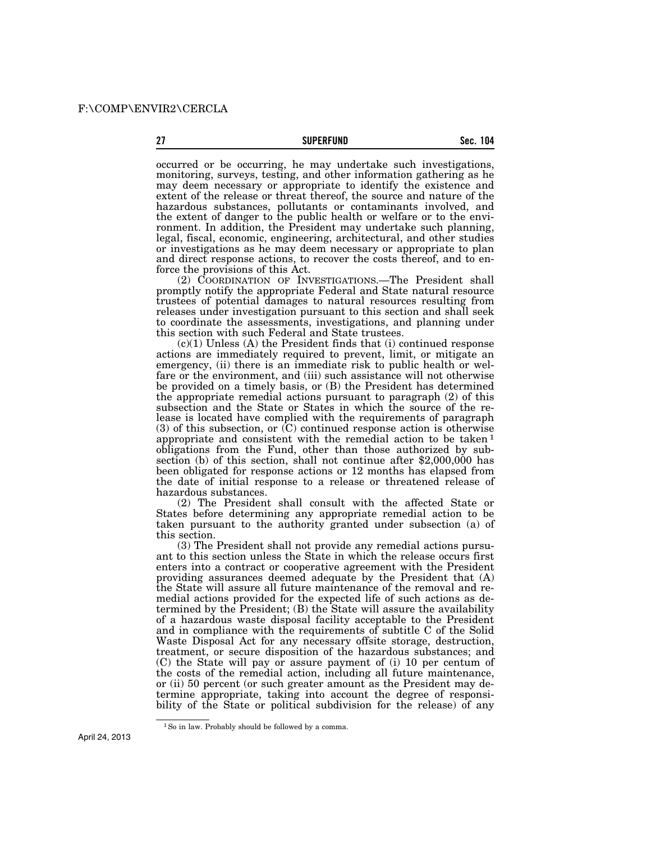occurred or be occurring, he may undertake such investigations, monitoring, surveys, testing, and other information gathering as he may deem necessary or appropriate to identify the existence and extent of the release or threat thereof, the source and nature of the hazardous substances, pollutants or contaminants involved, and the extent of danger to the public health or welfare or to the environment. In addition, the President may undertake such planning, legal, fiscal, economic, engineering, architectural, and other studies or investigations as he may deem necessary or appropriate to plan and direct response actions, to recover the costs thereof, and to enforce the provisions of this Act.

(2) COORDINATION OF INVESTIGATIONS.—The President shall promptly notify the appropriate Federal and State natural resource trustees of potential damages to natural resources resulting from releases under investigation pursuant to this section and shall seek to coordinate the assessments, investigations, and planning under this section with such Federal and State trustees.

 $(c)(1)$  Unless  $(A)$  the President finds that  $(i)$  continued response actions are immediately required to prevent, limit, or mitigate an emergency, (ii) there is an immediate risk to public health or welfare or the environment, and (iii) such assistance will not otherwise be provided on a timely basis, or (B) the President has determined the appropriate remedial actions pursuant to paragraph (2) of this subsection and the State or States in which the source of the release is located have complied with the requirements of paragraph (3) of this subsection, or (C) continued response action is otherwise appropriate and consistent with the remedial action to be taken 1 obligations from the Fund, other than those authorized by subsection (b) of this section, shall not continue after \$2,000,000 has been obligated for response actions or 12 months has elapsed from the date of initial response to a release or threatened release of hazardous substances.

(2) The President shall consult with the affected State or States before determining any appropriate remedial action to be taken pursuant to the authority granted under subsection (a) of this section.

(3) The President shall not provide any remedial actions pursuant to this section unless the State in which the release occurs first enters into a contract or cooperative agreement with the President providing assurances deemed adequate by the President that (A) the State will assure all future maintenance of the removal and remedial actions provided for the expected life of such actions as determined by the President; (B) the State will assure the availability of a hazardous waste disposal facility acceptable to the President and in compliance with the requirements of subtitle C of the Solid Waste Disposal Act for any necessary offsite storage, destruction, treatment, or secure disposition of the hazardous substances; and (C) the State will pay or assure payment of (i) 10 per centum of the costs of the remedial action, including all future maintenance, or (ii) 50 percent (or such greater amount as the President may determine appropriate, taking into account the degree of responsibility of the State or political subdivision for the release) of any

<sup>1</sup>So in law. Probably should be followed by a comma.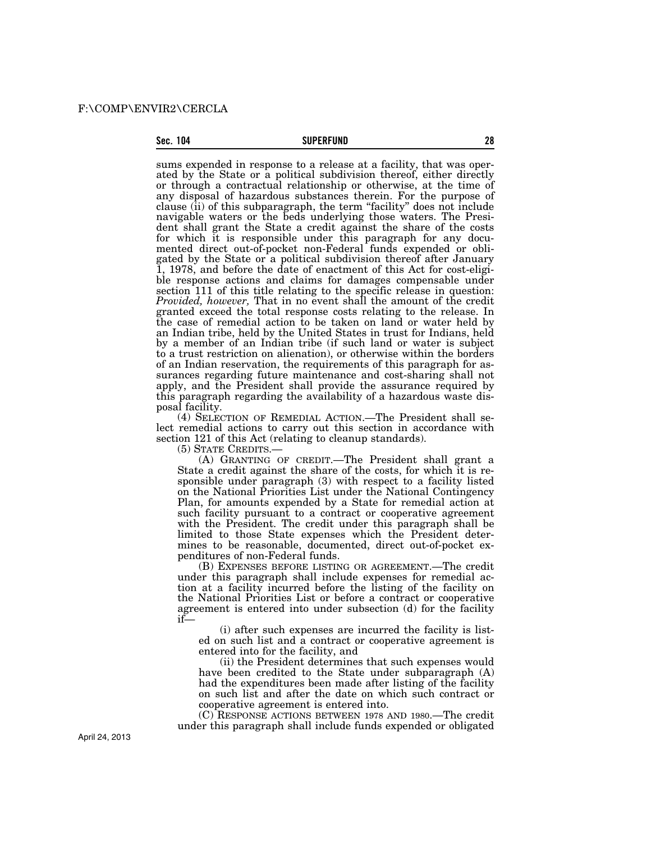## Sec. 104 28

sums expended in response to a release at a facility, that was operated by the State or a political subdivision thereof, either directly or through a contractual relationship or otherwise, at the time of any disposal of hazardous substances therein. For the purpose of clause (ii) of this subparagraph, the term ''facility'' does not include navigable waters or the beds underlying those waters. The President shall grant the State a credit against the share of the costs for which it is responsible under this paragraph for any documented direct out-of-pocket non-Federal funds expended or obligated by the State or a political subdivision thereof after January 1, 1978, and before the date of enactment of this Act for cost-eligible response actions and claims for damages compensable under section 111 of this title relating to the specific release in question: *Provided, however,* That in no event shall the amount of the credit granted exceed the total response costs relating to the release. In the case of remedial action to be taken on land or water held by an Indian tribe, held by the United States in trust for Indians, held by a member of an Indian tribe (if such land or water is subject to a trust restriction on alienation), or otherwise within the borders of an Indian reservation, the requirements of this paragraph for assurances regarding future maintenance and cost-sharing shall not apply, and the President shall provide the assurance required by this paragraph regarding the availability of a hazardous waste disposal facility.

(4) SELECTION OF REMEDIAL ACTION.—The President shall select remedial actions to carry out this section in accordance with section 121 of this Act (relating to cleanup standards).<br>(5) STATE CREDITS.—

(A) GRANTING OF CREDIT.—The President shall grant a State a credit against the share of the costs, for which it is responsible under paragraph (3) with respect to a facility listed on the National Priorities List under the National Contingency Plan, for amounts expended by a State for remedial action at such facility pursuant to a contract or cooperative agreement with the President. The credit under this paragraph shall be limited to those State expenses which the President determines to be reasonable, documented, direct out-of-pocket expenditures of non-Federal funds.

(B) EXPENSES BEFORE LISTING OR AGREEMENT.—The credit under this paragraph shall include expenses for remedial action at a facility incurred before the listing of the facility on the National Priorities List or before a contract or cooperative agreement is entered into under subsection (d) for the facility if—

(i) after such expenses are incurred the facility is listed on such list and a contract or cooperative agreement is entered into for the facility, and

(ii) the President determines that such expenses would have been credited to the State under subparagraph (A) had the expenditures been made after listing of the facility on such list and after the date on which such contract or cooperative agreement is entered into.

(C) RESPONSE ACTIONS BETWEEN 1978 AND 1980.—The credit under this paragraph shall include funds expended or obligated

April 24, 2013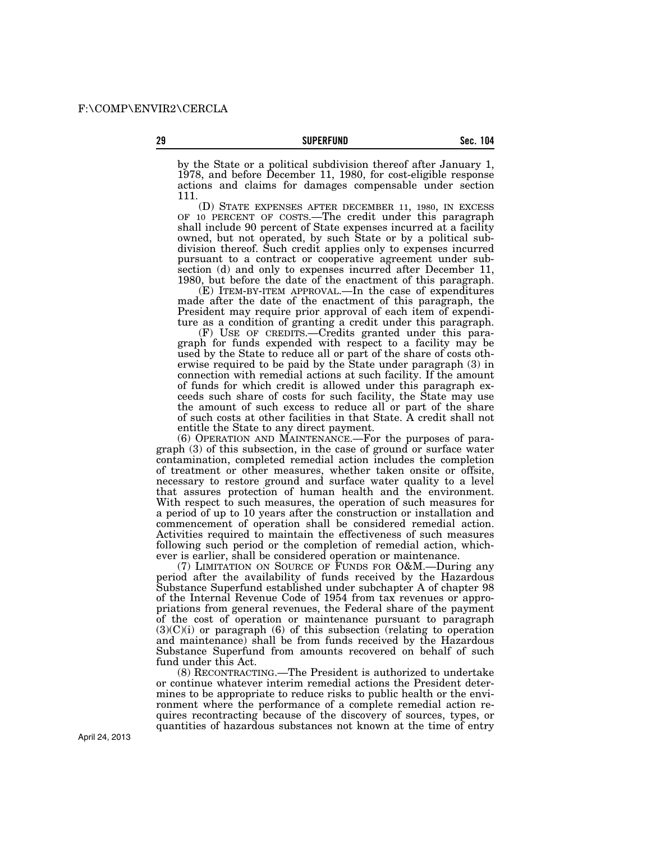by the State or a political subdivision thereof after January 1, 1978, and before December 11, 1980, for cost-eligible response actions and claims for damages compensable under section 111.

(D) STATE EXPENSES AFTER DECEMBER 11, 1980, IN EXCESS OF 10 PERCENT OF COSTS.—The credit under this paragraph shall include 90 percent of State expenses incurred at a facility owned, but not operated, by such State or by a political subdivision thereof. Such credit applies only to expenses incurred pursuant to a contract or cooperative agreement under subsection (d) and only to expenses incurred after December 11, 1980, but before the date of the enactment of this paragraph.

(E) ITEM-BY-ITEM APPROVAL.—In the case of expenditures made after the date of the enactment of this paragraph, the President may require prior approval of each item of expenditure as a condition of granting a credit under this paragraph.

(F) USE OF CREDITS.—Credits granted under this paragraph for funds expended with respect to a facility may be used by the State to reduce all or part of the share of costs otherwise required to be paid by the State under paragraph (3) in connection with remedial actions at such facility. If the amount of funds for which credit is allowed under this paragraph exceeds such share of costs for such facility, the State may use the amount of such excess to reduce all or part of the share of such costs at other facilities in that State. A credit shall not entitle the State to any direct payment.

(6) OPERATION AND MAINTENANCE.—For the purposes of paragraph (3) of this subsection, in the case of ground or surface water contamination, completed remedial action includes the completion of treatment or other measures, whether taken onsite or offsite, necessary to restore ground and surface water quality to a level that assures protection of human health and the environment. With respect to such measures, the operation of such measures for a period of up to 10 years after the construction or installation and commencement of operation shall be considered remedial action. Activities required to maintain the effectiveness of such measures following such period or the completion of remedial action, whichever is earlier, shall be considered operation or maintenance.

(7) LIMITATION ON SOURCE OF FUNDS FOR O&M.—During any period after the availability of funds received by the Hazardous Substance Superfund established under subchapter A of chapter 98 of the Internal Revenue Code of 1954 from tax revenues or appropriations from general revenues, the Federal share of the payment of the cost of operation or maintenance pursuant to paragraph  $(3)(C)(i)$  or paragraph  $(6)$  of this subsection (relating to operation and maintenance) shall be from funds received by the Hazardous Substance Superfund from amounts recovered on behalf of such fund under this Act.

(8) RECONTRACTING.—The President is authorized to undertake or continue whatever interim remedial actions the President determines to be appropriate to reduce risks to public health or the environment where the performance of a complete remedial action requires recontracting because of the discovery of sources, types, or quantities of hazardous substances not known at the time of entry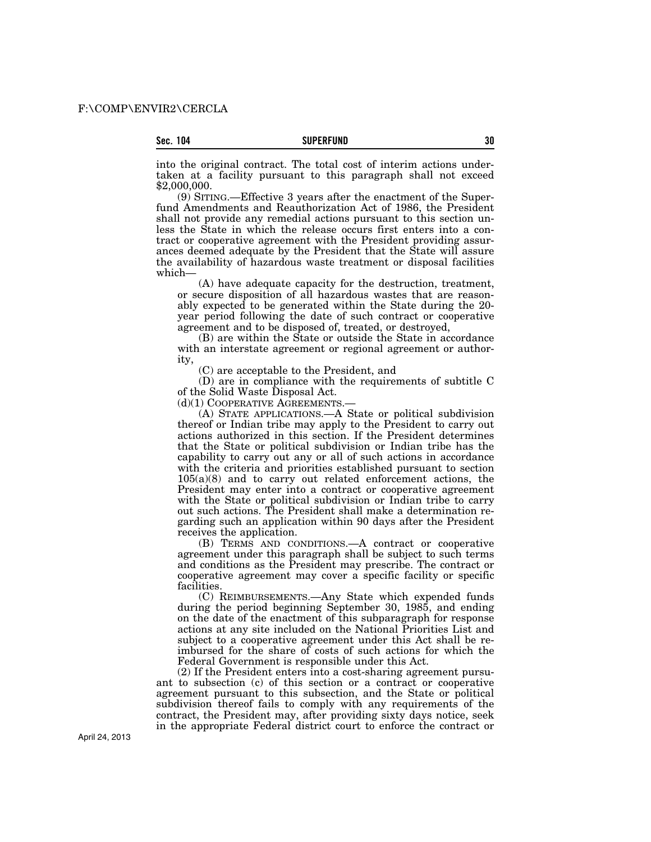into the original contract. The total cost of interim actions undertaken at a facility pursuant to this paragraph shall not exceed \$2,000,000.

(9) SITING.—Effective 3 years after the enactment of the Superfund Amendments and Reauthorization Act of 1986, the President shall not provide any remedial actions pursuant to this section unless the State in which the release occurs first enters into a contract or cooperative agreement with the President providing assurances deemed adequate by the President that the State will assure the availability of hazardous waste treatment or disposal facilities which—

(A) have adequate capacity for the destruction, treatment, or secure disposition of all hazardous wastes that are reasonably expected to be generated within the State during the 20 year period following the date of such contract or cooperative agreement and to be disposed of, treated, or destroyed,

(B) are within the State or outside the State in accordance with an interstate agreement or regional agreement or authority,

(C) are acceptable to the President, and

(D) are in compliance with the requirements of subtitle C of the Solid Waste Disposal Act.

 $(d)(1)$  COOPERATIVE AGREEMENTS.

(A) STATE APPLICATIONS.—A State or political subdivision thereof or Indian tribe may apply to the President to carry out actions authorized in this section. If the President determines that the State or political subdivision or Indian tribe has the capability to carry out any or all of such actions in accordance with the criteria and priorities established pursuant to section 105(a)(8) and to carry out related enforcement actions, the President may enter into a contract or cooperative agreement with the State or political subdivision or Indian tribe to carry out such actions. The President shall make a determination regarding such an application within 90 days after the President receives the application.

(B) TERMS AND CONDITIONS.—A contract or cooperative agreement under this paragraph shall be subject to such terms and conditions as the President may prescribe. The contract or cooperative agreement may cover a specific facility or specific facilities.

(C) REIMBURSEMENTS.—Any State which expended funds during the period beginning September 30, 1985, and ending on the date of the enactment of this subparagraph for response actions at any site included on the National Priorities List and subject to a cooperative agreement under this Act shall be reimbursed for the share of costs of such actions for which the Federal Government is responsible under this Act.

(2) If the President enters into a cost-sharing agreement pursuant to subsection (c) of this section or a contract or cooperative agreement pursuant to this subsection, and the State or political subdivision thereof fails to comply with any requirements of the contract, the President may, after providing sixty days notice, seek in the appropriate Federal district court to enforce the contract or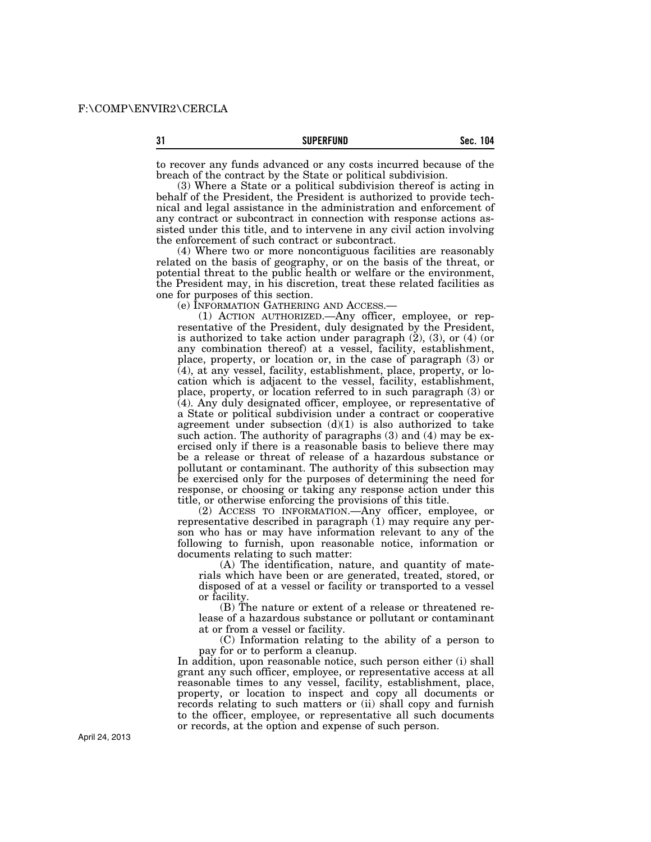#### **31** SUPERFUND SEC. 104

to recover any funds advanced or any costs incurred because of the breach of the contract by the State or political subdivision.

(3) Where a State or a political subdivision thereof is acting in behalf of the President, the President is authorized to provide technical and legal assistance in the administration and enforcement of any contract or subcontract in connection with response actions assisted under this title, and to intervene in any civil action involving the enforcement of such contract or subcontract.

(4) Where two or more noncontiguous facilities are reasonably related on the basis of geography, or on the basis of the threat, or potential threat to the public health or welfare or the environment, the President may, in his discretion, treat these related facilities as one for purposes of this section.

(e) INFORMATION GATHERING AND ACCESS.—

(1) ACTION AUTHORIZED.—Any officer, employee, or representative of the President, duly designated by the President, is authorized to take action under paragraph  $(2)$ ,  $(3)$ , or  $(4)$  (or any combination thereof) at a vessel, facility, establishment, place, property, or location or, in the case of paragraph (3) or (4), at any vessel, facility, establishment, place, property, or location which is adjacent to the vessel, facility, establishment, place, property, or location referred to in such paragraph (3) or (4). Any duly designated officer, employee, or representative of a State or political subdivision under a contract or cooperative agreement under subsection  $(d)(1)$  is also authorized to take such action. The authority of paragraphs (3) and (4) may be exercised only if there is a reasonable basis to believe there may be a release or threat of release of a hazardous substance or pollutant or contaminant. The authority of this subsection may be exercised only for the purposes of determining the need for response, or choosing or taking any response action under this title, or otherwise enforcing the provisions of this title.

(2) ACCESS TO INFORMATION.—Any officer, employee, or representative described in paragraph (1) may require any person who has or may have information relevant to any of the following to furnish, upon reasonable notice, information or documents relating to such matter:

(A) The identification, nature, and quantity of materials which have been or are generated, treated, stored, or disposed of at a vessel or facility or transported to a vessel or facility.

(B) The nature or extent of a release or threatened release of a hazardous substance or pollutant or contaminant at or from a vessel or facility.

(C) Information relating to the ability of a person to pay for or to perform a cleanup.

In addition, upon reasonable notice, such person either (i) shall grant any such officer, employee, or representative access at all reasonable times to any vessel, facility, establishment, place, property, or location to inspect and copy all documents or records relating to such matters or (ii) shall copy and furnish to the officer, employee, or representative all such documents or records, at the option and expense of such person.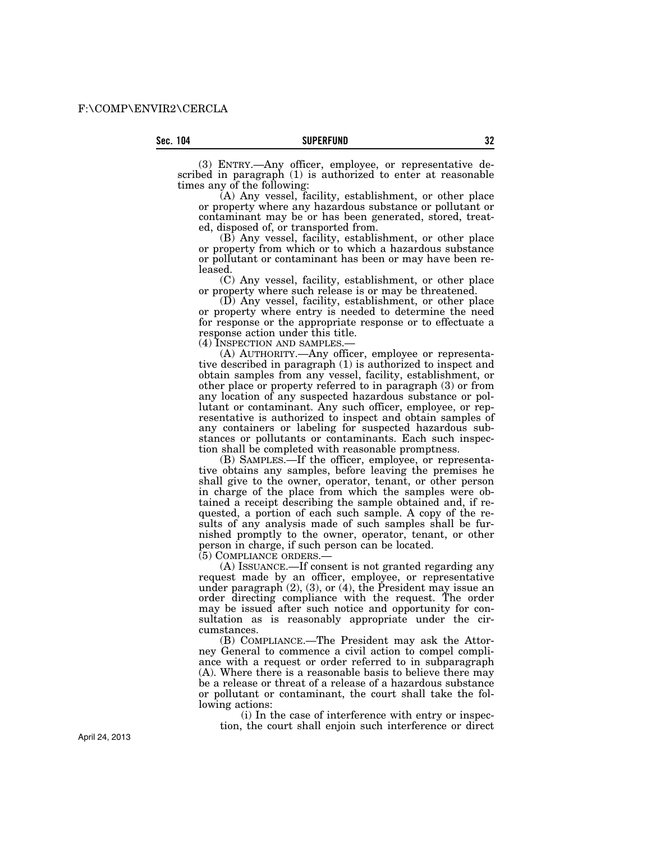(3) ENTRY.—Any officer, employee, or representative described in paragraph (1) is authorized to enter at reasonable times any of the following:

(A) Any vessel, facility, establishment, or other place or property where any hazardous substance or pollutant or contaminant may be or has been generated, stored, treated, disposed of, or transported from.

(B) Any vessel, facility, establishment, or other place or property from which or to which a hazardous substance or pollutant or contaminant has been or may have been released.

(C) Any vessel, facility, establishment, or other place or property where such release is or may be threatened.

(D) Any vessel, facility, establishment, or other place or property where entry is needed to determine the need for response or the appropriate response or to effectuate a response action under this title.<br>(4) INSPECTION AND SAMPLES.—

(A) AUTHORITY.—Any officer, employee or representative described in paragraph (1) is authorized to inspect and obtain samples from any vessel, facility, establishment, or other place or property referred to in paragraph (3) or from any location of any suspected hazardous substance or pollutant or contaminant. Any such officer, employee, or representative is authorized to inspect and obtain samples of any containers or labeling for suspected hazardous substances or pollutants or contaminants. Each such inspection shall be completed with reasonable promptness.

(B) SAMPLES.—If the officer, employee, or representative obtains any samples, before leaving the premises he shall give to the owner, operator, tenant, or other person in charge of the place from which the samples were obtained a receipt describing the sample obtained and, if requested, a portion of each such sample. A copy of the results of any analysis made of such samples shall be furnished promptly to the owner, operator, tenant, or other person in charge, if such person can be located.

(5) COMPLIANCE ORDERS.—

(A) ISSUANCE.—If consent is not granted regarding any request made by an officer, employee, or representative under paragraph (2), (3), or (4), the President may issue an order directing compliance with the request. The order may be issued after such notice and opportunity for consultation as is reasonably appropriate under the circumstances.

(B) COMPLIANCE.—The President may ask the Attorney General to commence a civil action to compel compliance with a request or order referred to in subparagraph (A). Where there is a reasonable basis to believe there may be a release or threat of a release of a hazardous substance or pollutant or contaminant, the court shall take the following actions:

(i) In the case of interference with entry or inspection, the court shall enjoin such interference or direct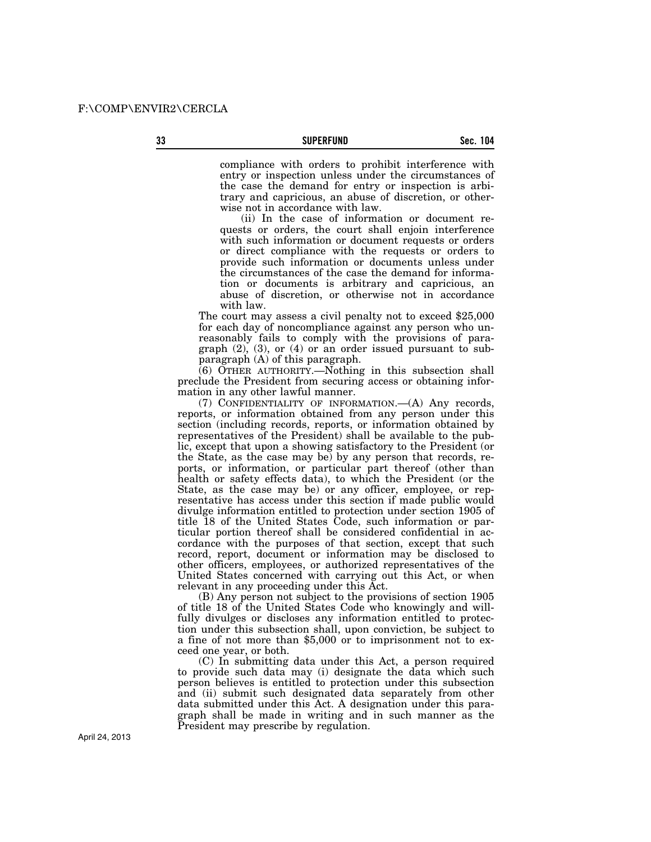compliance with orders to prohibit interference with entry or inspection unless under the circumstances of the case the demand for entry or inspection is arbitrary and capricious, an abuse of discretion, or otherwise not in accordance with law.

(ii) In the case of information or document requests or orders, the court shall enjoin interference with such information or document requests or orders or direct compliance with the requests or orders to provide such information or documents unless under the circumstances of the case the demand for information or documents is arbitrary and capricious, an abuse of discretion, or otherwise not in accordance with law.

The court may assess a civil penalty not to exceed \$25,000 for each day of noncompliance against any person who unreasonably fails to comply with the provisions of paragraph  $(2)$ ,  $(3)$ , or  $(4)$  or an order issued pursuant to subparagraph (A) of this paragraph.

(6) OTHER AUTHORITY.—Nothing in this subsection shall preclude the President from securing access or obtaining information in any other lawful manner.

(7) CONFIDENTIALITY OF INFORMATION.—(A) Any records, reports, or information obtained from any person under this section (including records, reports, or information obtained by representatives of the President) shall be available to the public, except that upon a showing satisfactory to the President (or the State, as the case may be) by any person that records, reports, or information, or particular part thereof (other than health or safety effects data), to which the President (or the State, as the case may be) or any officer, employee, or representative has access under this section if made public would divulge information entitled to protection under section 1905 of title 18 of the United States Code, such information or particular portion thereof shall be considered confidential in accordance with the purposes of that section, except that such record, report, document or information may be disclosed to other officers, employees, or authorized representatives of the United States concerned with carrying out this Act, or when relevant in any proceeding under this Act.

(B) Any person not subject to the provisions of section 1905 of title 18 of the United States Code who knowingly and willfully divulges or discloses any information entitled to protection under this subsection shall, upon conviction, be subject to a fine of not more than \$5,000 or to imprisonment not to exceed one year, or both.

(C) In submitting data under this Act, a person required to provide such data may (i) designate the data which such person believes is entitled to protection under this subsection and (ii) submit such designated data separately from other data submitted under this Act. A designation under this paragraph shall be made in writing and in such manner as the President may prescribe by regulation.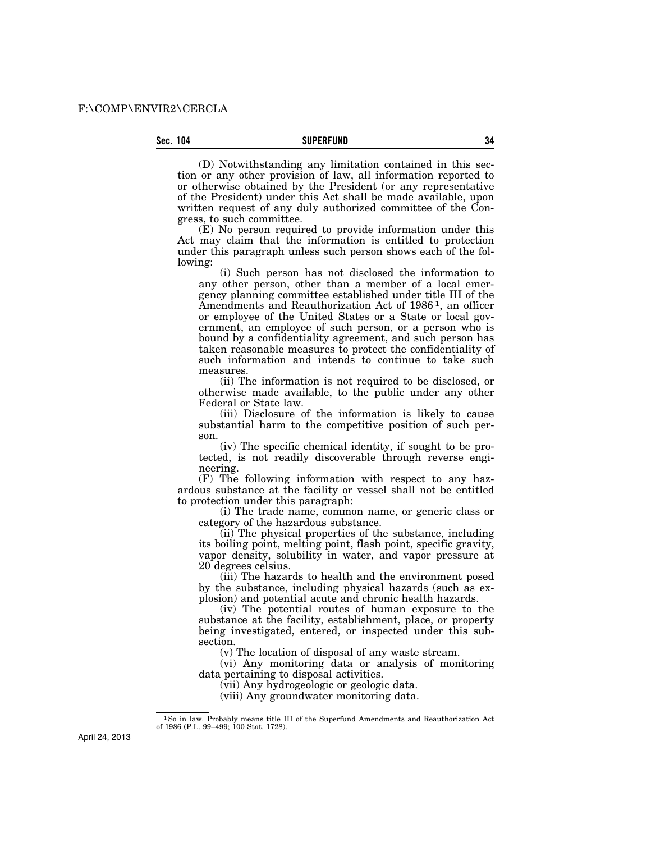(D) Notwithstanding any limitation contained in this section or any other provision of law, all information reported to or otherwise obtained by the President (or any representative of the President) under this Act shall be made available, upon written request of any duly authorized committee of the Congress, to such committee.

(E) No person required to provide information under this Act may claim that the information is entitled to protection under this paragraph unless such person shows each of the following:

(i) Such person has not disclosed the information to any other person, other than a member of a local emergency planning committee established under title III of the Amendments and Reauthorization Act of 1986<sup>1</sup>, an officer or employee of the United States or a State or local government, an employee of such person, or a person who is bound by a confidentiality agreement, and such person has taken reasonable measures to protect the confidentiality of such information and intends to continue to take such measures.

(ii) The information is not required to be disclosed, or otherwise made available, to the public under any other Federal or State law.

(iii) Disclosure of the information is likely to cause substantial harm to the competitive position of such person.

(iv) The specific chemical identity, if sought to be protected, is not readily discoverable through reverse engineering.

(F) The following information with respect to any hazardous substance at the facility or vessel shall not be entitled to protection under this paragraph:

(i) The trade name, common name, or generic class or category of the hazardous substance.

(ii) The physical properties of the substance, including its boiling point, melting point, flash point, specific gravity, vapor density, solubility in water, and vapor pressure at 20 degrees celsius.

(iii) The hazards to health and the environment posed by the substance, including physical hazards (such as explosion) and potential acute and chronic health hazards.

(iv) The potential routes of human exposure to the substance at the facility, establishment, place, or property being investigated, entered, or inspected under this subsection.

(v) The location of disposal of any waste stream.

(vi) Any monitoring data or analysis of monitoring data pertaining to disposal activities.

(vii) Any hydrogeologic or geologic data.

(viii) Any groundwater monitoring data.

<sup>1</sup>So in law. Probably means title III of the Superfund Amendments and Reauthorization Act of 1986 (P.L. 99–499; 100 Stat. 1728).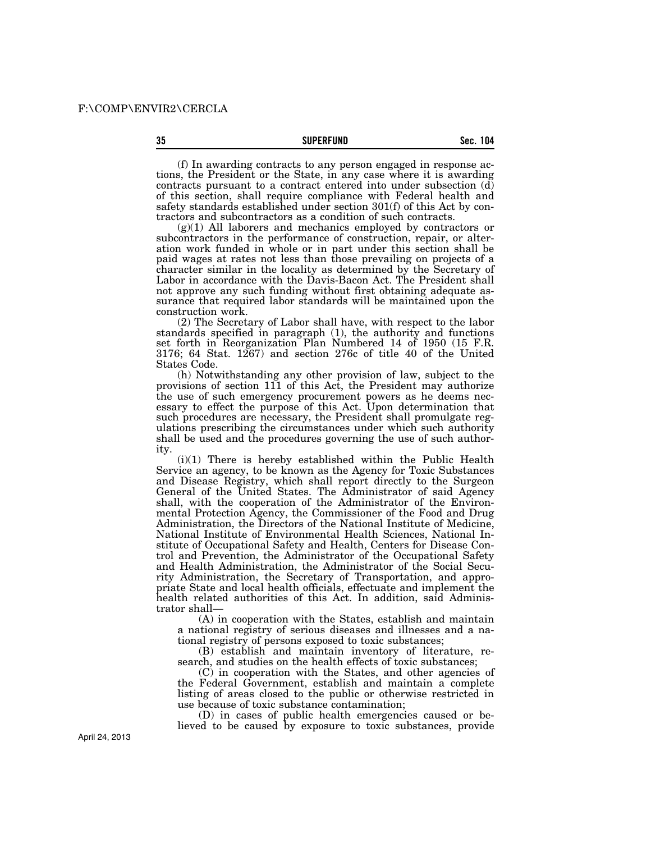(f) In awarding contracts to any person engaged in response actions, the President or the State, in any case where it is awarding contracts pursuant to a contract entered into under subsection (d) of this section, shall require compliance with Federal health and safety standards established under section 301(f) of this Act by contractors and subcontractors as a condition of such contracts.

 $(g)(1)$  All laborers and mechanics employed by contractors or subcontractors in the performance of construction, repair, or alteration work funded in whole or in part under this section shall be paid wages at rates not less than those prevailing on projects of a character similar in the locality as determined by the Secretary of Labor in accordance with the Davis-Bacon Act. The President shall not approve any such funding without first obtaining adequate assurance that required labor standards will be maintained upon the construction work.

(2) The Secretary of Labor shall have, with respect to the labor standards specified in paragraph (1), the authority and functions set forth in Reorganization Plan Numbered 14 of 1950 (15 F.R. 3176; 64 Stat. 1267) and section 276c of title 40 of the United States Code.

(h) Notwithstanding any other provision of law, subject to the provisions of section 111 of this Act, the President may authorize the use of such emergency procurement powers as he deems necessary to effect the purpose of this Act. Upon determination that such procedures are necessary, the President shall promulgate regulations prescribing the circumstances under which such authority shall be used and the procedures governing the use of such authority.

(i)(1) There is hereby established within the Public Health Service an agency, to be known as the Agency for Toxic Substances and Disease Registry, which shall report directly to the Surgeon General of the United States. The Administrator of said Agency shall, with the cooperation of the Administrator of the Environmental Protection Agency, the Commissioner of the Food and Drug Administration, the Directors of the National Institute of Medicine, National Institute of Environmental Health Sciences, National Institute of Occupational Safety and Health, Centers for Disease Control and Prevention, the Administrator of the Occupational Safety and Health Administration, the Administrator of the Social Security Administration, the Secretary of Transportation, and appropriate State and local health officials, effectuate and implement the health related authorities of this Act. In addition, said Administrator shall—

(A) in cooperation with the States, establish and maintain a national registry of serious diseases and illnesses and a national registry of persons exposed to toxic substances;

(B) establish and maintain inventory of literature, research, and studies on the health effects of toxic substances;

(C) in cooperation with the States, and other agencies of the Federal Government, establish and maintain a complete listing of areas closed to the public or otherwise restricted in use because of toxic substance contamination;

(D) in cases of public health emergencies caused or believed to be caused by exposure to toxic substances, provide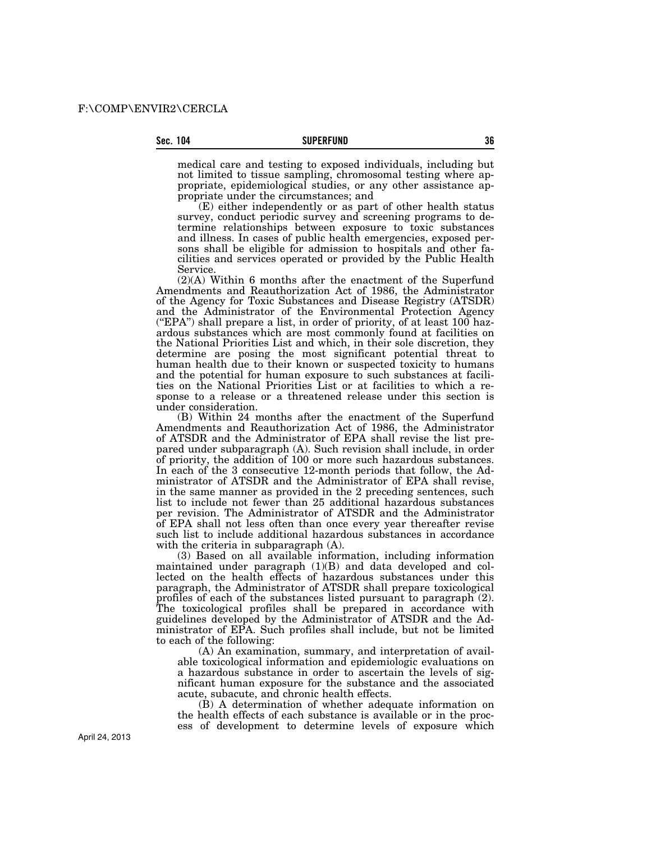medical care and testing to exposed individuals, including but not limited to tissue sampling, chromosomal testing where appropriate, epidemiological studies, or any other assistance appropriate under the circumstances; and

(E) either independently or as part of other health status survey, conduct periodic survey and screening programs to determine relationships between exposure to toxic substances and illness. In cases of public health emergencies, exposed persons shall be eligible for admission to hospitals and other facilities and services operated or provided by the Public Health Service.

(2)(A) Within 6 months after the enactment of the Superfund Amendments and Reauthorization Act of 1986, the Administrator of the Agency for Toxic Substances and Disease Registry (ATSDR) and the Administrator of the Environmental Protection Agency (''EPA'') shall prepare a list, in order of priority, of at least 100 hazardous substances which are most commonly found at facilities on the National Priorities List and which, in their sole discretion, they determine are posing the most significant potential threat to human health due to their known or suspected toxicity to humans and the potential for human exposure to such substances at facilities on the National Priorities List or at facilities to which a response to a release or a threatened release under this section is under consideration.

(B) Within 24 months after the enactment of the Superfund Amendments and Reauthorization Act of 1986, the Administrator of ATSDR and the Administrator of EPA shall revise the list prepared under subparagraph (A). Such revision shall include, in order of priority, the addition of 100 or more such hazardous substances. In each of the 3 consecutive 12-month periods that follow, the Administrator of ATSDR and the Administrator of EPA shall revise, in the same manner as provided in the 2 preceding sentences, such list to include not fewer than 25 additional hazardous substances per revision. The Administrator of ATSDR and the Administrator of EPA shall not less often than once every year thereafter revise such list to include additional hazardous substances in accordance with the criteria in subparagraph  $(A)$ .

(3) Based on all available information, including information maintained under paragraph (1)(B) and data developed and collected on the health effects of hazardous substances under this paragraph, the Administrator of ATSDR shall prepare toxicological profiles of each of the substances listed pursuant to paragraph (2). The toxicological profiles shall be prepared in accordance with guidelines developed by the Administrator of ATSDR and the Administrator of EPA. Such profiles shall include, but not be limited to each of the following:

(A) An examination, summary, and interpretation of available toxicological information and epidemiologic evaluations on a hazardous substance in order to ascertain the levels of significant human exposure for the substance and the associated acute, subacute, and chronic health effects.

(B) A determination of whether adequate information on the health effects of each substance is available or in the process of development to determine levels of exposure which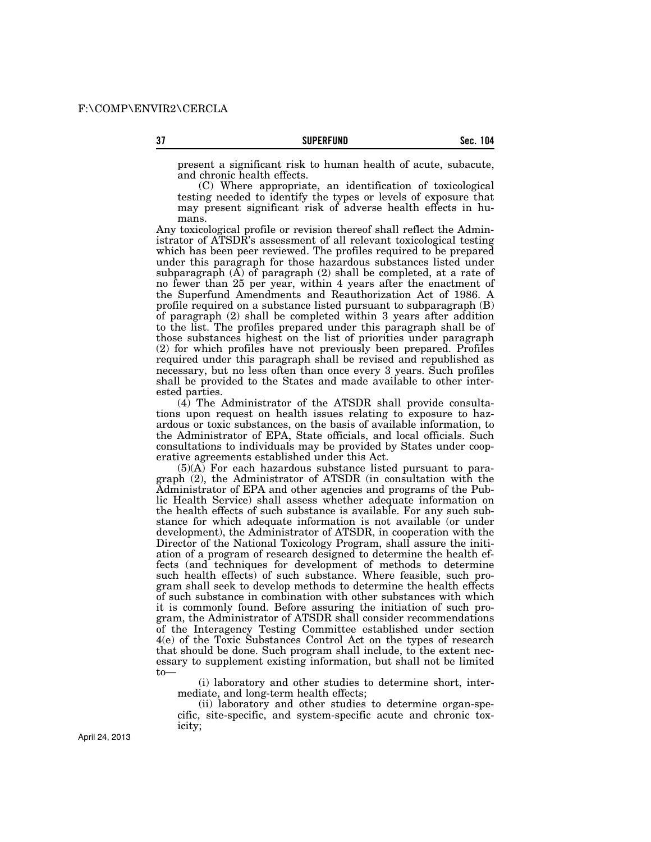present a significant risk to human health of acute, subacute, and chronic health effects.

(C) Where appropriate, an identification of toxicological testing needed to identify the types or levels of exposure that may present significant risk of adverse health effects in humans.

Any toxicological profile or revision thereof shall reflect the Administrator of ATSDR's assessment of all relevant toxicological testing which has been peer reviewed. The profiles required to be prepared under this paragraph for those hazardous substances listed under subparagraph (A) of paragraph (2) shall be completed, at a rate of no fewer than 25 per year, within 4 years after the enactment of the Superfund Amendments and Reauthorization Act of 1986. A profile required on a substance listed pursuant to subparagraph (B) of paragraph (2) shall be completed within 3 years after addition to the list. The profiles prepared under this paragraph shall be of those substances highest on the list of priorities under paragraph (2) for which profiles have not previously been prepared. Profiles required under this paragraph shall be revised and republished as necessary, but no less often than once every 3 years. Such profiles shall be provided to the States and made available to other interested parties.

(4) The Administrator of the ATSDR shall provide consultations upon request on health issues relating to exposure to hazardous or toxic substances, on the basis of available information, to the Administrator of EPA, State officials, and local officials. Such consultations to individuals may be provided by States under cooperative agreements established under this Act.

(5)(A) For each hazardous substance listed pursuant to paragraph (2), the Administrator of ATSDR (in consultation with the Administrator of EPA and other agencies and programs of the Public Health Service) shall assess whether adequate information on the health effects of such substance is available. For any such substance for which adequate information is not available (or under development), the Administrator of ATSDR, in cooperation with the Director of the National Toxicology Program, shall assure the initiation of a program of research designed to determine the health effects (and techniques for development of methods to determine such health effects) of such substance. Where feasible, such program shall seek to develop methods to determine the health effects of such substance in combination with other substances with which it is commonly found. Before assuring the initiation of such program, the Administrator of ATSDR shall consider recommendations of the Interagency Testing Committee established under section 4(e) of the Toxic Substances Control Act on the types of research that should be done. Such program shall include, to the extent necessary to supplement existing information, but shall not be limited to—

(i) laboratory and other studies to determine short, intermediate, and long-term health effects;

(ii) laboratory and other studies to determine organ-specific, site-specific, and system-specific acute and chronic toxicity;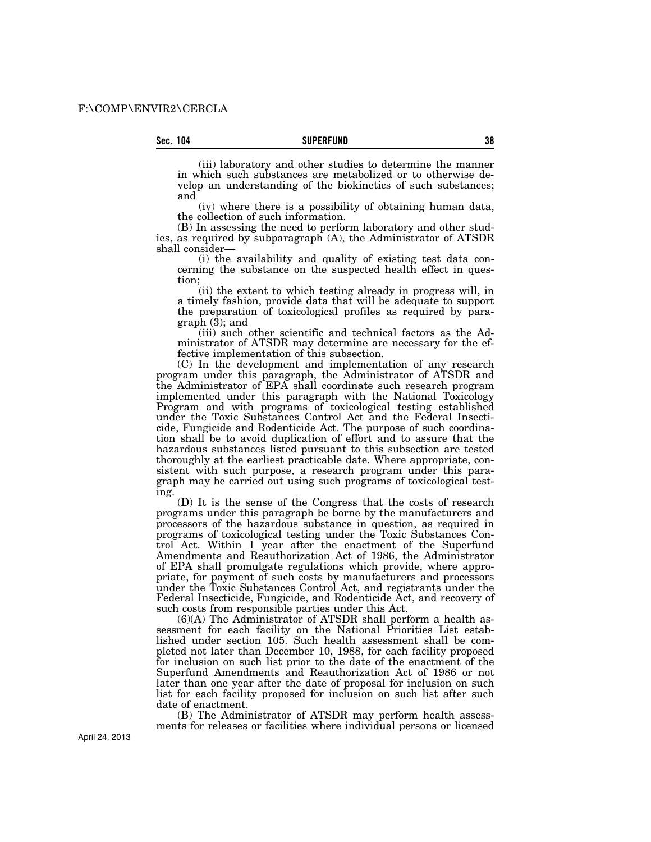(iii) laboratory and other studies to determine the manner in which such substances are metabolized or to otherwise develop an understanding of the biokinetics of such substances; and

(iv) where there is a possibility of obtaining human data, the collection of such information.

(B) In assessing the need to perform laboratory and other studies, as required by subparagraph (A), the Administrator of ATSDR shall consider—

(i) the availability and quality of existing test data concerning the substance on the suspected health effect in question;

(ii) the extent to which testing already in progress will, in a timely fashion, provide data that will be adequate to support the preparation of toxicological profiles as required by paragraph  $(3)$ ; and

(iii) such other scientific and technical factors as the Administrator of ATSDR may determine are necessary for the effective implementation of this subsection.

(C) In the development and implementation of any research program under this paragraph, the Administrator of ATSDR and the Administrator of EPA shall coordinate such research program implemented under this paragraph with the National Toxicology Program and with programs of toxicological testing established under the Toxic Substances Control Act and the Federal Insecticide, Fungicide and Rodenticide Act. The purpose of such coordination shall be to avoid duplication of effort and to assure that the hazardous substances listed pursuant to this subsection are tested thoroughly at the earliest practicable date. Where appropriate, consistent with such purpose, a research program under this paragraph may be carried out using such programs of toxicological testing.

(D) It is the sense of the Congress that the costs of research programs under this paragraph be borne by the manufacturers and processors of the hazardous substance in question, as required in programs of toxicological testing under the Toxic Substances Control Act. Within 1 year after the enactment of the Superfund Amendments and Reauthorization Act of 1986, the Administrator of EPA shall promulgate regulations which provide, where appropriate, for payment of such costs by manufacturers and processors under the Toxic Substances Control Act, and registrants under the Federal Insecticide, Fungicide, and Rodenticide Act, and recovery of such costs from responsible parties under this Act.

(6)(A) The Administrator of ATSDR shall perform a health assessment for each facility on the National Priorities List established under section 105. Such health assessment shall be completed not later than December 10, 1988, for each facility proposed for inclusion on such list prior to the date of the enactment of the Superfund Amendments and Reauthorization Act of 1986 or not later than one year after the date of proposal for inclusion on such list for each facility proposed for inclusion on such list after such date of enactment.

(B) The Administrator of ATSDR may perform health assessments for releases or facilities where individual persons or licensed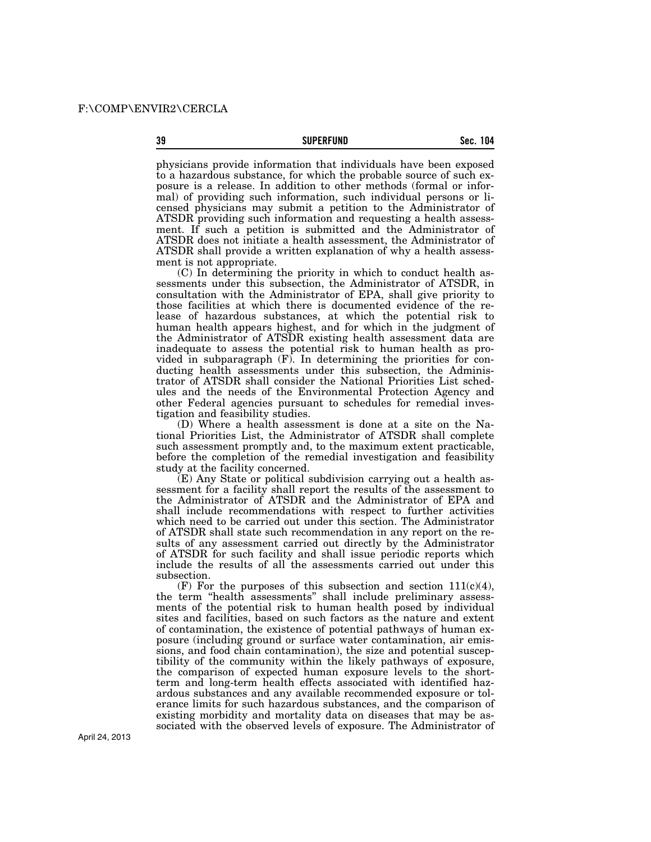physicians provide information that individuals have been exposed to a hazardous substance, for which the probable source of such exposure is a release. In addition to other methods (formal or informal) of providing such information, such individual persons or licensed physicians may submit a petition to the Administrator of ATSDR providing such information and requesting a health assessment. If such a petition is submitted and the Administrator of ATSDR does not initiate a health assessment, the Administrator of ATSDR shall provide a written explanation of why a health assessment is not appropriate.

(C) In determining the priority in which to conduct health assessments under this subsection, the Administrator of ATSDR, in consultation with the Administrator of EPA, shall give priority to those facilities at which there is documented evidence of the release of hazardous substances, at which the potential risk to human health appears highest, and for which in the judgment of the Administrator of ATSDR existing health assessment data are inadequate to assess the potential risk to human health as provided in subparagraph (F). In determining the priorities for conducting health assessments under this subsection, the Administrator of ATSDR shall consider the National Priorities List schedules and the needs of the Environmental Protection Agency and other Federal agencies pursuant to schedules for remedial investigation and feasibility studies.

(D) Where a health assessment is done at a site on the National Priorities List, the Administrator of ATSDR shall complete such assessment promptly and, to the maximum extent practicable, before the completion of the remedial investigation and feasibility study at the facility concerned.

(E) Any State or political subdivision carrying out a health assessment for a facility shall report the results of the assessment to the Administrator of ATSDR and the Administrator of EPA and shall include recommendations with respect to further activities which need to be carried out under this section. The Administrator of ATSDR shall state such recommendation in any report on the results of any assessment carried out directly by the Administrator of ATSDR for such facility and shall issue periodic reports which include the results of all the assessments carried out under this subsection.

(F) For the purposes of this subsection and section  $111(c)(4)$ , the term ''health assessments'' shall include preliminary assessments of the potential risk to human health posed by individual sites and facilities, based on such factors as the nature and extent of contamination, the existence of potential pathways of human exposure (including ground or surface water contamination, air emissions, and food chain contamination), the size and potential susceptibility of the community within the likely pathways of exposure, the comparison of expected human exposure levels to the shortterm and long-term health effects associated with identified hazardous substances and any available recommended exposure or tolerance limits for such hazardous substances, and the comparison of existing morbidity and mortality data on diseases that may be associated with the observed levels of exposure. The Administrator of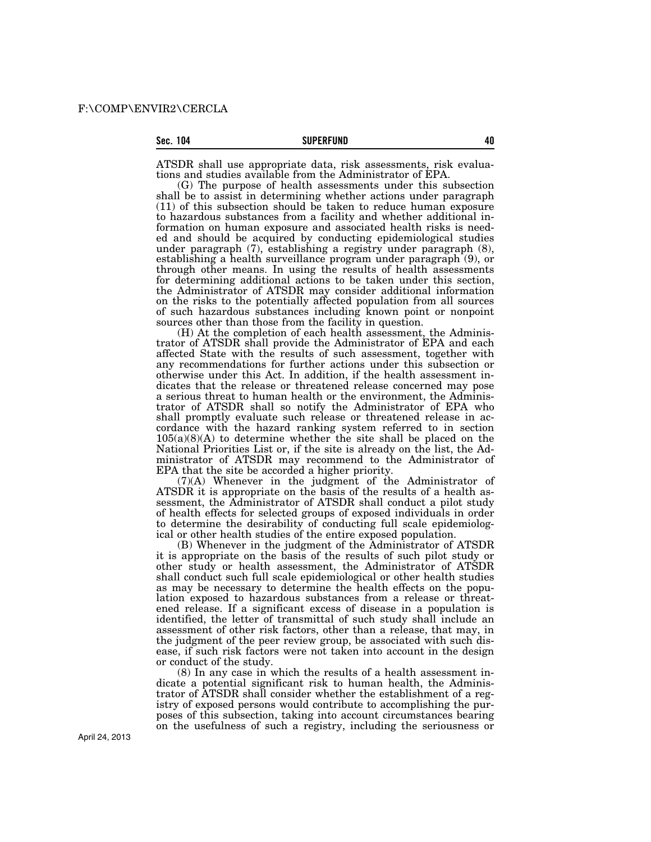ATSDR shall use appropriate data, risk assessments, risk evaluations and studies available from the Administrator of EPA.

(G) The purpose of health assessments under this subsection shall be to assist in determining whether actions under paragraph (11) of this subsection should be taken to reduce human exposure to hazardous substances from a facility and whether additional information on human exposure and associated health risks is needed and should be acquired by conducting epidemiological studies under paragraph (7), establishing a registry under paragraph (8), establishing a health surveillance program under paragraph (9), or through other means. In using the results of health assessments for determining additional actions to be taken under this section, the Administrator of ATSDR may consider additional information on the risks to the potentially affected population from all sources of such hazardous substances including known point or nonpoint sources other than those from the facility in question.

(H) At the completion of each health assessment, the Administrator of ATSDR shall provide the Administrator of EPA and each affected State with the results of such assessment, together with any recommendations for further actions under this subsection or otherwise under this Act. In addition, if the health assessment indicates that the release or threatened release concerned may pose a serious threat to human health or the environment, the Administrator of ATSDR shall so notify the Administrator of EPA who shall promptly evaluate such release or threatened release in accordance with the hazard ranking system referred to in section  $105(a)(8)(A)$  to determine whether the site shall be placed on the National Priorities List or, if the site is already on the list, the Administrator of ATSDR may recommend to the Administrator of EPA that the site be accorded a higher priority.

(7)(A) Whenever in the judgment of the Administrator of ATSDR it is appropriate on the basis of the results of a health assessment, the Administrator of ATSDR shall conduct a pilot study of health effects for selected groups of exposed individuals in order to determine the desirability of conducting full scale epidemiological or other health studies of the entire exposed population.

(B) Whenever in the judgment of the Administrator of ATSDR it is appropriate on the basis of the results of such pilot study or other study or health assessment, the Administrator of ATSDR shall conduct such full scale epidemiological or other health studies as may be necessary to determine the health effects on the population exposed to hazardous substances from a release or threatened release. If a significant excess of disease in a population is identified, the letter of transmittal of such study shall include an assessment of other risk factors, other than a release, that may, in the judgment of the peer review group, be associated with such disease, if such risk factors were not taken into account in the design or conduct of the study.

(8) In any case in which the results of a health assessment indicate a potential significant risk to human health, the Administrator of ATSDR shall consider whether the establishment of a registry of exposed persons would contribute to accomplishing the purposes of this subsection, taking into account circumstances bearing on the usefulness of such a registry, including the seriousness or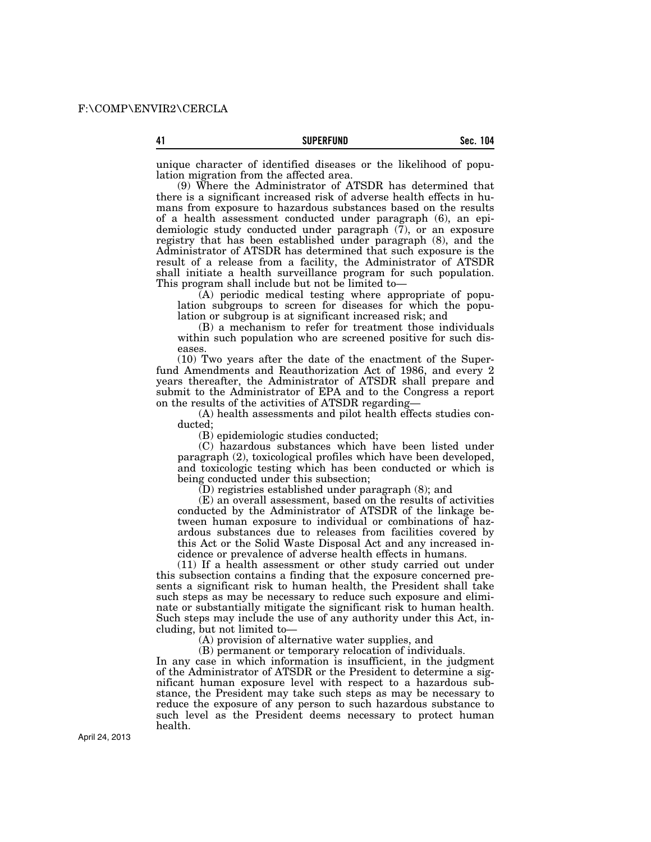## **41 Sec. 104 SUPERFUND**

unique character of identified diseases or the likelihood of population migration from the affected area.

(9) Where the Administrator of ATSDR has determined that there is a significant increased risk of adverse health effects in humans from exposure to hazardous substances based on the results of a health assessment conducted under paragraph (6), an epidemiologic study conducted under paragraph (7), or an exposure registry that has been established under paragraph (8), and the Administrator of ATSDR has determined that such exposure is the result of a release from a facility, the Administrator of ATSDR shall initiate a health surveillance program for such population. This program shall include but not be limited to—

(A) periodic medical testing where appropriate of population subgroups to screen for diseases for which the population or subgroup is at significant increased risk; and

(B) a mechanism to refer for treatment those individuals within such population who are screened positive for such diseases.

(10) Two years after the date of the enactment of the Superfund Amendments and Reauthorization Act of 1986, and every 2 years thereafter, the Administrator of ATSDR shall prepare and submit to the Administrator of EPA and to the Congress a report on the results of the activities of ATSDR regarding—

(A) health assessments and pilot health effects studies conducted;

(B) epidemiologic studies conducted;

(C) hazardous substances which have been listed under paragraph (2), toxicological profiles which have been developed, and toxicologic testing which has been conducted or which is being conducted under this subsection;

 $(D)$  registries established under paragraph  $(8)$ ; and

(E) an overall assessment, based on the results of activities conducted by the Administrator of ATSDR of the linkage between human exposure to individual or combinations of hazardous substances due to releases from facilities covered by this Act or the Solid Waste Disposal Act and any increased incidence or prevalence of adverse health effects in humans.

(11) If a health assessment or other study carried out under this subsection contains a finding that the exposure concerned presents a significant risk to human health, the President shall take such steps as may be necessary to reduce such exposure and eliminate or substantially mitigate the significant risk to human health. Such steps may include the use of any authority under this Act, including, but not limited to—

(A) provision of alternative water supplies, and

(B) permanent or temporary relocation of individuals. In any case in which information is insufficient, in the judgment of the Administrator of ATSDR or the President to determine a significant human exposure level with respect to a hazardous substance, the President may take such steps as may be necessary to reduce the exposure of any person to such hazardous substance to such level as the President deems necessary to protect human health.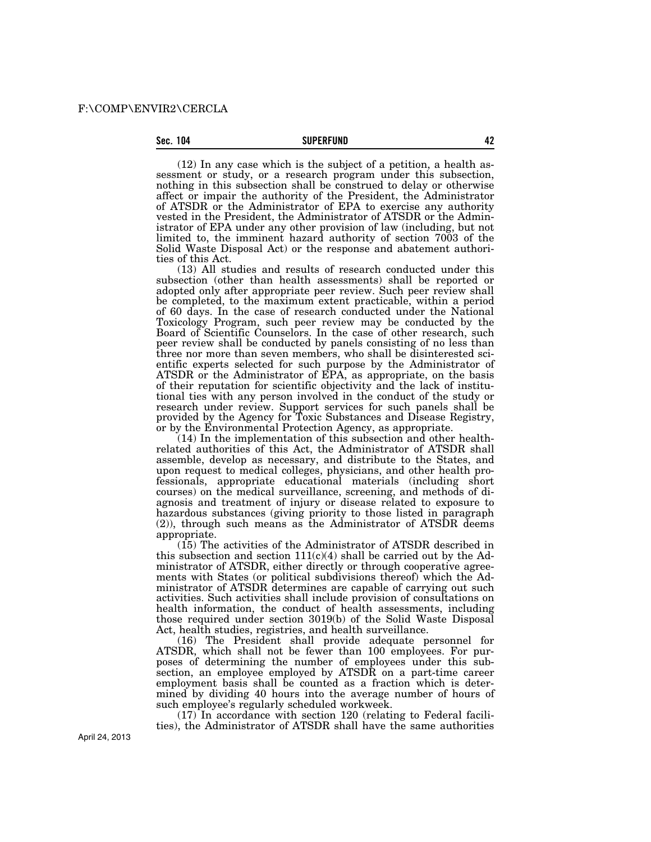## Sec. 104 **SUPERFUND** 42

(12) In any case which is the subject of a petition, a health assessment or study, or a research program under this subsection, nothing in this subsection shall be construed to delay or otherwise affect or impair the authority of the President, the Administrator of ATSDR or the Administrator of EPA to exercise any authority vested in the President, the Administrator of ATSDR or the Administrator of EPA under any other provision of law (including, but not limited to, the imminent hazard authority of section 7003 of the Solid Waste Disposal Act) or the response and abatement authorities of this Act.

(13) All studies and results of research conducted under this subsection (other than health assessments) shall be reported or adopted only after appropriate peer review. Such peer review shall be completed, to the maximum extent practicable, within a period of 60 days. In the case of research conducted under the National Toxicology Program, such peer review may be conducted by the Board of Scientific Counselors. In the case of other research, such peer review shall be conducted by panels consisting of no less than three nor more than seven members, who shall be disinterested scientific experts selected for such purpose by the Administrator of ATSDR or the Administrator of EPA, as appropriate, on the basis of their reputation for scientific objectivity and the lack of institutional ties with any person involved in the conduct of the study or research under review. Support services for such panels shall be provided by the Agency for Toxic Substances and Disease Registry, or by the Environmental Protection Agency, as appropriate.

(14) In the implementation of this subsection and other healthrelated authorities of this Act, the Administrator of ATSDR shall assemble, develop as necessary, and distribute to the States, and upon request to medical colleges, physicians, and other health professionals, appropriate educational materials (including short courses) on the medical surveillance, screening, and methods of diagnosis and treatment of injury or disease related to exposure to hazardous substances (giving priority to those listed in paragraph (2)), through such means as the Administrator of ATSDR deems appropriate.

(15) The activities of the Administrator of ATSDR described in this subsection and section  $111(c)(4)$  shall be carried out by the Administrator of ATSDR, either directly or through cooperative agreements with States (or political subdivisions thereof) which the Administrator of ATSDR determines are capable of carrying out such activities. Such activities shall include provision of consultations on health information, the conduct of health assessments, including those required under section 3019(b) of the Solid Waste Disposal Act, health studies, registries, and health surveillance.

(16) The President shall provide adequate personnel for ATSDR, which shall not be fewer than 100 employees. For purposes of determining the number of employees under this subsection, an employee employed by ATSDR on a part-time career employment basis shall be counted as a fraction which is determined by dividing 40 hours into the average number of hours of such employee's regularly scheduled workweek.

(17) In accordance with section 120 (relating to Federal facilities), the Administrator of ATSDR shall have the same authorities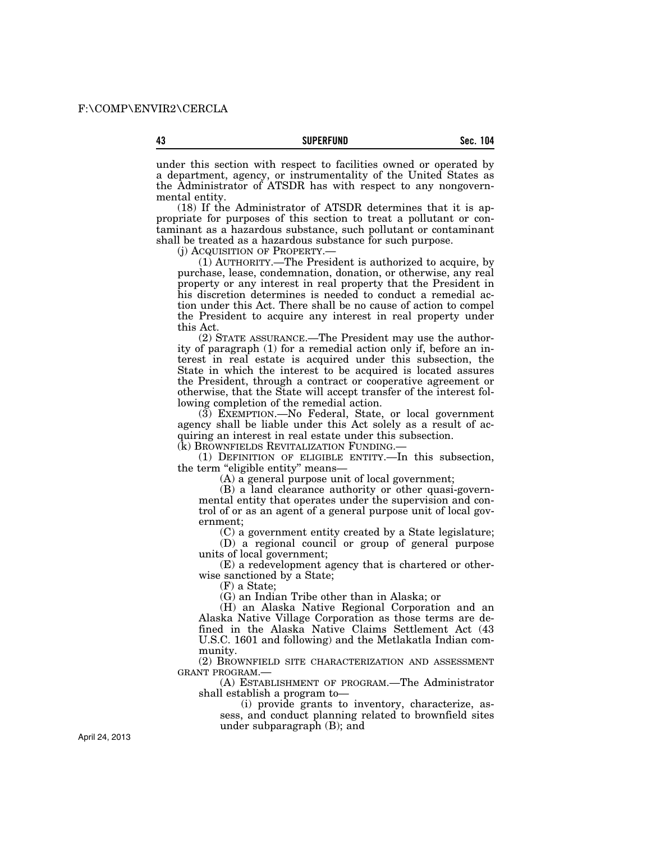## **43 Sec. 104 SUPERFUND**

under this section with respect to facilities owned or operated by a department, agency, or instrumentality of the United States as the Administrator of ATSDR has with respect to any nongovernmental entity.

(18) If the Administrator of ATSDR determines that it is appropriate for purposes of this section to treat a pollutant or contaminant as a hazardous substance, such pollutant or contaminant shall be treated as a hazardous substance for such purpose.

(j) ACQUISITION OF PROPERTY.—

(1) AUTHORITY.—The President is authorized to acquire, by purchase, lease, condemnation, donation, or otherwise, any real property or any interest in real property that the President in his discretion determines is needed to conduct a remedial action under this Act. There shall be no cause of action to compel the President to acquire any interest in real property under this Act.

(2) STATE ASSURANCE.—The President may use the authority of paragraph (1) for a remedial action only if, before an interest in real estate is acquired under this subsection, the State in which the interest to be acquired is located assures the President, through a contract or cooperative agreement or otherwise, that the State will accept transfer of the interest following completion of the remedial action.

(3) EXEMPTION.—No Federal, State, or local government agency shall be liable under this Act solely as a result of acquiring an interest in real estate under this subsection.

(k) BROWNFIELDS REVITALIZATION FUNDING.—

(1) DEFINITION OF ELIGIBLE ENTITY.—In this subsection, the term "eligible entity" means-

(A) a general purpose unit of local government;

(B) a land clearance authority or other quasi-governmental entity that operates under the supervision and control of or as an agent of a general purpose unit of local government;

(C) a government entity created by a State legislature; (D) a regional council or group of general purpose units of local government;

(E) a redevelopment agency that is chartered or otherwise sanctioned by a State;

(F) a State;

(G) an Indian Tribe other than in Alaska; or

(H) an Alaska Native Regional Corporation and an Alaska Native Village Corporation as those terms are defined in the Alaska Native Claims Settlement Act (43 U.S.C. 1601 and following) and the Metlakatla Indian community.

(2) BROWNFIELD SITE CHARACTERIZATION AND ASSESSMENT GRANT PROGRAM.—

(A) ESTABLISHMENT OF PROGRAM.—The Administrator shall establish a program to—

(i) provide grants to inventory, characterize, assess, and conduct planning related to brownfield sites under subparagraph (B); and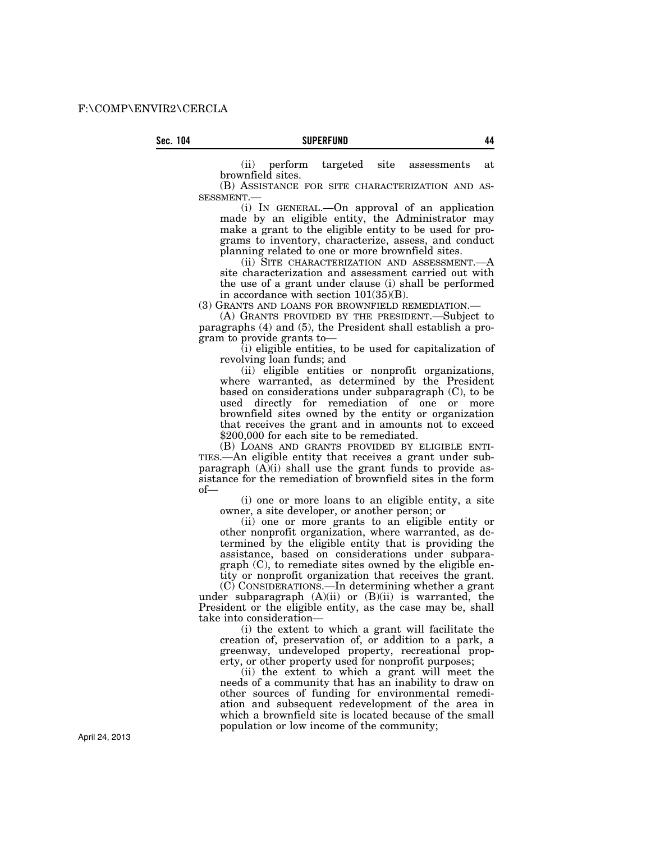(ii) perform targeted site assessments at brownfield sites.

(B) ASSISTANCE FOR SITE CHARACTERIZATION AND AS-SESSMENT.—

(i) IN GENERAL.—On approval of an application made by an eligible entity, the Administrator may make a grant to the eligible entity to be used for programs to inventory, characterize, assess, and conduct planning related to one or more brownfield sites.

(ii) SITE CHARACTERIZATION AND ASSESSMENT.—A site characterization and assessment carried out with the use of a grant under clause (i) shall be performed in accordance with section 101(35)(B).

(3) GRANTS AND LOANS FOR BROWNFIELD REMEDIATION.—

(A) GRANTS PROVIDED BY THE PRESIDENT.—Subject to paragraphs (4) and (5), the President shall establish a program to provide grants to—

(i) eligible entities, to be used for capitalization of revolving loan funds; and

(ii) eligible entities or nonprofit organizations, where warranted, as determined by the President based on considerations under subparagraph (C), to be used directly for remediation of one or more brownfield sites owned by the entity or organization that receives the grant and in amounts not to exceed \$200,000 for each site to be remediated.

(B) LOANS AND GRANTS PROVIDED BY ELIGIBLE ENTI-TIES.—An eligible entity that receives a grant under subparagraph  $(A)(i)$  shall use the grant funds to provide assistance for the remediation of brownfield sites in the form  $of$ 

(i) one or more loans to an eligible entity, a site owner, a site developer, or another person; or

(ii) one or more grants to an eligible entity or other nonprofit organization, where warranted, as determined by the eligible entity that is providing the assistance, based on considerations under subparagraph (C), to remediate sites owned by the eligible entity or nonprofit organization that receives the grant.

(C) CONSIDERATIONS.—In determining whether a grant under subparagraph  $(A)(ii)$  or  $(B)(ii)$  is warranted, the President or the eligible entity, as the case may be, shall take into consideration—

(i) the extent to which a grant will facilitate the creation of, preservation of, or addition to a park, a greenway, undeveloped property, recreational property, or other property used for nonprofit purposes;

(ii) the extent to which a grant will meet the needs of a community that has an inability to draw on other sources of funding for environmental remediation and subsequent redevelopment of the area in which a brownfield site is located because of the small population or low income of the community;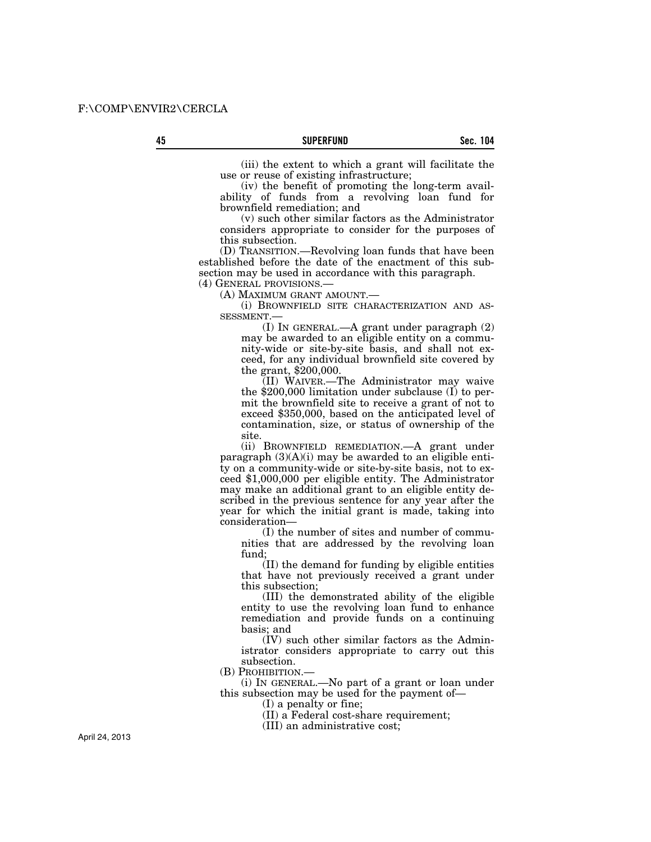(iii) the extent to which a grant will facilitate the use or reuse of existing infrastructure;

(iv) the benefit of promoting the long-term availability of funds from a revolving loan fund for brownfield remediation; and

(v) such other similar factors as the Administrator considers appropriate to consider for the purposes of this subsection.

(D) TRANSITION.—Revolving loan funds that have been established before the date of the enactment of this subsection may be used in accordance with this paragraph.

(4) GENERAL PROVISIONS.—

(A) MAXIMUM GRANT AMOUNT.—

(i) BROWNFIELD SITE CHARACTERIZATION AND AS-SESSMENT.—

(I) IN GENERAL.—A grant under paragraph (2) may be awarded to an eligible entity on a community-wide or site-by-site basis, and shall not exceed, for any individual brownfield site covered by the grant, \$200,000.

(II) WAIVER.—The Administrator may waive the \$200,000 limitation under subclause (I) to permit the brownfield site to receive a grant of not to exceed \$350,000, based on the anticipated level of contamination, size, or status of ownership of the site.

(ii) BROWNFIELD REMEDIATION.—A grant under paragraph  $(3)(A)(i)$  may be awarded to an eligible entity on a community-wide or site-by-site basis, not to exceed \$1,000,000 per eligible entity. The Administrator may make an additional grant to an eligible entity described in the previous sentence for any year after the year for which the initial grant is made, taking into consideration—

(I) the number of sites and number of communities that are addressed by the revolving loan fund;

(II) the demand for funding by eligible entities that have not previously received a grant under this subsection;

(III) the demonstrated ability of the eligible entity to use the revolving loan fund to enhance remediation and provide funds on a continuing basis; and

(IV) such other similar factors as the Administrator considers appropriate to carry out this subsection.

(B) PROHIBITION.—

(i) IN GENERAL.—No part of a grant or loan under this subsection may be used for the payment of—

(I) a penalty or fine;

(II) a Federal cost-share requirement;

(III) an administrative cost;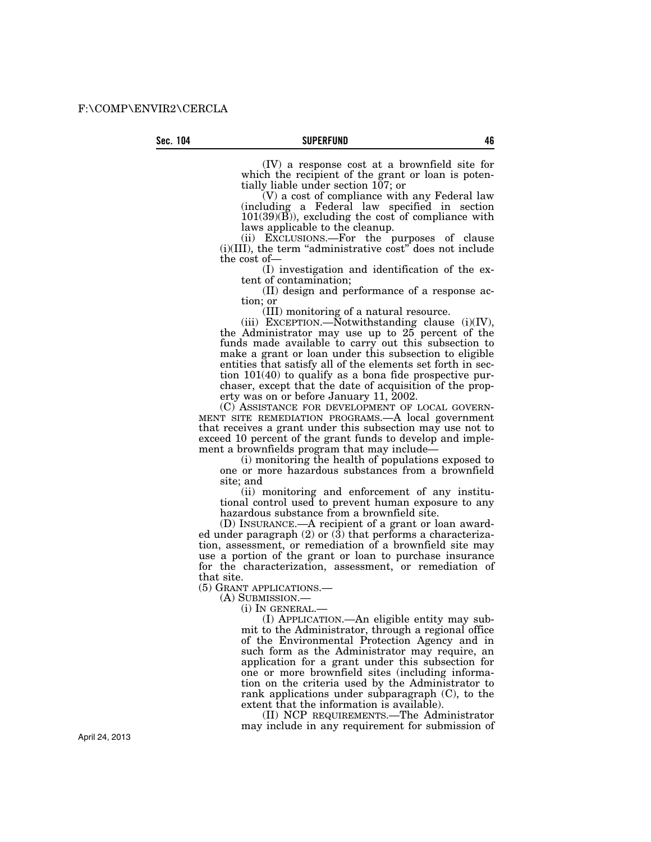(IV) a response cost at a brownfield site for which the recipient of the grant or loan is potentially liable under section 107; or

(V) a cost of compliance with any Federal law (including a Federal law specified in section  $101(39)(\breve{B})$ , excluding the cost of compliance with laws applicable to the cleanup.

(ii) EXCLUSIONS.—For the purposes of clause (i)(III), the term ''administrative cost'' does not include the cost of—

(I) investigation and identification of the extent of contamination;

(II) design and performance of a response action; or

(III) monitoring of a natural resource.

(iii) EXCEPTION.—Notwithstanding clause  $(i)(IV)$ , the Administrator may use up to 25 percent of the funds made available to carry out this subsection to make a grant or loan under this subsection to eligible entities that satisfy all of the elements set forth in section 101(40) to qualify as a bona fide prospective purchaser, except that the date of acquisition of the property was on or before January 11, 2002.

(C) ASSISTANCE FOR DEVELOPMENT OF LOCAL GOVERN- MENT SITE REMEDIATION PROGRAMS.—A local government that receives a grant under this subsection may use not to exceed 10 percent of the grant funds to develop and implement a brownfields program that may include—

(i) monitoring the health of populations exposed to one or more hazardous substances from a brownfield site; and

(ii) monitoring and enforcement of any institutional control used to prevent human exposure to any hazardous substance from a brownfield site.

(D) INSURANCE.—A recipient of a grant or loan awarded under paragraph (2) or (3) that performs a characterization, assessment, or remediation of a brownfield site may use a portion of the grant or loan to purchase insurance for the characterization, assessment, or remediation of that site.

(5) GRANT APPLICATIONS.—

(A) SUBMISSION.—

(i) IN GENERAL.—

(I) APPLICATION.—An eligible entity may submit to the Administrator, through a regional office of the Environmental Protection Agency and in such form as the Administrator may require, an application for a grant under this subsection for one or more brownfield sites (including information on the criteria used by the Administrator to rank applications under subparagraph (C), to the extent that the information is available).

(II) NCP REQUIREMENTS.—The Administrator may include in any requirement for submission of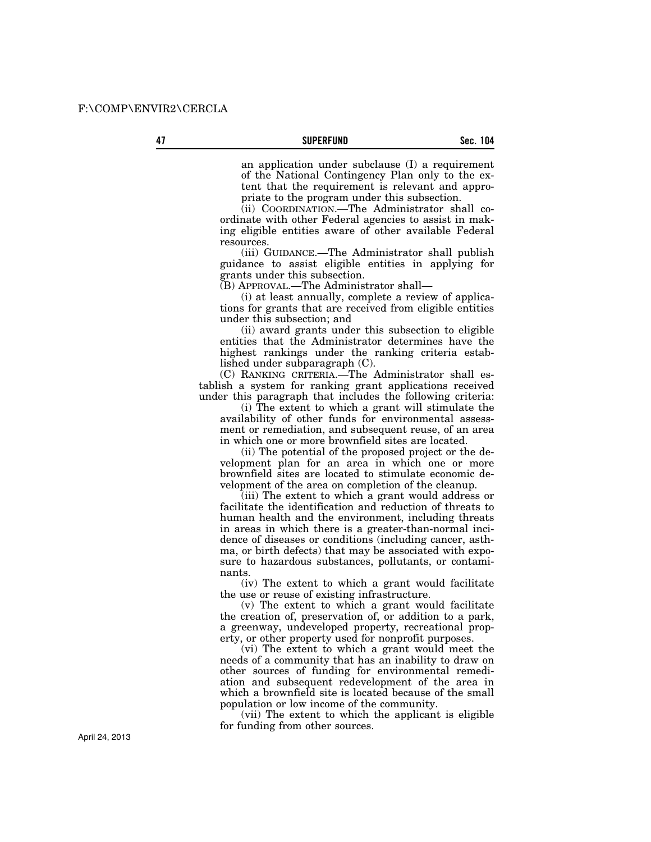an application under subclause (I) a requirement of the National Contingency Plan only to the extent that the requirement is relevant and appropriate to the program under this subsection.

(ii) COORDINATION.—The Administrator shall coordinate with other Federal agencies to assist in making eligible entities aware of other available Federal resources.

(iii) GUIDANCE.—The Administrator shall publish guidance to assist eligible entities in applying for grants under this subsection.

(B) APPROVAL.—The Administrator shall—

(i) at least annually, complete a review of applications for grants that are received from eligible entities under this subsection; and

(ii) award grants under this subsection to eligible entities that the Administrator determines have the highest rankings under the ranking criteria established under subparagraph (C).

(C) RANKING CRITERIA.—The Administrator shall establish a system for ranking grant applications received under this paragraph that includes the following criteria:

(i) The extent to which a grant will stimulate the availability of other funds for environmental assessment or remediation, and subsequent reuse, of an area in which one or more brownfield sites are located.

(ii) The potential of the proposed project or the development plan for an area in which one or more brownfield sites are located to stimulate economic development of the area on completion of the cleanup.

(iii) The extent to which a grant would address or facilitate the identification and reduction of threats to human health and the environment, including threats in areas in which there is a greater-than-normal incidence of diseases or conditions (including cancer, asthma, or birth defects) that may be associated with exposure to hazardous substances, pollutants, or contaminants.

(iv) The extent to which a grant would facilitate the use or reuse of existing infrastructure.

(v) The extent to which a grant would facilitate the creation of, preservation of, or addition to a park, a greenway, undeveloped property, recreational property, or other property used for nonprofit purposes.

(vi) The extent to which a grant would meet the needs of a community that has an inability to draw on other sources of funding for environmental remediation and subsequent redevelopment of the area in which a brownfield site is located because of the small population or low income of the community.

(vii) The extent to which the applicant is eligible for funding from other sources.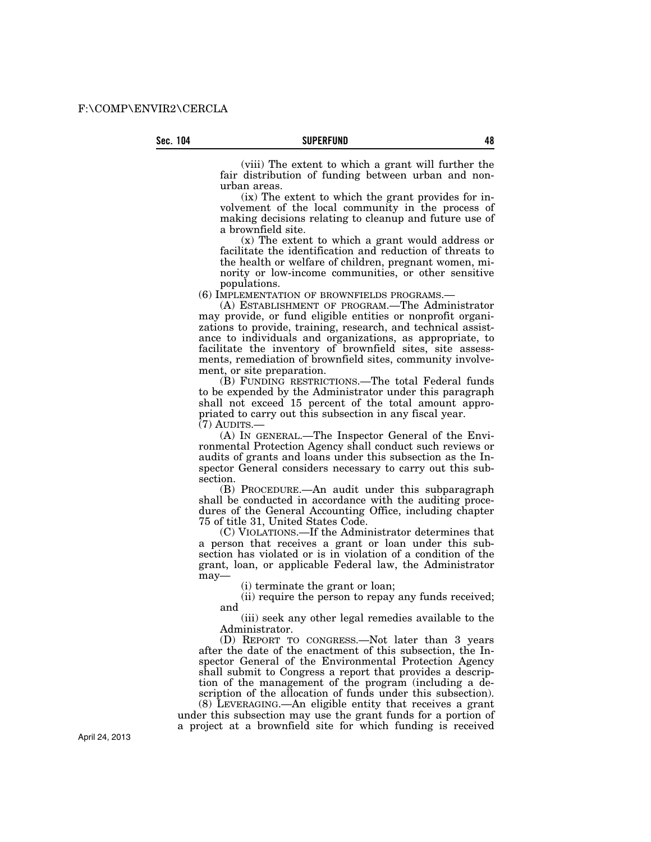(viii) The extent to which a grant will further the fair distribution of funding between urban and nonurban areas.

(ix) The extent to which the grant provides for involvement of the local community in the process of making decisions relating to cleanup and future use of a brownfield site.

(x) The extent to which a grant would address or facilitate the identification and reduction of threats to the health or welfare of children, pregnant women, minority or low-income communities, or other sensitive populations.

(6) IMPLEMENTATION OF BROWNFIELDS PROGRAMS.—

(A) ESTABLISHMENT OF PROGRAM.—The Administrator may provide, or fund eligible entities or nonprofit organizations to provide, training, research, and technical assistance to individuals and organizations, as appropriate, to facilitate the inventory of brownfield sites, site assessments, remediation of brownfield sites, community involvement, or site preparation.

(B) FUNDING RESTRICTIONS.—The total Federal funds to be expended by the Administrator under this paragraph shall not exceed 15 percent of the total amount appropriated to carry out this subsection in any fiscal year.  $(7)$  AUDITS.

(A) IN GENERAL.—The Inspector General of the Environmental Protection Agency shall conduct such reviews or audits of grants and loans under this subsection as the Inspector General considers necessary to carry out this subsection.

(B) PROCEDURE.—An audit under this subparagraph shall be conducted in accordance with the auditing procedures of the General Accounting Office, including chapter 75 of title 31, United States Code.

(C) VIOLATIONS.—If the Administrator determines that a person that receives a grant or loan under this subsection has violated or is in violation of a condition of the grant, loan, or applicable Federal law, the Administrator may—

(i) terminate the grant or loan;

(ii) require the person to repay any funds received; and

(iii) seek any other legal remedies available to the Administrator.

(D) REPORT TO CONGRESS.—Not later than 3 years after the date of the enactment of this subsection, the Inspector General of the Environmental Protection Agency shall submit to Congress a report that provides a description of the management of the program (including a description of the allocation of funds under this subsection).

(8) LEVERAGING.—An eligible entity that receives a grant under this subsection may use the grant funds for a portion of a project at a brownfield site for which funding is received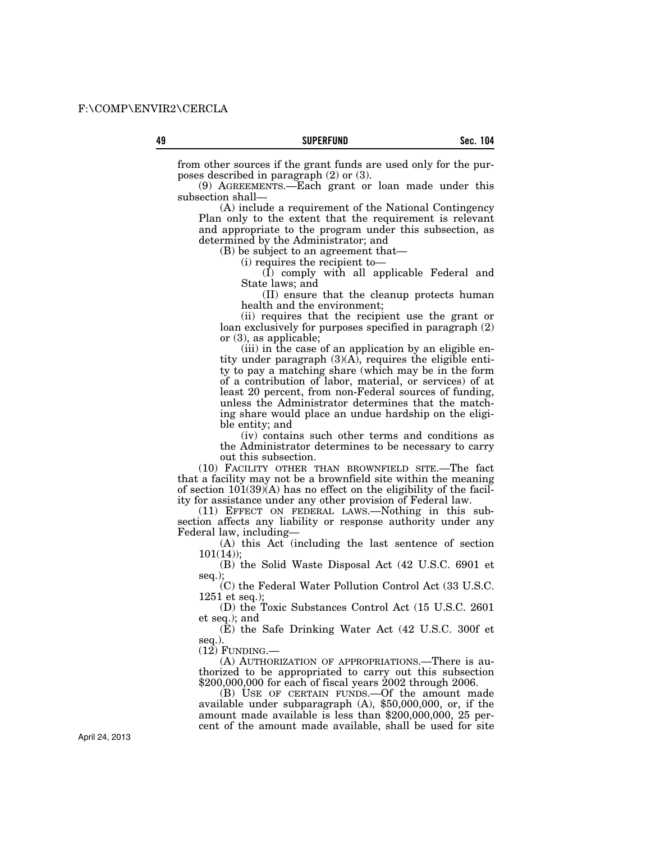from other sources if the grant funds are used only for the purposes described in paragraph (2) or (3).

(9) AGREEMENTS.—Each grant or loan made under this subsection shall—

(A) include a requirement of the National Contingency Plan only to the extent that the requirement is relevant and appropriate to the program under this subsection, as determined by the Administrator; and

(B) be subject to an agreement that—

(i) requires the recipient to—

(I) comply with all applicable Federal and State laws; and

(II) ensure that the cleanup protects human health and the environment;

(ii) requires that the recipient use the grant or loan exclusively for purposes specified in paragraph (2) or (3), as applicable;

(iii) in the case of an application by an eligible entity under paragraph  $(3)(A)$ , requires the eligible entity to pay a matching share (which may be in the form of a contribution of labor, material, or services) of at least 20 percent, from non-Federal sources of funding, unless the Administrator determines that the matching share would place an undue hardship on the eligible entity; and

(iv) contains such other terms and conditions as the Administrator determines to be necessary to carry out this subsection.

(10) FACILITY OTHER THAN BROWNFIELD SITE.—The fact that a facility may not be a brownfield site within the meaning of section  $101(39)$  $(A)$  has no effect on the eligibility of the facility for assistance under any other provision of Federal law.

(11) EFFECT ON FEDERAL LAWS.—Nothing in this subsection affects any liability or response authority under any Federal law, including—

(A) this Act (including the last sentence of section 101(14));

(B) the Solid Waste Disposal Act (42 U.S.C. 6901 et seq.);

(C) the Federal Water Pollution Control Act (33 U.S.C. 1251 et seq.);

(D) the Toxic Substances Control Act (15 U.S.C. 2601 et seq.); and

(E) the Safe Drinking Water Act (42 U.S.C. 300f et seq.).

 $(12)$  FUNDING.

(A) AUTHORIZATION OF APPROPRIATIONS.—There is authorized to be appropriated to carry out this subsection  $$200,000,000$  for each of fiscal years  $2002$  through 2006.

(B) USE OF CERTAIN FUNDS.—Of the amount made available under subparagraph (A), \$50,000,000, or, if the amount made available is less than \$200,000,000, 25 percent of the amount made available, shall be used for site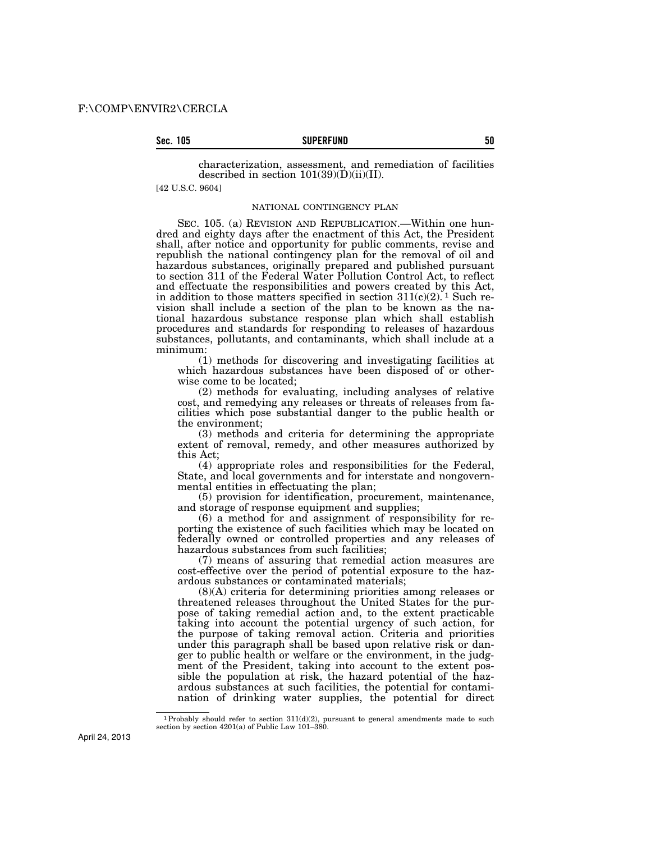characterization, assessment, and remediation of facilities described in section  $101(39)(D)(ii)(II)$ .

[42 U.S.C. 9604]

### NATIONAL CONTINGENCY PLAN

SEC. 105. (a) REVISION AND REPUBLICATION.—Within one hundred and eighty days after the enactment of this Act, the President shall, after notice and opportunity for public comments, revise and republish the national contingency plan for the removal of oil and hazardous substances, originally prepared and published pursuant to section 311 of the Federal Water Pollution Control Act, to reflect and effectuate the responsibilities and powers created by this Act, in addition to those matters specified in section  $311(c)(2)$ . Such revision shall include a section of the plan to be known as the national hazardous substance response plan which shall establish procedures and standards for responding to releases of hazardous substances, pollutants, and contaminants, which shall include at a minimum:

(1) methods for discovering and investigating facilities at which hazardous substances have been disposed of or otherwise come to be located;

(2) methods for evaluating, including analyses of relative cost, and remedying any releases or threats of releases from facilities which pose substantial danger to the public health or the environment;

(3) methods and criteria for determining the appropriate extent of removal, remedy, and other measures authorized by this Act;

(4) appropriate roles and responsibilities for the Federal, State, and local governments and for interstate and nongovernmental entities in effectuating the plan;

(5) provision for identification, procurement, maintenance, and storage of response equipment and supplies;

(6) a method for and assignment of responsibility for reporting the existence of such facilities which may be located on federally owned or controlled properties and any releases of hazardous substances from such facilities;

(7) means of assuring that remedial action measures are cost-effective over the period of potential exposure to the hazardous substances or contaminated materials;

(8)(A) criteria for determining priorities among releases or threatened releases throughout the United States for the purpose of taking remedial action and, to the extent practicable taking into account the potential urgency of such action, for the purpose of taking removal action. Criteria and priorities under this paragraph shall be based upon relative risk or danger to public health or welfare or the environment, in the judgment of the President, taking into account to the extent possible the population at risk, the hazard potential of the hazardous substances at such facilities, the potential for contamination of drinking water supplies, the potential for direct

<sup>1</sup>Probably should refer to section  $311(d)(2)$ , pursuant to general amendments made to such section by section 4201(a) of Public Law 101–380.

April 24, 2013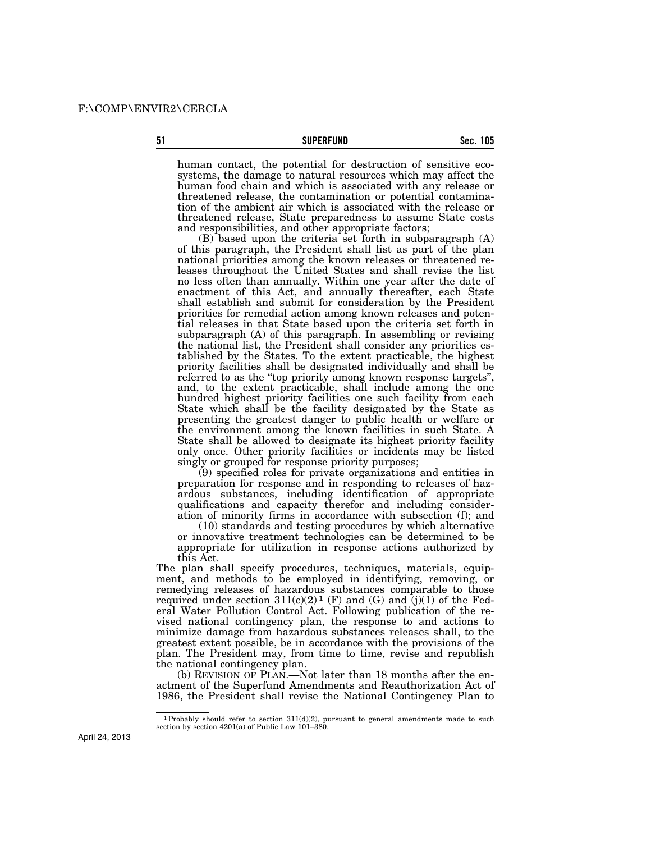human contact, the potential for destruction of sensitive ecosystems, the damage to natural resources which may affect the human food chain and which is associated with any release or threatened release, the contamination or potential contamination of the ambient air which is associated with the release or threatened release, State preparedness to assume State costs and responsibilities, and other appropriate factors;

(B) based upon the criteria set forth in subparagraph (A) of this paragraph, the President shall list as part of the plan national priorities among the known releases or threatened releases throughout the United States and shall revise the list no less often than annually. Within one year after the date of enactment of this Act, and annually thereafter, each State shall establish and submit for consideration by the President priorities for remedial action among known releases and potential releases in that State based upon the criteria set forth in subparagraph (A) of this paragraph. In assembling or revising the national list, the President shall consider any priorities established by the States. To the extent practicable, the highest priority facilities shall be designated individually and shall be referred to as the ''top priority among known response targets'', and, to the extent practicable, shall include among the one hundred highest priority facilities one such facility from each State which shall be the facility designated by the State as presenting the greatest danger to public health or welfare or the environment among the known facilities in such State. A State shall be allowed to designate its highest priority facility only once. Other priority facilities or incidents may be listed singly or grouped for response priority purposes;

(9) specified roles for private organizations and entities in preparation for response and in responding to releases of hazardous substances, including identification of appropriate qualifications and capacity therefor and including consideration of minority firms in accordance with subsection (f); and

(10) standards and testing procedures by which alternative or innovative treatment technologies can be determined to be appropriate for utilization in response actions authorized by this Act.

The plan shall specify procedures, techniques, materials, equipment, and methods to be employed in identifying, removing, or remedying releases of hazardous substances comparable to those required under section  $311(c)(2)^1$  (F) and (G) and (j)(1) of the Federal Water Pollution Control Act. Following publication of the revised national contingency plan, the response to and actions to minimize damage from hazardous substances releases shall, to the greatest extent possible, be in accordance with the provisions of the plan. The President may, from time to time, revise and republish the national contingency plan.

(b) REVISION OF PLAN.—Not later than 18 months after the enactment of the Superfund Amendments and Reauthorization Act of 1986, the President shall revise the National Contingency Plan to

<sup>&</sup>lt;sup>1</sup>Probably should refer to section  $311(d)(2)$ , pursuant to general amendments made to such section by section 4201(a) of Public Law 101–380.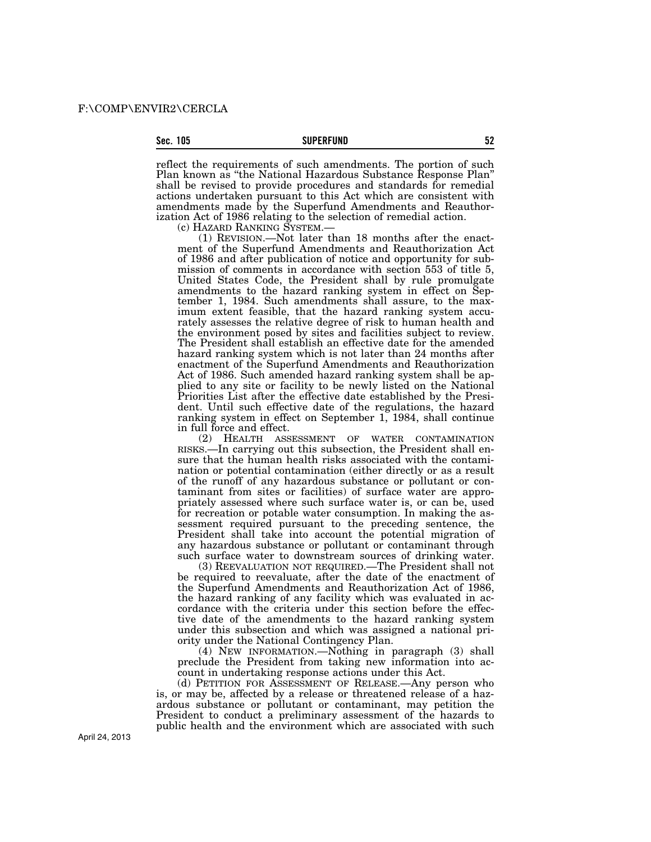reflect the requirements of such amendments. The portion of such Plan known as "the National Hazardous Substance Response Plan" shall be revised to provide procedures and standards for remedial actions undertaken pursuant to this Act which are consistent with amendments made by the Superfund Amendments and Reauthorization Act of 1986 relating to the selection of remedial action.<br>(c) HAZARD RANKING SYSTEM.—

 $(1)$  REVISION.—Not later than 18 months after the enactment of the Superfund Amendments and Reauthorization Act of 1986 and after publication of notice and opportunity for submission of comments in accordance with section 553 of title 5, United States Code, the President shall by rule promulgate amendments to the hazard ranking system in effect on September 1, 1984. Such amendments shall assure, to the maximum extent feasible, that the hazard ranking system accurately assesses the relative degree of risk to human health and the environment posed by sites and facilities subject to review. The President shall establish an effective date for the amended hazard ranking system which is not later than 24 months after enactment of the Superfund Amendments and Reauthorization Act of 1986. Such amended hazard ranking system shall be applied to any site or facility to be newly listed on the National Priorities List after the effective date established by the President. Until such effective date of the regulations, the hazard ranking system in effect on September 1, 1984, shall continue in full force and effect.

(2) HEALTH ASSESSMENT OF WATER CONTAMINATION RISKS.—In carrying out this subsection, the President shall ensure that the human health risks associated with the contamination or potential contamination (either directly or as a result of the runoff of any hazardous substance or pollutant or contaminant from sites or facilities) of surface water are appropriately assessed where such surface water is, or can be, used for recreation or potable water consumption. In making the assessment required pursuant to the preceding sentence, the President shall take into account the potential migration of any hazardous substance or pollutant or contaminant through such surface water to downstream sources of drinking water.

(3) REEVALUATION NOT REQUIRED.—The President shall not be required to reevaluate, after the date of the enactment of the Superfund Amendments and Reauthorization Act of 1986, the hazard ranking of any facility which was evaluated in accordance with the criteria under this section before the effective date of the amendments to the hazard ranking system under this subsection and which was assigned a national priority under the National Contingency Plan.

(4) NEW INFORMATION.—Nothing in paragraph (3) shall preclude the President from taking new information into account in undertaking response actions under this Act.

(d) PETITION FOR ASSESSMENT OF RELEASE.—Any person who is, or may be, affected by a release or threatened release of a hazardous substance or pollutant or contaminant, may petition the President to conduct a preliminary assessment of the hazards to public health and the environment which are associated with such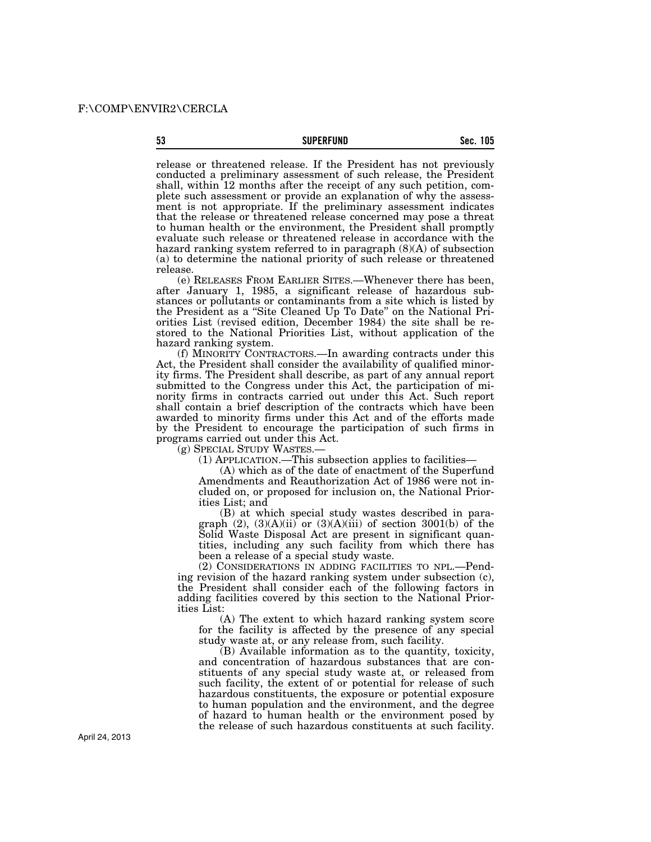# **53 Sec. 105 SUPERFUND**

release or threatened release. If the President has not previously conducted a preliminary assessment of such release, the President shall, within 12 months after the receipt of any such petition, complete such assessment or provide an explanation of why the assessment is not appropriate. If the preliminary assessment indicates that the release or threatened release concerned may pose a threat to human health or the environment, the President shall promptly evaluate such release or threatened release in accordance with the hazard ranking system referred to in paragraph (8)(A) of subsection (a) to determine the national priority of such release or threatened release.

(e) RELEASES FROM EARLIER SITES.—Whenever there has been, after January 1, 1985, a significant release of hazardous substances or pollutants or contaminants from a site which is listed by the President as a ''Site Cleaned Up To Date'' on the National Priorities List (revised edition, December 1984) the site shall be restored to the National Priorities List, without application of the hazard ranking system.

(f) MINORITY CONTRACTORS.—In awarding contracts under this Act, the President shall consider the availability of qualified minority firms. The President shall describe, as part of any annual report submitted to the Congress under this Act, the participation of minority firms in contracts carried out under this Act. Such report shall contain a brief description of the contracts which have been awarded to minority firms under this Act and of the efforts made by the President to encourage the participation of such firms in programs carried out under this Act.<br>(g) SPECIAL STUDY WASTES.—

 $(1)$  APPLICATION.—This subsection applies to facilities—

(A) which as of the date of enactment of the Superfund Amendments and Reauthorization Act of 1986 were not included on, or proposed for inclusion on, the National Priorities List; and

(B) at which special study wastes described in paragraph  $(2)$ ,  $(3)(A)(ii)$  or  $(3)(A)(iii)$  of section 3001(b) of the Solid Waste Disposal Act are present in significant quantities, including any such facility from which there has been a release of a special study waste.

(2) CONSIDERATIONS IN ADDING FACILITIES TO NPL.—Pending revision of the hazard ranking system under subsection (c), the President shall consider each of the following factors in adding facilities covered by this section to the National Priorities List:

(A) The extent to which hazard ranking system score for the facility is affected by the presence of any special study waste at, or any release from, such facility.

(B) Available information as to the quantity, toxicity, and concentration of hazardous substances that are constituents of any special study waste at, or released from such facility, the extent of or potential for release of such hazardous constituents, the exposure or potential exposure to human population and the environment, and the degree of hazard to human health or the environment posed by the release of such hazardous constituents at such facility.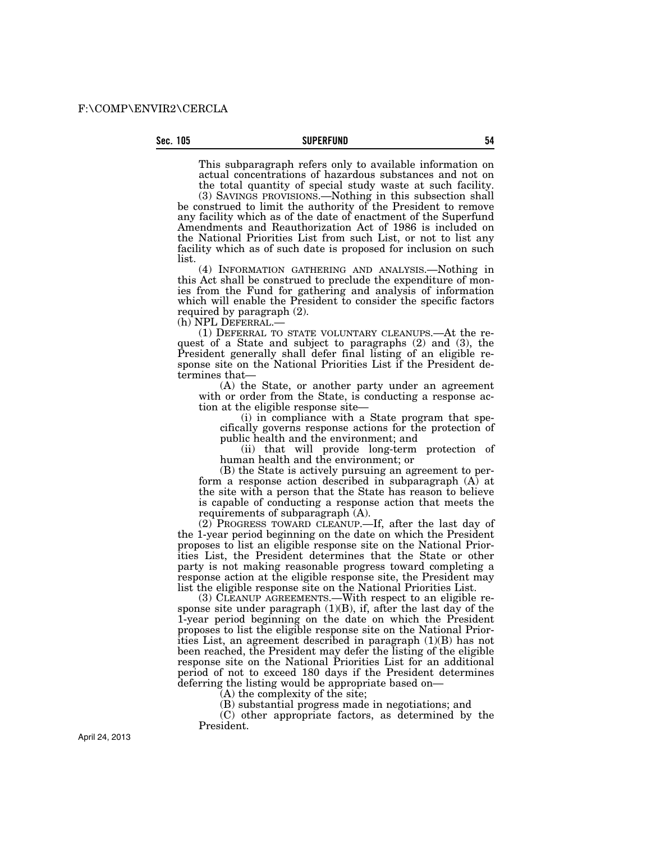## **Sec. 105** SUPERFUND 54

This subparagraph refers only to available information on actual concentrations of hazardous substances and not on the total quantity of special study waste at such facility.

(3) SAVINGS PROVISIONS.—Nothing in this subsection shall be construed to limit the authority of the President to remove any facility which as of the date of enactment of the Superfund Amendments and Reauthorization Act of 1986 is included on the National Priorities List from such List, or not to list any facility which as of such date is proposed for inclusion on such list.

(4) INFORMATION GATHERING AND ANALYSIS.—Nothing in this Act shall be construed to preclude the expenditure of monies from the Fund for gathering and analysis of information which will enable the President to consider the specific factors required by paragraph (2).<br>(h) NPL DEFERRAL.—

(1) DEFERRAL TO STATE VOLUNTARY CLEANUPS.—At the request of a State and subject to paragraphs (2) and (3), the President generally shall defer final listing of an eligible response site on the National Priorities List if the President determines that—

(A) the State, or another party under an agreement with or order from the State, is conducting a response action at the eligible response site—

(i) in compliance with a State program that specifically governs response actions for the protection of public health and the environment; and

(ii) that will provide long-term protection of human health and the environment; or

(B) the State is actively pursuing an agreement to perform a response action described in subparagraph (A) at the site with a person that the State has reason to believe is capable of conducting a response action that meets the requirements of subparagraph (A).

(2) PROGRESS TOWARD CLEANUP.—If, after the last day of the 1-year period beginning on the date on which the President proposes to list an eligible response site on the National Priorities List, the President determines that the State or other party is not making reasonable progress toward completing a response action at the eligible response site, the President may list the eligible response site on the National Priorities List.

(3) CLEANUP AGREEMENTS.—With respect to an eligible response site under paragraph  $(1)(B)$ , if, after the last day of the 1-year period beginning on the date on which the President proposes to list the eligible response site on the National Priorities List, an agreement described in paragraph (1)(B) has not been reached, the President may defer the listing of the eligible response site on the National Priorities List for an additional period of not to exceed 180 days if the President determines deferring the listing would be appropriate based on—

(A) the complexity of the site;

(B) substantial progress made in negotiations; and

(C) other appropriate factors, as determined by the President.

April 24, 2013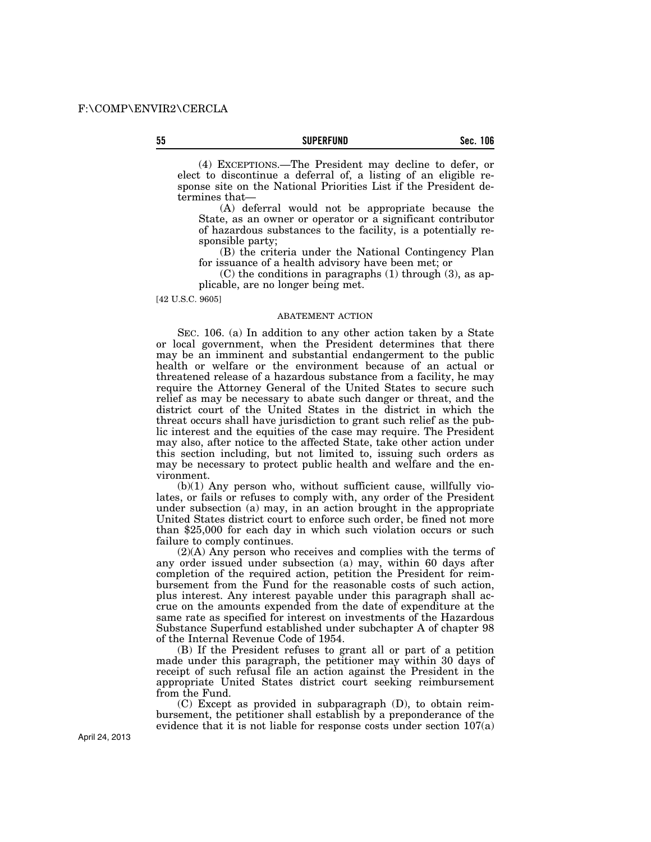(4) EXCEPTIONS.—The President may decline to defer, or elect to discontinue a deferral of, a listing of an eligible response site on the National Priorities List if the President determines that—

(A) deferral would not be appropriate because the State, as an owner or operator or a significant contributor of hazardous substances to the facility, is a potentially responsible party;

(B) the criteria under the National Contingency Plan for issuance of a health advisory have been met; or

 $(C)$  the conditions in paragraphs  $(1)$  through  $(3)$ , as applicable, are no longer being met.

[42 U.S.C. 9605]

### ABATEMENT ACTION

SEC. 106. (a) In addition to any other action taken by a State or local government, when the President determines that there may be an imminent and substantial endangerment to the public health or welfare or the environment because of an actual or threatened release of a hazardous substance from a facility, he may require the Attorney General of the United States to secure such relief as may be necessary to abate such danger or threat, and the district court of the United States in the district in which the threat occurs shall have jurisdiction to grant such relief as the public interest and the equities of the case may require. The President may also, after notice to the affected State, take other action under this section including, but not limited to, issuing such orders as may be necessary to protect public health and welfare and the environment.

 $(b)(1)$  Any person who, without sufficient cause, willfully violates, or fails or refuses to comply with, any order of the President under subsection (a) may, in an action brought in the appropriate United States district court to enforce such order, be fined not more than \$25,000 for each day in which such violation occurs or such failure to comply continues.

(2)(A) Any person who receives and complies with the terms of any order issued under subsection (a) may, within 60 days after completion of the required action, petition the President for reimbursement from the Fund for the reasonable costs of such action, plus interest. Any interest payable under this paragraph shall accrue on the amounts expended from the date of expenditure at the same rate as specified for interest on investments of the Hazardous Substance Superfund established under subchapter A of chapter 98 of the Internal Revenue Code of 1954.

(B) If the President refuses to grant all or part of a petition made under this paragraph, the petitioner may within 30 days of receipt of such refusal file an action against the President in the appropriate United States district court seeking reimbursement from the Fund.

(C) Except as provided in subparagraph (D), to obtain reimbursement, the petitioner shall establish by a preponderance of the evidence that it is not liable for response costs under section 107(a)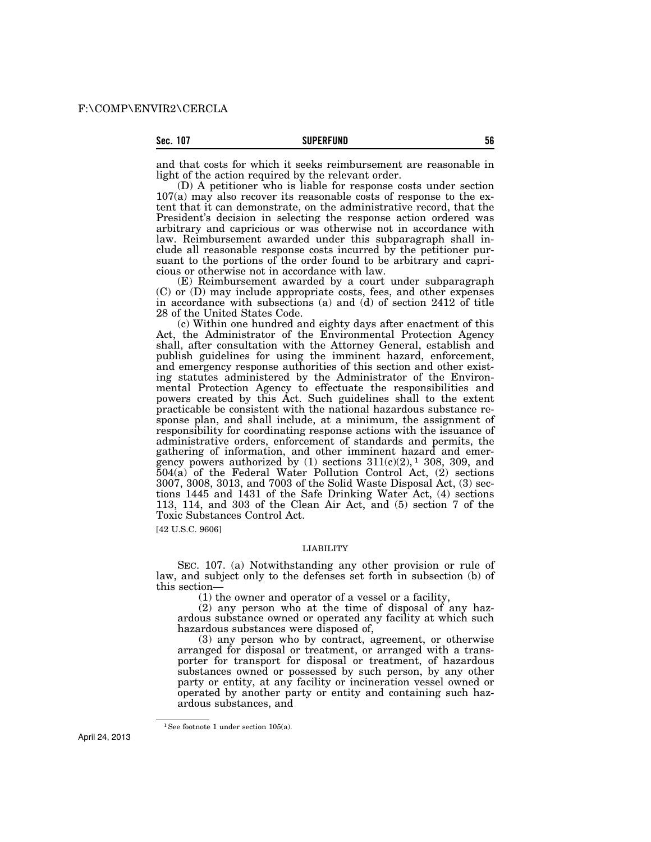and that costs for which it seeks reimbursement are reasonable in light of the action required by the relevant order.

(D) A petitioner who is liable for response costs under section 107(a) may also recover its reasonable costs of response to the extent that it can demonstrate, on the administrative record, that the President's decision in selecting the response action ordered was arbitrary and capricious or was otherwise not in accordance with law. Reimbursement awarded under this subparagraph shall include all reasonable response costs incurred by the petitioner pursuant to the portions of the order found to be arbitrary and capricious or otherwise not in accordance with law.

(E) Reimbursement awarded by a court under subparagraph (C) or (D) may include appropriate costs, fees, and other expenses in accordance with subsections (a) and (d) of section 2412 of title 28 of the United States Code.

(c) Within one hundred and eighty days after enactment of this Act, the Administrator of the Environmental Protection Agency shall, after consultation with the Attorney General, establish and publish guidelines for using the imminent hazard, enforcement, and emergency response authorities of this section and other existing statutes administered by the Administrator of the Environmental Protection Agency to effectuate the responsibilities and powers created by this Act. Such guidelines shall to the extent practicable be consistent with the national hazardous substance response plan, and shall include, at a minimum, the assignment of responsibility for coordinating response actions with the issuance of administrative orders, enforcement of standards and permits, the gathering of information, and other imminent hazard and emergency powers authorized by (1) sections  $311(c)(2)$ ,  $1308$ ,  $309$ , and 504(a) of the Federal Water Pollution Control Act, (2) sections 3007, 3008, 3013, and 7003 of the Solid Waste Disposal Act, (3) sections 1445 and 1431 of the Safe Drinking Water Act, (4) sections 113, 114, and 303 of the Clean Air Act, and (5) section 7 of the Toxic Substances Control Act.

[42 U.S.C. 9606]

## LIABILITY

SEC. 107. (a) Notwithstanding any other provision or rule of law, and subject only to the defenses set forth in subsection (b) of this section—

(1) the owner and operator of a vessel or a facility,

(2) any person who at the time of disposal of any hazardous substance owned or operated any facility at which such hazardous substances were disposed of,

(3) any person who by contract, agreement, or otherwise arranged for disposal or treatment, or arranged with a transporter for transport for disposal or treatment, of hazardous substances owned or possessed by such person, by any other party or entity, at any facility or incineration vessel owned or operated by another party or entity and containing such hazardous substances, and

April 24, 2013

<sup>1</sup>See footnote 1 under section 105(a).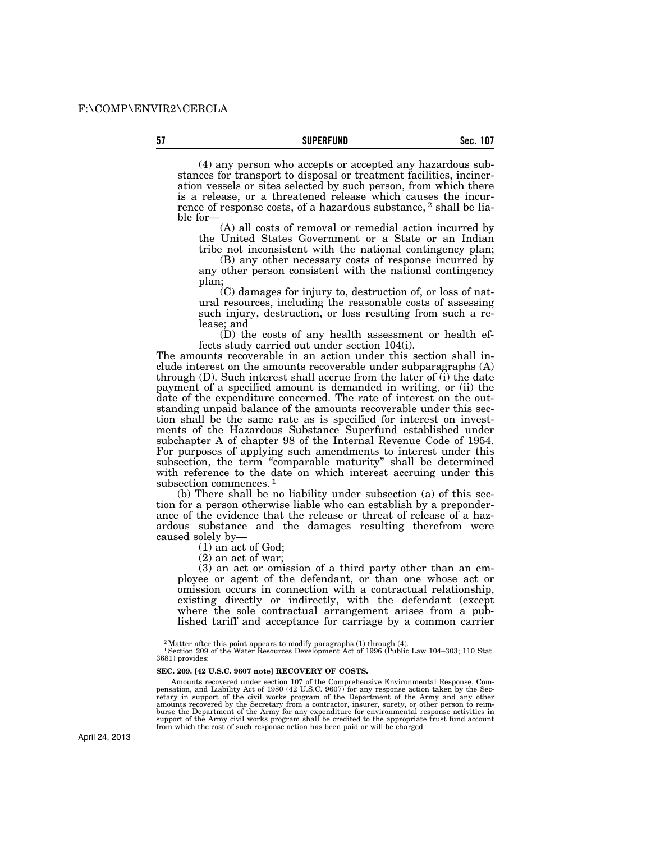(4) any person who accepts or accepted any hazardous substances for transport to disposal or treatment facilities, incineration vessels or sites selected by such person, from which there is a release, or a threatened release which causes the incurrence of response costs, of a hazardous substance,<sup>2</sup> shall be liable for—

(A) all costs of removal or remedial action incurred by the United States Government or a State or an Indian tribe not inconsistent with the national contingency plan;

(B) any other necessary costs of response incurred by any other person consistent with the national contingency plan;

(C) damages for injury to, destruction of, or loss of natural resources, including the reasonable costs of assessing such injury, destruction, or loss resulting from such a release; and

(D) the costs of any health assessment or health effects study carried out under section 104(i).

The amounts recoverable in an action under this section shall include interest on the amounts recoverable under subparagraphs (A) through  $(D)$ . Such interest shall accrue from the later of  $(i)$  the date payment of a specified amount is demanded in writing, or (ii) the date of the expenditure concerned. The rate of interest on the outstanding unpaid balance of the amounts recoverable under this section shall be the same rate as is specified for interest on investments of the Hazardous Substance Superfund established under subchapter A of chapter 98 of the Internal Revenue Code of 1954. For purposes of applying such amendments to interest under this subsection, the term "comparable maturity" shall be determined with reference to the date on which interest accruing under this subsection commences.<sup>1</sup>

(b) There shall be no liability under subsection (a) of this section for a person otherwise liable who can establish by a preponderance of the evidence that the release or threat of release of a hazardous substance and the damages resulting therefrom were caused solely by—

(1) an act of God;

(2) an act of war;

(3) an act or omission of a third party other than an employee or agent of the defendant, or than one whose act or omission occurs in connection with a contractual relationship, existing directly or indirectly, with the defendant (except where the sole contractual arrangement arises from a published tariff and acceptance for carriage by a common carrier

### **SEC. 209. [42 U.S.C. 9607 note] RECOVERY OF COSTS.**

<sup>2</sup>Matter after this point appears to modify paragraphs (1) through (4). 1Section 209 of the Water Resources Development Act of 1996 (Public Law 104–303; 110 Stat. 3681) provides:

Amounts recovered under section 107 of the Comprehensive Environmental Response, Compensation, and Liability Act of 1980 (42 U.S.C. 9607) for any response action taken by the Sectary in support of the civil works program o burse the Department of the Army for any expenditure for environmental response activities in support of the Army civil works program shall be credited to the appropriate trust fund account from which the cost of such response action has been paid or will be charged.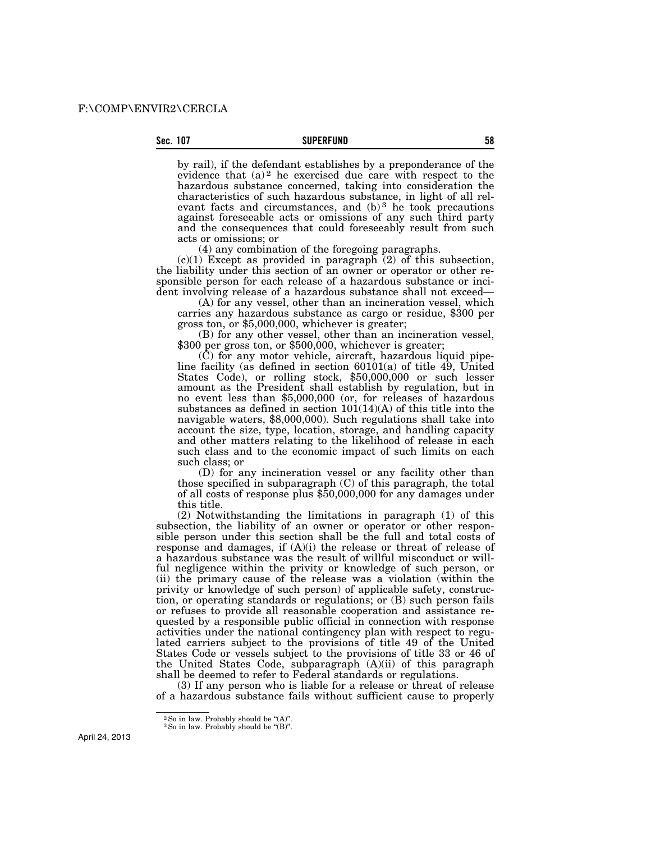by rail), if the defendant establishes by a preponderance of the evidence that  $(a)^2$  he exercised due care with respect to the hazardous substance concerned, taking into consideration the characteristics of such hazardous substance, in light of all relevant facts and circumstances, and  $(b)^3$  he took precautions against foreseeable acts or omissions of any such third party and the consequences that could foreseeably result from such acts or omissions; or

(4) any combination of the foregoing paragraphs.

 $(c)(1)$  Except as provided in paragraph  $(2)$  of this subsection, the liability under this section of an owner or operator or other responsible person for each release of a hazardous substance or incident involving release of a hazardous substance shall not exceed—

(A) for any vessel, other than an incineration vessel, which carries any hazardous substance as cargo or residue, \$300 per gross ton, or \$5,000,000, whichever is greater;

(B) for any other vessel, other than an incineration vessel, \$300 per gross ton, or \$500,000, whichever is greater;

(C) for any motor vehicle, aircraft, hazardous liquid pipeline facility (as defined in section 60101(a) of title 49, United States Code), or rolling stock, \$50,000,000 or such lesser amount as the President shall establish by regulation, but in no event less than \$5,000,000 (or, for releases of hazardous substances as defined in section 101(14)(A) of this title into the navigable waters, \$8,000,000). Such regulations shall take into account the size, type, location, storage, and handling capacity and other matters relating to the likelihood of release in each such class and to the economic impact of such limits on each such class; or

(D) for any incineration vessel or any facility other than those specified in subparagraph (C) of this paragraph, the total of all costs of response plus \$50,000,000 for any damages under this title.

(2) Notwithstanding the limitations in paragraph (1) of this subsection, the liability of an owner or operator or other responsible person under this section shall be the full and total costs of response and damages, if (A)(i) the release or threat of release of a hazardous substance was the result of willful misconduct or willful negligence within the privity or knowledge of such person, or (ii) the primary cause of the release was a violation (within the privity or knowledge of such person) of applicable safety, construction, or operating standards or regulations; or (B) such person fails or refuses to provide all reasonable cooperation and assistance requested by a responsible public official in connection with response activities under the national contingency plan with respect to regulated carriers subject to the provisions of title 49 of the United States Code or vessels subject to the provisions of title 33 or 46 of the United States Code, subparagraph (A)(ii) of this paragraph shall be deemed to refer to Federal standards or regulations.

(3) If any person who is liable for a release or threat of release of a hazardous substance fails without sufficient cause to properly

 $2$  So in law. Probably should be "(A)".

 $3$  So in law. Probably should be "(B)".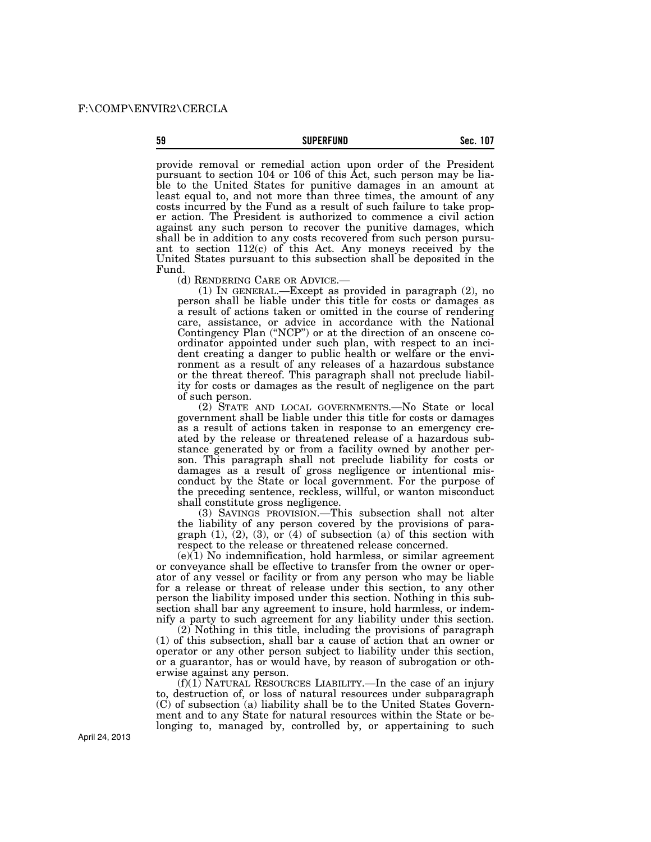## **59 Sec. 107 SUPERFUND**

provide removal or remedial action upon order of the President pursuant to section 104 or 106 of this Act, such person may be liable to the United States for punitive damages in an amount at least equal to, and not more than three times, the amount of any costs incurred by the Fund as a result of such failure to take proper action. The President is authorized to commence a civil action against any such person to recover the punitive damages, which shall be in addition to any costs recovered from such person pursuant to section  $112(c)$  of this Act. Any moneys received by the United States pursuant to this subsection shall be deposited in the Fund.<br>(d) RENDERING CARE OR ADVICE.—

(1) IN GENERAL.—Except as provided in paragraph  $(2)$ , no person shall be liable under this title for costs or damages as a result of actions taken or omitted in the course of rendering care, assistance, or advice in accordance with the National Contingency Plan ("NCP") or at the direction of an onscene coordinator appointed under such plan, with respect to an incident creating a danger to public health or welfare or the environment as a result of any releases of a hazardous substance or the threat thereof. This paragraph shall not preclude liability for costs or damages as the result of negligence on the part of such person.

(2) STATE AND LOCAL GOVERNMENTS.—No State or local government shall be liable under this title for costs or damages as a result of actions taken in response to an emergency created by the release or threatened release of a hazardous substance generated by or from a facility owned by another person. This paragraph shall not preclude liability for costs or damages as a result of gross negligence or intentional misconduct by the State or local government. For the purpose of the preceding sentence, reckless, willful, or wanton misconduct shall constitute gross negligence.

(3) SAVINGS PROVISION.—This subsection shall not alter the liability of any person covered by the provisions of paragraph  $(1)$ ,  $(2)$ ,  $(3)$ , or  $(4)$  of subsection  $(a)$  of this section with respect to the release or threatened release concerned.

 $(e)(1)$  No indemnification, hold harmless, or similar agreement or conveyance shall be effective to transfer from the owner or operator of any vessel or facility or from any person who may be liable for a release or threat of release under this section, to any other person the liability imposed under this section. Nothing in this subsection shall bar any agreement to insure, hold harmless, or indemnify a party to such agreement for any liability under this section.

(2) Nothing in this title, including the provisions of paragraph (1) of this subsection, shall bar a cause of action that an owner or operator or any other person subject to liability under this section, or a guarantor, has or would have, by reason of subrogation or otherwise against any person.

 $(f)(1)$  NATURAL RESOURCES LIABILITY.—In the case of an injury to, destruction of, or loss of natural resources under subparagraph (C) of subsection (a) liability shall be to the United States Government and to any State for natural resources within the State or belonging to, managed by, controlled by, or appertaining to such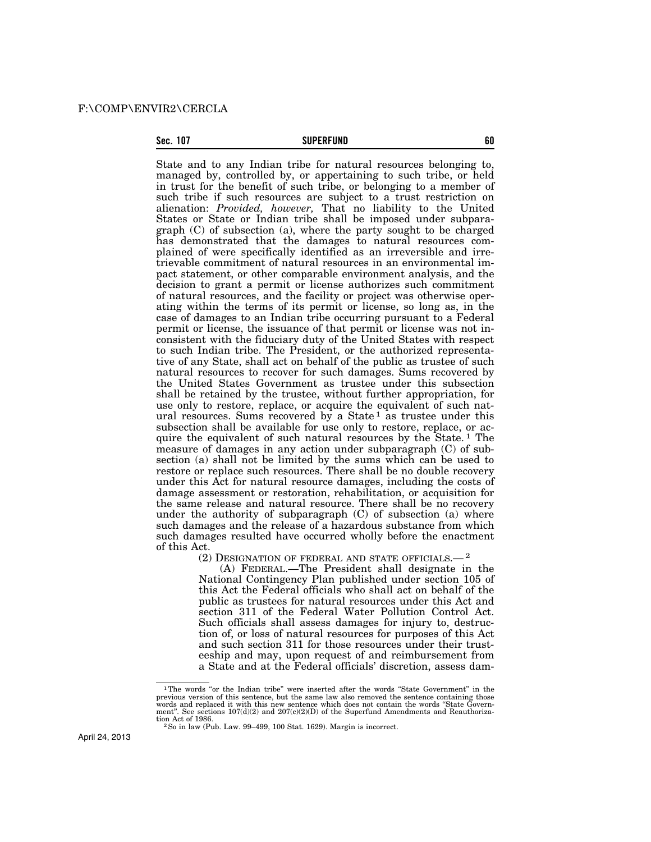# Sec. 107 **SUPERFUND** 60

State and to any Indian tribe for natural resources belonging to, managed by, controlled by, or appertaining to such tribe, or held in trust for the benefit of such tribe, or belonging to a member of such tribe if such resources are subject to a trust restriction on alienation: *Provided, however,* That no liability to the United States or State or Indian tribe shall be imposed under subparagraph (C) of subsection (a), where the party sought to be charged has demonstrated that the damages to natural resources complained of were specifically identified as an irreversible and irretrievable commitment of natural resources in an environmental impact statement, or other comparable environment analysis, and the decision to grant a permit or license authorizes such commitment of natural resources, and the facility or project was otherwise operating within the terms of its permit or license, so long as, in the case of damages to an Indian tribe occurring pursuant to a Federal permit or license, the issuance of that permit or license was not inconsistent with the fiduciary duty of the United States with respect to such Indian tribe. The President, or the authorized representative of any State, shall act on behalf of the public as trustee of such natural resources to recover for such damages. Sums recovered by the United States Government as trustee under this subsection shall be retained by the trustee, without further appropriation, for use only to restore, replace, or acquire the equivalent of such natural resources. Sums recovered by a State<sup>1</sup> as trustee under this subsection shall be available for use only to restore, replace, or acquire the equivalent of such natural resources by the State. 1 The measure of damages in any action under subparagraph (C) of subsection (a) shall not be limited by the sums which can be used to restore or replace such resources. There shall be no double recovery under this Act for natural resource damages, including the costs of damage assessment or restoration, rehabilitation, or acquisition for the same release and natural resource. There shall be no recovery under the authority of subparagraph (C) of subsection (a) where such damages and the release of a hazardous substance from which such damages resulted have occurred wholly before the enactment of this Act.

(2) DESIGNATION OF FEDERAL AND STATE OFFICIALS. $-2$ 

(A) FEDERAL.—The President shall designate in the National Contingency Plan published under section 105 of this Act the Federal officials who shall act on behalf of the public as trustees for natural resources under this Act and section 311 of the Federal Water Pollution Control Act. Such officials shall assess damages for injury to, destruction of, or loss of natural resources for purposes of this Act and such section 311 for those resources under their trusteeship and may, upon request of and reimbursement from a State and at the Federal officials' discretion, assess dam-

<sup>&</sup>lt;sup>1</sup>The words "or the Indian tribe" were inserted after the words "State Government" in the previous version of this sentence, but the same law also removed the sentence containing those words and replaced it with this new sentence which does not contain the words "State Govern-<br>ment". See sections  $107(d)(2)$  and  $207(c)(2)(D)$  of the Superfund Amendments and Reauthorizament". See sections  $107(d)(2)$  and  $207(c)(2)(D)$  of the Superfund Amendments and Reauthorization Act of 1986.

 $2$  So in law (Pub. Law. 99–499, 100 Stat. 1629). Margin is incorrect.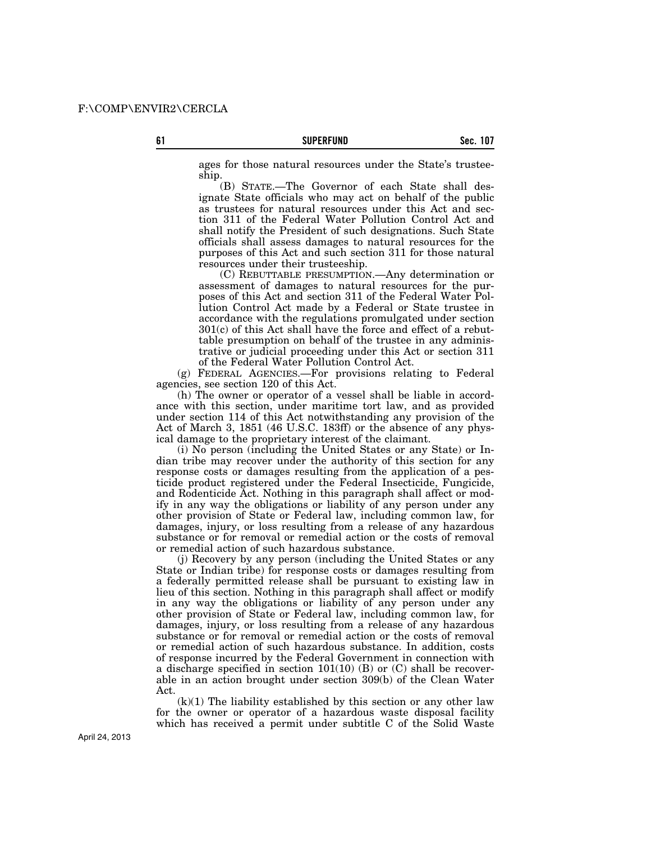ages for those natural resources under the State's trusteeship.

(B) STATE.—The Governor of each State shall designate State officials who may act on behalf of the public as trustees for natural resources under this Act and section 311 of the Federal Water Pollution Control Act and shall notify the President of such designations. Such State officials shall assess damages to natural resources for the purposes of this Act and such section 311 for those natural resources under their trusteeship.

(C) REBUTTABLE PRESUMPTION.—Any determination or assessment of damages to natural resources for the purposes of this Act and section 311 of the Federal Water Pollution Control Act made by a Federal or State trustee in accordance with the regulations promulgated under section 301(c) of this Act shall have the force and effect of a rebuttable presumption on behalf of the trustee in any administrative or judicial proceeding under this Act or section 311 of the Federal Water Pollution Control Act.

(g) FEDERAL AGENCIES.—For provisions relating to Federal agencies, see section 120 of this Act.

(h) The owner or operator of a vessel shall be liable in accordance with this section, under maritime tort law, and as provided under section 114 of this Act notwithstanding any provision of the Act of March 3, 1851 (46 U.S.C. 183ff) or the absence of any physical damage to the proprietary interest of the claimant.

(i) No person (including the United States or any State) or Indian tribe may recover under the authority of this section for any response costs or damages resulting from the application of a pesticide product registered under the Federal Insecticide, Fungicide, and Rodenticide Act. Nothing in this paragraph shall affect or modify in any way the obligations or liability of any person under any other provision of State or Federal law, including common law, for damages, injury, or loss resulting from a release of any hazardous substance or for removal or remedial action or the costs of removal or remedial action of such hazardous substance.

(j) Recovery by any person (including the United States or any State or Indian tribe) for response costs or damages resulting from a federally permitted release shall be pursuant to existing law in lieu of this section. Nothing in this paragraph shall affect or modify in any way the obligations or liability of any person under any other provision of State or Federal law, including common law, for damages, injury, or loss resulting from a release of any hazardous substance or for removal or remedial action or the costs of removal or remedial action of such hazardous substance. In addition, costs of response incurred by the Federal Government in connection with a discharge specified in section 101(10) (B) or (C) shall be recoverable in an action brought under section 309(b) of the Clean Water Act.

(k)(1) The liability established by this section or any other law for the owner or operator of a hazardous waste disposal facility which has received a permit under subtitle C of the Solid Waste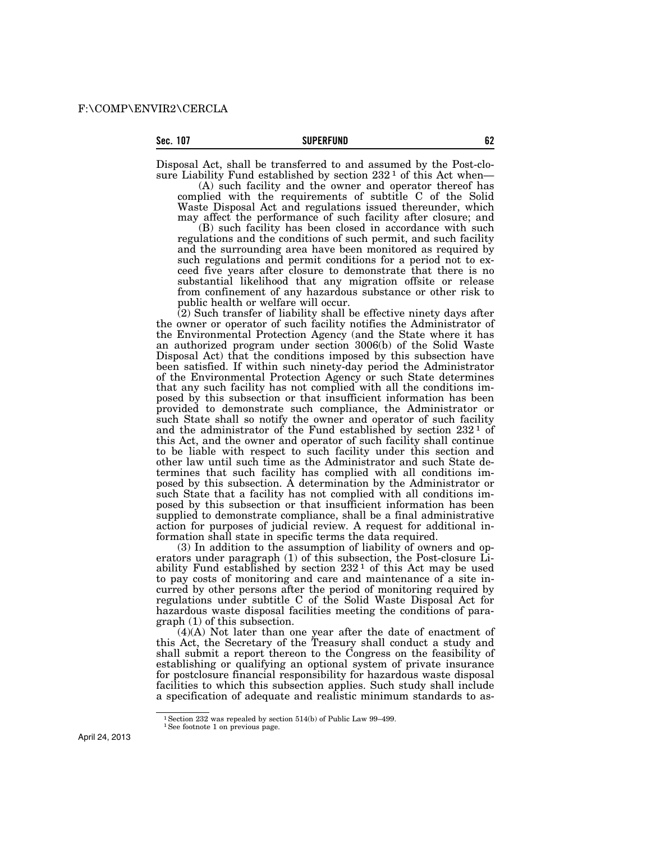Disposal Act, shall be transferred to and assumed by the Post-closure Liability Fund established by section 232<sup>1</sup> of this Act when—

(A) such facility and the owner and operator thereof has complied with the requirements of subtitle C of the Solid Waste Disposal Act and regulations issued thereunder, which may affect the performance of such facility after closure; and

(B) such facility has been closed in accordance with such regulations and the conditions of such permit, and such facility and the surrounding area have been monitored as required by such regulations and permit conditions for a period not to exceed five years after closure to demonstrate that there is no substantial likelihood that any migration offsite or release from confinement of any hazardous substance or other risk to public health or welfare will occur.

(2) Such transfer of liability shall be effective ninety days after the owner or operator of such facility notifies the Administrator of the Environmental Protection Agency (and the State where it has an authorized program under section 3006(b) of the Solid Waste Disposal Act) that the conditions imposed by this subsection have been satisfied. If within such ninety-day period the Administrator of the Environmental Protection Agency or such State determines that any such facility has not complied with all the conditions imposed by this subsection or that insufficient information has been provided to demonstrate such compliance, the Administrator or such State shall so notify the owner and operator of such facility and the administrator of the Fund established by section  $232<sup>1</sup>$  of this Act, and the owner and operator of such facility shall continue to be liable with respect to such facility under this section and other law until such time as the Administrator and such State determines that such facility has complied with all conditions imposed by this subsection. A determination by the Administrator or such State that a facility has not complied with all conditions imposed by this subsection or that insufficient information has been supplied to demonstrate compliance, shall be a final administrative action for purposes of judicial review. A request for additional information shall state in specific terms the data required.

(3) In addition to the assumption of liability of owners and operators under paragraph (1) of this subsection, the Post-closure Liability Fund established by section  $232<sup>1</sup>$  of this Act may be used to pay costs of monitoring and care and maintenance of a site incurred by other persons after the period of monitoring required by regulations under subtitle C of the Solid Waste Disposal Act for hazardous waste disposal facilities meeting the conditions of paragraph (1) of this subsection.

(4)(A) Not later than one year after the date of enactment of this Act, the Secretary of the Treasury shall conduct a study and shall submit a report thereon to the Congress on the feasibility of establishing or qualifying an optional system of private insurance for postclosure financial responsibility for hazardous waste disposal facilities to which this subsection applies. Such study shall include a specification of adequate and realistic minimum standards to as-

<sup>1</sup>Section 232 was repealed by section 514(b) of Public Law 99–499.

<sup>1</sup>See footnote 1 on previous page.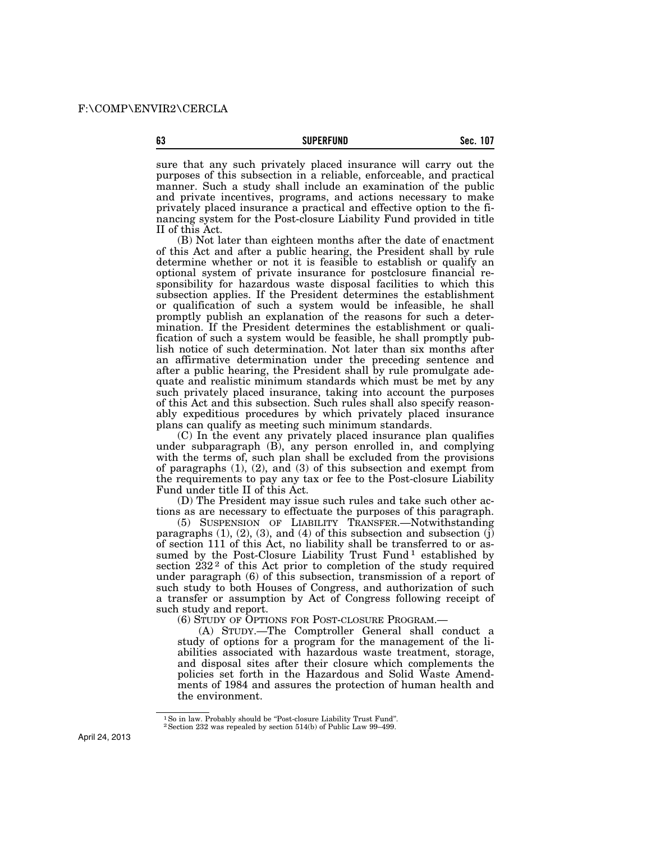sure that any such privately placed insurance will carry out the purposes of this subsection in a reliable, enforceable, and practical manner. Such a study shall include an examination of the public and private incentives, programs, and actions necessary to make privately placed insurance a practical and effective option to the financing system for the Post-closure Liability Fund provided in title II of this Act.

(B) Not later than eighteen months after the date of enactment of this Act and after a public hearing, the President shall by rule determine whether or not it is feasible to establish or qualify an optional system of private insurance for postclosure financial responsibility for hazardous waste disposal facilities to which this subsection applies. If the President determines the establishment or qualification of such a system would be infeasible, he shall promptly publish an explanation of the reasons for such a determination. If the President determines the establishment or qualification of such a system would be feasible, he shall promptly publish notice of such determination. Not later than six months after an affirmative determination under the preceding sentence and after a public hearing, the President shall by rule promulgate adequate and realistic minimum standards which must be met by any such privately placed insurance, taking into account the purposes of this Act and this subsection. Such rules shall also specify reasonably expeditious procedures by which privately placed insurance plans can qualify as meeting such minimum standards.

(C) In the event any privately placed insurance plan qualifies under subparagraph (B), any person enrolled in, and complying with the terms of, such plan shall be excluded from the provisions of paragraphs (1), (2), and (3) of this subsection and exempt from the requirements to pay any tax or fee to the Post-closure Liability Fund under title II of this Act.

(D) The President may issue such rules and take such other actions as are necessary to effectuate the purposes of this paragraph.

(5) SUSPENSION OF LIABILITY TRANSFER.—Notwithstanding paragraphs  $(1)$ ,  $(2)$ ,  $(3)$ , and  $(4)$  of this subsection and subsection  $(j)$ of section 111 of this Act, no liability shall be transferred to or assumed by the Post-Closure Liability Trust Fund<sup>1</sup> established by section  $232<sup>2</sup>$  of this Act prior to completion of the study required under paragraph (6) of this subsection, transmission of a report of such study to both Houses of Congress, and authorization of such a transfer or assumption by Act of Congress following receipt of such study and report.

(6) STUDY OF OPTIONS FOR POST-CLOSURE PROGRAM.—

(A) STUDY.—The Comptroller General shall conduct a study of options for a program for the management of the liabilities associated with hazardous waste treatment, storage, and disposal sites after their closure which complements the policies set forth in the Hazardous and Solid Waste Amendments of 1984 and assures the protection of human health and the environment.

<sup>&</sup>lt;sup>1</sup>So in law. Probably should be "Post-closure Liability Trust Fund".

<sup>2</sup>Section 232 was repealed by section 514(b) of Public Law 99–499.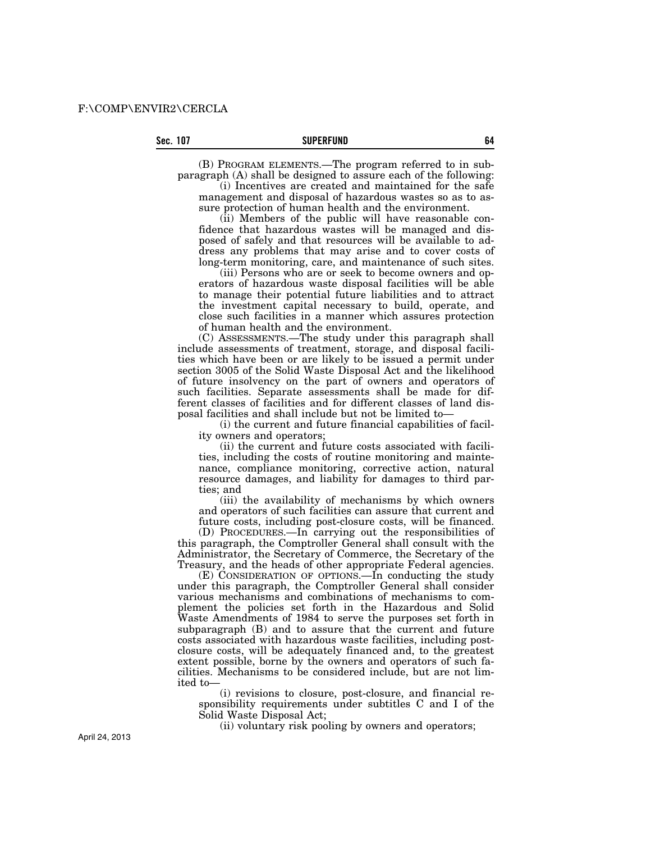(B) PROGRAM ELEMENTS.—The program referred to in subparagraph (A) shall be designed to assure each of the following: (i) Incentives are created and maintained for the safe

management and disposal of hazardous wastes so as to assure protection of human health and the environment.

(ii) Members of the public will have reasonable confidence that hazardous wastes will be managed and disposed of safely and that resources will be available to address any problems that may arise and to cover costs of long-term monitoring, care, and maintenance of such sites.

(iii) Persons who are or seek to become owners and operators of hazardous waste disposal facilities will be able to manage their potential future liabilities and to attract the investment capital necessary to build, operate, and close such facilities in a manner which assures protection of human health and the environment.

(C) ASSESSMENTS.—The study under this paragraph shall include assessments of treatment, storage, and disposal facilities which have been or are likely to be issued a permit under section 3005 of the Solid Waste Disposal Act and the likelihood of future insolvency on the part of owners and operators of such facilities. Separate assessments shall be made for different classes of facilities and for different classes of land disposal facilities and shall include but not be limited to—

(i) the current and future financial capabilities of facility owners and operators;

(ii) the current and future costs associated with facilities, including the costs of routine monitoring and maintenance, compliance monitoring, corrective action, natural resource damages, and liability for damages to third parties; and

(iii) the availability of mechanisms by which owners and operators of such facilities can assure that current and future costs, including post-closure costs, will be financed.

(D) PROCEDURES.—In carrying out the responsibilities of this paragraph, the Comptroller General shall consult with the Administrator, the Secretary of Commerce, the Secretary of the Treasury, and the heads of other appropriate Federal agencies.

(E) CONSIDERATION OF OPTIONS.—In conducting the study under this paragraph, the Comptroller General shall consider various mechanisms and combinations of mechanisms to complement the policies set forth in the Hazardous and Solid Waste Amendments of 1984 to serve the purposes set forth in subparagraph (B) and to assure that the current and future costs associated with hazardous waste facilities, including postclosure costs, will be adequately financed and, to the greatest extent possible, borne by the owners and operators of such facilities. Mechanisms to be considered include, but are not limited to—

(i) revisions to closure, post-closure, and financial responsibility requirements under subtitles C and I of the Solid Waste Disposal Act;

(ii) voluntary risk pooling by owners and operators;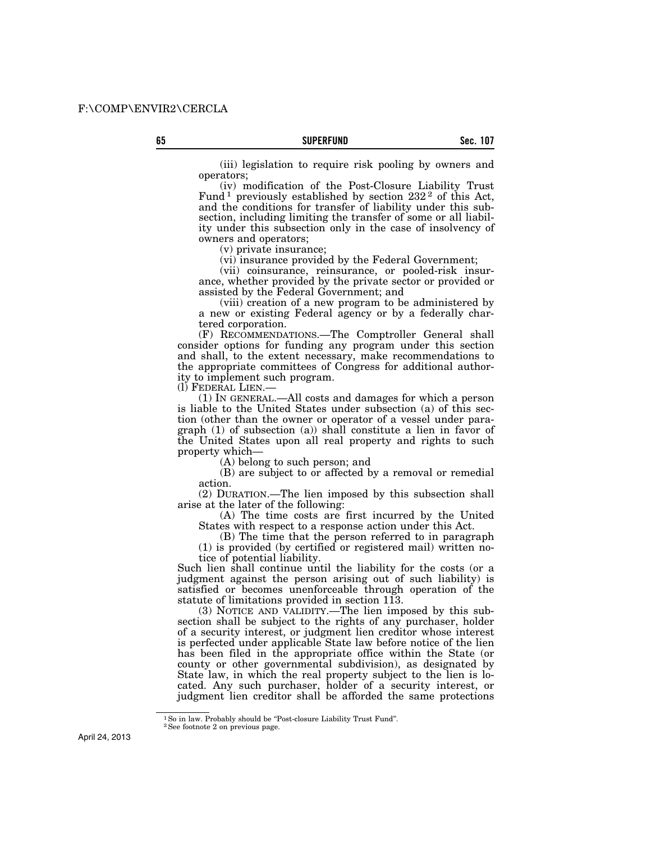(iii) legislation to require risk pooling by owners and operators;

(iv) modification of the Post-Closure Liability Trust Fund  $1$  previously established by section  $232^2$  of this Act, and the conditions for transfer of liability under this subsection, including limiting the transfer of some or all liability under this subsection only in the case of insolvency of owners and operators;

(v) private insurance;

(vi) insurance provided by the Federal Government;

(vii) coinsurance, reinsurance, or pooled-risk insurance, whether provided by the private sector or provided or assisted by the Federal Government; and

(viii) creation of a new program to be administered by a new or existing Federal agency or by a federally chartered corporation.

(F) RECOMMENDATIONS.—The Comptroller General shall consider options for funding any program under this section and shall, to the extent necessary, make recommendations to the appropriate committees of Congress for additional authority to implement such program.

(l) FEDERAL LIEN.—

(1) IN GENERAL.—All costs and damages for which a person is liable to the United States under subsection (a) of this section (other than the owner or operator of a vessel under paragraph (1) of subsection (a)) shall constitute a lien in favor of the United States upon all real property and rights to such property which—

(A) belong to such person; and

(B) are subject to or affected by a removal or remedial action.

(2) DURATION.—The lien imposed by this subsection shall arise at the later of the following:

(A) The time costs are first incurred by the United States with respect to a response action under this Act.

(B) The time that the person referred to in paragraph (1) is provided (by certified or registered mail) written notice of potential liability.

Such lien shall continue until the liability for the costs (or a judgment against the person arising out of such liability) is satisfied or becomes unenforceable through operation of the statute of limitations provided in section 113.

(3) NOTICE AND VALIDITY.—The lien imposed by this subsection shall be subject to the rights of any purchaser, holder of a security interest, or judgment lien creditor whose interest is perfected under applicable State law before notice of the lien has been filed in the appropriate office within the State (or county or other governmental subdivision), as designated by State law, in which the real property subject to the lien is located. Any such purchaser, holder of a security interest, or judgment lien creditor shall be afforded the same protections

<sup>&</sup>lt;sup>1</sup>So in law. Probably should be "Post-closure Liability Trust Fund".

<sup>2</sup>See footnote 2 on previous page.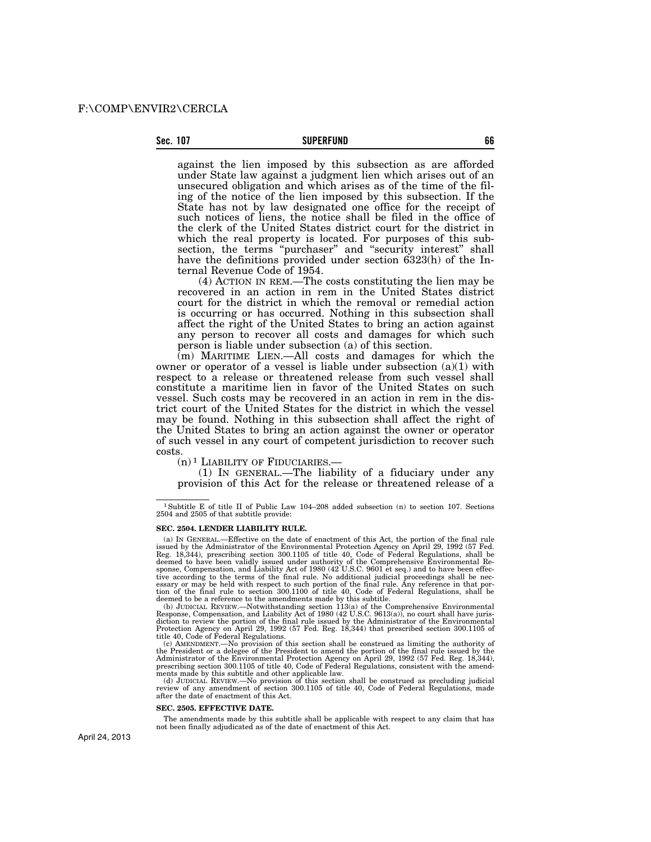against the lien imposed by this subsection as are afforded under State law against a judgment lien which arises out of an unsecured obligation and which arises as of the time of the filing of the notice of the lien imposed by this subsection. If the State has not by law designated one office for the receipt of such notices of liens, the notice shall be filed in the office of the clerk of the United States district court for the district in which the real property is located. For purposes of this subsection, the terms "purchaser" and "security interest" shall have the definitions provided under section 6323(h) of the Internal Revenue Code of 1954.

(4) ACTION IN REM.—The costs constituting the lien may be recovered in an action in rem in the United States district court for the district in which the removal or remedial action is occurring or has occurred. Nothing in this subsection shall affect the right of the United States to bring an action against any person to recover all costs and damages for which such person is liable under subsection (a) of this section.

(m) MARITIME LIEN.—All costs and damages for which the owner or operator of a vessel is liable under subsection (a)(1) with respect to a release or threatened release from such vessel shall constitute a maritime lien in favor of the United States on such vessel. Such costs may be recovered in an action in rem in the district court of the United States for the district in which the vessel may be found. Nothing in this subsection shall affect the right of the United States to bring an action against the owner or operator of such vessel in any court of competent jurisdiction to recover such costs.

 $(n)$ <sup>1</sup> LIABILITY OF FIDUCIARIES. $-$ 

(1) IN GENERAL.—The liability of a fiduciary under any provision of this Act for the release or threatened release of a

#### **SEC. 2504. LENDER LIABILITY RULE.**

(a) IN GENERAL.—Effective on the date of enactment of this Act, the portion of the final rule issued by the Administrator of the Environmental Protection Agency on April 29, 1992 (57 Fed. Reg. 18,344), prescribing section 300.1105 of title 40, Code of Federal Regulations, shall be<br>deemed to have been validly issued under authority of the Comprehensive Environmental Re-<br>sponse, Compensation, and Liability Ac tive according to the terms of the final rule. No additional judicial proceedings shall be nec-<br>essary or may be held with respect to such portion of the final rule. Any reference in that por-<br>tion of the final rule to sec

deemed to be a reference to the amendments made by this subtitle.<br>— (b) JUDICIAL REVIEW.—Notwithstanding section 113(a) of the Comprehensive Environmental<br>Response, Compensation, and Liability Act of 1980 (42 U.S.C. 9613(a diction to review the portion of the final rule issued by the Administrator of the Environmental<br>Protection Agency on April 29, 1992 (57 Fed. Reg. 18,344) that prescribed section 300.1105 of<br>title 40, Code of Federal Regul

(c) AMENDMENT.—No provision of this section shall be construed as limiting the authority of the President or a delegee of the President to amend the portion of the final rule issued by the Administrator of the Environment

#### **SEC. 2505. EFFECTIVE DATE.**

The amendments made by this subtitle shall be applicable with respect to any claim that has not been finally adjudicated as of the date of enactment of this Act.

<sup>1</sup>Subtitle E of title II of Public Law 104–208 added subsection (n) to section 107. Sections 2504 and 2505 of that subtitle provide: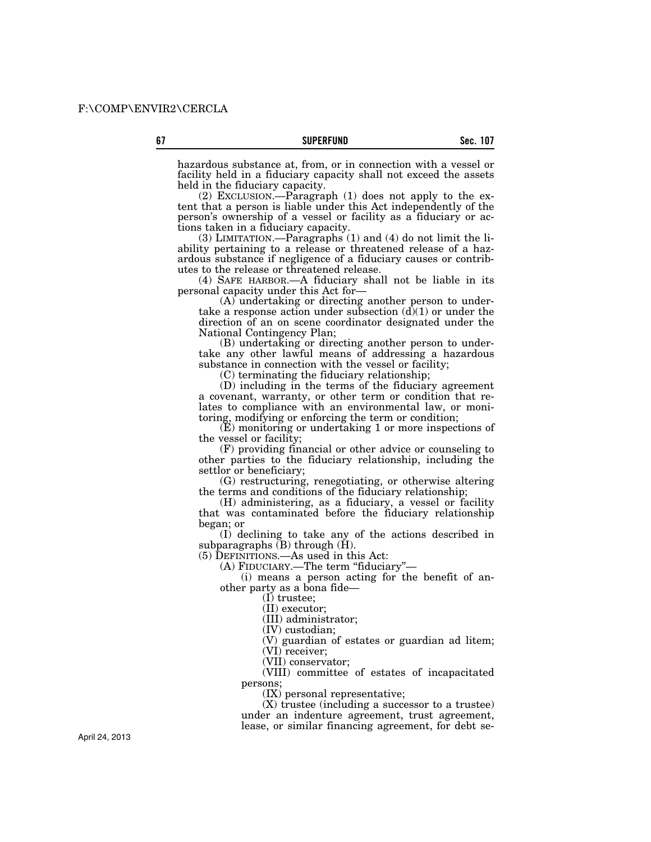hazardous substance at, from, or in connection with a vessel or facility held in a fiduciary capacity shall not exceed the assets held in the fiduciary capacity.

(2) EXCLUSION.—Paragraph (1) does not apply to the extent that a person is liable under this Act independently of the person's ownership of a vessel or facility as a fiduciary or actions taken in a fiduciary capacity.

(3) LIMITATION.—Paragraphs (1) and (4) do not limit the liability pertaining to a release or threatened release of a hazardous substance if negligence of a fiduciary causes or contributes to the release or threatened release.

(4) SAFE HARBOR.—A fiduciary shall not be liable in its personal capacity under this Act for—

(A) undertaking or directing another person to undertake a response action under subsection  $(d)(1)$  or under the direction of an on scene coordinator designated under the National Contingency Plan;

(B) undertaking or directing another person to undertake any other lawful means of addressing a hazardous substance in connection with the vessel or facility;

(C) terminating the fiduciary relationship;

(D) including in the terms of the fiduciary agreement a covenant, warranty, or other term or condition that relates to compliance with an environmental law, or monitoring, modifying or enforcing the term or condition;

(E) monitoring or undertaking 1 or more inspections of the vessel or facility;

(F) providing financial or other advice or counseling to other parties to the fiduciary relationship, including the settlor or beneficiary;

(G) restructuring, renegotiating, or otherwise altering the terms and conditions of the fiduciary relationship;

(H) administering, as a fiduciary, a vessel or facility that was contaminated before the fiduciary relationship began; or

(I) declining to take any of the actions described in subparagraphs  $(B)$  through  $(H)$ .

(5) DEFINITIONS.—As used in this Act:

(A) FIDUCIARY.—The term "fiduciary"—

(i) means a person acting for the benefit of another party as a bona fide—

(I) trustee;

(II) executor;

(III) administrator;

(IV) custodian;

(V) guardian of estates or guardian ad litem;

(VI) receiver;

(VII) conservator;

(VIII) committee of estates of incapacitated persons;

(IX) personal representative;

(X) trustee (including a successor to a trustee) under an indenture agreement, trust agreement, lease, or similar financing agreement, for debt se-

April 24, 2013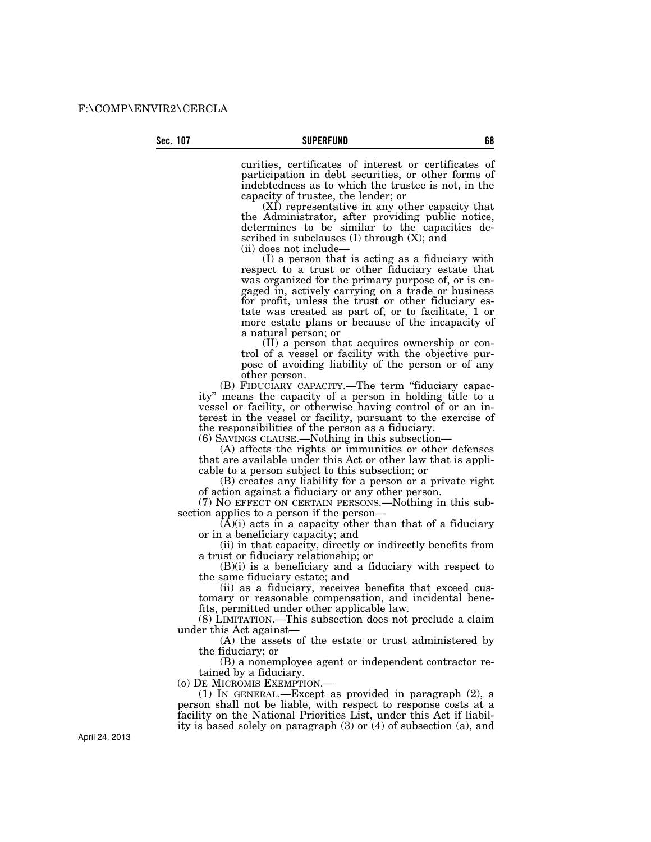curities, certificates of interest or certificates of participation in debt securities, or other forms of indebtedness as to which the trustee is not, in the capacity of trustee, the lender; or

(XI) representative in any other capacity that the Administrator, after providing public notice, determines to be similar to the capacities described in subclauses (I) through (X); and

(ii) does not include—

(I) a person that is acting as a fiduciary with respect to a trust or other fiduciary estate that was organized for the primary purpose of, or is engaged in, actively carrying on a trade or business for profit, unless the trust or other fiduciary estate was created as part of, or to facilitate, 1 or more estate plans or because of the incapacity of a natural person; or

(II) a person that acquires ownership or control of a vessel or facility with the objective purpose of avoiding liability of the person or of any other person.

(B) FIDUCIARY CAPACITY.—The term ''fiduciary capacity'' means the capacity of a person in holding title to a vessel or facility, or otherwise having control of or an interest in the vessel or facility, pursuant to the exercise of the responsibilities of the person as a fiduciary.

(6) SAVINGS CLAUSE.—Nothing in this subsection—

(A) affects the rights or immunities or other defenses that are available under this Act or other law that is applicable to a person subject to this subsection; or

(B) creates any liability for a person or a private right of action against a fiduciary or any other person.

(7) NO EFFECT ON CERTAIN PERSONS.—Nothing in this subsection applies to a person if the person—

(A)(i) acts in a capacity other than that of a fiduciary or in a beneficiary capacity; and

(ii) in that capacity, directly or indirectly benefits from a trust or fiduciary relationship; or

 $(B)(i)$  is a beneficiary and a fiduciary with respect to the same fiduciary estate; and

(ii) as a fiduciary, receives benefits that exceed customary or reasonable compensation, and incidental benefits, permitted under other applicable law.

(8) LIMITATION.—This subsection does not preclude a claim under this Act against—

(A) the assets of the estate or trust administered by the fiduciary; or

(B) a nonemployee agent or independent contractor retained by a fiduciary.

(o) DE MICROMIS EXEMPTION.—

(1) IN GENERAL.—Except as provided in paragraph (2), a person shall not be liable, with respect to response costs at a facility on the National Priorities List, under this Act if liability is based solely on paragraph (3) or (4) of subsection (a), and

April 24, 2013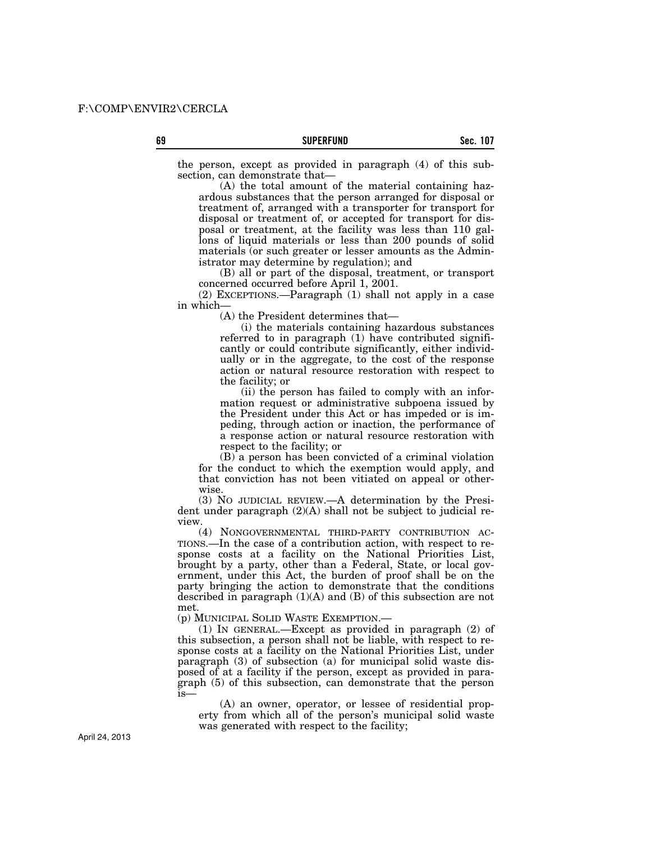the person, except as provided in paragraph (4) of this subsection, can demonstrate that—

(A) the total amount of the material containing hazardous substances that the person arranged for disposal or treatment of, arranged with a transporter for transport for disposal or treatment of, or accepted for transport for disposal or treatment, at the facility was less than 110 gallons of liquid materials or less than 200 pounds of solid materials (or such greater or lesser amounts as the Administrator may determine by regulation); and

(B) all or part of the disposal, treatment, or transport concerned occurred before April 1, 2001.

(2) EXCEPTIONS.—Paragraph (1) shall not apply in a case in which-

(A) the President determines that—

(i) the materials containing hazardous substances referred to in paragraph (1) have contributed significantly or could contribute significantly, either individually or in the aggregate, to the cost of the response action or natural resource restoration with respect to the facility; or

(ii) the person has failed to comply with an information request or administrative subpoena issued by the President under this Act or has impeded or is impeding, through action or inaction, the performance of a response action or natural resource restoration with respect to the facility; or

(B) a person has been convicted of a criminal violation for the conduct to which the exemption would apply, and that conviction has not been vitiated on appeal or otherwise.

(3) NO JUDICIAL REVIEW.—A determination by the President under paragraph (2)(A) shall not be subject to judicial review.

(4) NONGOVERNMENTAL THIRD-PARTY CONTRIBUTION AC-TIONS.—In the case of a contribution action, with respect to response costs at a facility on the National Priorities List, brought by a party, other than a Federal, State, or local government, under this Act, the burden of proof shall be on the party bringing the action to demonstrate that the conditions described in paragraph (1)(A) and (B) of this subsection are not met.

(p) MUNICIPAL SOLID WASTE EXEMPTION.—

(1) IN GENERAL.—Except as provided in paragraph (2) of this subsection, a person shall not be liable, with respect to response costs at a facility on the National Priorities List, under paragraph (3) of subsection (a) for municipal solid waste disposed of at a facility if the person, except as provided in paragraph (5) of this subsection, can demonstrate that the person is—

(A) an owner, operator, or lessee of residential property from which all of the person's municipal solid waste was generated with respect to the facility;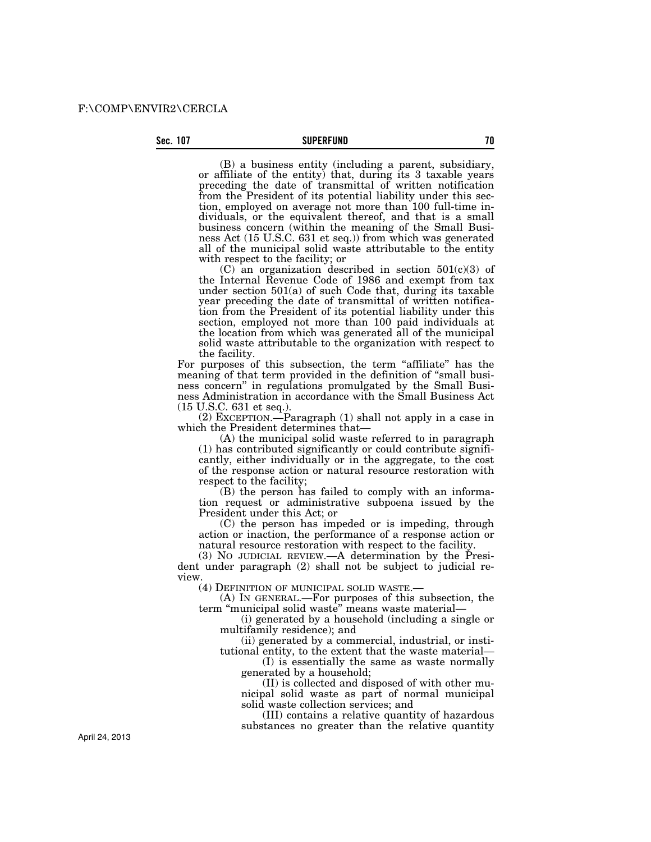# Sec. 107 **SUPERFUND** 300 **SUPERFUND**

(B) a business entity (including a parent, subsidiary, or affiliate of the entity) that, during its 3 taxable years preceding the date of transmittal of written notification from the President of its potential liability under this section, employed on average not more than 100 full-time individuals, or the equivalent thereof, and that is a small business concern (within the meaning of the Small Business Act (15 U.S.C. 631 et seq.)) from which was generated all of the municipal solid waste attributable to the entity with respect to the facility; or

(C) an organization described in section 501(c)(3) of the Internal Revenue Code of 1986 and exempt from tax under section 501(a) of such Code that, during its taxable year preceding the date of transmittal of written notification from the President of its potential liability under this section, employed not more than 100 paid individuals at the location from which was generated all of the municipal solid waste attributable to the organization with respect to the facility.

For purposes of this subsection, the term "affiliate" has the meaning of that term provided in the definition of ''small business concern'' in regulations promulgated by the Small Business Administration in accordance with the Small Business Act (15 U.S.C. 631 et seq.).

(2) EXCEPTION.—Paragraph (1) shall not apply in a case in which the President determines that—

(A) the municipal solid waste referred to in paragraph (1) has contributed significantly or could contribute significantly, either individually or in the aggregate, to the cost of the response action or natural resource restoration with respect to the facility;

(B) the person has failed to comply with an information request or administrative subpoena issued by the President under this Act; or

(C) the person has impeded or is impeding, through action or inaction, the performance of a response action or natural resource restoration with respect to the facility.

(3) NO JUDICIAL REVIEW.—A determination by the President under paragraph (2) shall not be subject to judicial review.

(4) DEFINITION OF MUNICIPAL SOLID WASTE.—

(A) IN GENERAL.—For purposes of this subsection, the term ''municipal solid waste'' means waste material—

(i) generated by a household (including a single or multifamily residence); and

(ii) generated by a commercial, industrial, or institutional entity, to the extent that the waste material—

(I) is essentially the same as waste normally generated by a household;

(II) is collected and disposed of with other municipal solid waste as part of normal municipal solid waste collection services; and

(III) contains a relative quantity of hazardous substances no greater than the relative quantity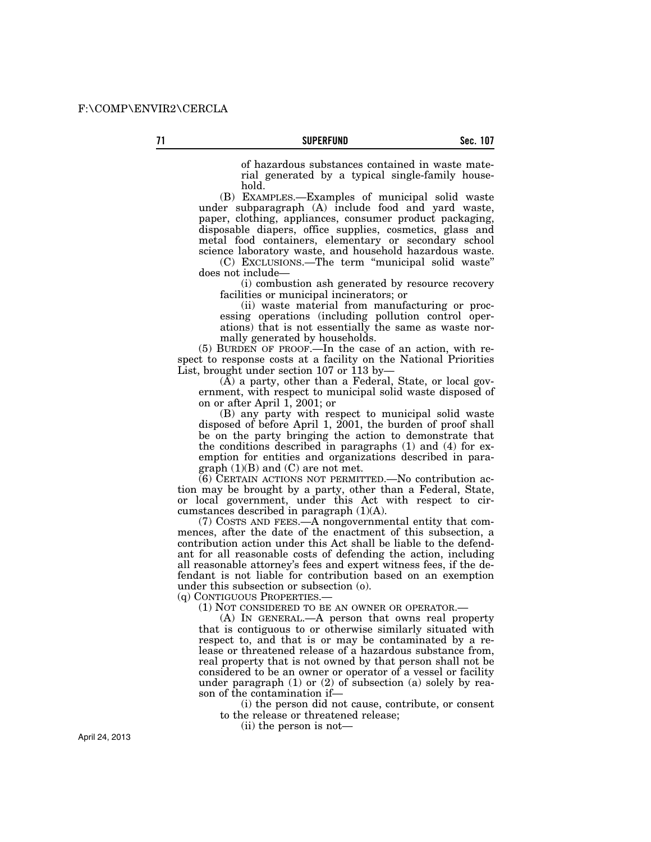of hazardous substances contained in waste material generated by a typical single-family household.

(B) EXAMPLES.—Examples of municipal solid waste under subparagraph (A) include food and yard waste, paper, clothing, appliances, consumer product packaging, disposable diapers, office supplies, cosmetics, glass and metal food containers, elementary or secondary school science laboratory waste, and household hazardous waste.

(C) EXCLUSIONS.—The term ''municipal solid waste'' does not include—

(i) combustion ash generated by resource recovery facilities or municipal incinerators; or

(ii) waste material from manufacturing or processing operations (including pollution control operations) that is not essentially the same as waste normally generated by households.

(5) BURDEN OF PROOF.—In the case of an action, with respect to response costs at a facility on the National Priorities List, brought under section 107 or 113 by—

 $(\breve{A})$  a party, other than a Federal, State, or local government, with respect to municipal solid waste disposed of on or after April 1, 2001; or

(B) any party with respect to municipal solid waste disposed of before April 1, 2001, the burden of proof shall be on the party bringing the action to demonstrate that the conditions described in paragraphs (1) and (4) for exemption for entities and organizations described in paragraph  $(1)(B)$  and  $(C)$  are not met.

(6) CERTAIN ACTIONS NOT PERMITTED.—No contribution action may be brought by a party, other than a Federal, State, or local government, under this Act with respect to circumstances described in paragraph (1)(A).

(7) COSTS AND FEES.—A nongovernmental entity that commences, after the date of the enactment of this subsection, a contribution action under this Act shall be liable to the defendant for all reasonable costs of defending the action, including all reasonable attorney's fees and expert witness fees, if the defendant is not liable for contribution based on an exemption under this subsection or subsection (o).

(q) CONTIGUOUS PROPERTIES.—

(1) NOT CONSIDERED TO BE AN OWNER OR OPERATOR.—

(A) IN GENERAL.—A person that owns real property that is contiguous to or otherwise similarly situated with respect to, and that is or may be contaminated by a release or threatened release of a hazardous substance from, real property that is not owned by that person shall not be considered to be an owner or operator of a vessel or facility under paragraph (1) or (2) of subsection (a) solely by reason of the contamination if—

(i) the person did not cause, contribute, or consent to the release or threatened release;

(ii) the person is not—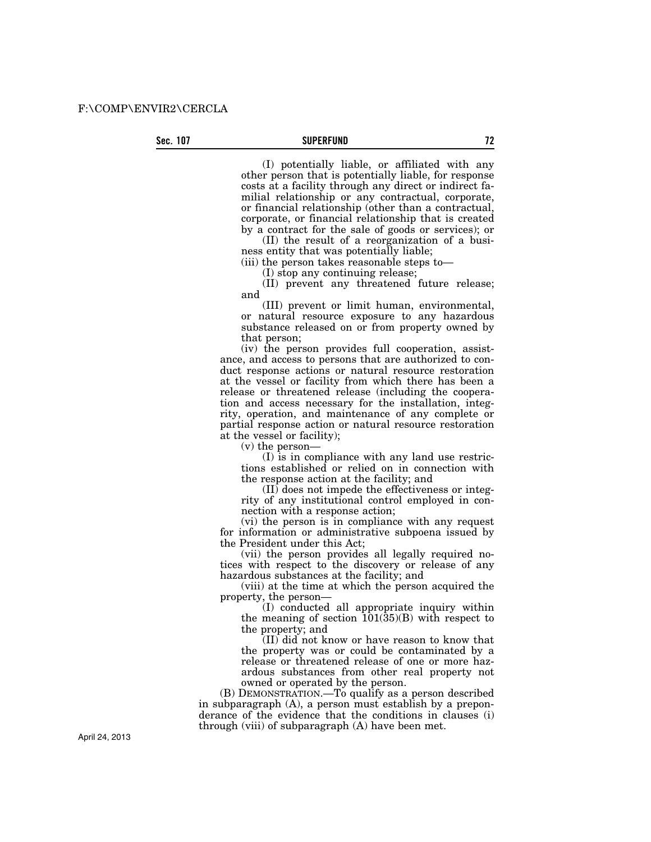# Sec. 107 **SUPERFUND** 300 SUPERFUND

(I) potentially liable, or affiliated with any other person that is potentially liable, for response costs at a facility through any direct or indirect familial relationship or any contractual, corporate, or financial relationship (other than a contractual, corporate, or financial relationship that is created by a contract for the sale of goods or services); or

(II) the result of a reorganization of a business entity that was potentially liable;

(iii) the person takes reasonable steps to—

(I) stop any continuing release;

(II) prevent any threatened future release; and

(III) prevent or limit human, environmental, or natural resource exposure to any hazardous substance released on or from property owned by that person;

(iv) the person provides full cooperation, assistance, and access to persons that are authorized to conduct response actions or natural resource restoration at the vessel or facility from which there has been a release or threatened release (including the cooperation and access necessary for the installation, integrity, operation, and maintenance of any complete or partial response action or natural resource restoration at the vessel or facility);

(v) the person—

(I) is in compliance with any land use restrictions established or relied on in connection with the response action at the facility; and

(II) does not impede the effectiveness or integrity of any institutional control employed in connection with a response action;

(vi) the person is in compliance with any request for information or administrative subpoena issued by the President under this Act;

(vii) the person provides all legally required notices with respect to the discovery or release of any hazardous substances at the facility; and

(viii) at the time at which the person acquired the property, the person—

(I) conducted all appropriate inquiry within the meaning of section  $101(35)(B)$  with respect to the property; and

(II) did not know or have reason to know that the property was or could be contaminated by a release or threatened release of one or more hazardous substances from other real property not owned or operated by the person.

(B) DEMONSTRATION.—To qualify as a person described in subparagraph (A), a person must establish by a preponderance of the evidence that the conditions in clauses (i) through (viii) of subparagraph (A) have been met.

April 24, 2013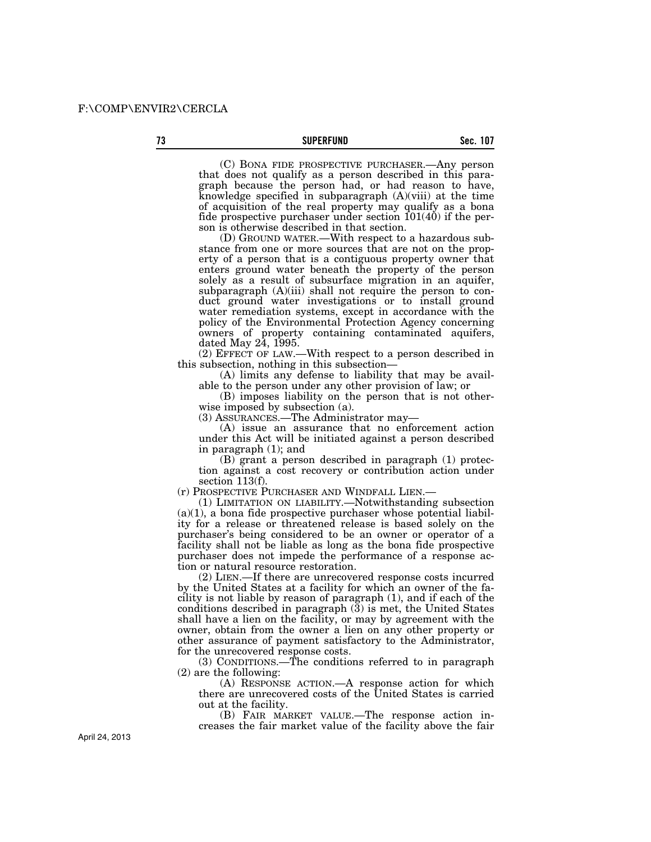(C) BONA FIDE PROSPECTIVE PURCHASER.—Any person that does not qualify as a person described in this paragraph because the person had, or had reason to have, knowledge specified in subparagraph (A)(viii) at the time of acquisition of the real property may qualify as a bona fide prospective purchaser under section  $101(40)$  if the person is otherwise described in that section.

(D) GROUND WATER.—With respect to a hazardous substance from one or more sources that are not on the property of a person that is a contiguous property owner that enters ground water beneath the property of the person solely as a result of subsurface migration in an aquifer, subparagraph (A)(iii) shall not require the person to conduct ground water investigations or to install ground water remediation systems, except in accordance with the policy of the Environmental Protection Agency concerning owners of property containing contaminated aquifers, dated May 24, 1995.

(2) EFFECT OF LAW.—With respect to a person described in this subsection, nothing in this subsection—

(A) limits any defense to liability that may be available to the person under any other provision of law; or

(B) imposes liability on the person that is not otherwise imposed by subsection (a).

(3) ASSURANCES.—The Administrator may—

(A) issue an assurance that no enforcement action under this Act will be initiated against a person described in paragraph (1); and

(B) grant a person described in paragraph (1) protection against a cost recovery or contribution action under section 113(f).

(r) PROSPECTIVE PURCHASER AND WINDFALL LIEN.—

(1) LIMITATION ON LIABILITY.—Notwithstanding subsection  $(a)(1)$ , a bona fide prospective purchaser whose potential liability for a release or threatened release is based solely on the purchaser's being considered to be an owner or operator of a facility shall not be liable as long as the bona fide prospective purchaser does not impede the performance of a response action or natural resource restoration.

(2) LIEN.—If there are unrecovered response costs incurred by the United States at a facility for which an owner of the facility is not liable by reason of paragraph (1), and if each of the conditions described in paragraph (3) is met, the United States shall have a lien on the facility, or may by agreement with the owner, obtain from the owner a lien on any other property or other assurance of payment satisfactory to the Administrator, for the unrecovered response costs.

(3) CONDITIONS.—The conditions referred to in paragraph (2) are the following:

(A) RESPONSE ACTION.—A response action for which there are unrecovered costs of the United States is carried out at the facility.

(B) FAIR MARKET VALUE.—The response action increases the fair market value of the facility above the fair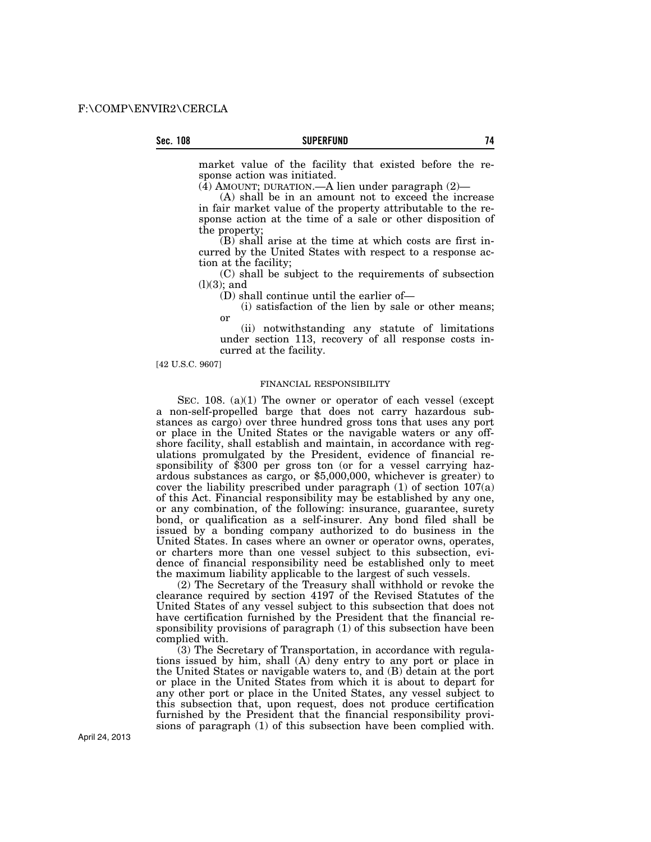market value of the facility that existed before the response action was initiated.

(4) AMOUNT; DURATION.—A lien under paragraph (2)—

(A) shall be in an amount not to exceed the increase in fair market value of the property attributable to the response action at the time of a sale or other disposition of the property;

(B) shall arise at the time at which costs are first incurred by the United States with respect to a response action at the facility;

(C) shall be subject to the requirements of subsection  $(l)(3)$ ; and

(D) shall continue until the earlier of—

(i) satisfaction of the lien by sale or other means; or

(ii) notwithstanding any statute of limitations under section 113, recovery of all response costs incurred at the facility.

[42 U.S.C. 9607]

### FINANCIAL RESPONSIBILITY

SEC. 108. (a)(1) The owner or operator of each vessel (except a non-self-propelled barge that does not carry hazardous substances as cargo) over three hundred gross tons that uses any port or place in the United States or the navigable waters or any offshore facility, shall establish and maintain, in accordance with regulations promulgated by the President, evidence of financial responsibility of \$300 per gross ton (or for a vessel carrying hazardous substances as cargo, or \$5,000,000, whichever is greater) to cover the liability prescribed under paragraph (1) of section 107(a) of this Act. Financial responsibility may be established by any one, or any combination, of the following: insurance, guarantee, surety bond, or qualification as a self-insurer. Any bond filed shall be issued by a bonding company authorized to do business in the United States. In cases where an owner or operator owns, operates, or charters more than one vessel subject to this subsection, evidence of financial responsibility need be established only to meet the maximum liability applicable to the largest of such vessels.

(2) The Secretary of the Treasury shall withhold or revoke the clearance required by section 4197 of the Revised Statutes of the United States of any vessel subject to this subsection that does not have certification furnished by the President that the financial responsibility provisions of paragraph (1) of this subsection have been complied with.

(3) The Secretary of Transportation, in accordance with regulations issued by him, shall (A) deny entry to any port or place in the United States or navigable waters to, and (B) detain at the port or place in the United States from which it is about to depart for any other port or place in the United States, any vessel subject to this subsection that, upon request, does not produce certification furnished by the President that the financial responsibility provisions of paragraph (1) of this subsection have been complied with.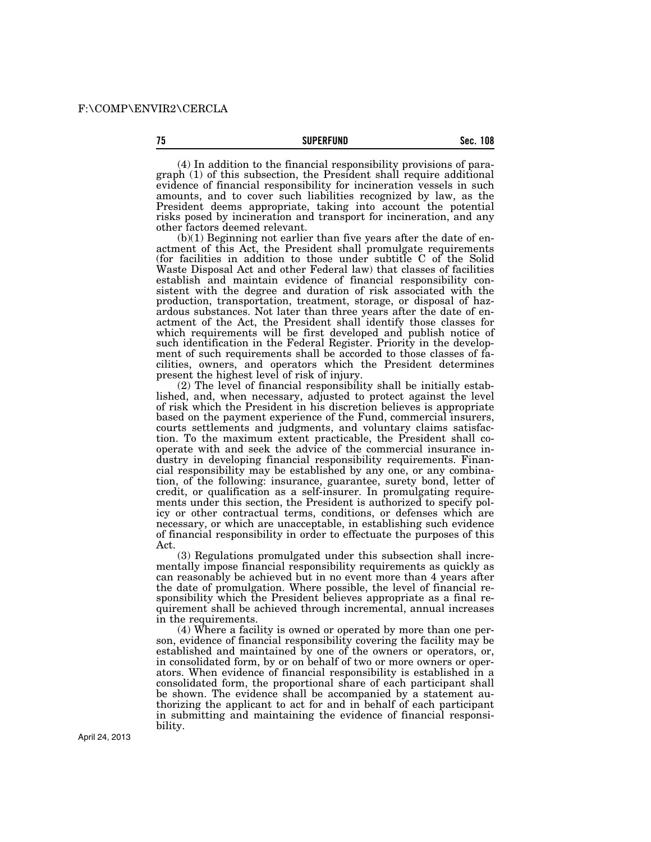**75 Sec. 108 SUPERFUND** 

(4) In addition to the financial responsibility provisions of paragraph (1) of this subsection, the President shall require additional evidence of financial responsibility for incineration vessels in such amounts, and to cover such liabilities recognized by law, as the President deems appropriate, taking into account the potential risks posed by incineration and transport for incineration, and any other factors deemed relevant.

 $(b)(1)$  Beginning not earlier than five years after the date of enactment of this Act, the President shall promulgate requirements (for facilities in addition to those under subtitle C of the Solid Waste Disposal Act and other Federal law) that classes of facilities establish and maintain evidence of financial responsibility consistent with the degree and duration of risk associated with the production, transportation, treatment, storage, or disposal of hazardous substances. Not later than three years after the date of enactment of the Act, the President shall identify those classes for which requirements will be first developed and publish notice of such identification in the Federal Register. Priority in the development of such requirements shall be accorded to those classes of facilities, owners, and operators which the President determines present the highest level of risk of injury.

(2) The level of financial responsibility shall be initially established, and, when necessary, adjusted to protect against the level of risk which the President in his discretion believes is appropriate based on the payment experience of the Fund, commercial insurers, courts settlements and judgments, and voluntary claims satisfaction. To the maximum extent practicable, the President shall cooperate with and seek the advice of the commercial insurance industry in developing financial responsibility requirements. Financial responsibility may be established by any one, or any combination, of the following: insurance, guarantee, surety bond, letter of credit, or qualification as a self-insurer. In promulgating requirements under this section, the President is authorized to specify policy or other contractual terms, conditions, or defenses which are necessary, or which are unacceptable, in establishing such evidence of financial responsibility in order to effectuate the purposes of this Act.

(3) Regulations promulgated under this subsection shall incrementally impose financial responsibility requirements as quickly as can reasonably be achieved but in no event more than 4 years after the date of promulgation. Where possible, the level of financial responsibility which the President believes appropriate as a final requirement shall be achieved through incremental, annual increases in the requirements.

(4) Where a facility is owned or operated by more than one person, evidence of financial responsibility covering the facility may be established and maintained by one of the owners or operators, or, in consolidated form, by or on behalf of two or more owners or operators. When evidence of financial responsibility is established in a consolidated form, the proportional share of each participant shall be shown. The evidence shall be accompanied by a statement authorizing the applicant to act for and in behalf of each participant in submitting and maintaining the evidence of financial responsibility.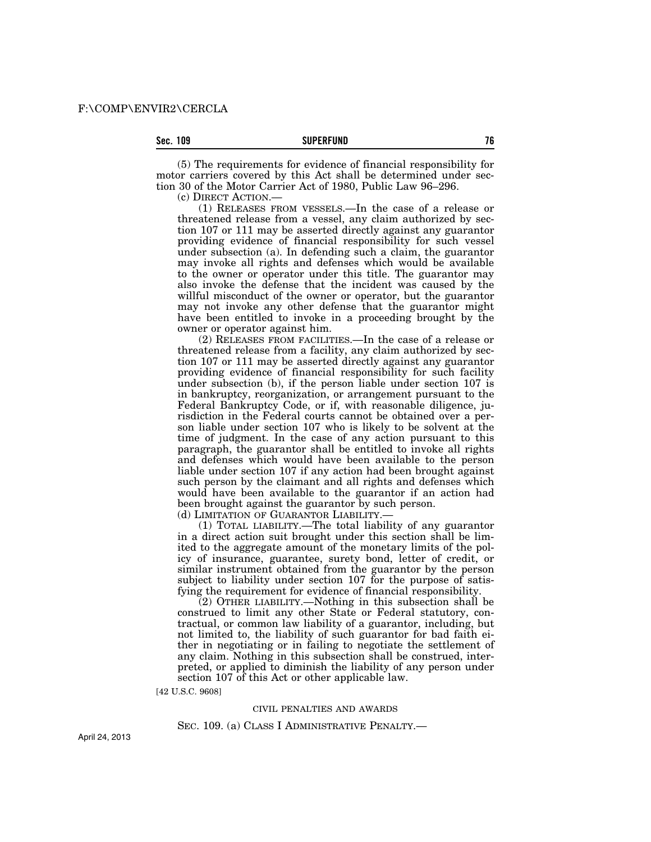(5) The requirements for evidence of financial responsibility for motor carriers covered by this Act shall be determined under section 30 of the Motor Carrier Act of 1980, Public Law 96–296.

(c) DIRECT ACTION.—

(1) RELEASES FROM VESSELS.—In the case of a release or threatened release from a vessel, any claim authorized by section 107 or 111 may be asserted directly against any guarantor providing evidence of financial responsibility for such vessel under subsection (a). In defending such a claim, the guarantor may invoke all rights and defenses which would be available to the owner or operator under this title. The guarantor may also invoke the defense that the incident was caused by the willful misconduct of the owner or operator, but the guarantor may not invoke any other defense that the guarantor might have been entitled to invoke in a proceeding brought by the owner or operator against him.

(2) RELEASES FROM FACILITIES.—In the case of a release or threatened release from a facility, any claim authorized by section 107 or 111 may be asserted directly against any guarantor providing evidence of financial responsibility for such facility under subsection (b), if the person liable under section 107 is in bankruptcy, reorganization, or arrangement pursuant to the Federal Bankruptcy Code, or if, with reasonable diligence, jurisdiction in the Federal courts cannot be obtained over a person liable under section 107 who is likely to be solvent at the time of judgment. In the case of any action pursuant to this paragraph, the guarantor shall be entitled to invoke all rights and defenses which would have been available to the person liable under section 107 if any action had been brought against such person by the claimant and all rights and defenses which would have been available to the guarantor if an action had been brought against the guarantor by such person.

(d) LIMITATION OF GUARANTOR LIABILITY.

(1) TOTAL LIABILITY.—The total liability of any guarantor in a direct action suit brought under this section shall be limited to the aggregate amount of the monetary limits of the policy of insurance, guarantee, surety bond, letter of credit, or similar instrument obtained from the guarantor by the person subject to liability under section 107 for the purpose of satisfying the requirement for evidence of financial responsibility.

(2) OTHER LIABILITY.—Nothing in this subsection shall be construed to limit any other State or Federal statutory, contractual, or common law liability of a guarantor, including, but not limited to, the liability of such guarantor for bad faith either in negotiating or in failing to negotiate the settlement of any claim. Nothing in this subsection shall be construed, interpreted, or applied to diminish the liability of any person under section 107 of this Act or other applicable law.

[42 U.S.C. 9608]

# CIVIL PENALTIES AND AWARDS

SEC. 109. (a) CLASS I ADMINISTRATIVE PENALTY.—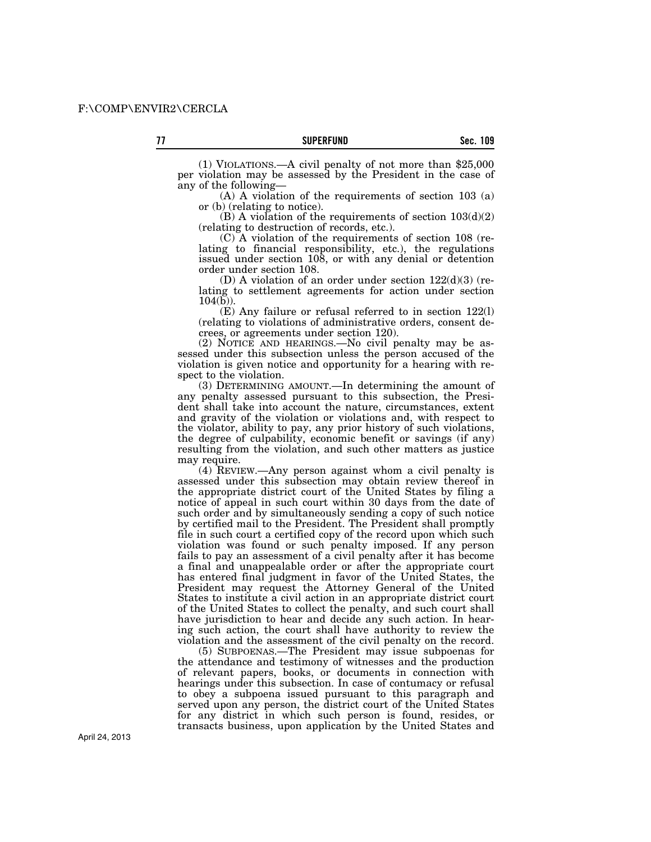(1) VIOLATIONS.—A civil penalty of not more than \$25,000 per violation may be assessed by the President in the case of any of the following—

(A) A violation of the requirements of section 103 (a) or (b) (relating to notice).

(B) A violation of the requirements of section  $103(d)(2)$ (relating to destruction of records, etc.).

(C) A violation of the requirements of section 108 (relating to financial responsibility, etc.), the regulations issued under section 108, or with any denial or detention order under section 108.

(D) A violation of an order under section  $122(d)(3)$  (relating to settlement agreements for action under section  $104(b)$ ).

(E) Any failure or refusal referred to in section 122(l) (relating to violations of administrative orders, consent decrees, or agreements under section 120).

(2) NOTICE AND HEARINGS.—No civil penalty may be assessed under this subsection unless the person accused of the violation is given notice and opportunity for a hearing with respect to the violation.

(3) DETERMINING AMOUNT.—In determining the amount of any penalty assessed pursuant to this subsection, the President shall take into account the nature, circumstances, extent and gravity of the violation or violations and, with respect to the violator, ability to pay, any prior history of such violations, the degree of culpability, economic benefit or savings (if any) resulting from the violation, and such other matters as justice may require.

(4) REVIEW.—Any person against whom a civil penalty is assessed under this subsection may obtain review thereof in the appropriate district court of the United States by filing a notice of appeal in such court within 30 days from the date of such order and by simultaneously sending a copy of such notice by certified mail to the President. The President shall promptly file in such court a certified copy of the record upon which such violation was found or such penalty imposed. If any person fails to pay an assessment of a civil penalty after it has become a final and unappealable order or after the appropriate court has entered final judgment in favor of the United States, the President may request the Attorney General of the United States to institute a civil action in an appropriate district court of the United States to collect the penalty, and such court shall have jurisdiction to hear and decide any such action. In hearing such action, the court shall have authority to review the violation and the assessment of the civil penalty on the record.

(5) SUBPOENAS.—The President may issue subpoenas for the attendance and testimony of witnesses and the production of relevant papers, books, or documents in connection with hearings under this subsection. In case of contumacy or refusal to obey a subpoena issued pursuant to this paragraph and served upon any person, the district court of the United States for any district in which such person is found, resides, or transacts business, upon application by the United States and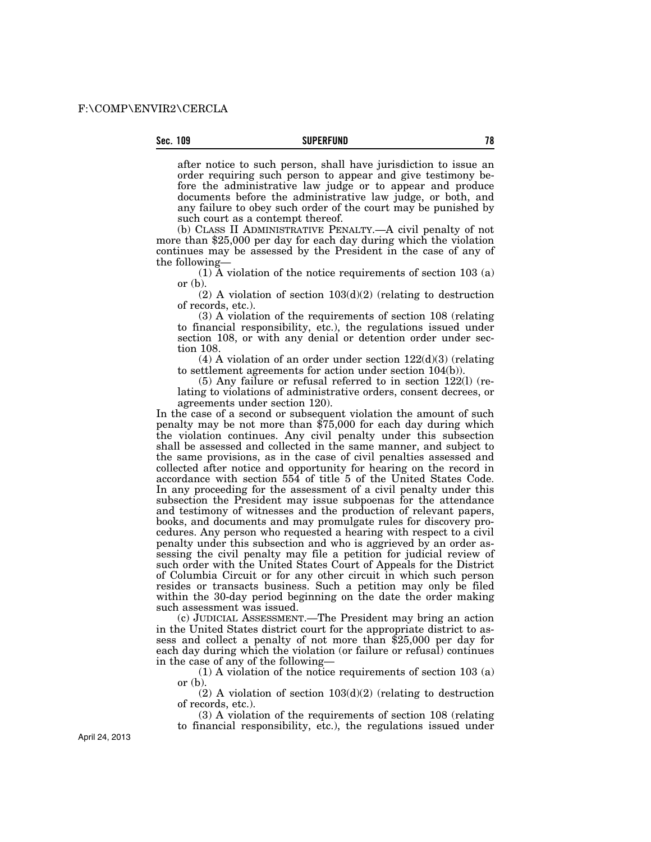after notice to such person, shall have jurisdiction to issue an order requiring such person to appear and give testimony before the administrative law judge or to appear and produce documents before the administrative law judge, or both, and any failure to obey such order of the court may be punished by such court as a contempt thereof.

(b) CLASS II ADMINISTRATIVE PENALTY.—A civil penalty of not more than \$25,000 per day for each day during which the violation continues may be assessed by the President in the case of any of the following—

(1) A violation of the notice requirements of section 103 (a)  $or$   $(b)$ .

 $(2)$  A violation of section  $103(d)(2)$  (relating to destruction of records, etc.).

(3) A violation of the requirements of section 108 (relating to financial responsibility, etc.), the regulations issued under section 108, or with any denial or detention order under section 108.

(4) A violation of an order under section  $122(d)(3)$  (relating to settlement agreements for action under section 104(b)).

(5) Any failure or refusal referred to in section 122(l) (relating to violations of administrative orders, consent decrees, or agreements under section 120).

In the case of a second or subsequent violation the amount of such penalty may be not more than \$75,000 for each day during which the violation continues. Any civil penalty under this subsection shall be assessed and collected in the same manner, and subject to the same provisions, as in the case of civil penalties assessed and collected after notice and opportunity for hearing on the record in accordance with section 554 of title 5 of the United States Code. In any proceeding for the assessment of a civil penalty under this subsection the President may issue subpoenas for the attendance and testimony of witnesses and the production of relevant papers, books, and documents and may promulgate rules for discovery procedures. Any person who requested a hearing with respect to a civil penalty under this subsection and who is aggrieved by an order assessing the civil penalty may file a petition for judicial review of such order with the United States Court of Appeals for the District of Columbia Circuit or for any other circuit in which such person resides or transacts business. Such a petition may only be filed within the 30-day period beginning on the date the order making such assessment was issued.

(c) JUDICIAL ASSESSMENT.—The President may bring an action in the United States district court for the appropriate district to assess and collect a penalty of not more than \$25,000 per day for each day during which the violation (or failure or refusal) continues in the case of any of the following—

(1) A violation of the notice requirements of section 103 (a) or (b).

 $(2)$  A violation of section  $103(d)(2)$  (relating to destruction of records, etc.).

(3) A violation of the requirements of section 108 (relating to financial responsibility, etc.), the regulations issued under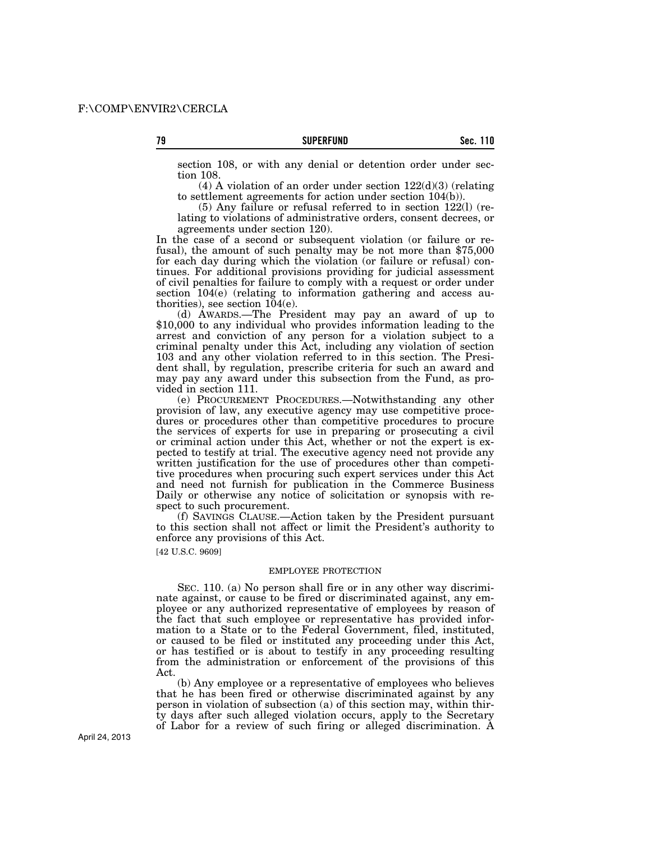section 108, or with any denial or detention order under section 108.

 $(4)$  A violation of an order under section  $122(d)(3)$  (relating to settlement agreements for action under section 104(b)).

(5) Any failure or refusal referred to in section 122(l) (relating to violations of administrative orders, consent decrees, or agreements under section 120).

In the case of a second or subsequent violation (or failure or refusal), the amount of such penalty may be not more than \$75,000 for each day during which the violation (or failure or refusal) continues. For additional provisions providing for judicial assessment of civil penalties for failure to comply with a request or order under section 104(e) (relating to information gathering and access authorities), see section 104(e).

(d) AWARDS.—The President may pay an award of up to \$10,000 to any individual who provides information leading to the arrest and conviction of any person for a violation subject to a criminal penalty under this Act, including any violation of section 103 and any other violation referred to in this section. The President shall, by regulation, prescribe criteria for such an award and may pay any award under this subsection from the Fund, as provided in section 111.

(e) PROCUREMENT PROCEDURES.—Notwithstanding any other provision of law, any executive agency may use competitive procedures or procedures other than competitive procedures to procure the services of experts for use in preparing or prosecuting a civil or criminal action under this Act, whether or not the expert is expected to testify at trial. The executive agency need not provide any written justification for the use of procedures other than competitive procedures when procuring such expert services under this Act and need not furnish for publication in the Commerce Business Daily or otherwise any notice of solicitation or synopsis with respect to such procurement.

(f) SAVINGS CLAUSE.—Action taken by the President pursuant to this section shall not affect or limit the President's authority to enforce any provisions of this Act.

[42 U.S.C. 9609]

#### EMPLOYEE PROTECTION

SEC. 110. (a) No person shall fire or in any other way discriminate against, or cause to be fired or discriminated against, any employee or any authorized representative of employees by reason of the fact that such employee or representative has provided information to a State or to the Federal Government, filed, instituted, or caused to be filed or instituted any proceeding under this Act, or has testified or is about to testify in any proceeding resulting from the administration or enforcement of the provisions of this Act.

(b) Any employee or a representative of employees who believes that he has been fired or otherwise discriminated against by any person in violation of subsection (a) of this section may, within thirty days after such alleged violation occurs, apply to the Secretary of Labor for a review of such firing or alleged discrimination. A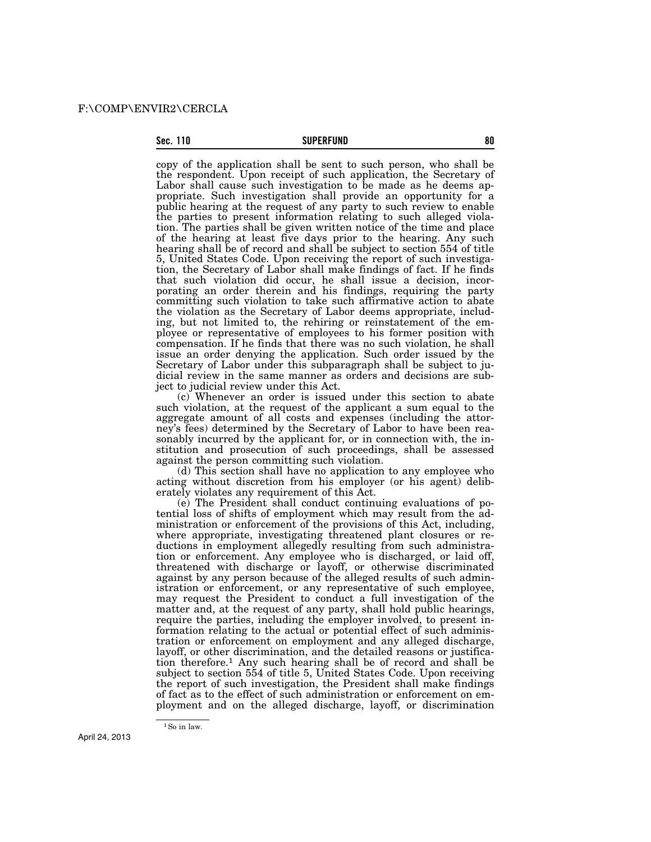# Sec. 110 **SUPERFUND** 80

copy of the application shall be sent to such person, who shall be the respondent. Upon receipt of such application, the Secretary of Labor shall cause such investigation to be made as he deems appropriate. Such investigation shall provide an opportunity for a public hearing at the request of any party to such review to enable the parties to present information relating to such alleged violation. The parties shall be given written notice of the time and place of the hearing at least five days prior to the hearing. Any such hearing shall be of record and shall be subject to section 554 of title 5, United States Code. Upon receiving the report of such investigation, the Secretary of Labor shall make findings of fact. If he finds that such violation did occur, he shall issue a decision, incorporating an order therein and his findings, requiring the party committing such violation to take such affirmative action to abate the violation as the Secretary of Labor deems appropriate, including, but not limited to, the rehiring or reinstatement of the employee or representative of employees to his former position with compensation. If he finds that there was no such violation, he shall issue an order denying the application. Such order issued by the Secretary of Labor under this subparagraph shall be subject to judicial review in the same manner as orders and decisions are subject to judicial review under this Act.

(c) Whenever an order is issued under this section to abate such violation, at the request of the applicant a sum equal to the aggregate amount of all costs and expenses (including the attorney's fees) determined by the Secretary of Labor to have been reasonably incurred by the applicant for, or in connection with, the institution and prosecution of such proceedings, shall be assessed against the person committing such violation.

(d) This section shall have no application to any employee who acting without discretion from his employer (or his agent) deliberately violates any requirement of this Act.

(e) The President shall conduct continuing evaluations of potential loss of shifts of employment which may result from the administration or enforcement of the provisions of this Act, including, where appropriate, investigating threatened plant closures or reductions in employment allegedly resulting from such administration or enforcement. Any employee who is discharged, or laid off, threatened with discharge or layoff, or otherwise discriminated against by any person because of the alleged results of such administration or enforcement, or any representative of such employee, may request the President to conduct a full investigation of the matter and, at the request of any party, shall hold public hearings, require the parties, including the employer involved, to present information relating to the actual or potential effect of such administration or enforcement on employment and any alleged discharge, layoff, or other discrimination, and the detailed reasons or justification therefore.1 Any such hearing shall be of record and shall be subject to section 554 of title 5, United States Code. Upon receiving the report of such investigation, the President shall make findings of fact as to the effect of such administration or enforcement on employment and on the alleged discharge, layoff, or discrimination

<sup>1</sup>So in law.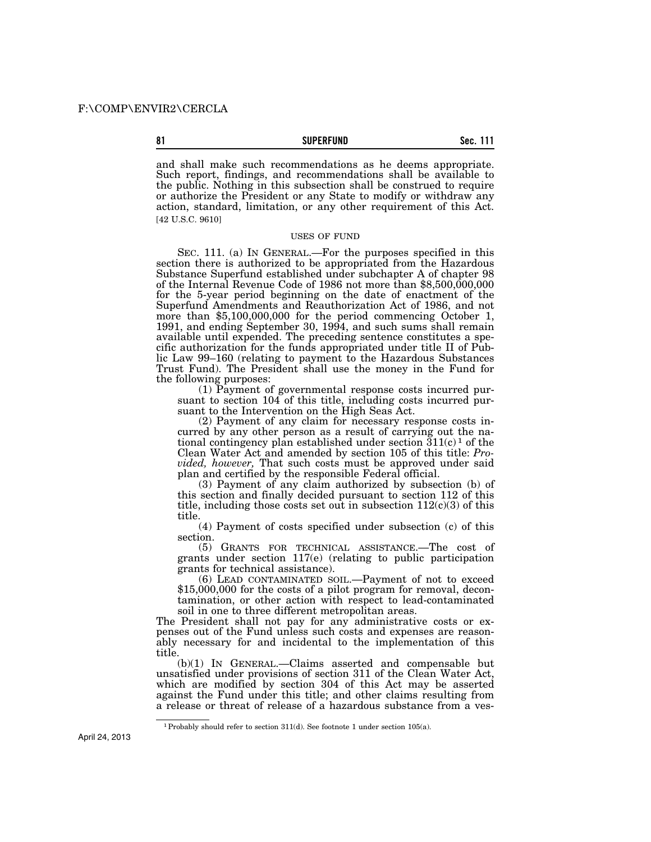and shall make such recommendations as he deems appropriate. Such report, findings, and recommendations shall be available to the public. Nothing in this subsection shall be construed to require or authorize the President or any State to modify or withdraw any action, standard, limitation, or any other requirement of this Act. [42 U.S.C. 9610]

#### USES OF FUND

SEC. 111. (a) IN GENERAL.—For the purposes specified in this section there is authorized to be appropriated from the Hazardous Substance Superfund established under subchapter A of chapter 98 of the Internal Revenue Code of 1986 not more than \$8,500,000,000 for the 5-year period beginning on the date of enactment of the Superfund Amendments and Reauthorization Act of 1986, and not more than \$5,100,000,000 for the period commencing October 1, 1991, and ending September 30, 1994, and such sums shall remain available until expended. The preceding sentence constitutes a specific authorization for the funds appropriated under title II of Public Law 99–160 (relating to payment to the Hazardous Substances Trust Fund). The President shall use the money in the Fund for the following purposes:

(1) Payment of governmental response costs incurred pursuant to section 104 of this title, including costs incurred pursuant to the Intervention on the High Seas Act.

(2) Payment of any claim for necessary response costs incurred by any other person as a result of carrying out the national contingency plan established under section  $\overline{3}11(c)^1$  of the Clean Water Act and amended by section 105 of this title: *Provided, however,* That such costs must be approved under said plan and certified by the responsible Federal official.

(3) Payment of any claim authorized by subsection (b) of this section and finally decided pursuant to section 112 of this title, including those costs set out in subsection  $112(c)(3)$  of this title.

(4) Payment of costs specified under subsection (c) of this section.

(5) GRANTS FOR TECHNICAL ASSISTANCE.—The cost of grants under section 117(e) (relating to public participation grants for technical assistance).<br>
(6) LEAD CONTAMINATED SOIL.—Payment of not to exceed

 $$15,000,000$  for the costs of a pilot program for removal, decontamination, or other action with respect to lead-contaminated soil in one to three different metropolitan areas.

The President shall not pay for any administrative costs or expenses out of the Fund unless such costs and expenses are reasonably necessary for and incidental to the implementation of this title.

(b)(1) IN GENERAL.—Claims asserted and compensable but unsatisfied under provisions of section 311 of the Clean Water Act, which are modified by section 304 of this Act may be asserted against the Fund under this title; and other claims resulting from a release or threat of release of a hazardous substance from a ves-

<sup>1</sup>Probably should refer to section 311(d). See footnote 1 under section 105(a).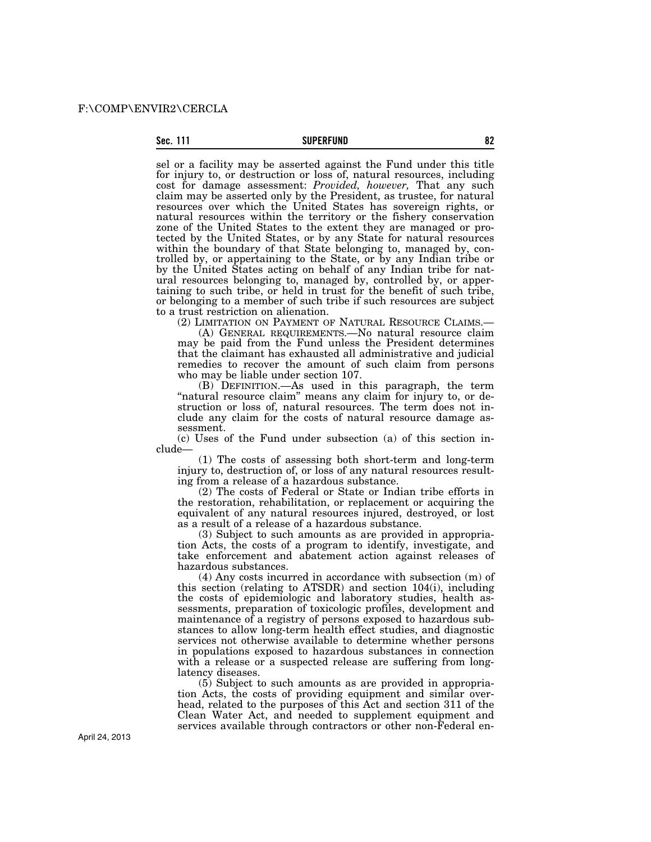# Sec. 111 **SUPERFUND** 82

sel or a facility may be asserted against the Fund under this title for injury to, or destruction or loss of, natural resources, including cost for damage assessment: *Provided, however,* That any such claim may be asserted only by the President, as trustee, for natural resources over which the United States has sovereign rights, or natural resources within the territory or the fishery conservation zone of the United States to the extent they are managed or protected by the United States, or by any State for natural resources within the boundary of that State belonging to, managed by, controlled by, or appertaining to the State, or by any Indian tribe or by the United States acting on behalf of any Indian tribe for natural resources belonging to, managed by, controlled by, or appertaining to such tribe, or held in trust for the benefit of such tribe, or belonging to a member of such tribe if such resources are subject to a trust restriction on alienation.<br>
(2) LIMITATION ON PAYMENT OF NATURAL RESOURCE CLAIMS.—

(A) GENERAL REQUIREMENTS.— No natural resource claim may be paid from the Fund unless the President determines that the claimant has exhausted all administrative and judicial remedies to recover the amount of such claim from persons who may be liable under section 107.

(B) DEFINITION.—As used in this paragraph, the term "natural resource claim" means any claim for injury to, or destruction or loss of, natural resources. The term does not include any claim for the costs of natural resource damage assessment.

(c) Uses of the Fund under subsection (a) of this section include—

(1) The costs of assessing both short-term and long-term injury to, destruction of, or loss of any natural resources resulting from a release of a hazardous substance.

(2) The costs of Federal or State or Indian tribe efforts in the restoration, rehabilitation, or replacement or acquiring the equivalent of any natural resources injured, destroyed, or lost as a result of a release of a hazardous substance.

(3) Subject to such amounts as are provided in appropriation Acts, the costs of a program to identify, investigate, and take enforcement and abatement action against releases of hazardous substances.

(4) Any costs incurred in accordance with subsection (m) of this section (relating to ATSDR) and section 104(i), including the costs of epidemiologic and laboratory studies, health assessments, preparation of toxicologic profiles, development and maintenance of a registry of persons exposed to hazardous substances to allow long-term health effect studies, and diagnostic services not otherwise available to determine whether persons in populations exposed to hazardous substances in connection with a release or a suspected release are suffering from longlatency diseases.

(5) Subject to such amounts as are provided in appropriation Acts, the costs of providing equipment and similar overhead, related to the purposes of this Act and section 311 of the Clean Water Act, and needed to supplement equipment and services available through contractors or other non-Federal en-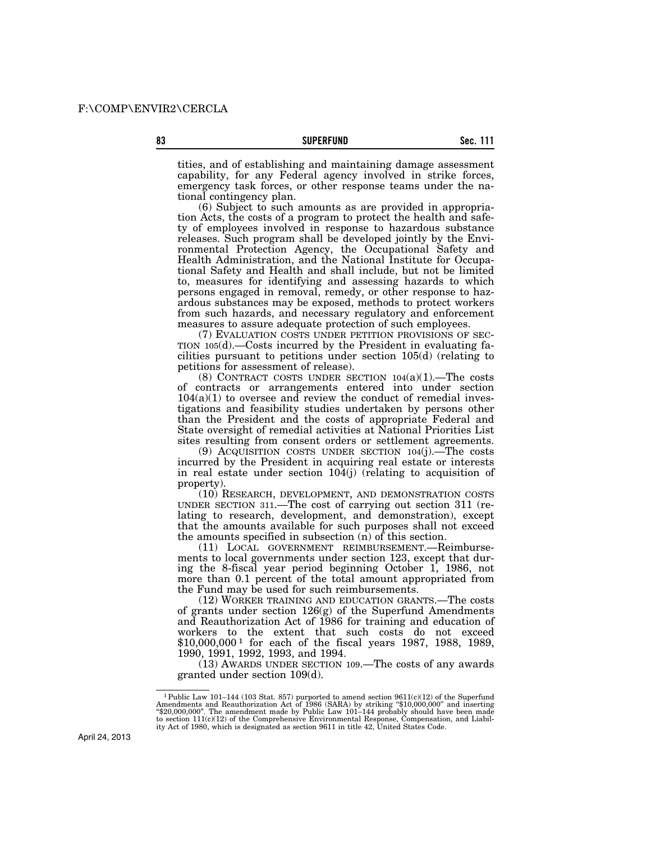tities, and of establishing and maintaining damage assessment capability, for any Federal agency involved in strike forces, emergency task forces, or other response teams under the national contingency plan.

(6) Subject to such amounts as are provided in appropriation Acts, the costs of a program to protect the health and safety of employees involved in response to hazardous substance releases. Such program shall be developed jointly by the Environmental Protection Agency, the Occupational Safety and Health Administration, and the National Institute for Occupational Safety and Health and shall include, but not be limited to, measures for identifying and assessing hazards to which persons engaged in removal, remedy, or other response to hazardous substances may be exposed, methods to protect workers from such hazards, and necessary regulatory and enforcement measures to assure adequate protection of such employees.

(7) EVALUATION COSTS UNDER PETITION PROVISIONS OF SEC-TION 105(d).—Costs incurred by the President in evaluating facilities pursuant to petitions under section 105(d) (relating to petitions for assessment of release).

(8) CONTRACT COSTS UNDER SECTION 104(a)(1).—The costs of contracts or arrangements entered into under section  $104(a)(1)$  to oversee and review the conduct of remedial investigations and feasibility studies undertaken by persons other than the President and the costs of appropriate Federal and State oversight of remedial activities at National Priorities List sites resulting from consent orders or settlement agreements.

(9) ACQUISITION COSTS UNDER SECTION 104(j).—The costs incurred by the President in acquiring real estate or interests in real estate under section  $10\overline{4}$ (j) (relating to acquisition of property).

(10) RESEARCH, DEVELOPMENT, AND DEMONSTRATION COSTS UNDER SECTION 311.—The cost of carrying out section 311 (relating to research, development, and demonstration), except that the amounts available for such purposes shall not exceed the amounts specified in subsection  $\overline{n}$  of this section.

(11) LOCAL GOVERNMENT REIMBURSEMENT.—Reimbursements to local governments under section 123, except that during the 8-fiscal year period beginning October 1, 1986, not more than 0.1 percent of the total amount appropriated from the Fund may be used for such reimbursements.

(12) WORKER TRAINING AND EDUCATION GRANTS.—The costs of grants under section 126(g) of the Superfund Amendments and Reauthorization Act of 1986 for training and education of workers to the extent that such costs do not exceed \$10,000,000 1 for each of the fiscal years 1987, 1988, 1989, 1990, 1991, 1992, 1993, and 1994.

(13) AWARDS UNDER SECTION 109.—The costs of any awards granted under section 109(d).

<sup>&</sup>lt;sup>1</sup>Public Law 101–144 (103 Stat. 857) purported to amend section  $9611(c)(12)$  of the Superfund Amendments and Reauthorization Act of 1986 (SARA) by striking "\$10,000,000" and inserting<br>"\$20,000,000". The amendment made by Public Law 101–144 probably should have been made<br>to section 111(c)(12) of the Comprehensive En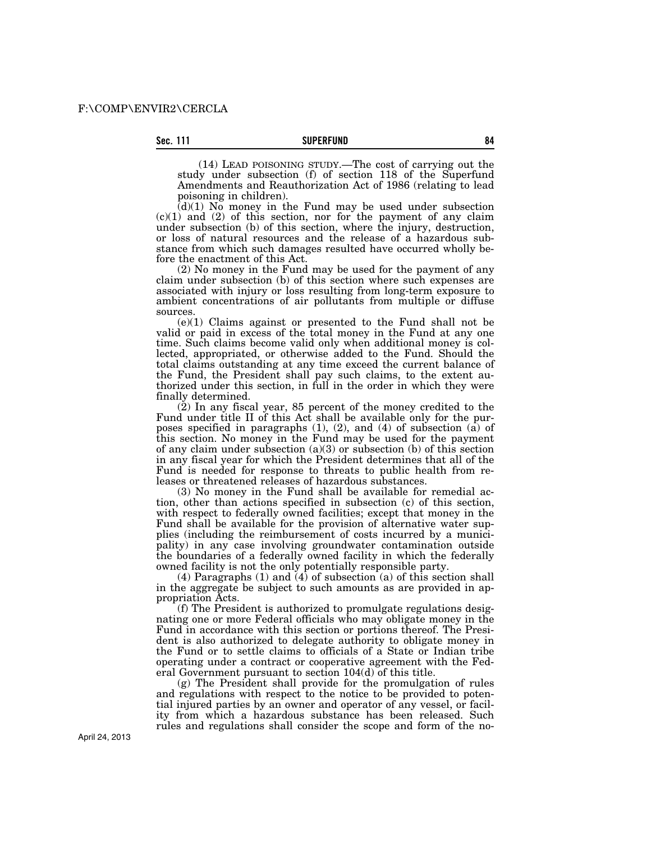(14) LEAD POISONING STUDY.—The cost of carrying out the study under subsection (f) of section 118 of the Superfund Amendments and Reauthorization Act of 1986 (relating to lead poisoning in children).

 $(d)(1)$  No money in the Fund may be used under subsection  $(c)(1)$  and  $(2)$  of this section, nor for the payment of any claim under subsection (b) of this section, where the injury, destruction, or loss of natural resources and the release of a hazardous substance from which such damages resulted have occurred wholly before the enactment of this Act.

(2) No money in the Fund may be used for the payment of any claim under subsection (b) of this section where such expenses are associated with injury or loss resulting from long-term exposure to ambient concentrations of air pollutants from multiple or diffuse sources.

(e)(1) Claims against or presented to the Fund shall not be valid or paid in excess of the total money in the Fund at any one time. Such claims become valid only when additional money is collected, appropriated, or otherwise added to the Fund. Should the total claims outstanding at any time exceed the current balance of the Fund, the President shall pay such claims, to the extent authorized under this section, in full in the order in which they were finally determined.

(2) In any fiscal year, 85 percent of the money credited to the Fund under title II of this Act shall be available only for the purposes specified in paragraphs (1), (2), and (4) of subsection (a) of this section. No money in the Fund may be used for the payment of any claim under subsection  $(a)(3)$  or subsection  $(b)$  of this section in any fiscal year for which the President determines that all of the Fund is needed for response to threats to public health from releases or threatened releases of hazardous substances.

(3) No money in the Fund shall be available for remedial action, other than actions specified in subsection (c) of this section, with respect to federally owned facilities; except that money in the Fund shall be available for the provision of alternative water supplies (including the reimbursement of costs incurred by a municipality) in any case involving groundwater contamination outside the boundaries of a federally owned facility in which the federally owned facility is not the only potentially responsible party.

(4) Paragraphs (1) and (4) of subsection (a) of this section shall in the aggregate be subject to such amounts as are provided in appropriation Acts.

(f) The President is authorized to promulgate regulations designating one or more Federal officials who may obligate money in the Fund in accordance with this section or portions thereof. The President is also authorized to delegate authority to obligate money in the Fund or to settle claims to officials of a State or Indian tribe operating under a contract or cooperative agreement with the Federal Government pursuant to section 104(d) of this title.

(g) The President shall provide for the promulgation of rules and regulations with respect to the notice to be provided to potential injured parties by an owner and operator of any vessel, or facility from which a hazardous substance has been released. Such rules and regulations shall consider the scope and form of the no-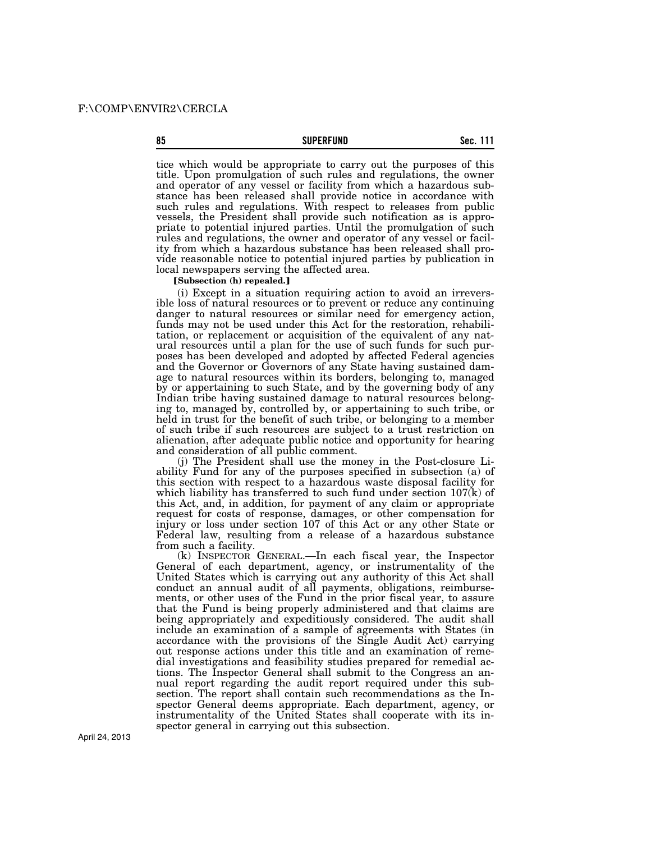### 85 SUPERFUND SEC. 111

tice which would be appropriate to carry out the purposes of this title. Upon promulgation of such rules and regulations, the owner and operator of any vessel or facility from which a hazardous substance has been released shall provide notice in accordance with such rules and regulations. With respect to releases from public vessels, the President shall provide such notification as is appropriate to potential injured parties. Until the promulgation of such rules and regulations, the owner and operator of any vessel or facility from which a hazardous substance has been released shall provide reasonable notice to potential injured parties by publication in local newspapers serving the affected area.

ø**Subsection (h) repealed.**¿

(i) Except in a situation requiring action to avoid an irreversible loss of natural resources or to prevent or reduce any continuing danger to natural resources or similar need for emergency action, funds may not be used under this Act for the restoration, rehabilitation, or replacement or acquisition of the equivalent of any natural resources until a plan for the use of such funds for such purposes has been developed and adopted by affected Federal agencies and the Governor or Governors of any State having sustained damage to natural resources within its borders, belonging to, managed by or appertaining to such State, and by the governing body of any Indian tribe having sustained damage to natural resources belonging to, managed by, controlled by, or appertaining to such tribe, or held in trust for the benefit of such tribe, or belonging to a member of such tribe if such resources are subject to a trust restriction on alienation, after adequate public notice and opportunity for hearing and consideration of all public comment.

(j) The President shall use the money in the Post-closure Liability Fund for any of the purposes specified in subsection (a) of this section with respect to a hazardous waste disposal facility for which liability has transferred to such fund under section  $107(k)$  of this Act, and, in addition, for payment of any claim or appropriate request for costs of response, damages, or other compensation for injury or loss under section 107 of this Act or any other State or Federal law, resulting from a release of a hazardous substance from such a facility.

(k) INSPECTOR GENERAL.—In each fiscal year, the Inspector General of each department, agency, or instrumentality of the United States which is carrying out any authority of this Act shall conduct an annual audit of all payments, obligations, reimbursements, or other uses of the Fund in the prior fiscal year, to assure that the Fund is being properly administered and that claims are being appropriately and expeditiously considered. The audit shall include an examination of a sample of agreements with States (in accordance with the provisions of the Single Audit Act) carrying out response actions under this title and an examination of remedial investigations and feasibility studies prepared for remedial actions. The Inspector General shall submit to the Congress an annual report regarding the audit report required under this subsection. The report shall contain such recommendations as the Inspector General deems appropriate. Each department, agency, or instrumentality of the United States shall cooperate with its inspector general in carrying out this subsection.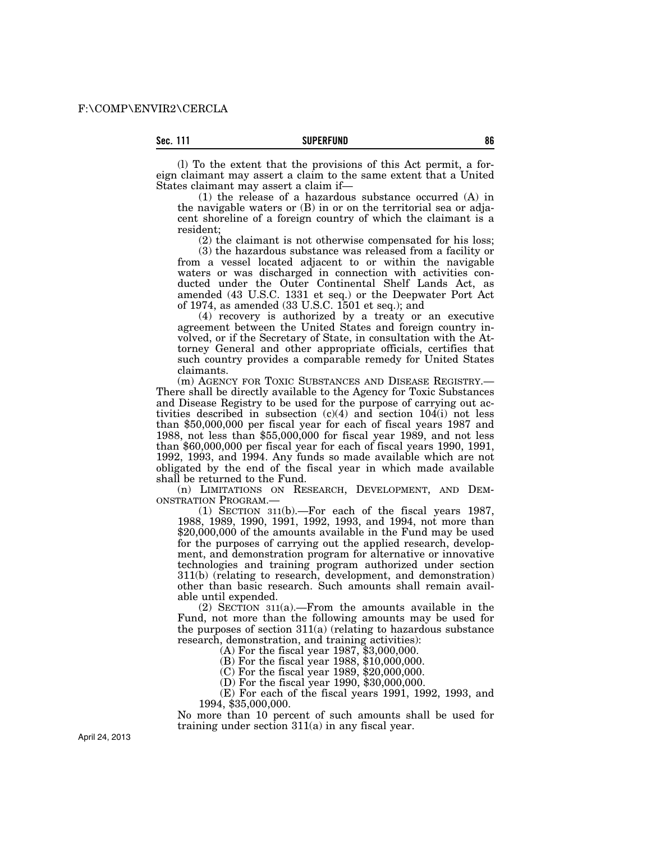(l) To the extent that the provisions of this Act permit, a foreign claimant may assert a claim to the same extent that a United States claimant may assert a claim if—

(1) the release of a hazardous substance occurred (A) in the navigable waters or (B) in or on the territorial sea or adjacent shoreline of a foreign country of which the claimant is a resident;

(2) the claimant is not otherwise compensated for his loss;

(3) the hazardous substance was released from a facility or from a vessel located adjacent to or within the navigable waters or was discharged in connection with activities conducted under the Outer Continental Shelf Lands Act, as amended (43 U.S.C. 1331 et seq.) or the Deepwater Port Act of 1974, as amended (33 U.S.C. 1501 et seq.); and

(4) recovery is authorized by a treaty or an executive agreement between the United States and foreign country involved, or if the Secretary of State, in consultation with the Attorney General and other appropriate officials, certifies that such country provides a comparable remedy for United States claimants.

(m) AGENCY FOR TOXIC SUBSTANCES AND DISEASE REGISTRY.— There shall be directly available to the Agency for Toxic Substances and Disease Registry to be used for the purpose of carrying out activities described in subsection  $(c)(4)$  and section  $104(i)$  not less than \$50,000,000 per fiscal year for each of fiscal years 1987 and 1988, not less than \$55,000,000 for fiscal year 1989, and not less than \$60,000,000 per fiscal year for each of fiscal years 1990, 1991, 1992, 1993, and 1994. Any funds so made available which are not obligated by the end of the fiscal year in which made available shall be returned to the Fund.

(n) LIMITATIONS ON RESEARCH, DEVELOPMENT, AND DEM-ONSTRATION PROGRAM.—

(1) SECTION 311(b).—For each of the fiscal years 1987, 1988, 1989, 1990, 1991, 1992, 1993, and 1994, not more than \$20,000,000 of the amounts available in the Fund may be used for the purposes of carrying out the applied research, development, and demonstration program for alternative or innovative technologies and training program authorized under section 311(b) (relating to research, development, and demonstration) other than basic research. Such amounts shall remain available until expended.

(2) SECTION 311(a).—From the amounts available in the Fund, not more than the following amounts may be used for the purposes of section 311(a) (relating to hazardous substance research, demonstration, and training activities):

(A) For the fiscal year 1987, \$3,000,000.

(B) For the fiscal year 1988, \$10,000,000.

(C) For the fiscal year 1989, \$20,000,000.

(D) For the fiscal year 1990, \$30,000,000.

(E) For each of the fiscal years 1991, 1992, 1993, and 1994, \$35,000,000.

No more than 10 percent of such amounts shall be used for training under section 311(a) in any fiscal year.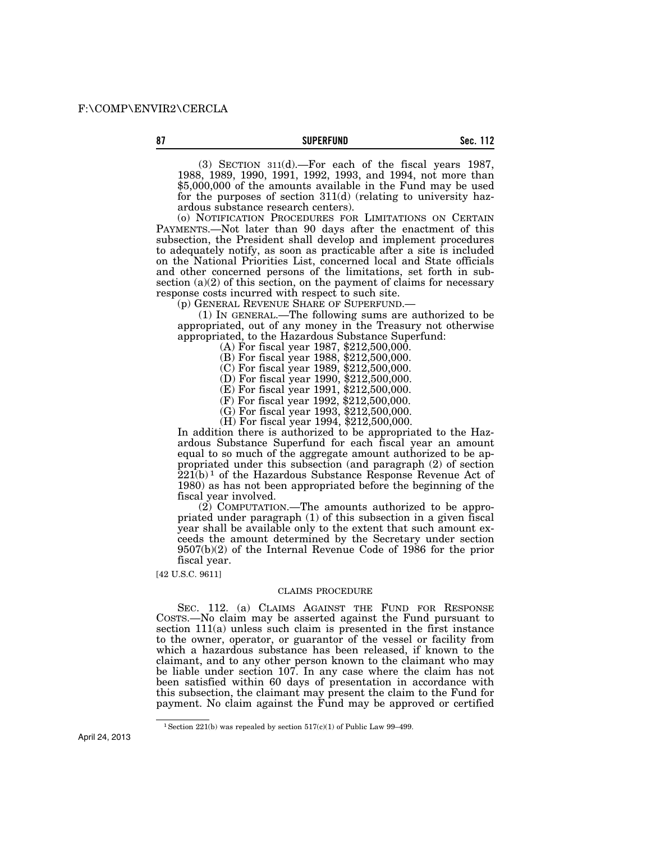# 87 SUPERFUND SEC. 112

(3) SECTION 311(d).—For each of the fiscal years 1987, 1988, 1989, 1990, 1991, 1992, 1993, and 1994, not more than \$5,000,000 of the amounts available in the Fund may be used for the purposes of section 311(d) (relating to university hazardous substance research centers).

(o) NOTIFICATION PROCEDURES FOR LIMITATIONS ON CERTAIN PAYMENTS.—Not later than 90 days after the enactment of this subsection, the President shall develop and implement procedures to adequately notify, as soon as practicable after a site is included on the National Priorities List, concerned local and State officials and other concerned persons of the limitations, set forth in subsection  $(a)(2)$  of this section, on the payment of claims for necessary response costs incurred with respect to such site.

(p) GENERAL REVENUE SHARE OF SUPERFUND.—

(1) IN GENERAL.—The following sums are authorized to be appropriated, out of any money in the Treasury not otherwise appropriated, to the Hazardous Substance Superfund:

- (A) For fiscal year 1987, \$212,500,000.
- (B) For fiscal year 1988, \$212,500,000.
- (C) For fiscal year 1989, \$212,500,000.
- (D) For fiscal year 1990, \$212,500,000.
- (E) For fiscal year 1991, \$212,500,000.
- (F) For fiscal year 1992, \$212,500,000. (G) For fiscal year 1993, \$212,500,000.

(H) For fiscal year 1994, \$212,500,000.

In addition there is authorized to be appropriated to the Hazardous Substance Superfund for each fiscal year an amount equal to so much of the aggregate amount authorized to be appropriated under this subsection (and paragraph (2) of section  $221(b)^1$  of the Hazardous Substance Response Revenue Act of 1980) as has not been appropriated before the beginning of the fiscal year involved.

(2) COMPUTATION.—The amounts authorized to be appropriated under paragraph (1) of this subsection in a given fiscal year shall be available only to the extent that such amount exceeds the amount determined by the Secretary under section 9507(b)(2) of the Internal Revenue Code of 1986 for the prior fiscal year.

[42 U.S.C. 9611]

#### CLAIMS PROCEDURE

SEC. 112. (a) CLAIMS AGAINST THE FUND FOR RESPONSE COSTS.—No claim may be asserted against the Fund pursuant to section 111(a) unless such claim is presented in the first instance to the owner, operator, or guarantor of the vessel or facility from which a hazardous substance has been released, if known to the claimant, and to any other person known to the claimant who may be liable under section 107. In any case where the claim has not been satisfied within 60 days of presentation in accordance with this subsection, the claimant may present the claim to the Fund for payment. No claim against the Fund may be approved or certified

<sup>1</sup>Section 221(b) was repealed by section 517(c)(1) of Public Law 99–499.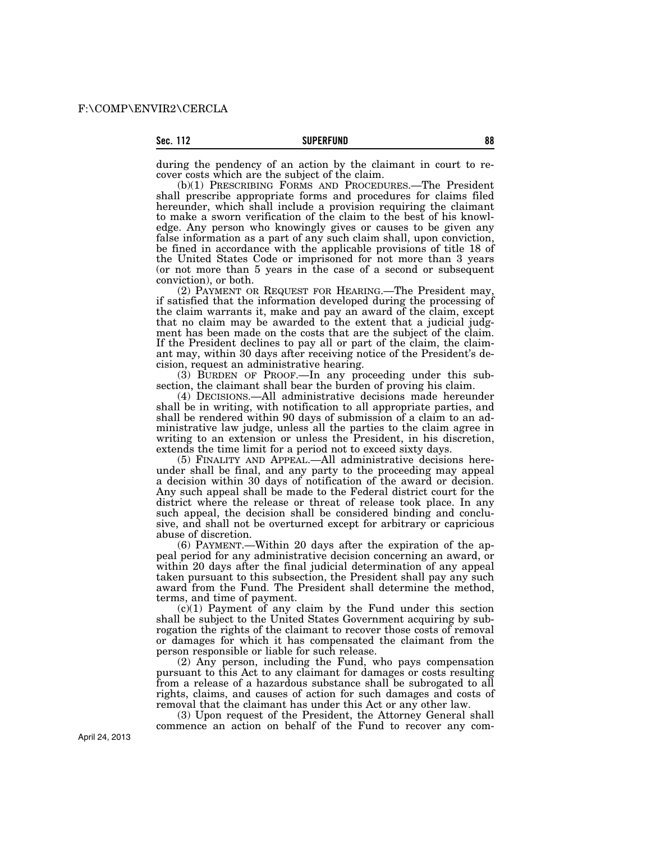during the pendency of an action by the claimant in court to recover costs which are the subject of the claim.

(b)(1) PRESCRIBING FORMS AND PROCEDURES.—The President shall prescribe appropriate forms and procedures for claims filed hereunder, which shall include a provision requiring the claimant to make a sworn verification of the claim to the best of his knowledge. Any person who knowingly gives or causes to be given any false information as a part of any such claim shall, upon conviction, be fined in accordance with the applicable provisions of title 18 of the United States Code or imprisoned for not more than 3 years (or not more than 5 years in the case of a second or subsequent conviction), or both.

(2) PAYMENT OR REQUEST FOR HEARING.—The President may, if satisfied that the information developed during the processing of the claim warrants it, make and pay an award of the claim, except that no claim may be awarded to the extent that a judicial judgment has been made on the costs that are the subject of the claim. If the President declines to pay all or part of the claim, the claimant may, within 30 days after receiving notice of the President's decision, request an administrative hearing.

(3) BURDEN OF PROOF.—In any proceeding under this subsection, the claimant shall bear the burden of proving his claim.

(4) DECISIONS.—All administrative decisions made hereunder shall be in writing, with notification to all appropriate parties, and shall be rendered within 90 days of submission of a claim to an administrative law judge, unless all the parties to the claim agree in writing to an extension or unless the President, in his discretion, extends the time limit for a period not to exceed sixty days.

(5) FINALITY AND APPEAL.—All administrative decisions hereunder shall be final, and any party to the proceeding may appeal a decision within 30 days of notification of the award or decision. Any such appeal shall be made to the Federal district court for the district where the release or threat of release took place. In any such appeal, the decision shall be considered binding and conclusive, and shall not be overturned except for arbitrary or capricious abuse of discretion.

(6) PAYMENT.—Within 20 days after the expiration of the appeal period for any administrative decision concerning an award, or within 20 days after the final judicial determination of any appeal taken pursuant to this subsection, the President shall pay any such award from the Fund. The President shall determine the method, terms, and time of payment.

 $(c)(1)$  Payment of any claim by the Fund under this section shall be subject to the United States Government acquiring by subrogation the rights of the claimant to recover those costs of removal or damages for which it has compensated the claimant from the person responsible or liable for such release.

(2) Any person, including the Fund, who pays compensation pursuant to this Act to any claimant for damages or costs resulting from a release of a hazardous substance shall be subrogated to all rights, claims, and causes of action for such damages and costs of removal that the claimant has under this Act or any other law.

(3) Upon request of the President, the Attorney General shall commence an action on behalf of the Fund to recover any com-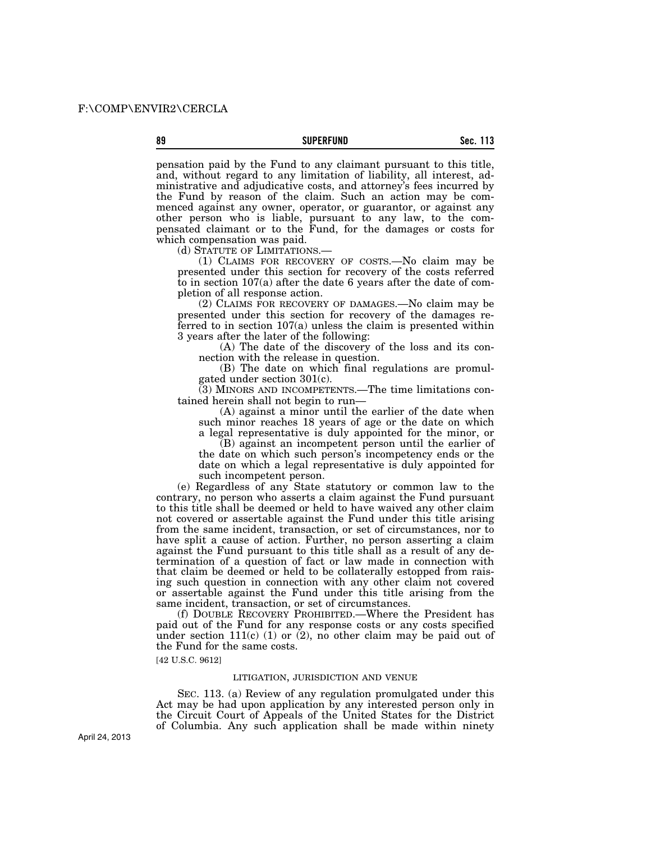pensation paid by the Fund to any claimant pursuant to this title, and, without regard to any limitation of liability, all interest, administrative and adjudicative costs, and attorney's fees incurred by the Fund by reason of the claim. Such an action may be commenced against any owner, operator, or guarantor, or against any other person who is liable, pursuant to any law, to the compensated claimant or to the Fund, for the damages or costs for which compensation was paid.

(d) STATUTE OF LIMITATIONS.—

(1) CLAIMS FOR RECOVERY OF COSTS.—No claim may be presented under this section for recovery of the costs referred to in section 107(a) after the date 6 years after the date of completion of all response action.

(2) CLAIMS FOR RECOVERY OF DAMAGES.—No claim may be presented under this section for recovery of the damages referred to in section 107(a) unless the claim is presented within 3 years after the later of the following:

(A) The date of the discovery of the loss and its connection with the release in question.

(B) The date on which final regulations are promulgated under section 301(c).

(3) MINORS AND INCOMPETENTS.—The time limitations contained herein shall not begin to run—

(A) against a minor until the earlier of the date when such minor reaches 18 years of age or the date on which a legal representative is duly appointed for the minor, or

(B) against an incompetent person until the earlier of the date on which such person's incompetency ends or the date on which a legal representative is duly appointed for such incompetent person.

(e) Regardless of any State statutory or common law to the contrary, no person who asserts a claim against the Fund pursuant to this title shall be deemed or held to have waived any other claim not covered or assertable against the Fund under this title arising from the same incident, transaction, or set of circumstances, nor to have split a cause of action. Further, no person asserting a claim against the Fund pursuant to this title shall as a result of any determination of a question of fact or law made in connection with that claim be deemed or held to be collaterally estopped from raising such question in connection with any other claim not covered or assertable against the Fund under this title arising from the same incident, transaction, or set of circumstances.

(f) DOUBLE RECOVERY PROHIBITED.—Where the President has paid out of the Fund for any response costs or any costs specified under section  $111(c)$  (1) or (2), no other claim may be paid out of the Fund for the same costs.

[42 U.S.C. 9612]

# LITIGATION, JURISDICTION AND VENUE

SEC. 113. (a) Review of any regulation promulgated under this Act may be had upon application by any interested person only in the Circuit Court of Appeals of the United States for the District of Columbia. Any such application shall be made within ninety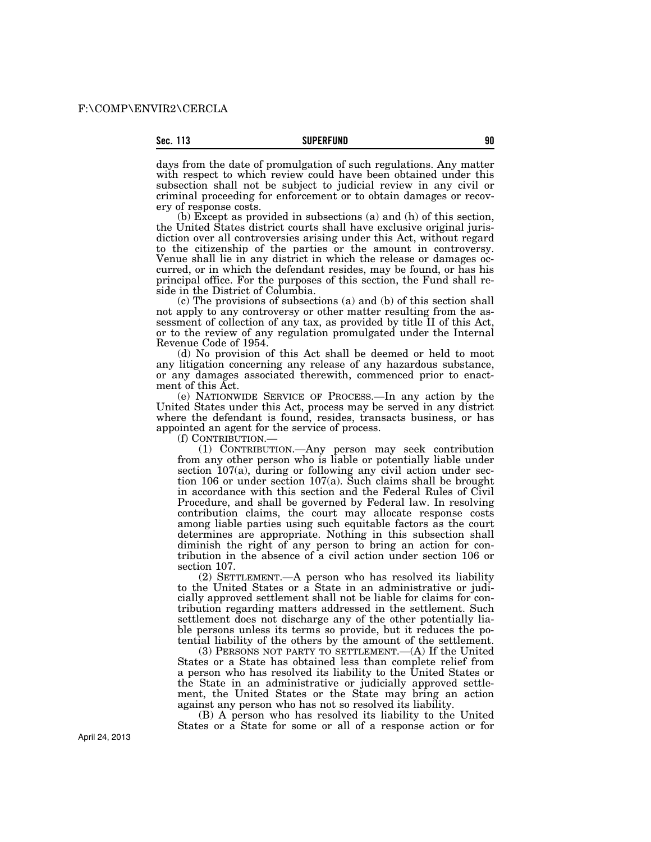days from the date of promulgation of such regulations. Any matter with respect to which review could have been obtained under this subsection shall not be subject to judicial review in any civil or criminal proceeding for enforcement or to obtain damages or recovery of response costs.

(b) Except as provided in subsections (a) and (h) of this section, the United States district courts shall have exclusive original jurisdiction over all controversies arising under this Act, without regard to the citizenship of the parties or the amount in controversy. Venue shall lie in any district in which the release or damages occurred, or in which the defendant resides, may be found, or has his principal office. For the purposes of this section, the Fund shall reside in the District of Columbia.

(c) The provisions of subsections (a) and (b) of this section shall not apply to any controversy or other matter resulting from the assessment of collection of any tax, as provided by title II of this Act, or to the review of any regulation promulgated under the Internal Revenue Code of 1954.

(d) No provision of this Act shall be deemed or held to moot any litigation concerning any release of any hazardous substance, or any damages associated therewith, commenced prior to enactment of this Act.

(e) NATIONWIDE SERVICE OF PROCESS.—In any action by the United States under this Act, process may be served in any district where the defendant is found, resides, transacts business, or has appointed an agent for the service of process.

(f) CONTRIBUTION.—

(1) CONTRIBUTION.—Any person may seek contribution from any other person who is liable or potentially liable under section 107(a), during or following any civil action under section 106 or under section 107(a). Such claims shall be brought in accordance with this section and the Federal Rules of Civil Procedure, and shall be governed by Federal law. In resolving contribution claims, the court may allocate response costs among liable parties using such equitable factors as the court determines are appropriate. Nothing in this subsection shall diminish the right of any person to bring an action for contribution in the absence of a civil action under section 106 or section 107.

(2) SETTLEMENT.—A person who has resolved its liability to the United States or a State in an administrative or judicially approved settlement shall not be liable for claims for contribution regarding matters addressed in the settlement. Such settlement does not discharge any of the other potentially liable persons unless its terms so provide, but it reduces the potential liability of the others by the amount of the settlement.

(3) PERSONS NOT PARTY TO SETTLEMENT.—(A) If the United States or a State has obtained less than complete relief from a person who has resolved its liability to the United States or the State in an administrative or judicially approved settlement, the United States or the State may bring an action against any person who has not so resolved its liability.

(B) A person who has resolved its liability to the United States or a State for some or all of a response action or for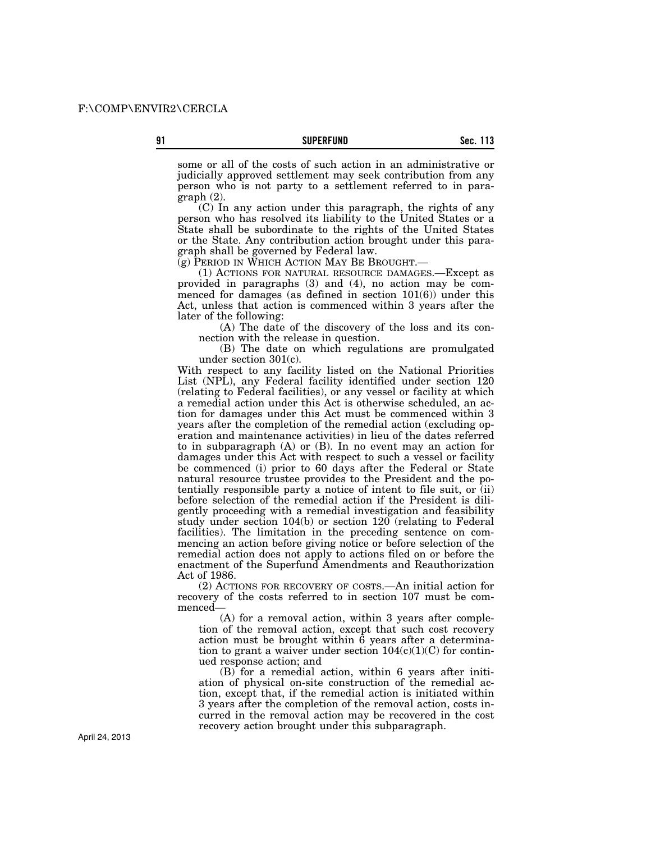some or all of the costs of such action in an administrative or judicially approved settlement may seek contribution from any person who is not party to a settlement referred to in paragraph (2).

(C) In any action under this paragraph, the rights of any person who has resolved its liability to the United States or a State shall be subordinate to the rights of the United States or the State. Any contribution action brought under this paragraph shall be governed by Federal law.

(g) PERIOD IN WHICH ACTION MAY BE BROUGHT.—

(1) ACTIONS FOR NATURAL RESOURCE DAMAGES.—Except as provided in paragraphs (3) and (4), no action may be commenced for damages (as defined in section 101(6)) under this Act, unless that action is commenced within 3 years after the later of the following:

(A) The date of the discovery of the loss and its connection with the release in question.

(B) The date on which regulations are promulgated under section 301(c).

With respect to any facility listed on the National Priorities List (NPL), any Federal facility identified under section 120 (relating to Federal facilities), or any vessel or facility at which a remedial action under this Act is otherwise scheduled, an action for damages under this Act must be commenced within 3 years after the completion of the remedial action (excluding operation and maintenance activities) in lieu of the dates referred to in subparagraph (A) or (B). In no event may an action for damages under this Act with respect to such a vessel or facility be commenced (i) prior to 60 days after the Federal or State natural resource trustee provides to the President and the potentially responsible party a notice of intent to file suit, or  $(i)$ before selection of the remedial action if the President is diligently proceeding with a remedial investigation and feasibility study under section 104(b) or section 120 (relating to Federal facilities). The limitation in the preceding sentence on commencing an action before giving notice or before selection of the remedial action does not apply to actions filed on or before the enactment of the Superfund Amendments and Reauthorization Act of 1986.

(2) ACTIONS FOR RECOVERY OF COSTS.—An initial action for recovery of the costs referred to in section 107 must be commenced—

(A) for a removal action, within 3 years after completion of the removal action, except that such cost recovery action must be brought within  $\ddot{6}$  years after a determination to grant a waiver under section  $104(c)(1)(C)$  for continued response action; and

(B) for a remedial action, within 6 years after initiation of physical on-site construction of the remedial action, except that, if the remedial action is initiated within 3 years after the completion of the removal action, costs incurred in the removal action may be recovered in the cost recovery action brought under this subparagraph.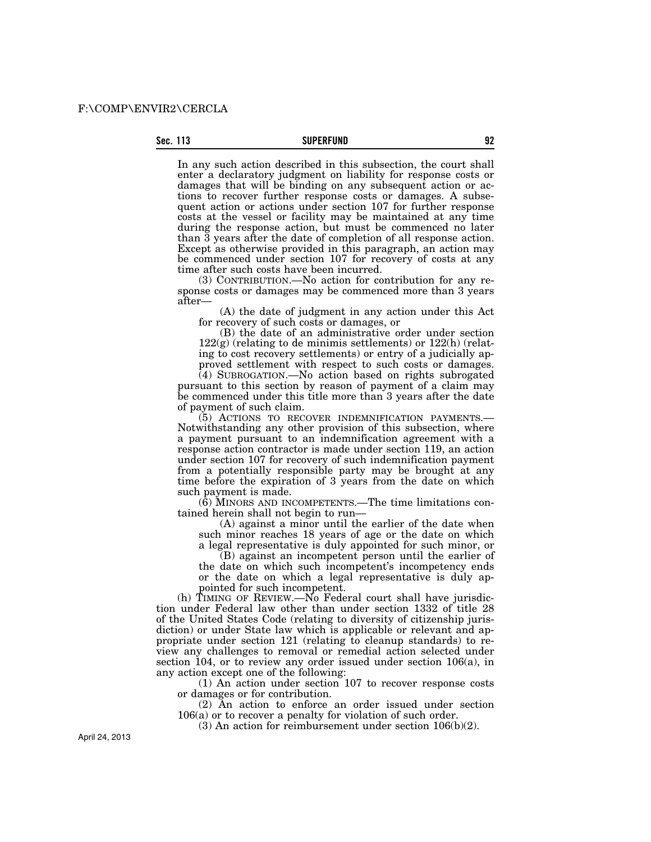In any such action described in this subsection, the court shall enter a declaratory judgment on liability for response costs or damages that will be binding on any subsequent action or actions to recover further response costs or damages. A subsequent action or actions under section 107 for further response costs at the vessel or facility may be maintained at any time during the response action, but must be commenced no later than 3 years after the date of completion of all response action. Except as otherwise provided in this paragraph, an action may be commenced under section 107 for recovery of costs at any time after such costs have been incurred.

(3) CONTRIBUTION.—No action for contribution for any response costs or damages may be commenced more than 3 years after—

(A) the date of judgment in any action under this Act for recovery of such costs or damages, or

(B) the date of an administrative order under section  $122(g)$  (relating to de minimis settlements) or  $122(h)$  (relating to cost recovery settlements) or entry of a judicially approved settlement with respect to such costs or damages.

(4) SUBROGATION.—No action based on rights subrogated pursuant to this section by reason of payment of a claim may be commenced under this title more than 3 years after the date of payment of such claim.

(5) ACTIONS TO RECOVER INDEMNIFICATION PAYMENTS.— Notwithstanding any other provision of this subsection, where a payment pursuant to an indemnification agreement with a response action contractor is made under section 119, an action under section 107 for recovery of such indemnification payment from a potentially responsible party may be brought at any time before the expiration of 3 years from the date on which such payment is made.

(6) MINORS AND INCOMPETENTS.—The time limitations contained herein shall not begin to run—

(A) against a minor until the earlier of the date when such minor reaches 18 years of age or the date on which a legal representative is duly appointed for such minor, or

(B) against an incompetent person until the earlier of the date on which such incompetent's incompetency ends or the date on which a legal representative is duly appointed for such incompetent.

(h) TIMING OF REVIEW.—No Federal court shall have jurisdiction under Federal law other than under section 1332 of title 28 of the United States Code (relating to diversity of citizenship jurisdiction) or under State law which is applicable or relevant and appropriate under section 121 (relating to cleanup standards) to review any challenges to removal or remedial action selected under section 104, or to review any order issued under section 106(a), in any action except one of the following:

(1) An action under section 107 to recover response costs or damages or for contribution.

(2) An action to enforce an order issued under section 106(a) or to recover a penalty for violation of such order.

(3) An action for reimbursement under section 106(b)(2).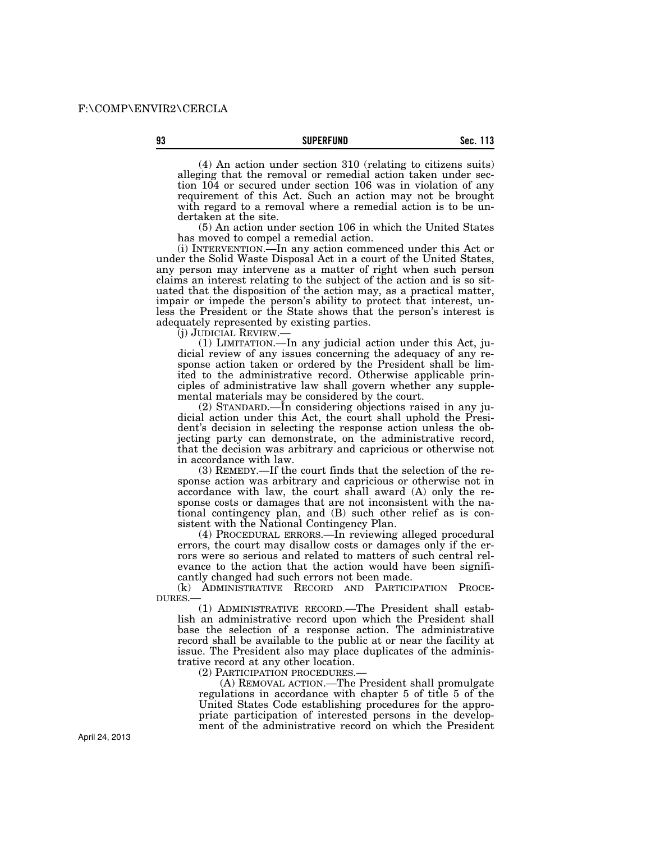(4) An action under section 310 (relating to citizens suits) alleging that the removal or remedial action taken under section 104 or secured under section 106 was in violation of any requirement of this Act. Such an action may not be brought with regard to a removal where a remedial action is to be undertaken at the site.

(5) An action under section 106 in which the United States has moved to compel a remedial action.

(i) INTERVENTION.—In any action commenced under this Act or under the Solid Waste Disposal Act in a court of the United States, any person may intervene as a matter of right when such person claims an interest relating to the subject of the action and is so situated that the disposition of the action may, as a practical matter, impair or impede the person's ability to protect that interest, unless the President or the State shows that the person's interest is adequately represented by existing parties.

(j) JUDICIAL REVIEW.—<br>(1) LIMITATION.—In any judicial action under this Act, judicial review of any issues concerning the adequacy of any response action taken or ordered by the President shall be limited to the administrative record. Otherwise applicable principles of administrative law shall govern whether any supplemental materials may be considered by the court.

(2) STANDARD.—In considering objections raised in any judicial action under this Act, the court shall uphold the President's decision in selecting the response action unless the objecting party can demonstrate, on the administrative record, that the decision was arbitrary and capricious or otherwise not in accordance with law.

(3) REMEDY.—If the court finds that the selection of the response action was arbitrary and capricious or otherwise not in accordance with law, the court shall award (A) only the response costs or damages that are not inconsistent with the national contingency plan, and (B) such other relief as is consistent with the National Contingency Plan.

(4) PROCEDURAL ERRORS.—In reviewing alleged procedural errors, the court may disallow costs or damages only if the errors were so serious and related to matters of such central relevance to the action that the action would have been significantly changed had such errors not been made.

(k) ADMINISTRATIVE RECORD AND PARTICIPATION PROCE-DURES.—

(1) ADMINISTRATIVE RECORD.—The President shall establish an administrative record upon which the President shall base the selection of a response action. The administrative record shall be available to the public at or near the facility at issue. The President also may place duplicates of the administrative record at any other location.

(2) PARTICIPATION PROCEDURES.

(A) REMOVAL ACTION.—The President shall promulgate regulations in accordance with chapter 5 of title 5 of the United States Code establishing procedures for the appropriate participation of interested persons in the development of the administrative record on which the President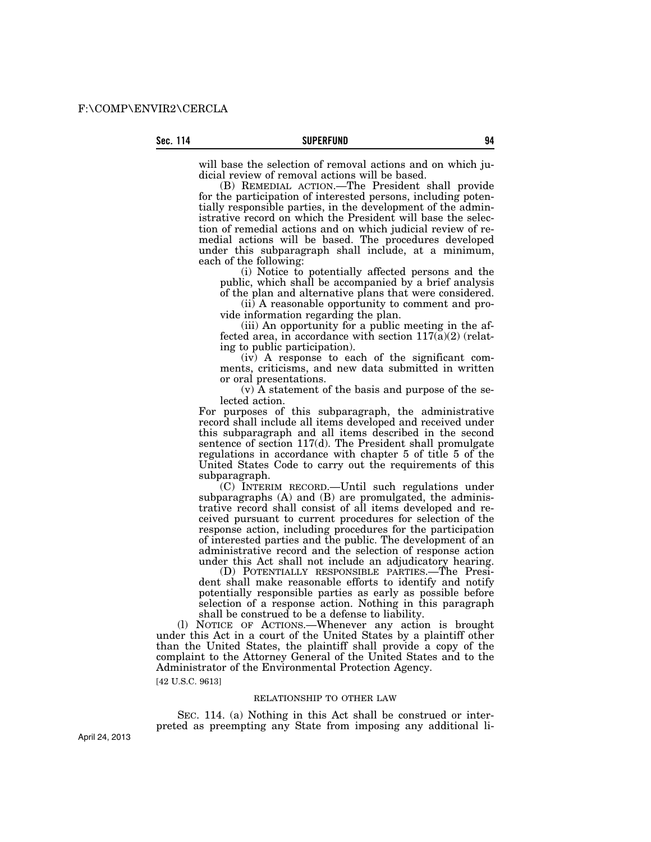will base the selection of removal actions and on which judicial review of removal actions will be based.

(B) REMEDIAL ACTION.—The President shall provide for the participation of interested persons, including potentially responsible parties, in the development of the administrative record on which the President will base the selection of remedial actions and on which judicial review of remedial actions will be based. The procedures developed under this subparagraph shall include, at a minimum, each of the following:

(i) Notice to potentially affected persons and the public, which shall be accompanied by a brief analysis of the plan and alternative plans that were considered.

(ii) A reasonable opportunity to comment and provide information regarding the plan.

(iii) An opportunity for a public meeting in the affected area, in accordance with section  $117(a)(2)$  (relating to public participation).

(iv) A response to each of the significant comments, criticisms, and new data submitted in written or oral presentations.

 $(v)$  A statement of the basis and purpose of the selected action.

For purposes of this subparagraph, the administrative record shall include all items developed and received under this subparagraph and all items described in the second sentence of section 117(d). The President shall promulgate regulations in accordance with chapter 5 of title 5 of the United States Code to carry out the requirements of this subparagraph.

(C) INTERIM RECORD.—Until such regulations under subparagraphs (A) and (B) are promulgated, the administrative record shall consist of all items developed and received pursuant to current procedures for selection of the response action, including procedures for the participation of interested parties and the public. The development of an administrative record and the selection of response action under this Act shall not include an adjudicatory hearing.

(D) POTENTIALLY RESPONSIBLE PARTIES.—The President shall make reasonable efforts to identify and notify potentially responsible parties as early as possible before selection of a response action. Nothing in this paragraph shall be construed to be a defense to liability.

(l) NOTICE OF ACTIONS.—Whenever any action is brought under this Act in a court of the United States by a plaintiff other than the United States, the plaintiff shall provide a copy of the complaint to the Attorney General of the United States and to the Administrator of the Environmental Protection Agency.

[42 U.S.C. 9613]

### RELATIONSHIP TO OTHER LAW

SEC. 114. (a) Nothing in this Act shall be construed or interpreted as preempting any State from imposing any additional li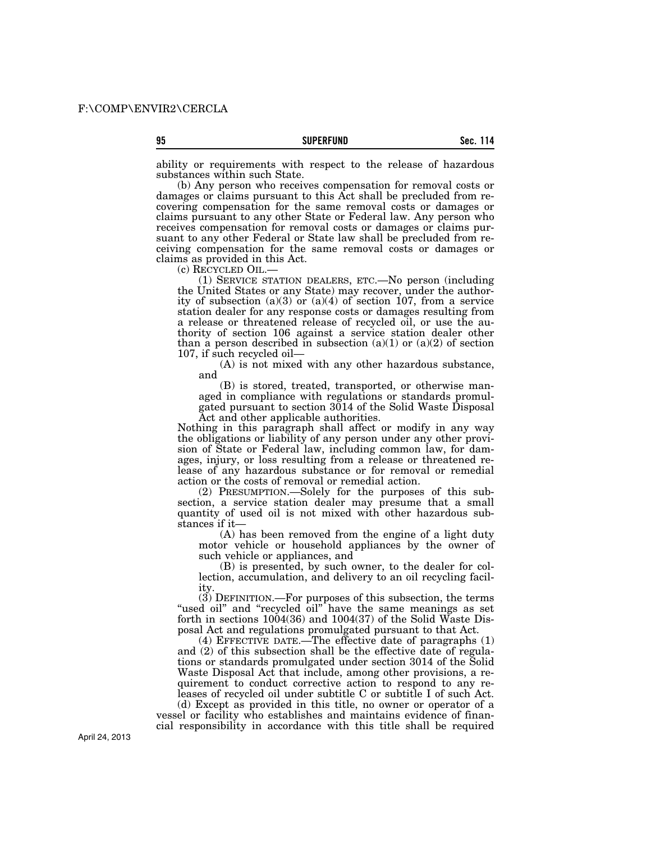ability or requirements with respect to the release of hazardous substances within such State.

(b) Any person who receives compensation for removal costs or damages or claims pursuant to this Act shall be precluded from recovering compensation for the same removal costs or damages or claims pursuant to any other State or Federal law. Any person who receives compensation for removal costs or damages or claims pursuant to any other Federal or State law shall be precluded from receiving compensation for the same removal costs or damages or claims as provided in this Act.<br>(c) RECYCLED OIL.—

(1) SERVICE STATION DEALERS, ETC.—No person (including the United States or any State) may recover, under the authority of subsection  $(a)(3)$  or  $(a)(4)$  of section 107, from a service station dealer for any response costs or damages resulting from a release or threatened release of recycled oil, or use the authority of section 106 against a service station dealer other than a person described in subsection  $(a)(1)$  or  $(a)(2)$  of section 107, if such recycled oil—

(A) is not mixed with any other hazardous substance, and

(B) is stored, treated, transported, or otherwise managed in compliance with regulations or standards promulgated pursuant to section 3014 of the Solid Waste Disposal Act and other applicable authorities.

Nothing in this paragraph shall affect or modify in any way the obligations or liability of any person under any other provision of State or Federal law, including common law, for damages, injury, or loss resulting from a release or threatened release of any hazardous substance or for removal or remedial action or the costs of removal or remedial action.

(2) PRESUMPTION.—Solely for the purposes of this subsection, a service station dealer may presume that a small quantity of used oil is not mixed with other hazardous substances if it—

(A) has been removed from the engine of a light duty motor vehicle or household appliances by the owner of such vehicle or appliances, and

(B) is presented, by such owner, to the dealer for collection, accumulation, and delivery to an oil recycling facility.

(3) DEFINITION.—For purposes of this subsection, the terms "used oil" and "recycled oil" have the same meanings as set forth in sections 1004(36) and 1004(37) of the Solid Waste Disposal Act and regulations promulgated pursuant to that Act.

(4) EFFECTIVE DATE.—The effective date of paragraphs (1) and (2) of this subsection shall be the effective date of regulations or standards promulgated under section 3014 of the Solid Waste Disposal Act that include, among other provisions, a requirement to conduct corrective action to respond to any releases of recycled oil under subtitle C or subtitle I of such Act. (d) Except as provided in this title, no owner or operator of a

vessel or facility who establishes and maintains evidence of financial responsibility in accordance with this title shall be required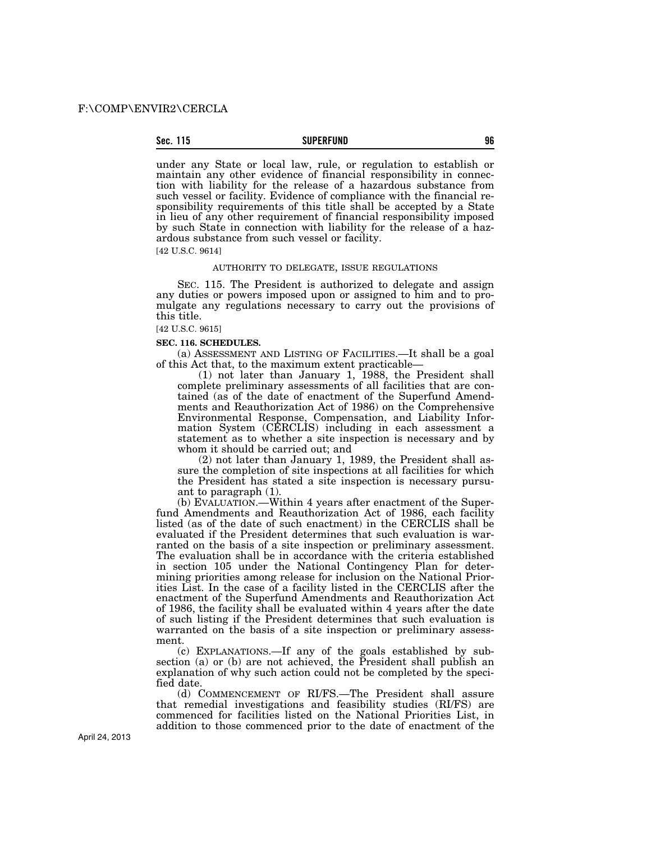under any State or local law, rule, or regulation to establish or maintain any other evidence of financial responsibility in connection with liability for the release of a hazardous substance from such vessel or facility. Evidence of compliance with the financial responsibility requirements of this title shall be accepted by a State in lieu of any other requirement of financial responsibility imposed by such State in connection with liability for the release of a hazardous substance from such vessel or facility.

[42 U.S.C. 9614]

### AUTHORITY TO DELEGATE, ISSUE REGULATIONS

SEC. 115. The President is authorized to delegate and assign any duties or powers imposed upon or assigned to him and to promulgate any regulations necessary to carry out the provisions of this title.

[42 U.S.C. 9615]

### **SEC. 116. SCHEDULES.**

(a) ASSESSMENT AND LISTING OF FACILITIES.—It shall be a goal of this Act that, to the maximum extent practicable—

(1) not later than January 1, 1988, the President shall complete preliminary assessments of all facilities that are contained (as of the date of enactment of the Superfund Amendments and Reauthorization Act of 1986) on the Comprehensive Environmental Response, Compensation, and Liability Information System (CERCLIS) including in each assessment a statement as to whether a site inspection is necessary and by whom it should be carried out; and

(2) not later than January 1, 1989, the President shall assure the completion of site inspections at all facilities for which the President has stated a site inspection is necessary pursuant to paragraph (1).

(b) EVALUATION.—Within 4 years after enactment of the Superfund Amendments and Reauthorization Act of 1986, each facility listed (as of the date of such enactment) in the CERCLIS shall be evaluated if the President determines that such evaluation is warranted on the basis of a site inspection or preliminary assessment. The evaluation shall be in accordance with the criteria established in section 105 under the National Contingency Plan for determining priorities among release for inclusion on the National Priorities List. In the case of a facility listed in the CERCLIS after the enactment of the Superfund Amendments and Reauthorization Act of 1986, the facility shall be evaluated within 4 years after the date of such listing if the President determines that such evaluation is warranted on the basis of a site inspection or preliminary assessment.

(c) EXPLANATIONS.—If any of the goals established by subsection (a) or (b) are not achieved, the President shall publish an explanation of why such action could not be completed by the specified date.

(d) COMMENCEMENT OF RI/FS.—The President shall assure that remedial investigations and feasibility studies (RI/FS) are commenced for facilities listed on the National Priorities List, in addition to those commenced prior to the date of enactment of the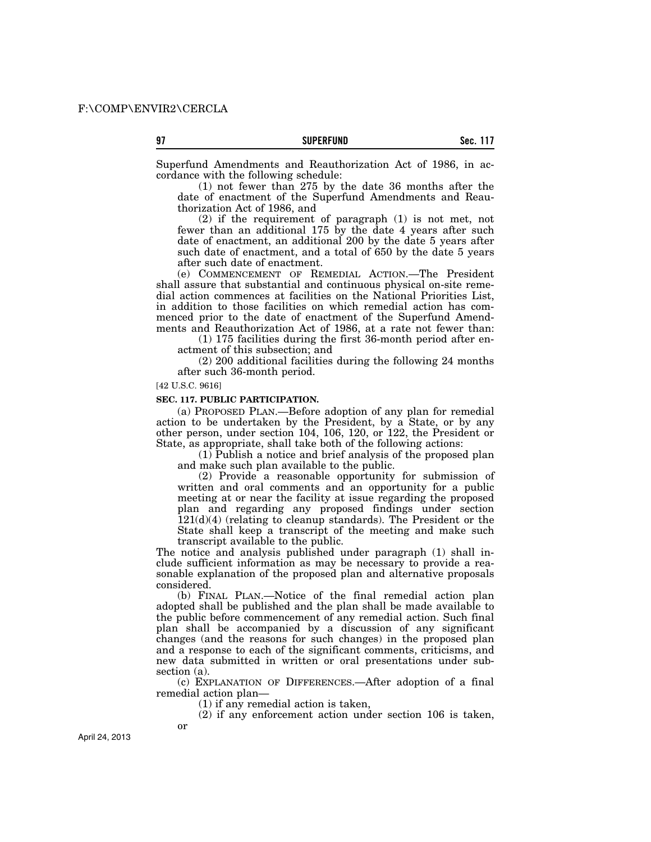Superfund Amendments and Reauthorization Act of 1986, in accordance with the following schedule:

(1) not fewer than 275 by the date 36 months after the date of enactment of the Superfund Amendments and Reauthorization Act of 1986, and

(2) if the requirement of paragraph (1) is not met, not fewer than an additional 175 by the date 4 years after such date of enactment, an additional 200 by the date 5 years after such date of enactment, and a total of 650 by the date 5 years after such date of enactment.

(e) COMMENCEMENT OF REMEDIAL ACTION.—The President shall assure that substantial and continuous physical on-site remedial action commences at facilities on the National Priorities List, in addition to those facilities on which remedial action has commenced prior to the date of enactment of the Superfund Amendments and Reauthorization Act of 1986, at a rate not fewer than:

(1) 175 facilities during the first 36-month period after enactment of this subsection; and

(2) 200 additional facilities during the following 24 months after such 36-month period.

[42 U.S.C. 9616]

or

### **SEC. 117. PUBLIC PARTICIPATION.**

(a) PROPOSED PLAN.—Before adoption of any plan for remedial action to be undertaken by the President, by a State, or by any other person, under section 104, 106, 120, or 122, the President or State, as appropriate, shall take both of the following actions:

(1) Publish a notice and brief analysis of the proposed plan and make such plan available to the public.

(2) Provide a reasonable opportunity for submission of written and oral comments and an opportunity for a public meeting at or near the facility at issue regarding the proposed plan and regarding any proposed findings under section 121(d)(4) (relating to cleanup standards). The President or the State shall keep a transcript of the meeting and make such transcript available to the public.

The notice and analysis published under paragraph (1) shall include sufficient information as may be necessary to provide a reasonable explanation of the proposed plan and alternative proposals considered.

(b) FINAL PLAN.—Notice of the final remedial action plan adopted shall be published and the plan shall be made available to the public before commencement of any remedial action. Such final plan shall be accompanied by a discussion of any significant changes (and the reasons for such changes) in the proposed plan and a response to each of the significant comments, criticisms, and new data submitted in written or oral presentations under subsection (a).

(c) EXPLANATION OF DIFFERENCES.—After adoption of a final remedial action plan—

(1) if any remedial action is taken,

(2) if any enforcement action under section 106 is taken,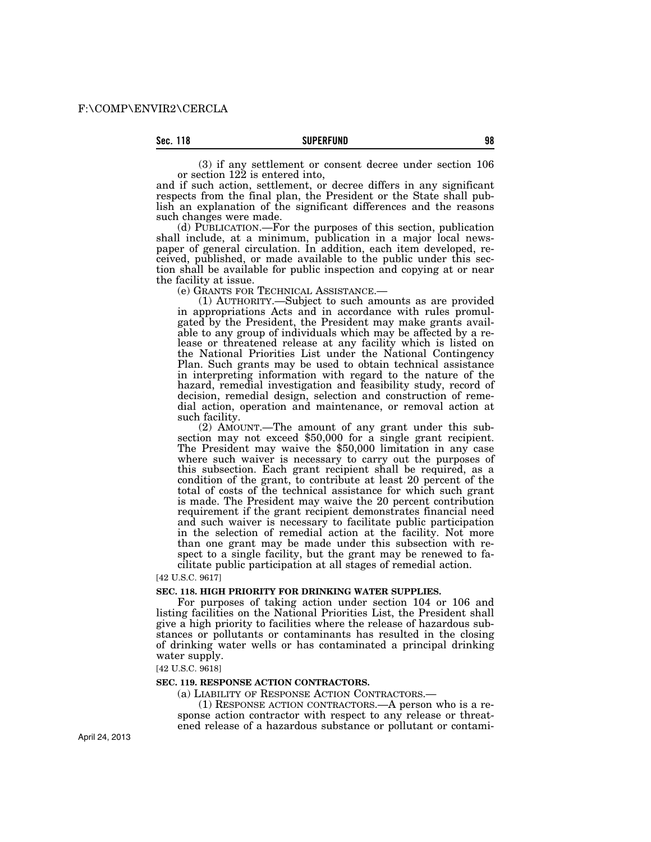(3) if any settlement or consent decree under section 106 or section 122 is entered into,

and if such action, settlement, or decree differs in any significant respects from the final plan, the President or the State shall publish an explanation of the significant differences and the reasons such changes were made.

(d) PUBLICATION.—For the purposes of this section, publication shall include, at a minimum, publication in a major local newspaper of general circulation. In addition, each item developed, received, published, or made available to the public under this section shall be available for public inspection and copying at or near the facility at issue.<br>(e) GRANTS FOR TECHNICAL ASSISTANCE.—

 $(1)$  AUTHORITY.—Subject to such amounts as are provided in appropriations Acts and in accordance with rules promulgated by the President, the President may make grants available to any group of individuals which may be affected by a release or threatened release at any facility which is listed on the National Priorities List under the National Contingency Plan. Such grants may be used to obtain technical assistance in interpreting information with regard to the nature of the hazard, remedial investigation and feasibility study, record of decision, remedial design, selection and construction of remedial action, operation and maintenance, or removal action at

such facility.<br>(2) AMOUNT.—The amount of any grant under this subsection may not exceed \$50,000 for a single grant recipient. The President may waive the \$50,000 limitation in any case where such waiver is necessary to carry out the purposes of this subsection. Each grant recipient shall be required, as a condition of the grant, to contribute at least 20 percent of the total of costs of the technical assistance for which such grant is made. The President may waive the 20 percent contribution requirement if the grant recipient demonstrates financial need and such waiver is necessary to facilitate public participation in the selection of remedial action at the facility. Not more than one grant may be made under this subsection with respect to a single facility, but the grant may be renewed to facilitate public participation at all stages of remedial action.

[42 U.S.C. 9617]

#### **SEC. 118. HIGH PRIORITY FOR DRINKING WATER SUPPLIES.**

For purposes of taking action under section 104 or 106 and listing facilities on the National Priorities List, the President shall give a high priority to facilities where the release of hazardous substances or pollutants or contaminants has resulted in the closing of drinking water wells or has contaminated a principal drinking water supply.

[42 U.S.C. 9618]

# **SEC. 119. RESPONSE ACTION CONTRACTORS.**

(a) LIABILITY OF RESPONSE ACTION CONTRACTORS.—

(1) RESPONSE ACTION CONTRACTORS.—A person who is a response action contractor with respect to any release or threatened release of a hazardous substance or pollutant or contami-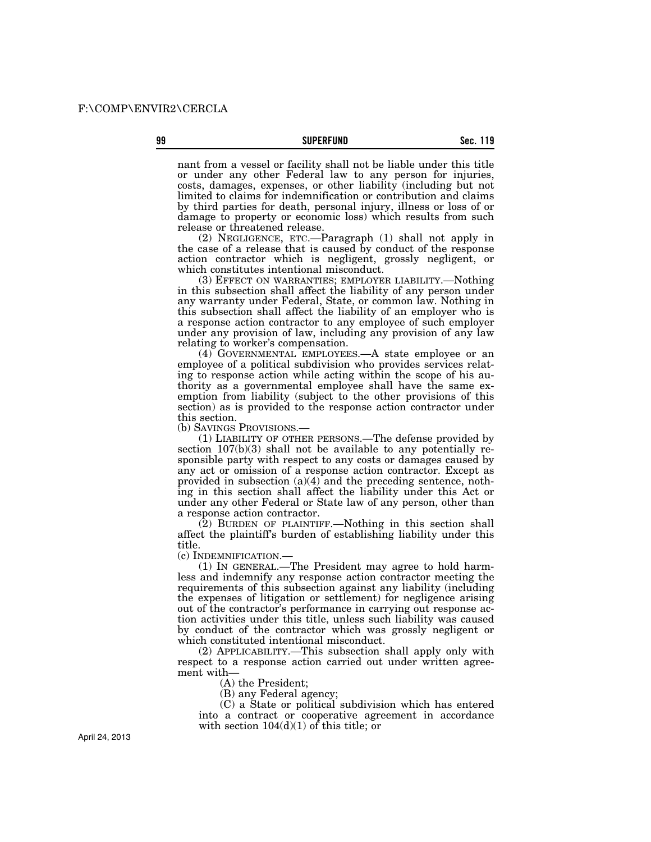nant from a vessel or facility shall not be liable under this title or under any other Federal law to any person for injuries, costs, damages, expenses, or other liability (including but not limited to claims for indemnification or contribution and claims by third parties for death, personal injury, illness or loss of or damage to property or economic loss) which results from such release or threatened release.

(2) NEGLIGENCE, ETC.—Paragraph (1) shall not apply in the case of a release that is caused by conduct of the response action contractor which is negligent, grossly negligent, or which constitutes intentional misconduct.

(3) EFFECT ON WARRANTIES; EMPLOYER LIABILITY.—Nothing in this subsection shall affect the liability of any person under any warranty under Federal, State, or common law. Nothing in this subsection shall affect the liability of an employer who is a response action contractor to any employee of such employer under any provision of law, including any provision of any law relating to worker's compensation.

(4) GOVERNMENTAL EMPLOYEES.—A state employee or an employee of a political subdivision who provides services relating to response action while acting within the scope of his authority as a governmental employee shall have the same exemption from liability (subject to the other provisions of this section) as is provided to the response action contractor under this section.

(b) SAVINGS PROVISIONS.—

(1) LIABILITY OF OTHER PERSONS.—The defense provided by section 107(b)(3) shall not be available to any potentially responsible party with respect to any costs or damages caused by any act or omission of a response action contractor. Except as provided in subsection  $(a)(4)$  and the preceding sentence, nothing in this section shall affect the liability under this Act or under any other Federal or State law of any person, other than a response action contractor.

(2) BURDEN OF PLAINTIFF.—Nothing in this section shall affect the plaintiff's burden of establishing liability under this title.

(c) INDEMNIFICATION.—

(1) IN GENERAL.—The President may agree to hold harmless and indemnify any response action contractor meeting the requirements of this subsection against any liability (including the expenses of litigation or settlement) for negligence arising out of the contractor's performance in carrying out response action activities under this title, unless such liability was caused by conduct of the contractor which was grossly negligent or which constituted intentional misconduct.

(2) APPLICABILITY.—This subsection shall apply only with respect to a response action carried out under written agreement with—

(A) the President;

(B) any Federal agency;

(C) a State or political subdivision which has entered into a contract or cooperative agreement in accordance with section 104(d)(1) of this title; or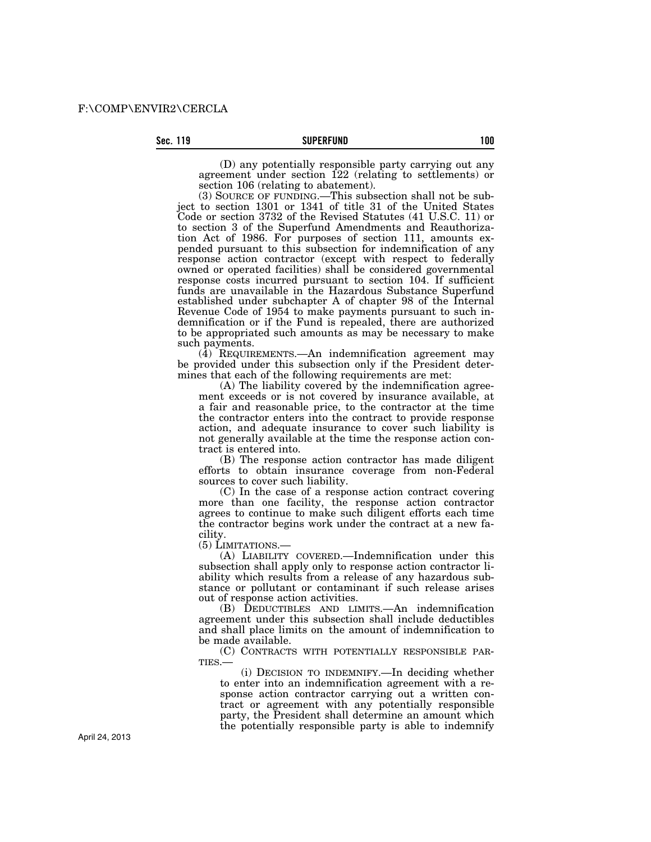(D) any potentially responsible party carrying out any agreement under section 122 (relating to settlements) or section 106 (relating to abatement).

(3) SOURCE OF FUNDING.—This subsection shall not be subject to section 1301 or 1341 of title 31 of the United States Code or section 3732 of the Revised Statutes (41 U.S.C. 11) or to section 3 of the Superfund Amendments and Reauthorization Act of 1986. For purposes of section 111, amounts expended pursuant to this subsection for indemnification of any response action contractor (except with respect to federally owned or operated facilities) shall be considered governmental response costs incurred pursuant to section 104. If sufficient funds are unavailable in the Hazardous Substance Superfund established under subchapter A of chapter 98 of the Internal Revenue Code of 1954 to make payments pursuant to such indemnification or if the Fund is repealed, there are authorized to be appropriated such amounts as may be necessary to make such payments.

 $(\overline{4})$  REQUIREMENTS.—An indemnification agreement may be provided under this subsection only if the President determines that each of the following requirements are met:

(A) The liability covered by the indemnification agreement exceeds or is not covered by insurance available, at a fair and reasonable price, to the contractor at the time the contractor enters into the contract to provide response action, and adequate insurance to cover such liability is not generally available at the time the response action contract is entered into.

(B) The response action contractor has made diligent efforts to obtain insurance coverage from non-Federal sources to cover such liability.

(C) In the case of a response action contract covering more than one facility, the response action contractor agrees to continue to make such diligent efforts each time the contractor begins work under the contract at a new facility.

(5) LIMITATIONS.—

(A) LIABILITY COVERED.—Indemnification under this subsection shall apply only to response action contractor liability which results from a release of any hazardous substance or pollutant or contaminant if such release arises out of response action activities.

(B) DEDUCTIBLES AND LIMITS.—An indemnification agreement under this subsection shall include deductibles and shall place limits on the amount of indemnification to be made available.

(C) CONTRACTS WITH POTENTIALLY RESPONSIBLE PAR-TIES.—

(i) DECISION TO INDEMNIFY.—In deciding whether to enter into an indemnification agreement with a response action contractor carrying out a written contract or agreement with any potentially responsible party, the President shall determine an amount which the potentially responsible party is able to indemnify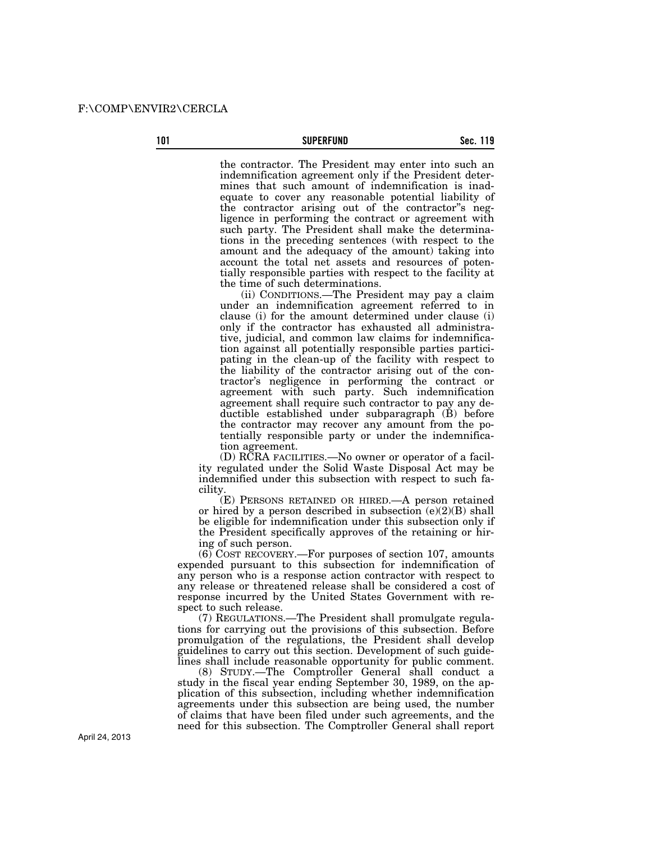### **101** SUPERFUND SEC. 119

the contractor. The President may enter into such an indemnification agreement only if the President determines that such amount of indemnification is inadequate to cover any reasonable potential liability of the contractor arising out of the contractor''s negligence in performing the contract or agreement with such party. The President shall make the determinations in the preceding sentences (with respect to the amount and the adequacy of the amount) taking into account the total net assets and resources of potentially responsible parties with respect to the facility at the time of such determinations.

(ii) CONDITIONS.—The President may pay a claim under an indemnification agreement referred to in clause (i) for the amount determined under clause (i) only if the contractor has exhausted all administrative, judicial, and common law claims for indemnification against all potentially responsible parties participating in the clean-up of the facility with respect to the liability of the contractor arising out of the contractor's negligence in performing the contract or agreement with such party. Such indemnification agreement shall require such contractor to pay any deductible established under subparagraph  $(\dot{B})$  before the contractor may recover any amount from the potentially responsible party or under the indemnification agreement.

(D) RCRA FACILITIES.—No owner or operator of a facility regulated under the Solid Waste Disposal Act may be indemnified under this subsection with respect to such facility.

(E) PERSONS RETAINED OR HIRED.—A person retained or hired by a person described in subsection  $(e)(2)(B)$  shall be eligible for indemnification under this subsection only if the President specifically approves of the retaining or hiring of such person.

(6) COST RECOVERY.—For purposes of section 107, amounts expended pursuant to this subsection for indemnification of any person who is a response action contractor with respect to any release or threatened release shall be considered a cost of response incurred by the United States Government with respect to such release.

(7) REGULATIONS.—The President shall promulgate regulations for carrying out the provisions of this subsection. Before promulgation of the regulations, the President shall develop guidelines to carry out this section. Development of such guidelines shall include reasonable opportunity for public comment.

(8) STUDY.—The Comptroller General shall conduct a study in the fiscal year ending September 30, 1989, on the application of this subsection, including whether indemnification agreements under this subsection are being used, the number of claims that have been filed under such agreements, and the need for this subsection. The Comptroller General shall report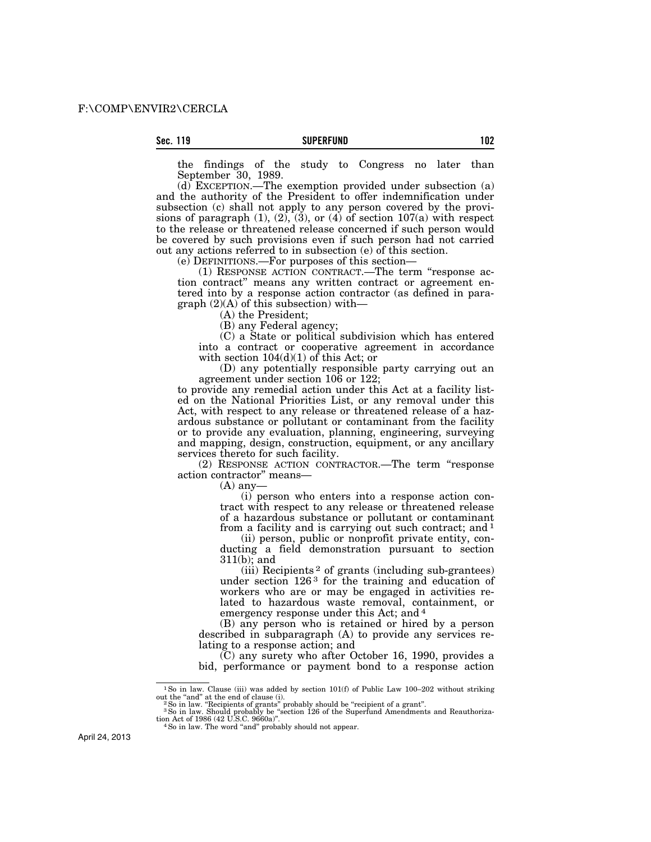the findings of the study to Congress no later than September 30, 1989.

(d) EXCEPTION.—The exemption provided under subsection (a) and the authority of the President to offer indemnification under subsection (c) shall not apply to any person covered by the provisions of paragraph  $(1)$ ,  $(2)$ ,  $(3)$ , or  $(4)$  of section  $107(a)$  with respect to the release or threatened release concerned if such person would be covered by such provisions even if such person had not carried out any actions referred to in subsection (e) of this section.

(e) DEFINITIONS.—For purposes of this section—

(1) RESPONSE ACTION CONTRACT.—The term ''response action contract'' means any written contract or agreement entered into by a response action contractor (as defined in paragraph  $(2)(A)$  of this subsection) with—

(A) the President;

(B) any Federal agency;

(C) a State or political subdivision which has entered into a contract or cooperative agreement in accordance with section  $104(d)(1)$  of this Act; or

(D) any potentially responsible party carrying out an agreement under section 106 or 122;

to provide any remedial action under this Act at a facility listed on the National Priorities List, or any removal under this Act, with respect to any release or threatened release of a hazardous substance or pollutant or contaminant from the facility or to provide any evaluation, planning, engineering, surveying and mapping, design, construction, equipment, or any ancillary services thereto for such facility.

(2) RESPONSE ACTION CONTRACTOR.—The term ''response action contractor'' means—

 $(A)$  any-

(i) person who enters into a response action contract with respect to any release or threatened release of a hazardous substance or pollutant or contaminant from a facility and is carrying out such contract; and 1

(ii) person, public or nonprofit private entity, conducting a field demonstration pursuant to section 311(b); and

(iii) Recipients 2 of grants (including sub-grantees) under section 126<sup>3</sup> for the training and education of workers who are or may be engaged in activities related to hazardous waste removal, containment, or emergency response under this Act; and 4

(B) any person who is retained or hired by a person described in subparagraph (A) to provide any services relating to a response action; and

(C) any surety who after October 16, 1990, provides a bid, performance or payment bond to a response action

 $^1$  So in law. Clause (iii) was added by section 101(f) of Public Law 100–202 without striking out the "and" at the end of clause (i).

out the "and" at the end of clause (i).<br>
<sup>2</sup> So in law. "Recipients of grants" probably should be "recipient of a grant".<br>
<sup>3</sup> So in law. Should probably be "section 126 of the Superfund Amendments and Reauthoriza-<br>
tion A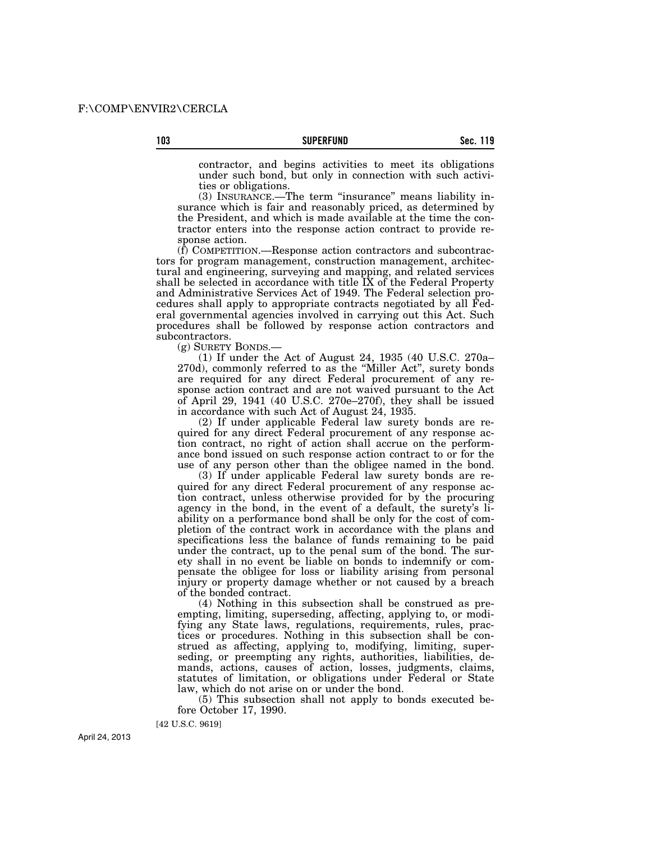contractor, and begins activities to meet its obligations under such bond, but only in connection with such activities or obligations.

(3) INSURANCE.—The term ''insurance'' means liability insurance which is fair and reasonably priced, as determined by the President, and which is made available at the time the contractor enters into the response action contract to provide response action.

(f) COMPETITION.—Response action contractors and subcontractors for program management, construction management, architectural and engineering, surveying and mapping, and related services shall be selected in accordance with title IX of the Federal Property and Administrative Services Act of 1949. The Federal selection procedures shall apply to appropriate contracts negotiated by all Federal governmental agencies involved in carrying out this Act. Such procedures shall be followed by response action contractors and subcontractors.

(g) SURETY BONDS.—

(1) If under the Act of August 24, 1935 (40 U.S.C. 270a– 270d), commonly referred to as the ''Miller Act'', surety bonds are required for any direct Federal procurement of any response action contract and are not waived pursuant to the Act of April 29, 1941 (40 U.S.C. 270e–270f), they shall be issued in accordance with such Act of August 24, 1935.

(2) If under applicable Federal law surety bonds are required for any direct Federal procurement of any response action contract, no right of action shall accrue on the performance bond issued on such response action contract to or for the use of any person other than the obligee named in the bond.

(3) If under applicable Federal law surety bonds are required for any direct Federal procurement of any response action contract, unless otherwise provided for by the procuring agency in the bond, in the event of a default, the surety's liability on a performance bond shall be only for the cost of completion of the contract work in accordance with the plans and specifications less the balance of funds remaining to be paid under the contract, up to the penal sum of the bond. The surety shall in no event be liable on bonds to indemnify or compensate the obligee for loss or liability arising from personal injury or property damage whether or not caused by a breach of the bonded contract.

(4) Nothing in this subsection shall be construed as preempting, limiting, superseding, affecting, applying to, or modifying any State laws, regulations, requirements, rules, practices or procedures. Nothing in this subsection shall be construed as affecting, applying to, modifying, limiting, superseding, or preempting any rights, authorities, liabilities, demands, actions, causes of action, losses, judgments, claims, statutes of limitation, or obligations under Federal or State law, which do not arise on or under the bond.

(5) This subsection shall not apply to bonds executed before October 17, 1990.

[42 U.S.C. 9619]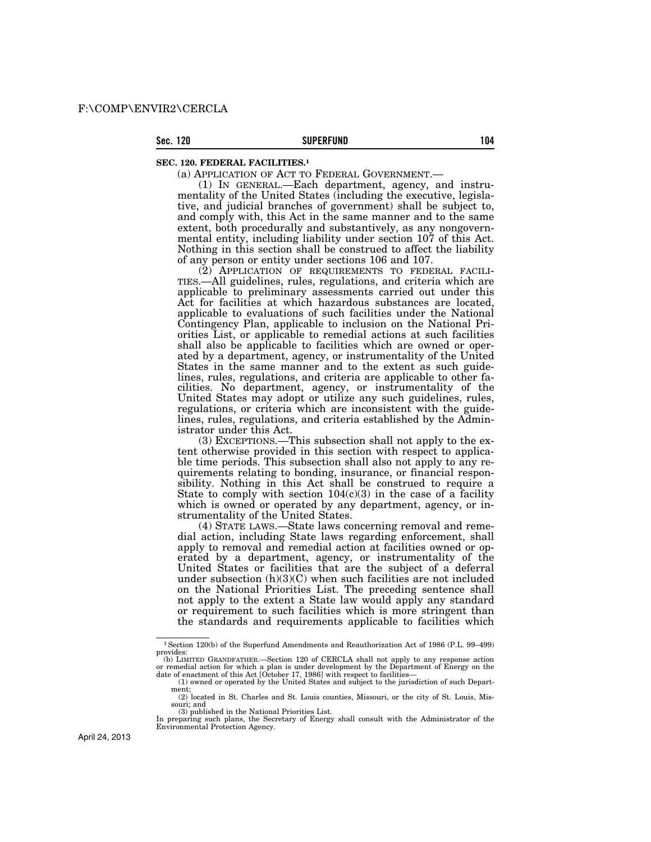### **SEC. 120. FEDERAL FACILITIES.1**

(a) APPLICATION OF ACT TO FEDERAL GOVERNMENT.—

(1) IN GENERAL.—Each department, agency, and instrumentality of the United States (including the executive, legislative, and judicial branches of government) shall be subject to, and comply with, this Act in the same manner and to the same extent, both procedurally and substantively, as any nongovernmental entity, including liability under section 107 of this Act. Nothing in this section shall be construed to affect the liability of any person or entity under sections 106 and 107.<br>(2) APPLICATION OF REQUIREMENTS TO FEDERAL FACILI-

TIES.—All guidelines, rules, regulations, and criteria which are applicable to preliminary assessments carried out under this Act for facilities at which hazardous substances are located, applicable to evaluations of such facilities under the National Contingency Plan, applicable to inclusion on the National Priorities List, or applicable to remedial actions at such facilities shall also be applicable to facilities which are owned or operated by a department, agency, or instrumentality of the United States in the same manner and to the extent as such guidelines, rules, regulations, and criteria are applicable to other facilities. No department, agency, or instrumentality of the United States may adopt or utilize any such guidelines, rules, regulations, or criteria which are inconsistent with the guidelines, rules, regulations, and criteria established by the Administrator under this Act.

(3) EXCEPTIONS.—This subsection shall not apply to the extent otherwise provided in this section with respect to applicable time periods. This subsection shall also not apply to any requirements relating to bonding, insurance, or financial responsibility. Nothing in this Act shall be construed to require a State to comply with section  $104(c)(3)$  in the case of a facility which is owned or operated by any department, agency, or instrumentality of the United States.

(4) STATE LAWS.—State laws concerning removal and remedial action, including State laws regarding enforcement, shall apply to removal and remedial action at facilities owned or operated by a department, agency, or instrumentality of the United States or facilities that are the subject of a deferral under subsection  $(h)(3)(C)$  when such facilities are not included on the National Priorities List. The preceding sentence shall not apply to the extent a State law would apply any standard or requirement to such facilities which is more stringent than the standards and requirements applicable to facilities which

<sup>1</sup>Section 120(b) of the Superfund Amendments and Reauthorization Act of 1986 (P.L. 99–499) provides:

<sup>(</sup>b) LIMITED GRANDFATHER.—Section 120 of CERCLA shall not apply to any response action<br>or remedial action for which a plan is under development by the Department of Energy on the<br>date of enactment of this Act [October 17, 1

<sup>(1)</sup> owned or operated by the United States and subject to the jurisdiction of such Department; (2) located in St. Charles and St. Louis counties, Missouri, or the city of St. Louis, Mis-

souri; and

<sup>(3)</sup> published in the National Priorities List. In preparing such plans, the Secretary of Energy shall consult with the Administrator of the Environmental Protection Agency.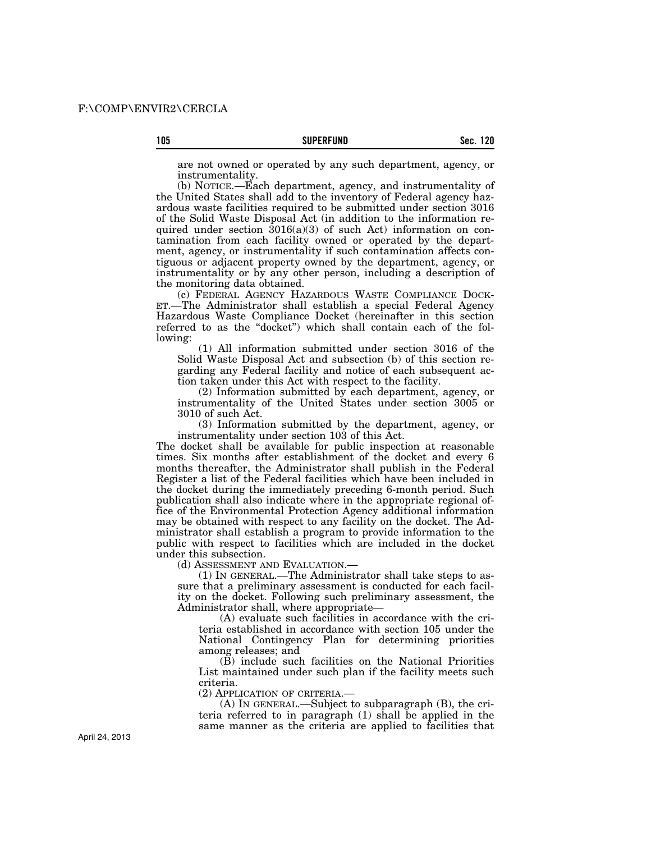are not owned or operated by any such department, agency, or instrumentality.

(b) NOTICE.—Each department, agency, and instrumentality of the United States shall add to the inventory of Federal agency hazardous waste facilities required to be submitted under section 3016 of the Solid Waste Disposal Act (in addition to the information required under section  $3016(a)(3)$  of such Act) information on contamination from each facility owned or operated by the department, agency, or instrumentality if such contamination affects contiguous or adjacent property owned by the department, agency, or instrumentality or by any other person, including a description of the monitoring data obtained.

(c) FEDERAL AGENCY HAZARDOUS WASTE COMPLIANCE DOCK-ET.—The Administrator shall establish a special Federal Agency Hazardous Waste Compliance Docket (hereinafter in this section referred to as the "docket") which shall contain each of the following:

(1) All information submitted under section 3016 of the Solid Waste Disposal Act and subsection (b) of this section regarding any Federal facility and notice of each subsequent action taken under this Act with respect to the facility.

(2) Information submitted by each department, agency, or instrumentality of the United States under section 3005 or 3010 of such Act.

(3) Information submitted by the department, agency, or instrumentality under section 103 of this Act.

The docket shall be available for public inspection at reasonable times. Six months after establishment of the docket and every 6 months thereafter, the Administrator shall publish in the Federal Register a list of the Federal facilities which have been included in the docket during the immediately preceding 6-month period. Such publication shall also indicate where in the appropriate regional office of the Environmental Protection Agency additional information may be obtained with respect to any facility on the docket. The Administrator shall establish a program to provide information to the public with respect to facilities which are included in the docket under this subsection.

(d) ASSESSMENT AND EVALUATION.—

(1) IN GENERAL.—The Administrator shall take steps to assure that a preliminary assessment is conducted for each facility on the docket. Following such preliminary assessment, the Administrator shall, where appropriate—

(A) evaluate such facilities in accordance with the criteria established in accordance with section 105 under the National Contingency Plan for determining priorities among releases; and

(B) include such facilities on the National Priorities List maintained under such plan if the facility meets such criteria.

(2) APPLICATION OF CRITERIA.—

(A) IN GENERAL.—Subject to subparagraph (B), the criteria referred to in paragraph (1) shall be applied in the same manner as the criteria are applied to facilities that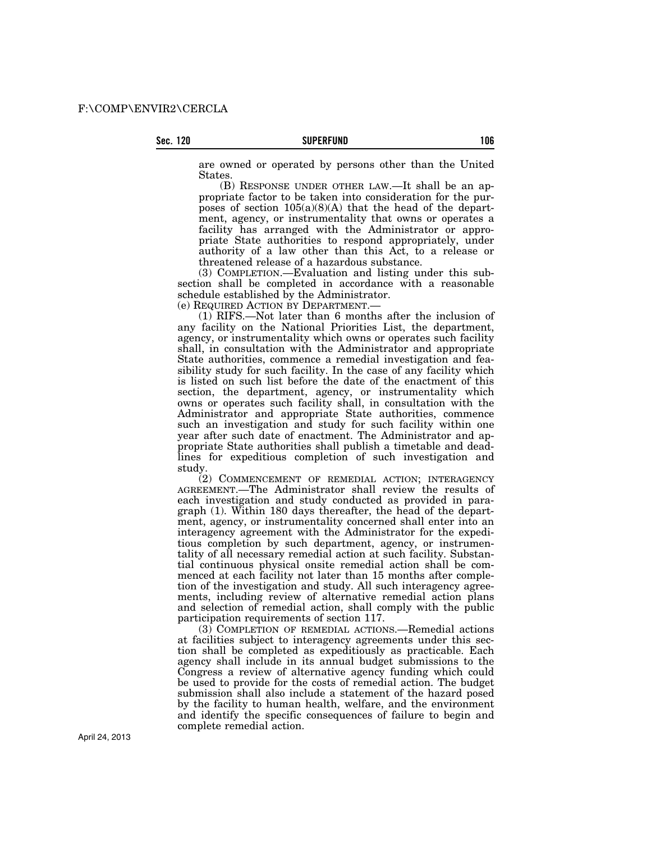are owned or operated by persons other than the United States.

(B) RESPONSE UNDER OTHER LAW.—It shall be an appropriate factor to be taken into consideration for the purposes of section 105(a)(8)(A) that the head of the department, agency, or instrumentality that owns or operates a facility has arranged with the Administrator or appropriate State authorities to respond appropriately, under authority of a law other than this Act, to a release or threatened release of a hazardous substance.

(3) COMPLETION.—Evaluation and listing under this subsection shall be completed in accordance with a reasonable schedule established by the Administrator.

(e) REQUIRED ACTION BY DEPARTMENT.—

(1) RIFS.—Not later than 6 months after the inclusion of any facility on the National Priorities List, the department, agency, or instrumentality which owns or operates such facility shall, in consultation with the Administrator and appropriate State authorities, commence a remedial investigation and feasibility study for such facility. In the case of any facility which is listed on such list before the date of the enactment of this section, the department, agency, or instrumentality which owns or operates such facility shall, in consultation with the Administrator and appropriate State authorities, commence such an investigation and study for such facility within one year after such date of enactment. The Administrator and appropriate State authorities shall publish a timetable and deadlines for expeditious completion of such investigation and study.

(2) COMMENCEMENT OF REMEDIAL ACTION; INTERAGENCY AGREEMENT.—The Administrator shall review the results of each investigation and study conducted as provided in paragraph (1). Within 180 days thereafter, the head of the department, agency, or instrumentality concerned shall enter into an interagency agreement with the Administrator for the expeditious completion by such department, agency, or instrumentality of all necessary remedial action at such facility. Substantial continuous physical onsite remedial action shall be commenced at each facility not later than 15 months after completion of the investigation and study. All such interagency agreements, including review of alternative remedial action plans and selection of remedial action, shall comply with the public participation requirements of section 117.

(3) COMPLETION OF REMEDIAL ACTIONS.—Remedial actions at facilities subject to interagency agreements under this section shall be completed as expeditiously as practicable. Each agency shall include in its annual budget submissions to the Congress a review of alternative agency funding which could be used to provide for the costs of remedial action. The budget submission shall also include a statement of the hazard posed by the facility to human health, welfare, and the environment and identify the specific consequences of failure to begin and complete remedial action.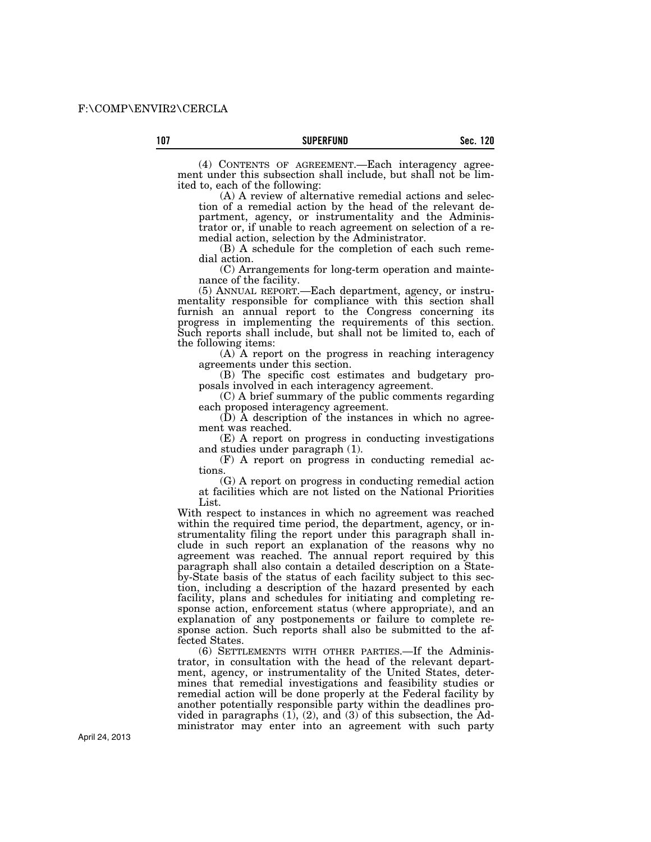(4) CONTENTS OF AGREEMENT.—Each interagency agreement under this subsection shall include, but shall not be limited to, each of the following:

(A) A review of alternative remedial actions and selection of a remedial action by the head of the relevant department, agency, or instrumentality and the Administrator or, if unable to reach agreement on selection of a remedial action, selection by the Administrator.

(B) A schedule for the completion of each such remedial action.

(C) Arrangements for long-term operation and maintenance of the facility.

(5) ANNUAL REPORT.—Each department, agency, or instrumentality responsible for compliance with this section shall furnish an annual report to the Congress concerning its progress in implementing the requirements of this section. Such reports shall include, but shall not be limited to, each of the following items:

(A) A report on the progress in reaching interagency agreements under this section.

(B) The specific cost estimates and budgetary proposals involved in each interagency agreement.

(C) A brief summary of the public comments regarding each proposed interagency agreement.

(D) A description of the instances in which no agreement was reached.

(E) A report on progress in conducting investigations and studies under paragraph (1).

(F) A report on progress in conducting remedial actions.

(G) A report on progress in conducting remedial action at facilities which are not listed on the National Priorities List.

With respect to instances in which no agreement was reached within the required time period, the department, agency, or instrumentality filing the report under this paragraph shall include in such report an explanation of the reasons why no agreement was reached. The annual report required by this paragraph shall also contain a detailed description on a Stateby-State basis of the status of each facility subject to this section, including a description of the hazard presented by each facility, plans and schedules for initiating and completing response action, enforcement status (where appropriate), and an explanation of any postponements or failure to complete response action. Such reports shall also be submitted to the affected States.

(6) SETTLEMENTS WITH OTHER PARTIES.—If the Administrator, in consultation with the head of the relevant department, agency, or instrumentality of the United States, determines that remedial investigations and feasibility studies or remedial action will be done properly at the Federal facility by another potentially responsible party within the deadlines provided in paragraphs  $(1)$ ,  $(2)$ , and  $(3)$  of this subsection, the Administrator may enter into an agreement with such party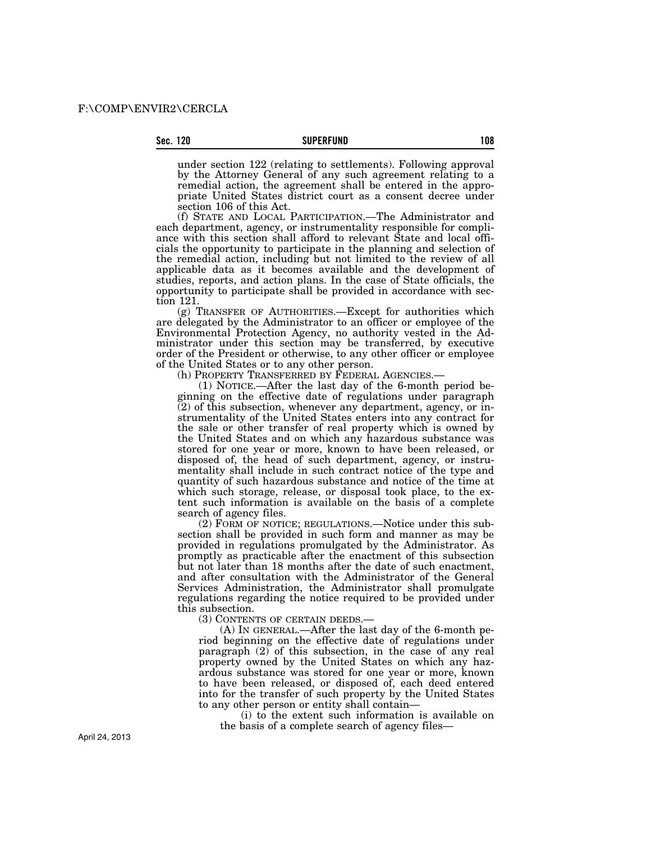under section 122 (relating to settlements). Following approval by the Attorney General of any such agreement relating to a remedial action, the agreement shall be entered in the appropriate United States district court as a consent decree under section 106 of this Act.

(f) STATE AND LOCAL PARTICIPATION.—The Administrator and each department, agency, or instrumentality responsible for compliance with this section shall afford to relevant State and local officials the opportunity to participate in the planning and selection of the remedial action, including but not limited to the review of all applicable data as it becomes available and the development of studies, reports, and action plans. In the case of State officials, the opportunity to participate shall be provided in accordance with section 121.

(g) TRANSFER OF AUTHORITIES.—Except for authorities which are delegated by the Administrator to an officer or employee of the Environmental Protection Agency, no authority vested in the Administrator under this section may be transferred, by executive order of the President or otherwise, to any other officer or employee of the United States or to any other person.<br>(h) PROPERTY TRANSFERRED BY FEDERAL AGENCIES.

(1) NOTICE.—After the last day of the 6-month period beginning on the effective date of regulations under paragraph (2) of this subsection, whenever any department, agency, or instrumentality of the United States enters into any contract for the sale or other transfer of real property which is owned by the United States and on which any hazardous substance was stored for one year or more, known to have been released, or disposed of, the head of such department, agency, or instrumentality shall include in such contract notice of the type and quantity of such hazardous substance and notice of the time at which such storage, release, or disposal took place, to the extent such information is available on the basis of a complete search of agency files.

(2) FORM OF NOTICE; REGULATIONS.—Notice under this subsection shall be provided in such form and manner as may be provided in regulations promulgated by the Administrator. As promptly as practicable after the enactment of this subsection but not later than 18 months after the date of such enactment, and after consultation with the Administrator of the General Services Administration, the Administrator shall promulgate regulations regarding the notice required to be provided under this subsection.

(3) CONTENTS OF CERTAIN DEEDS.—

(A) IN GENERAL.—After the last day of the 6-month period beginning on the effective date of regulations under paragraph (2) of this subsection, in the case of any real property owned by the United States on which any hazardous substance was stored for one year or more, known to have been released, or disposed of, each deed entered into for the transfer of such property by the United States to any other person or entity shall contain—

(i) to the extent such information is available on the basis of a complete search of agency files—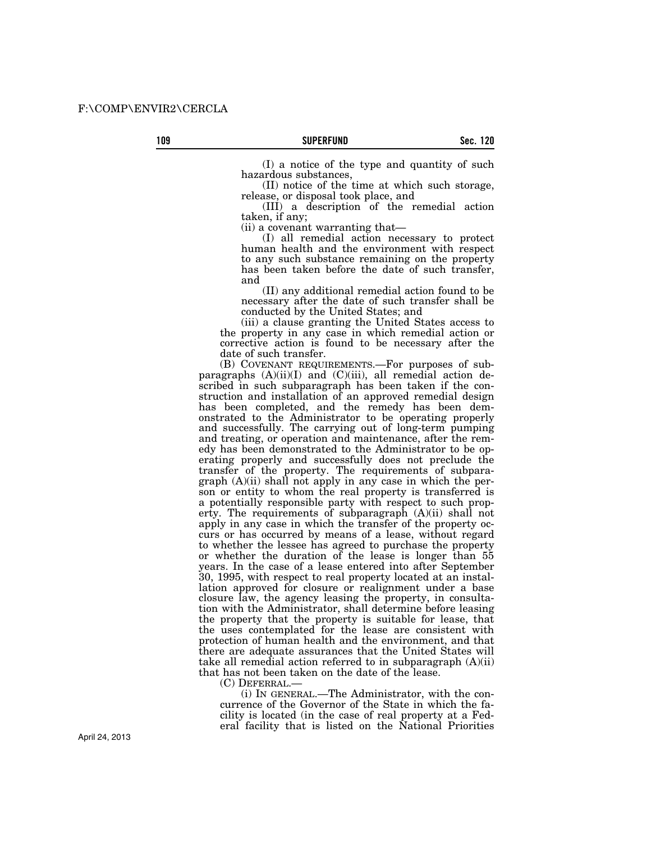(I) a notice of the type and quantity of such

hazardous substances, (II) notice of the time at which such storage, release, or disposal took place, and

(III) a description of the remedial action taken, if any;

(ii) a covenant warranting that—

(I) all remedial action necessary to protect human health and the environment with respect to any such substance remaining on the property has been taken before the date of such transfer, and

(II) any additional remedial action found to be necessary after the date of such transfer shall be conducted by the United States; and

(iii) a clause granting the United States access to the property in any case in which remedial action or corrective action is found to be necessary after the date of such transfer.

(B) COVENANT REQUIREMENTS.—For purposes of subparagraphs  $(A)(ii)(I)$  and  $(C)(iii)$ , all remedial action described in such subparagraph has been taken if the construction and installation of an approved remedial design has been completed, and the remedy has been demonstrated to the Administrator to be operating properly and successfully. The carrying out of long-term pumping and treating, or operation and maintenance, after the remedy has been demonstrated to the Administrator to be operating properly and successfully does not preclude the transfer of the property. The requirements of subparagraph (A)(ii) shall not apply in any case in which the person or entity to whom the real property is transferred is a potentially responsible party with respect to such property. The requirements of subparagraph (A)(ii) shall not apply in any case in which the transfer of the property occurs or has occurred by means of a lease, without regard to whether the lessee has agreed to purchase the property or whether the duration of the lease is longer than 55 years. In the case of a lease entered into after September 30, 1995, with respect to real property located at an installation approved for closure or realignment under a base closure law, the agency leasing the property, in consultation with the Administrator, shall determine before leasing the property that the property is suitable for lease, that the uses contemplated for the lease are consistent with protection of human health and the environment, and that there are adequate assurances that the United States will take all remedial action referred to in subparagraph (A)(ii) that has not been taken on the date of the lease.

(C) DEFERRAL.—

(i) IN GENERAL.—The Administrator, with the concurrence of the Governor of the State in which the facility is located (in the case of real property at a Federal facility that is listed on the National Priorities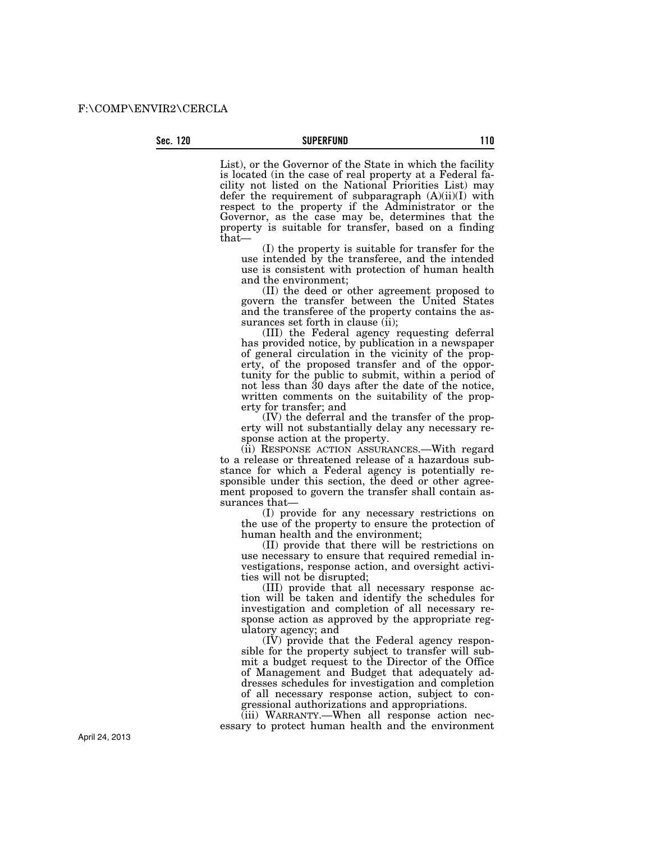List), or the Governor of the State in which the facility is located (in the case of real property at a Federal facility not listed on the National Priorities List) may defer the requirement of subparagraph  $(A)(ii)(I)$  with respect to the property if the Administrator or the Governor, as the case may be, determines that the property is suitable for transfer, based on a finding that—

(I) the property is suitable for transfer for the use intended by the transferee, and the intended use is consistent with protection of human health and the environment;

(II) the deed or other agreement proposed to govern the transfer between the United States and the transferee of the property contains the assurances set forth in clause (ii);

(III) the Federal agency requesting deferral has provided notice, by publication in a newspaper of general circulation in the vicinity of the property, of the proposed transfer and of the opportunity for the public to submit, within a period of not less than 30 days after the date of the notice, written comments on the suitability of the property for transfer; and

(IV) the deferral and the transfer of the property will not substantially delay any necessary response action at the property.

(ii) RESPONSE ACTION ASSURANCES.—With regard to a release or threatened release of a hazardous substance for which a Federal agency is potentially responsible under this section, the deed or other agreement proposed to govern the transfer shall contain assurances that—

(I) provide for any necessary restrictions on the use of the property to ensure the protection of human health and the environment;

(II) provide that there will be restrictions on use necessary to ensure that required remedial investigations, response action, and oversight activities will not be disrupted;

(III) provide that all necessary response action will be taken and identify the schedules for investigation and completion of all necessary response action as approved by the appropriate regulatory agency; and

(IV) provide that the Federal agency responsible for the property subject to transfer will submit a budget request to the Director of the Office of Management and Budget that adequately addresses schedules for investigation and completion of all necessary response action, subject to congressional authorizations and appropriations.

(iii) WARRANTY.—When all response action necessary to protect human health and the environment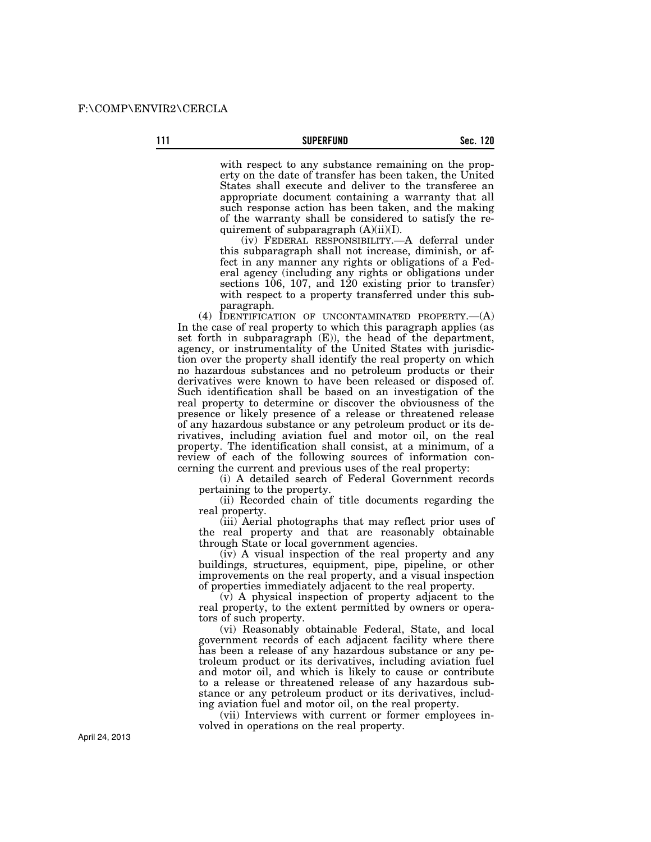with respect to any substance remaining on the property on the date of transfer has been taken, the United States shall execute and deliver to the transferee an appropriate document containing a warranty that all such response action has been taken, and the making of the warranty shall be considered to satisfy the requirement of subparagraph  $(A)(ii)(I)$ .

(iv) FEDERAL RESPONSIBILITY.—A deferral under this subparagraph shall not increase, diminish, or affect in any manner any rights or obligations of a Federal agency (including any rights or obligations under sections 106, 107, and 120 existing prior to transfer) with respect to a property transferred under this subparagraph.

(4) IDENTIFICATION OF UNCONTAMINATED PROPERTY.—(A) In the case of real property to which this paragraph applies (as set forth in subparagraph (E)), the head of the department, agency, or instrumentality of the United States with jurisdiction over the property shall identify the real property on which no hazardous substances and no petroleum products or their derivatives were known to have been released or disposed of. Such identification shall be based on an investigation of the real property to determine or discover the obviousness of the presence or likely presence of a release or threatened release of any hazardous substance or any petroleum product or its derivatives, including aviation fuel and motor oil, on the real property. The identification shall consist, at a minimum, of a review of each of the following sources of information concerning the current and previous uses of the real property:

(i) A detailed search of Federal Government records pertaining to the property.

(ii) Recorded chain of title documents regarding the real property.

(iii) Aerial photographs that may reflect prior uses of the real property and that are reasonably obtainable through State or local government agencies.

(iv) A visual inspection of the real property and any buildings, structures, equipment, pipe, pipeline, or other improvements on the real property, and a visual inspection of properties immediately adjacent to the real property.

(v) A physical inspection of property adjacent to the real property, to the extent permitted by owners or operators of such property.

(vi) Reasonably obtainable Federal, State, and local government records of each adjacent facility where there has been a release of any hazardous substance or any petroleum product or its derivatives, including aviation fuel and motor oil, and which is likely to cause or contribute to a release or threatened release of any hazardous substance or any petroleum product or its derivatives, including aviation fuel and motor oil, on the real property.

(vii) Interviews with current or former employees involved in operations on the real property.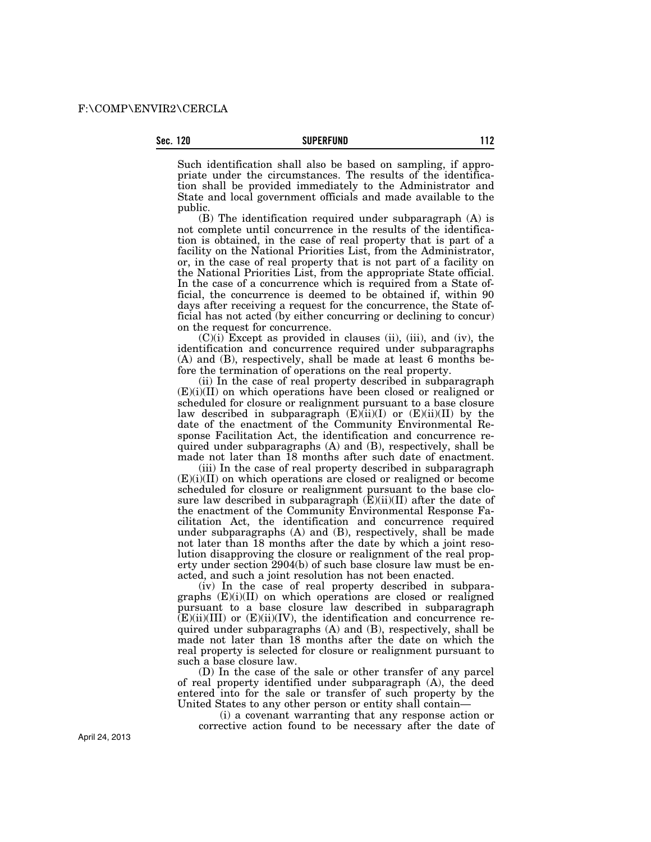Such identification shall also be based on sampling, if appropriate under the circumstances. The results of the identification shall be provided immediately to the Administrator and State and local government officials and made available to the public.

(B) The identification required under subparagraph (A) is not complete until concurrence in the results of the identification is obtained, in the case of real property that is part of a facility on the National Priorities List, from the Administrator, or, in the case of real property that is not part of a facility on the National Priorities List, from the appropriate State official. In the case of a concurrence which is required from a State official, the concurrence is deemed to be obtained if, within 90 days after receiving a request for the concurrence, the State official has not acted (by either concurring or declining to concur) on the request for concurrence.

 $(C)(i)$  Except as provided in clauses (ii), (iii), and (iv), the identification and concurrence required under subparagraphs (A) and (B), respectively, shall be made at least 6 months before the termination of operations on the real property.

(ii) In the case of real property described in subparagraph  $(E)(i)(II)$  on which operations have been closed or realigned or scheduled for closure or realignment pursuant to a base closure law described in subparagraph  $(E)(ii)(I)$  or  $(E)(ii)(II)$  by the date of the enactment of the Community Environmental Response Facilitation Act, the identification and concurrence required under subparagraphs (A) and (B), respectively, shall be made not later than 18 months after such date of enactment.

(iii) In the case of real property described in subparagraph  $(E)(i)(II)$  on which operations are closed or realigned or become scheduled for closure or realignment pursuant to the base closure law described in subparagraph  $(E)(ii)(II)$  after the date of the enactment of the Community Environmental Response Facilitation Act, the identification and concurrence required under subparagraphs (A) and (B), respectively, shall be made not later than 18 months after the date by which a joint resolution disapproving the closure or realignment of the real property under section 2904(b) of such base closure law must be enacted, and such a joint resolution has not been enacted.

(iv) In the case of real property described in subparagraphs (E)(i)(II) on which operations are closed or realigned pursuant to a base closure law described in subparagraph  $\overline{E}$ (ii)(III) or (E)(ii)(IV), the identification and concurrence required under subparagraphs (A) and (B), respectively, shall be made not later than 18 months after the date on which the real property is selected for closure or realignment pursuant to such a base closure law.

(D) In the case of the sale or other transfer of any parcel of real property identified under subparagraph (A), the deed entered into for the sale or transfer of such property by the United States to any other person or entity shall contain—

(i) a covenant warranting that any response action or corrective action found to be necessary after the date of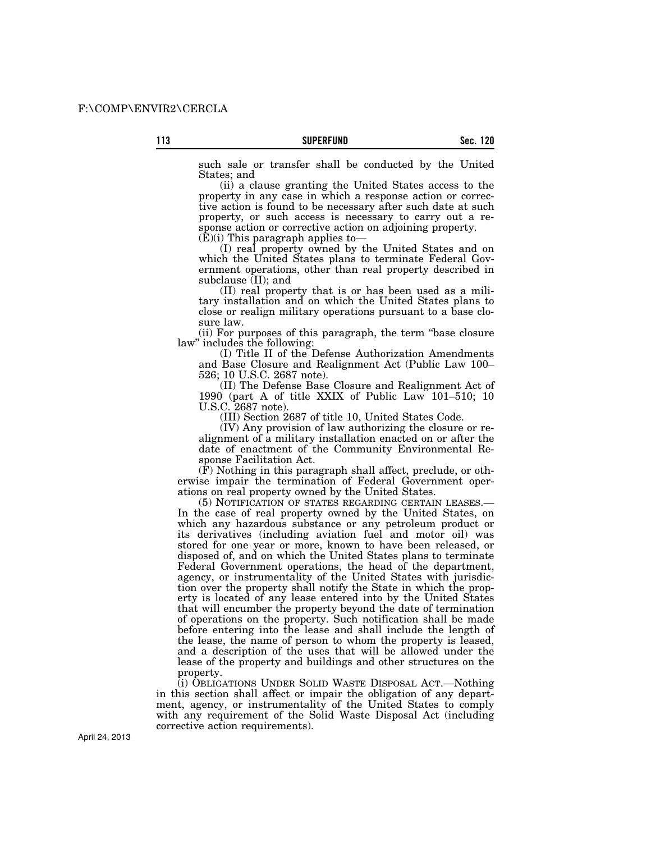such sale or transfer shall be conducted by the United States; and

(ii) a clause granting the United States access to the property in any case in which a response action or corrective action is found to be necessary after such date at such property, or such access is necessary to carry out a response action or corrective action on adjoining property.  $(E)(i)$  This paragraph applies to-

(I) real property owned by the United States and on which the United States plans to terminate Federal Government operations, other than real property described in subclause  $\overline{(II)}$ ; and

(II) real property that is or has been used as a military installation and on which the United States plans to close or realign military operations pursuant to a base closure law.

(ii) For purposes of this paragraph, the term ''base closure law'' includes the following:

(I) Title II of the Defense Authorization Amendments and Base Closure and Realignment Act (Public Law 100– 526; 10 U.S.C. 2687 note).

(II) The Defense Base Closure and Realignment Act of 1990 (part A of title XXIX of Public Law 101–510; 10 U.S.C. 2687 note).

(III) Section 2687 of title 10, United States Code.

(IV) Any provision of law authorizing the closure or realignment of a military installation enacted on or after the date of enactment of the Community Environmental Response Facilitation Act.

(F) Nothing in this paragraph shall affect, preclude, or otherwise impair the termination of Federal Government operations on real property owned by the United States.

(5) NOTIFICATION OF STATES REGARDING CERTAIN LEASES.— In the case of real property owned by the United States, on which any hazardous substance or any petroleum product or its derivatives (including aviation fuel and motor oil) was stored for one year or more, known to have been released, or disposed of, and on which the United States plans to terminate Federal Government operations, the head of the department, agency, or instrumentality of the United States with jurisdiction over the property shall notify the State in which the property is located of any lease entered into by the United States that will encumber the property beyond the date of termination of operations on the property. Such notification shall be made before entering into the lease and shall include the length of the lease, the name of person to whom the property is leased, and a description of the uses that will be allowed under the lease of the property and buildings and other structures on the property.

(i) OBLIGATIONS UNDER SOLID WASTE DISPOSAL ACT.—Nothing in this section shall affect or impair the obligation of any department, agency, or instrumentality of the United States to comply with any requirement of the Solid Waste Disposal Act (including corrective action requirements).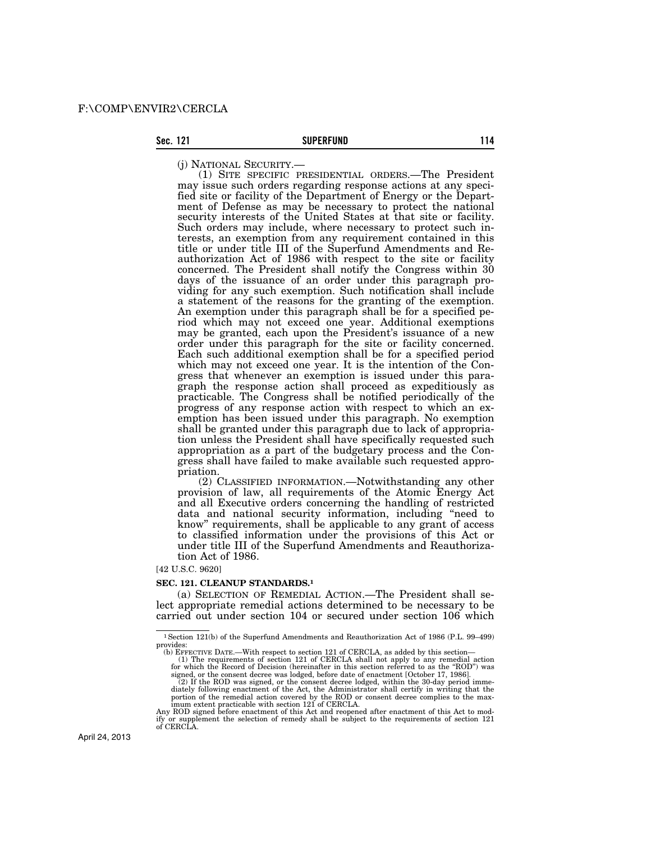(j) NATIONAL SECURITY.— (1) SITE SPECIFIC PRESIDENTIAL ORDERS.—The President may issue such orders regarding response actions at any specified site or facility of the Department of Energy or the Department of Defense as may be necessary to protect the national security interests of the United States at that site or facility. Such orders may include, where necessary to protect such interests, an exemption from any requirement contained in this title or under title III of the Superfund Amendments and Reauthorization Act of 1986 with respect to the site or facility concerned. The President shall notify the Congress within 30 days of the issuance of an order under this paragraph providing for any such exemption. Such notification shall include a statement of the reasons for the granting of the exemption. An exemption under this paragraph shall be for a specified period which may not exceed one year. Additional exemptions may be granted, each upon the President's issuance of a new order under this paragraph for the site or facility concerned. Each such additional exemption shall be for a specified period which may not exceed one year. It is the intention of the Congress that whenever an exemption is issued under this paragraph the response action shall proceed as expeditiously as practicable. The Congress shall be notified periodically of the progress of any response action with respect to which an exemption has been issued under this paragraph. No exemption shall be granted under this paragraph due to lack of appropriation unless the President shall have specifically requested such appropriation as a part of the budgetary process and the Congress shall have failed to make available such requested appropriation.

(2) CLASSIFIED INFORMATION.—Notwithstanding any other provision of law, all requirements of the Atomic Energy Act and all Executive orders concerning the handling of restricted data and national security information, including ''need to know'' requirements, shall be applicable to any grant of access to classified information under the provisions of this Act or under title III of the Superfund Amendments and Reauthorization Act of 1986.

[42 U.S.C. 9620]

#### **SEC. 121. CLEANUP STANDARDS.1**

(a) SELECTION OF REMEDIAL ACTION.—The President shall select appropriate remedial actions determined to be necessary to be carried out under section 104 or secured under section 106 which

Any ROD signed before enactment of this Act and reopened after enactment of this Act to mod-ify or supplement the selection of remedy shall be subject to the requirements of section 121 of CERCLA.

<sup>1</sup>Section 121(b) of the Superfund Amendments and Reauthorization Act of 1986 (P.L. 99–499) provid

<sup>(</sup>b) EFFECTIVE DATE.—With respect to section 121 of CERCLA, as added by this section—

<sup>(1)</sup> The requirements of section 121 of CERCLA shall not apply to any remedial action which the Record of Decision (hereinafter in this section referred to as the "ROD") was signed, or the consent decree was lodged, before

<sup>(2)</sup> If the ROD was signed, or the consent decree lodged, within the 30-day period immediately following enactment of the Act, the Administrator shall certify in writing that the portion of the remedial action covered by th imum extent practicable with section 121 of CERCLA.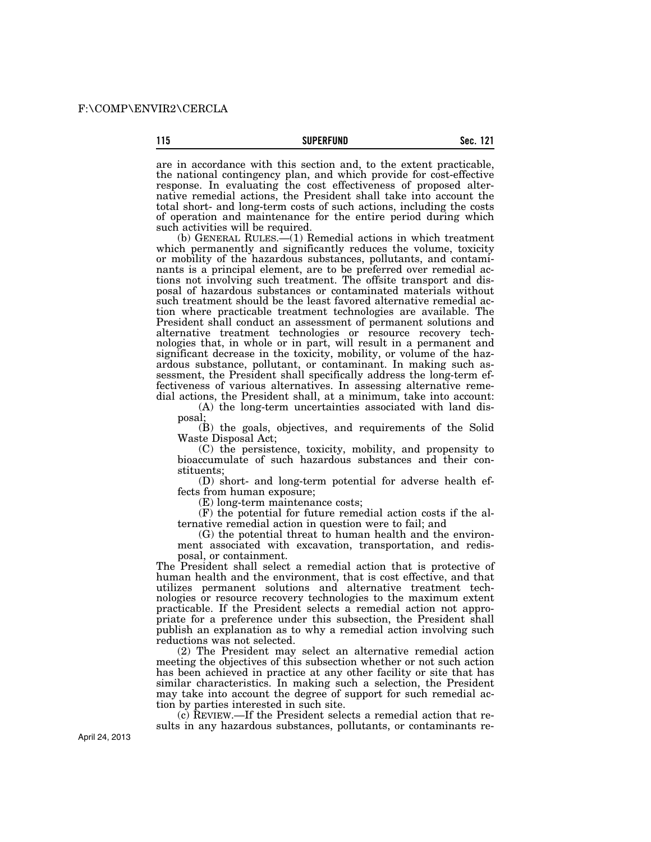are in accordance with this section and, to the extent practicable, the national contingency plan, and which provide for cost-effective response. In evaluating the cost effectiveness of proposed alternative remedial actions, the President shall take into account the total short- and long-term costs of such actions, including the costs of operation and maintenance for the entire period during which such activities will be required.

(b) GENERAL RULES.—(1) Remedial actions in which treatment which permanently and significantly reduces the volume, toxicity or mobility of the hazardous substances, pollutants, and contaminants is a principal element, are to be preferred over remedial actions not involving such treatment. The offsite transport and disposal of hazardous substances or contaminated materials without such treatment should be the least favored alternative remedial action where practicable treatment technologies are available. The President shall conduct an assessment of permanent solutions and alternative treatment technologies or resource recovery technologies that, in whole or in part, will result in a permanent and significant decrease in the toxicity, mobility, or volume of the hazardous substance, pollutant, or contaminant. In making such assessment, the President shall specifically address the long-term effectiveness of various alternatives. In assessing alternative remedial actions, the President shall, at a minimum, take into account:

(A) the long-term uncertainties associated with land disposal;

(B) the goals, objectives, and requirements of the Solid Waste Disposal Act;

(C) the persistence, toxicity, mobility, and propensity to bioaccumulate of such hazardous substances and their constituents;

(D) short- and long-term potential for adverse health effects from human exposure;

(E) long-term maintenance costs;

(F) the potential for future remedial action costs if the alternative remedial action in question were to fail; and

(G) the potential threat to human health and the environment associated with excavation, transportation, and redisposal, or containment.

The President shall select a remedial action that is protective of human health and the environment, that is cost effective, and that utilizes permanent solutions and alternative treatment technologies or resource recovery technologies to the maximum extent practicable. If the President selects a remedial action not appropriate for a preference under this subsection, the President shall publish an explanation as to why a remedial action involving such reductions was not selected.

(2) The President may select an alternative remedial action meeting the objectives of this subsection whether or not such action has been achieved in practice at any other facility or site that has similar characteristics. In making such a selection, the President may take into account the degree of support for such remedial action by parties interested in such site.

(c) REVIEW.—If the President selects a remedial action that results in any hazardous substances, pollutants, or contaminants re-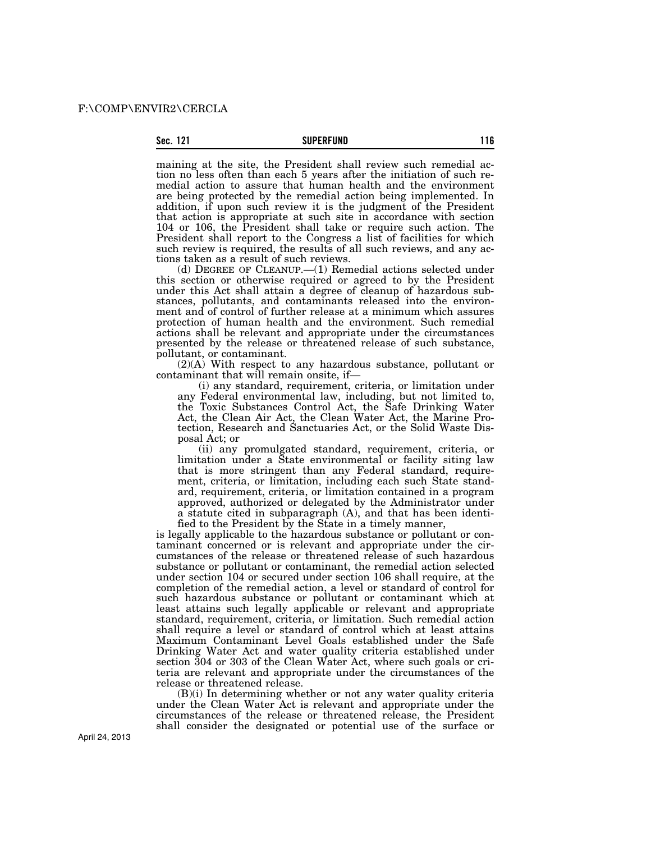maining at the site, the President shall review such remedial action no less often than each 5 years after the initiation of such remedial action to assure that human health and the environment are being protected by the remedial action being implemented. In addition, if upon such review it is the judgment of the President that action is appropriate at such site in accordance with section 104 or 106, the President shall take or require such action. The President shall report to the Congress a list of facilities for which such review is required, the results of all such reviews, and any actions taken as a result of such reviews.

(d) DEGREE OF CLEANUP.—(1) Remedial actions selected under this section or otherwise required or agreed to by the President under this Act shall attain a degree of cleanup of hazardous substances, pollutants, and contaminants released into the environment and of control of further release at a minimum which assures protection of human health and the environment. Such remedial actions shall be relevant and appropriate under the circumstances presented by the release or threatened release of such substance, pollutant, or contaminant.

(2)(A) With respect to any hazardous substance, pollutant or contaminant that will remain onsite, if—

(i) any standard, requirement, criteria, or limitation under any Federal environmental law, including, but not limited to, the Toxic Substances Control Act, the Safe Drinking Water Act, the Clean Air Act, the Clean Water Act, the Marine Protection, Research and Sanctuaries Act, or the Solid Waste Disposal Act; or

(ii) any promulgated standard, requirement, criteria, or limitation under a State environmental or facility siting law that is more stringent than any Federal standard, requirement, criteria, or limitation, including each such State standard, requirement, criteria, or limitation contained in a program approved, authorized or delegated by the Administrator under a statute cited in subparagraph (A), and that has been identified to the President by the State in a timely manner,

is legally applicable to the hazardous substance or pollutant or contaminant concerned or is relevant and appropriate under the circumstances of the release or threatened release of such hazardous substance or pollutant or contaminant, the remedial action selected under section 104 or secured under section 106 shall require, at the completion of the remedial action, a level or standard of control for such hazardous substance or pollutant or contaminant which at least attains such legally applicable or relevant and appropriate standard, requirement, criteria, or limitation. Such remedial action shall require a level or standard of control which at least attains Maximum Contaminant Level Goals established under the Safe Drinking Water Act and water quality criteria established under section 304 or 303 of the Clean Water Act, where such goals or criteria are relevant and appropriate under the circumstances of the release or threatened release.

(B)(i) In determining whether or not any water quality criteria under the Clean Water Act is relevant and appropriate under the circumstances of the release or threatened release, the President shall consider the designated or potential use of the surface or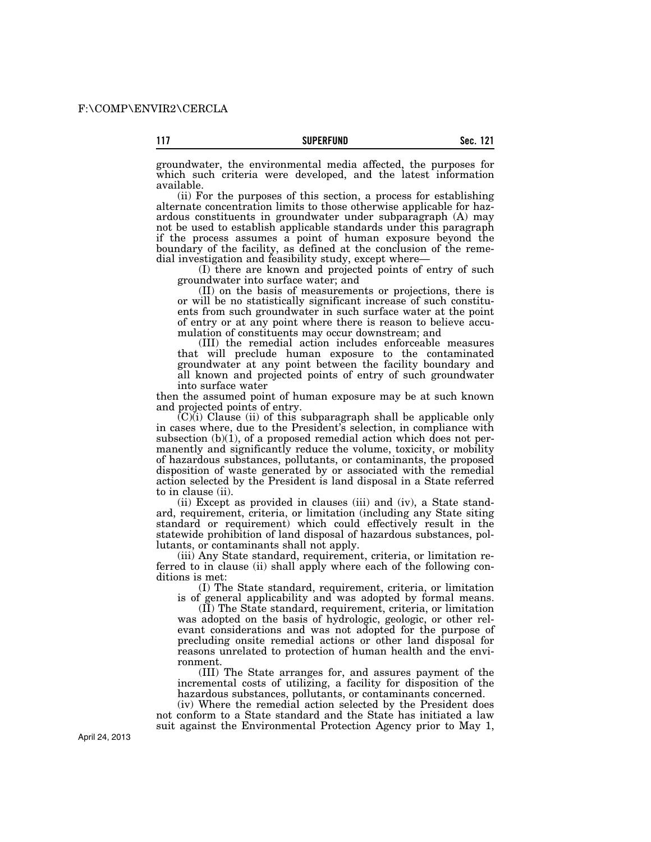groundwater, the environmental media affected, the purposes for which such criteria were developed, and the latest information available.

(ii) For the purposes of this section, a process for establishing alternate concentration limits to those otherwise applicable for hazardous constituents in groundwater under subparagraph (A) may not be used to establish applicable standards under this paragraph if the process assumes a point of human exposure beyond the boundary of the facility, as defined at the conclusion of the remedial investigation and feasibility study, except where—

(I) there are known and projected points of entry of such groundwater into surface water; and

(II) on the basis of measurements or projections, there is or will be no statistically significant increase of such constituents from such groundwater in such surface water at the point of entry or at any point where there is reason to believe accumulation of constituents may occur downstream; and

(III) the remedial action includes enforceable measures that will preclude human exposure to the contaminated groundwater at any point between the facility boundary and all known and projected points of entry of such groundwater into surface water

then the assumed point of human exposure may be at such known and projected points of entry.

(C)(i) Clause (ii) of this subparagraph shall be applicable only in cases where, due to the President's selection, in compliance with subsection (b)(1), of a proposed remedial action which does not permanently and significantly reduce the volume, toxicity, or mobility of hazardous substances, pollutants, or contaminants, the proposed disposition of waste generated by or associated with the remedial action selected by the President is land disposal in a State referred to in clause (ii).

(ii) Except as provided in clauses (iii) and (iv), a State standard, requirement, criteria, or limitation (including any State siting standard or requirement) which could effectively result in the statewide prohibition of land disposal of hazardous substances, pollutants, or contaminants shall not apply.

(iii) Any State standard, requirement, criteria, or limitation referred to in clause (ii) shall apply where each of the following conditions is met:

(I) The State standard, requirement, criteria, or limitation is of general applicability and was adopted by formal means.

(II) The State standard, requirement, criteria, or limitation was adopted on the basis of hydrologic, geologic, or other relevant considerations and was not adopted for the purpose of precluding onsite remedial actions or other land disposal for reasons unrelated to protection of human health and the environment.

(III) The State arranges for, and assures payment of the incremental costs of utilizing, a facility for disposition of the hazardous substances, pollutants, or contaminants concerned.

(iv) Where the remedial action selected by the President does not conform to a State standard and the State has initiated a law suit against the Environmental Protection Agency prior to May 1,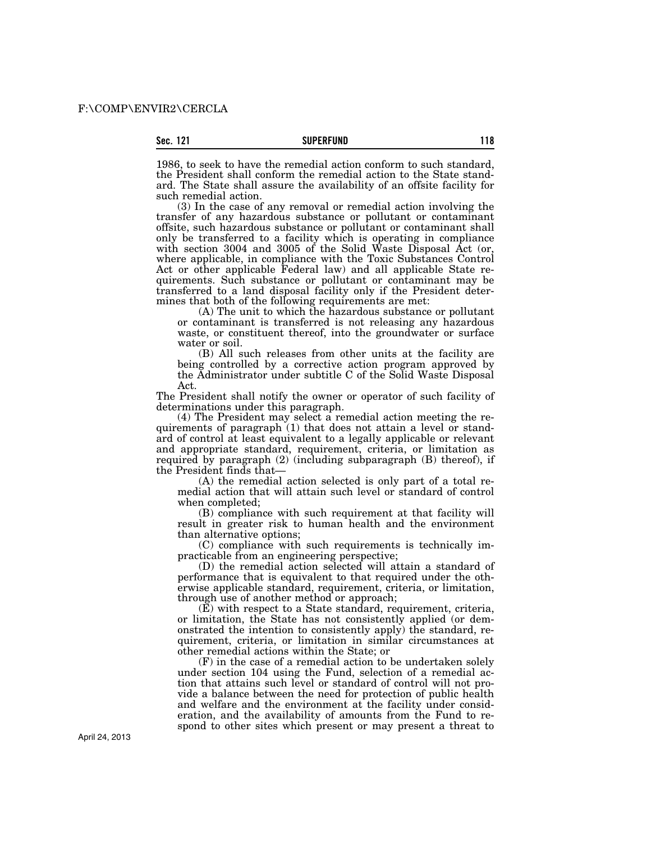1986, to seek to have the remedial action conform to such standard, the President shall conform the remedial action to the State standard. The State shall assure the availability of an offsite facility for such remedial action.

(3) In the case of any removal or remedial action involving the transfer of any hazardous substance or pollutant or contaminant offsite, such hazardous substance or pollutant or contaminant shall only be transferred to a facility which is operating in compliance with section 3004 and 3005 of the Solid Waste Disposal Act (or, where applicable, in compliance with the Toxic Substances Control Act or other applicable Federal law) and all applicable State requirements. Such substance or pollutant or contaminant may be transferred to a land disposal facility only if the President determines that both of the following requirements are met:

(A) The unit to which the hazardous substance or pollutant or contaminant is transferred is not releasing any hazardous waste, or constituent thereof, into the groundwater or surface water or soil.

(B) All such releases from other units at the facility are being controlled by a corrective action program approved by the Administrator under subtitle C of the Solid Waste Disposal Act.

The President shall notify the owner or operator of such facility of determinations under this paragraph.

(4) The President may select a remedial action meeting the requirements of paragraph (1) that does not attain a level or standard of control at least equivalent to a legally applicable or relevant and appropriate standard, requirement, criteria, or limitation as required by paragraph (2) (including subparagraph (B) thereof), if the President finds that—

(A) the remedial action selected is only part of a total remedial action that will attain such level or standard of control when completed;

(B) compliance with such requirement at that facility will result in greater risk to human health and the environment than alternative options;

(C) compliance with such requirements is technically impracticable from an engineering perspective;

(D) the remedial action selected will attain a standard of performance that is equivalent to that required under the otherwise applicable standard, requirement, criteria, or limitation, through use of another method or approach;

(E) with respect to a State standard, requirement, criteria, or limitation, the State has not consistently applied (or demonstrated the intention to consistently apply) the standard, requirement, criteria, or limitation in similar circumstances at other remedial actions within the State; or

(F) in the case of a remedial action to be undertaken solely under section 104 using the Fund, selection of a remedial action that attains such level or standard of control will not provide a balance between the need for protection of public health and welfare and the environment at the facility under consideration, and the availability of amounts from the Fund to respond to other sites which present or may present a threat to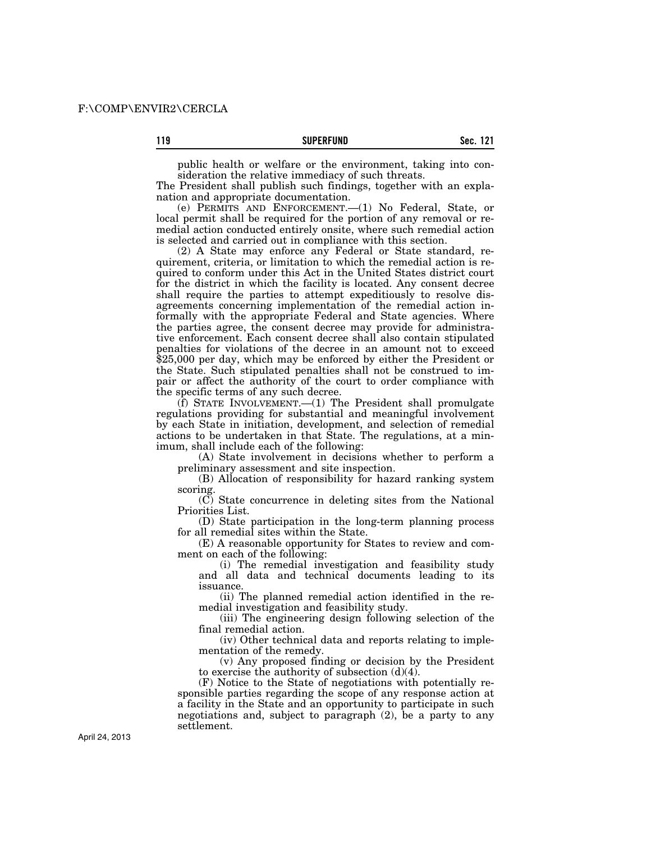public health or welfare or the environment, taking into consideration the relative immediacy of such threats.

The President shall publish such findings, together with an explanation and appropriate documentation.

(e) PERMITS AND ENFORCEMENT.—(1) No Federal, State, or local permit shall be required for the portion of any removal or remedial action conducted entirely onsite, where such remedial action is selected and carried out in compliance with this section.

(2) A State may enforce any Federal or State standard, requirement, criteria, or limitation to which the remedial action is required to conform under this Act in the United States district court for the district in which the facility is located. Any consent decree shall require the parties to attempt expeditiously to resolve disagreements concerning implementation of the remedial action informally with the appropriate Federal and State agencies. Where the parties agree, the consent decree may provide for administrative enforcement. Each consent decree shall also contain stipulated penalties for violations of the decree in an amount not to exceed \$25,000 per day, which may be enforced by either the President or the State. Such stipulated penalties shall not be construed to impair or affect the authority of the court to order compliance with the specific terms of any such decree.

(f) STATE INVOLVEMENT.—(1) The President shall promulgate regulations providing for substantial and meaningful involvement by each State in initiation, development, and selection of remedial actions to be undertaken in that State. The regulations, at a minimum, shall include each of the following:

(A) State involvement in decisions whether to perform a preliminary assessment and site inspection.

(B) Allocation of responsibility for hazard ranking system scoring.

(C) State concurrence in deleting sites from the National Priorities List.

(D) State participation in the long-term planning process for all remedial sites within the State.

(E) A reasonable opportunity for States to review and comment on each of the following:

(i) The remedial investigation and feasibility study and all data and technical documents leading to its issuance.

(ii) The planned remedial action identified in the remedial investigation and feasibility study.

(iii) The engineering design following selection of the final remedial action.

(iv) Other technical data and reports relating to implementation of the remedy.

(v) Any proposed finding or decision by the President to exercise the authority of subsection  $(d)(4)$ .

(F) Notice to the State of negotiations with potentially responsible parties regarding the scope of any response action at a facility in the State and an opportunity to participate in such negotiations and, subject to paragraph (2), be a party to any settlement.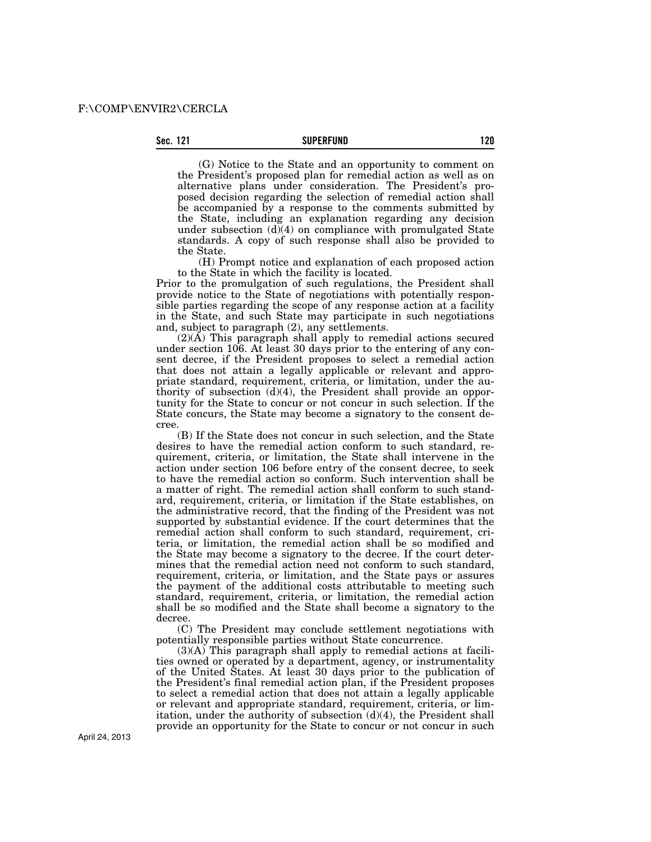## **Sec. 121 SUPERFUND 120**

(G) Notice to the State and an opportunity to comment on the President's proposed plan for remedial action as well as on alternative plans under consideration. The President's proposed decision regarding the selection of remedial action shall be accompanied by a response to the comments submitted by the State, including an explanation regarding any decision under subsection (d)(4) on compliance with promulgated State standards. A copy of such response shall also be provided to the State.

(H) Prompt notice and explanation of each proposed action to the State in which the facility is located.

Prior to the promulgation of such regulations, the President shall provide notice to the State of negotiations with potentially responsible parties regarding the scope of any response action at a facility in the State, and such State may participate in such negotiations and, subject to paragraph (2), any settlements.

(2)(A) This paragraph shall apply to remedial actions secured under section 106. At least 30 days prior to the entering of any consent decree, if the President proposes to select a remedial action that does not attain a legally applicable or relevant and appropriate standard, requirement, criteria, or limitation, under the authority of subsection  $(d)(4)$ , the President shall provide an opportunity for the State to concur or not concur in such selection. If the State concurs, the State may become a signatory to the consent decree.

(B) If the State does not concur in such selection, and the State desires to have the remedial action conform to such standard, requirement, criteria, or limitation, the State shall intervene in the action under section 106 before entry of the consent decree, to seek to have the remedial action so conform. Such intervention shall be a matter of right. The remedial action shall conform to such standard, requirement, criteria, or limitation if the State establishes, on the administrative record, that the finding of the President was not supported by substantial evidence. If the court determines that the remedial action shall conform to such standard, requirement, criteria, or limitation, the remedial action shall be so modified and the State may become a signatory to the decree. If the court determines that the remedial action need not conform to such standard, requirement, criteria, or limitation, and the State pays or assures the payment of the additional costs attributable to meeting such standard, requirement, criteria, or limitation, the remedial action shall be so modified and the State shall become a signatory to the decree.

(C) The President may conclude settlement negotiations with potentially responsible parties without State concurrence.

(3)(A) This paragraph shall apply to remedial actions at facilities owned or operated by a department, agency, or instrumentality of the United States. At least 30 days prior to the publication of the President's final remedial action plan, if the President proposes to select a remedial action that does not attain a legally applicable or relevant and appropriate standard, requirement, criteria, or limitation, under the authority of subsection  $(d)(4)$ , the President shall provide an opportunity for the State to concur or not concur in such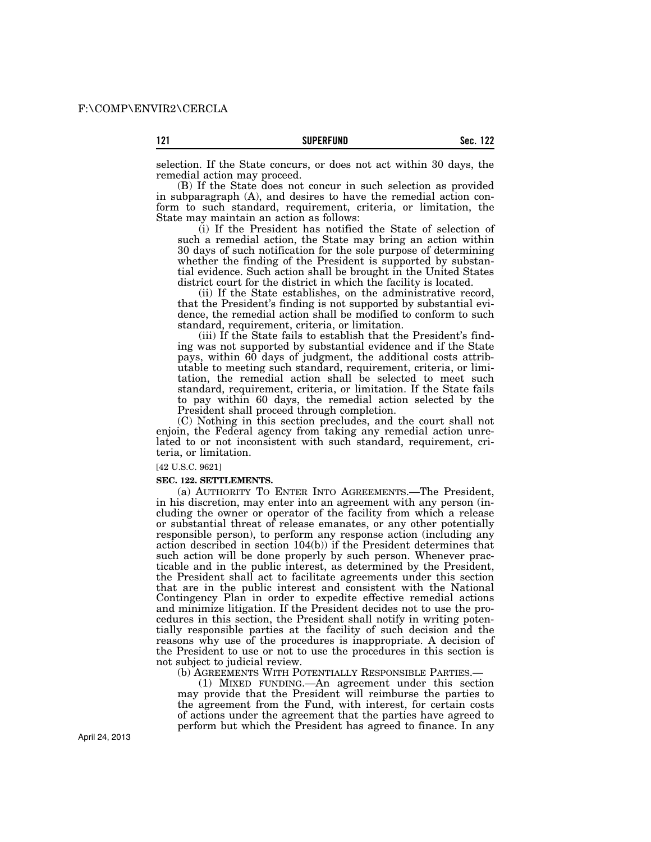selection. If the State concurs, or does not act within 30 days, the remedial action may proceed.

(B) If the State does not concur in such selection as provided in subparagraph (A), and desires to have the remedial action conform to such standard, requirement, criteria, or limitation, the State may maintain an action as follows:

(i) If the President has notified the State of selection of such a remedial action, the State may bring an action within 30 days of such notification for the sole purpose of determining whether the finding of the President is supported by substantial evidence. Such action shall be brought in the United States district court for the district in which the facility is located.

(ii) If the State establishes, on the administrative record, that the President's finding is not supported by substantial evidence, the remedial action shall be modified to conform to such standard, requirement, criteria, or limitation.

(iii) If the State fails to establish that the President's finding was not supported by substantial evidence and if the State pays, within 60 days of judgment, the additional costs attributable to meeting such standard, requirement, criteria, or limitation, the remedial action shall be selected to meet such standard, requirement, criteria, or limitation. If the State fails to pay within 60 days, the remedial action selected by the President shall proceed through completion.

(C) Nothing in this section precludes, and the court shall not enjoin, the Federal agency from taking any remedial action unrelated to or not inconsistent with such standard, requirement, criteria, or limitation.

[42 U.S.C. 9621]

#### **SEC. 122. SETTLEMENTS.**

(a) AUTHORITY TO ENTER INTO AGREEMENTS.—The President, in his discretion, may enter into an agreement with any person (including the owner or operator of the facility from which a release or substantial threat of release emanates, or any other potentially responsible person), to perform any response action (including any action described in section 104(b)) if the President determines that such action will be done properly by such person. Whenever practicable and in the public interest, as determined by the President, the President shall act to facilitate agreements under this section that are in the public interest and consistent with the National Contingency Plan in order to expedite effective remedial actions and minimize litigation. If the President decides not to use the procedures in this section, the President shall notify in writing potentially responsible parties at the facility of such decision and the reasons why use of the procedures is inappropriate. A decision of the President to use or not to use the procedures in this section is not subject to judicial review.

(b) AGREEMENTS WITH POTENTIALLY RESPONSIBLE PARTIES.—

(1) MIXED FUNDING.—An agreement under this section may provide that the President will reimburse the parties to the agreement from the Fund, with interest, for certain costs of actions under the agreement that the parties have agreed to perform but which the President has agreed to finance. In any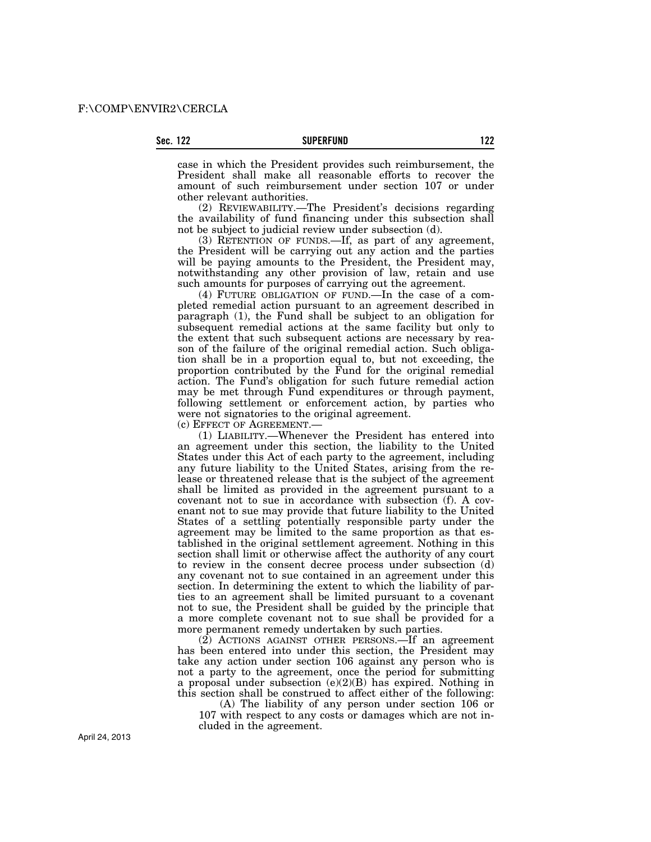case in which the President provides such reimbursement, the President shall make all reasonable efforts to recover the amount of such reimbursement under section 107 or under other relevant authorities.

(2) REVIEWABILITY.—The President's decisions regarding the availability of fund financing under this subsection shall not be subject to judicial review under subsection (d).

(3) RETENTION OF FUNDS.—If, as part of any agreement, the President will be carrying out any action and the parties will be paying amounts to the President, the President may, notwithstanding any other provision of law, retain and use such amounts for purposes of carrying out the agreement.

(4) FUTURE OBLIGATION OF FUND.—In the case of a completed remedial action pursuant to an agreement described in paragraph (1), the Fund shall be subject to an obligation for subsequent remedial actions at the same facility but only to the extent that such subsequent actions are necessary by reason of the failure of the original remedial action. Such obligation shall be in a proportion equal to, but not exceeding, the proportion contributed by the Fund for the original remedial action. The Fund's obligation for such future remedial action may be met through Fund expenditures or through payment, following settlement or enforcement action, by parties who were not signatories to the original agreement.

(c) EFFECT OF AGREEMENT.—

(1) LIABILITY.—Whenever the President has entered into an agreement under this section, the liability to the United States under this Act of each party to the agreement, including any future liability to the United States, arising from the release or threatened release that is the subject of the agreement shall be limited as provided in the agreement pursuant to a covenant not to sue in accordance with subsection (f). A covenant not to sue may provide that future liability to the United States of a settling potentially responsible party under the agreement may be limited to the same proportion as that established in the original settlement agreement. Nothing in this section shall limit or otherwise affect the authority of any court to review in the consent decree process under subsection (d) any covenant not to sue contained in an agreement under this section. In determining the extent to which the liability of parties to an agreement shall be limited pursuant to a covenant not to sue, the President shall be guided by the principle that a more complete covenant not to sue shall be provided for a more permanent remedy undertaken by such parties.

(2) ACTIONS AGAINST OTHER PERSONS.—If an agreement has been entered into under this section, the President may take any action under section 106 against any person who is not a party to the agreement, once the period for submitting a proposal under subsection (e)(2)(B) has expired. Nothing in this section shall be construed to affect either of the following:

(A) The liability of any person under section 106 or 107 with respect to any costs or damages which are not included in the agreement.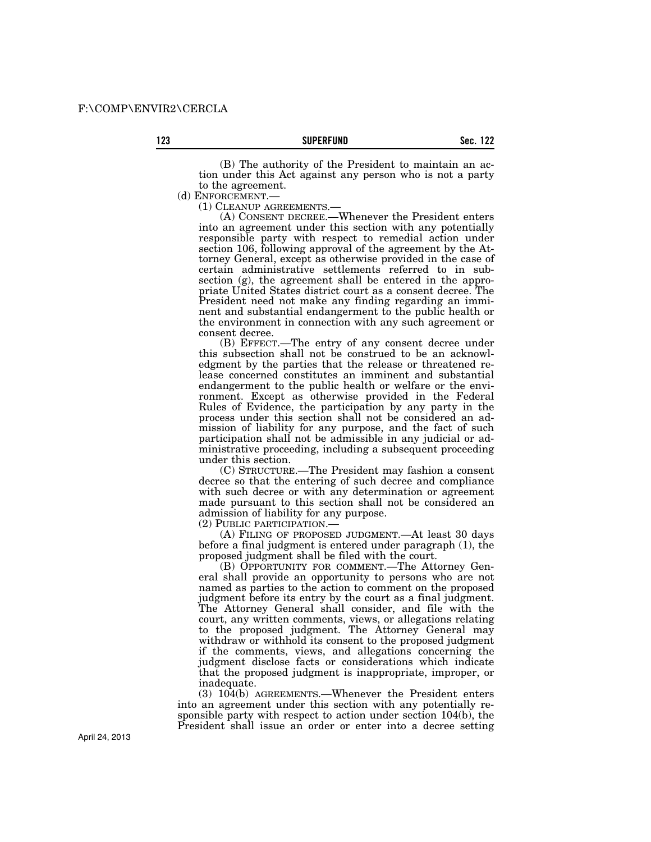(B) The authority of the President to maintain an action under this Act against any person who is not a party to the agreement.

(d) ENFORCEMENT.—<br>
(1) CLEANUP AGREEMENTS.—<br>
(A) CONSENT DECREE.—Whenever the President enters into an agreement under this section with any potentially responsible party with respect to remedial action under section 106, following approval of the agreement by the Attorney General, except as otherwise provided in the case of certain administrative settlements referred to in subsection (g), the agreement shall be entered in the appropriate United States district court as a consent decree. The President need not make any finding regarding an imminent and substantial endangerment to the public health or the environment in connection with any such agreement or consent decree.

(B) EFFECT.—The entry of any consent decree under this subsection shall not be construed to be an acknowledgment by the parties that the release or threatened release concerned constitutes an imminent and substantial endangerment to the public health or welfare or the environment. Except as otherwise provided in the Federal Rules of Evidence, the participation by any party in the process under this section shall not be considered an admission of liability for any purpose, and the fact of such participation shall not be admissible in any judicial or administrative proceeding, including a subsequent proceeding under this section.

(C) STRUCTURE.—The President may fashion a consent decree so that the entering of such decree and compliance with such decree or with any determination or agreement made pursuant to this section shall not be considered an admission of liability for any purpose.

(2) PUBLIC PARTICIPATION.—

(A) FILING OF PROPOSED JUDGMENT.—At least 30 days before a final judgment is entered under paragraph (1), the proposed judgment shall be filed with the court.

(B) OPPORTUNITY FOR COMMENT.—The Attorney General shall provide an opportunity to persons who are not named as parties to the action to comment on the proposed judgment before its entry by the court as a final judgment. The Attorney General shall consider, and file with the court, any written comments, views, or allegations relating to the proposed judgment. The Attorney General may withdraw or withhold its consent to the proposed judgment if the comments, views, and allegations concerning the judgment disclose facts or considerations which indicate that the proposed judgment is inappropriate, improper, or inadequate.

(3) 104(b) AGREEMENTS.—Whenever the President enters into an agreement under this section with any potentially responsible party with respect to action under section 104(b), the President shall issue an order or enter into a decree setting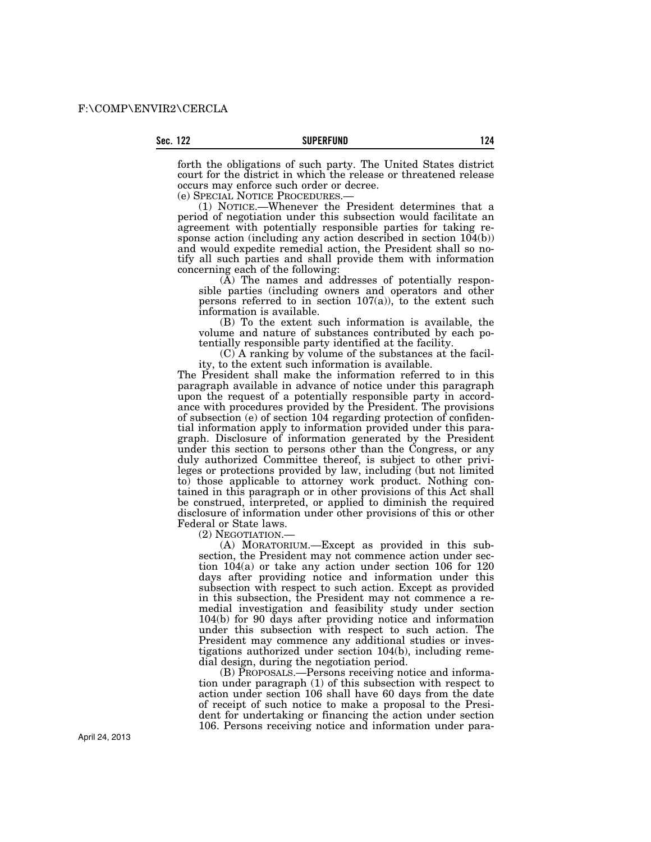forth the obligations of such party. The United States district court for the district in which the release or threatened release occurs may enforce such order or decree.

(e) SPECIAL NOTICE PROCEDURES.— (1) NOTICE.—Whenever the President determines that a period of negotiation under this subsection would facilitate an agreement with potentially responsible parties for taking response action (including any action described in section  $104(b)$ ) and would expedite remedial action, the President shall so notify all such parties and shall provide them with information concerning each of the following:

(A) The names and addresses of potentially responsible parties (including owners and operators and other persons referred to in section  $107(a)$ , to the extent such information is available.

(B) To the extent such information is available, the volume and nature of substances contributed by each potentially responsible party identified at the facility.

(C) A ranking by volume of the substances at the facility, to the extent such information is available.

The President shall make the information referred to in this paragraph available in advance of notice under this paragraph upon the request of a potentially responsible party in accordance with procedures provided by the President. The provisions of subsection (e) of section 104 regarding protection of confidential information apply to information provided under this paragraph. Disclosure of information generated by the President under this section to persons other than the Congress, or any duly authorized Committee thereof, is subject to other privileges or protections provided by law, including (but not limited to) those applicable to attorney work product. Nothing contained in this paragraph or in other provisions of this Act shall be construed, interpreted, or applied to diminish the required disclosure of information under other provisions of this or other Federal or State laws.

(2) NEGOTIATION.—

(A) MORATORIUM.—Except as provided in this subsection, the President may not commence action under section 104(a) or take any action under section 106 for 120 days after providing notice and information under this subsection with respect to such action. Except as provided in this subsection, the President may not commence a remedial investigation and feasibility study under section 104(b) for 90 days after providing notice and information under this subsection with respect to such action. The President may commence any additional studies or investigations authorized under section 104(b), including remedial design, during the negotiation period.

(B) PROPOSALS.—Persons receiving notice and information under paragraph (1) of this subsection with respect to action under section 106 shall have 60 days from the date of receipt of such notice to make a proposal to the President for undertaking or financing the action under section 106. Persons receiving notice and information under para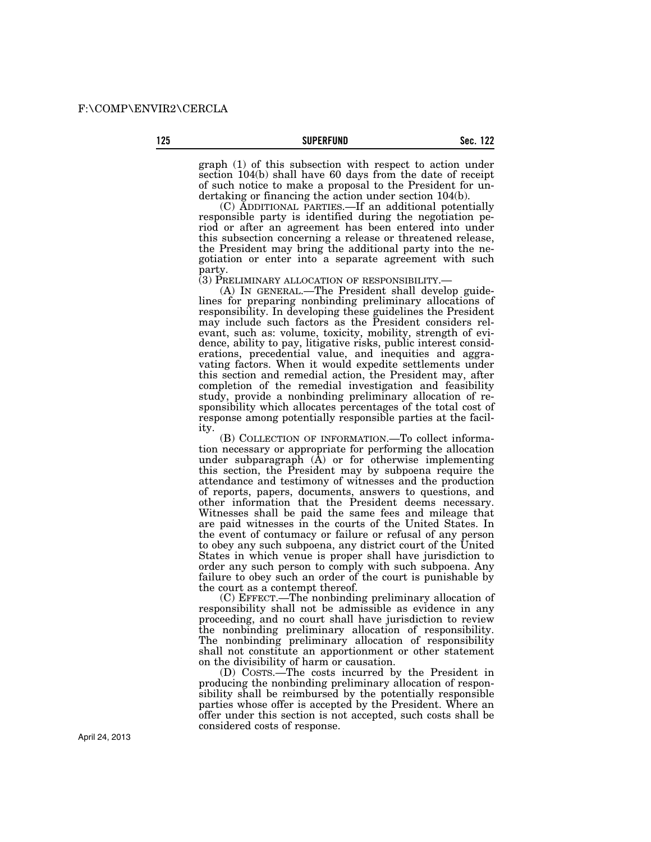graph (1) of this subsection with respect to action under section 104(b) shall have 60 days from the date of receipt of such notice to make a proposal to the President for undertaking or financing the action under section 104(b).

(C) ADDITIONAL PARTIES.—If an additional potentially responsible party is identified during the negotiation period or after an agreement has been entered into under this subsection concerning a release or threatened release, the President may bring the additional party into the negotiation or enter into a separate agreement with such party.<br>(3) PRELIMINARY ALLOCATION OF RESPONSIBILITY.—

(A) IN GENERAL.—The President shall develop guidelines for preparing nonbinding preliminary allocations of responsibility. In developing these guidelines the President may include such factors as the President considers relevant, such as: volume, toxicity, mobility, strength of evidence, ability to pay, litigative risks, public interest considerations, precedential value, and inequities and aggravating factors. When it would expedite settlements under this section and remedial action, the President may, after completion of the remedial investigation and feasibility study, provide a nonbinding preliminary allocation of responsibility which allocates percentages of the total cost of response among potentially responsible parties at the facility.

(B) COLLECTION OF INFORMATION.—To collect information necessary or appropriate for performing the allocation under subparagraph (A) or for otherwise implementing this section, the President may by subpoena require the attendance and testimony of witnesses and the production of reports, papers, documents, answers to questions, and other information that the President deems necessary. Witnesses shall be paid the same fees and mileage that are paid witnesses in the courts of the United States. In the event of contumacy or failure or refusal of any person to obey any such subpoena, any district court of the United States in which venue is proper shall have jurisdiction to order any such person to comply with such subpoena. Any failure to obey such an order of the court is punishable by the court as a contempt thereof.

(C) EFFECT.—The nonbinding preliminary allocation of responsibility shall not be admissible as evidence in any proceeding, and no court shall have jurisdiction to review the nonbinding preliminary allocation of responsibility. The nonbinding preliminary allocation of responsibility shall not constitute an apportionment or other statement on the divisibility of harm or causation.

(D) COSTS.—The costs incurred by the President in producing the nonbinding preliminary allocation of responsibility shall be reimbursed by the potentially responsible parties whose offer is accepted by the President. Where an offer under this section is not accepted, such costs shall be considered costs of response.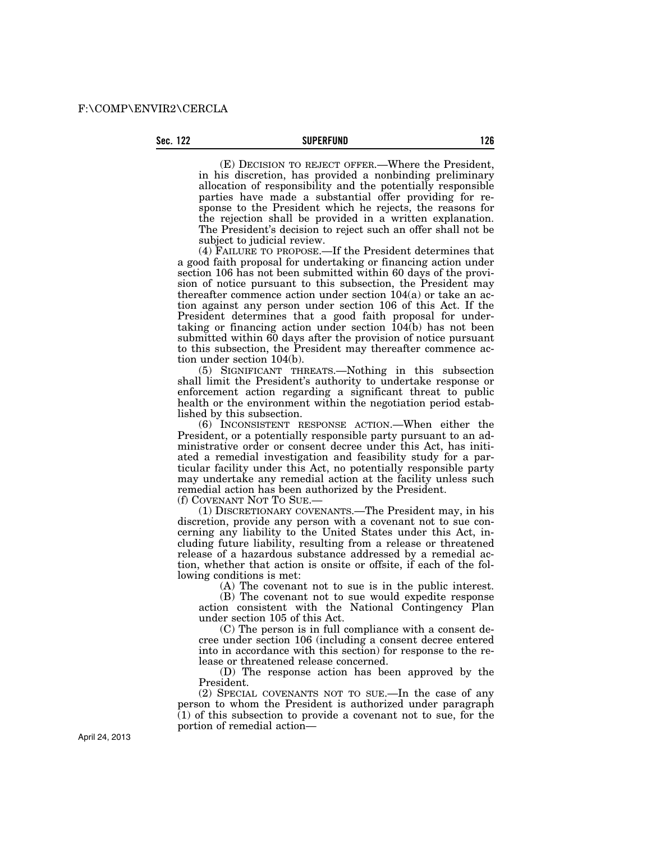## **Sec. 122 SUPERFUND 126**

(E) DECISION TO REJECT OFFER.—Where the President, in his discretion, has provided a nonbinding preliminary allocation of responsibility and the potentially responsible parties have made a substantial offer providing for response to the President which he rejects, the reasons for the rejection shall be provided in a written explanation. The President's decision to reject such an offer shall not be subject to judicial review.

(4) FAILURE TO PROPOSE.—If the President determines that a good faith proposal for undertaking or financing action under section 106 has not been submitted within 60 days of the provision of notice pursuant to this subsection, the President may thereafter commence action under section 104(a) or take an action against any person under section 106 of this Act. If the President determines that a good faith proposal for undertaking or financing action under section 104(b) has not been submitted within 60 days after the provision of notice pursuant to this subsection, the President may thereafter commence action under section 104(b).

(5) SIGNIFICANT THREATS.—Nothing in this subsection shall limit the President's authority to undertake response or enforcement action regarding a significant threat to public health or the environment within the negotiation period established by this subsection.

(6) INCONSISTENT RESPONSE ACTION.—When either the President, or a potentially responsible party pursuant to an administrative order or consent decree under this Act, has initiated a remedial investigation and feasibility study for a particular facility under this Act, no potentially responsible party may undertake any remedial action at the facility unless such remedial action has been authorized by the President.

(f) COVENANT NOT TO SUE.—

(1) DISCRETIONARY COVENANTS.—The President may, in his discretion, provide any person with a covenant not to sue concerning any liability to the United States under this Act, including future liability, resulting from a release or threatened release of a hazardous substance addressed by a remedial action, whether that action is onsite or offsite, if each of the following conditions is met:

(A) The covenant not to sue is in the public interest.

(B) The covenant not to sue would expedite response action consistent with the National Contingency Plan under section 105 of this Act.

(C) The person is in full compliance with a consent decree under section 106 (including a consent decree entered into in accordance with this section) for response to the release or threatened release concerned.

(D) The response action has been approved by the President.

(2) SPECIAL COVENANTS NOT TO SUE.—In the case of any person to whom the President is authorized under paragraph (1) of this subsection to provide a covenant not to sue, for the portion of remedial action—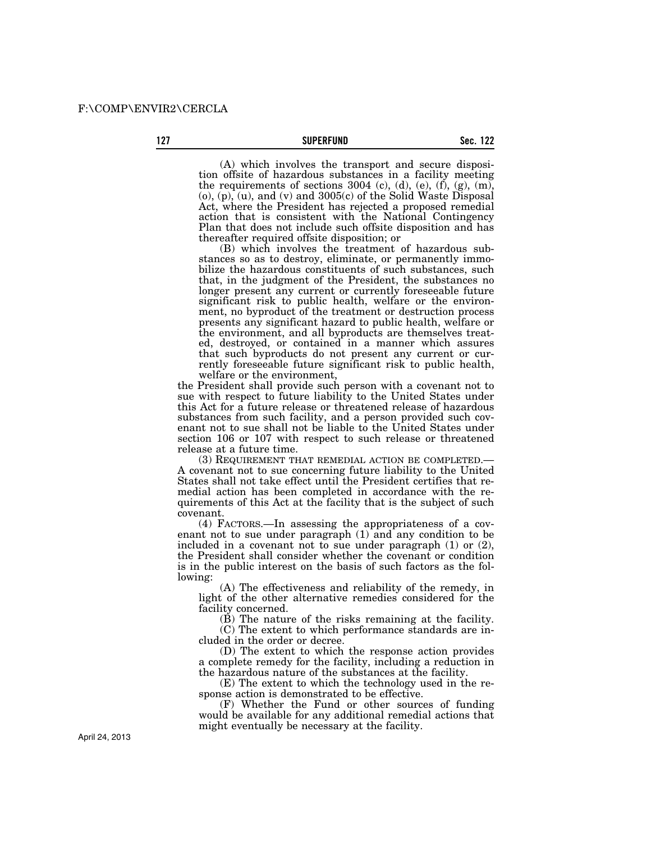(A) which involves the transport and secure disposition offsite of hazardous substances in a facility meeting the requirements of sections  $3004$  (c), (d), (e), (f), (g), (m),  $(a)$ ,  $(p)$ ,  $(u)$ , and  $(v)$  and  $3005(c)$  of the Solid Waste Disposal Act, where the President has rejected a proposed remedial action that is consistent with the National Contingency Plan that does not include such offsite disposition and has thereafter required offsite disposition; or

(B) which involves the treatment of hazardous substances so as to destroy, eliminate, or permanently immobilize the hazardous constituents of such substances, such that, in the judgment of the President, the substances no longer present any current or currently foreseeable future significant risk to public health, welfare or the environment, no byproduct of the treatment or destruction process presents any significant hazard to public health, welfare or the environment, and all byproducts are themselves treated, destroyed, or contained in a manner which assures that such byproducts do not present any current or currently foreseeable future significant risk to public health, welfare or the environment,

the President shall provide such person with a covenant not to sue with respect to future liability to the United States under this Act for a future release or threatened release of hazardous substances from such facility, and a person provided such covenant not to sue shall not be liable to the United States under section 106 or 107 with respect to such release or threatened release at a future time.

(3) REQUIREMENT THAT REMEDIAL ACTION BE COMPLETED.— A covenant not to sue concerning future liability to the United States shall not take effect until the President certifies that remedial action has been completed in accordance with the requirements of this Act at the facility that is the subject of such covenant.

(4) FACTORS.—In assessing the appropriateness of a covenant not to sue under paragraph (1) and any condition to be included in a covenant not to sue under paragraph (1) or (2), the President shall consider whether the covenant or condition is in the public interest on the basis of such factors as the following:

(A) The effectiveness and reliability of the remedy, in light of the other alternative remedies considered for the facility concerned.

(B) The nature of the risks remaining at the facility. (C) The extent to which performance standards are included in the order or decree.

(D) The extent to which the response action provides a complete remedy for the facility, including a reduction in the hazardous nature of the substances at the facility.

(E) The extent to which the technology used in the response action is demonstrated to be effective.

(F) Whether the Fund or other sources of funding would be available for any additional remedial actions that might eventually be necessary at the facility.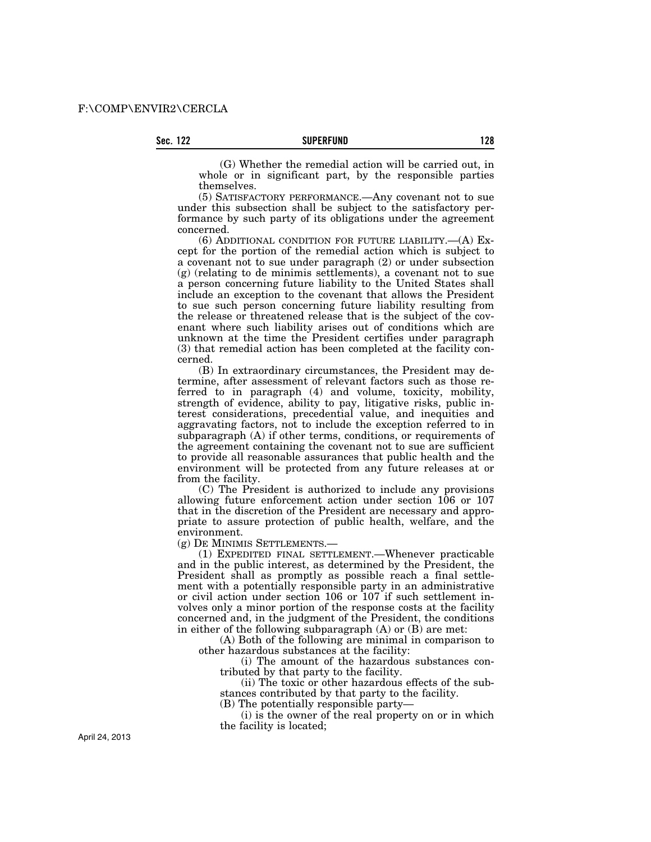(G) Whether the remedial action will be carried out, in whole or in significant part, by the responsible parties themselves.

(5) SATISFACTORY PERFORMANCE.—Any covenant not to sue under this subsection shall be subject to the satisfactory performance by such party of its obligations under the agreement concerned.

(6) ADDITIONAL CONDITION FOR FUTURE LIABILITY.— $(A)$  Except for the portion of the remedial action which is subject to a covenant not to sue under paragraph (2) or under subsection (g) (relating to de minimis settlements), a covenant not to sue a person concerning future liability to the United States shall include an exception to the covenant that allows the President to sue such person concerning future liability resulting from the release or threatened release that is the subject of the covenant where such liability arises out of conditions which are unknown at the time the President certifies under paragraph (3) that remedial action has been completed at the facility concerned.

(B) In extraordinary circumstances, the President may determine, after assessment of relevant factors such as those referred to in paragraph (4) and volume, toxicity, mobility, strength of evidence, ability to pay, litigative risks, public interest considerations, precedential value, and inequities and aggravating factors, not to include the exception referred to in subparagraph (A) if other terms, conditions, or requirements of the agreement containing the covenant not to sue are sufficient to provide all reasonable assurances that public health and the environment will be protected from any future releases at or from the facility.

(C) The President is authorized to include any provisions allowing future enforcement action under section 106 or 107 that in the discretion of the President are necessary and appropriate to assure protection of public health, welfare, and the environment.

(g) DE MINIMIS SETTLEMENTS.—

(1) EXPEDITED FINAL SETTLEMENT.—Whenever practicable and in the public interest, as determined by the President, the President shall as promptly as possible reach a final settlement with a potentially responsible party in an administrative or civil action under section 106 or 107 if such settlement involves only a minor portion of the response costs at the facility concerned and, in the judgment of the President, the conditions in either of the following subparagraph (A) or (B) are met:

(A) Both of the following are minimal in comparison to other hazardous substances at the facility:

(i) The amount of the hazardous substances contributed by that party to the facility.

(ii) The toxic or other hazardous effects of the substances contributed by that party to the facility.

(B) The potentially responsible party—

(i) is the owner of the real property on or in which the facility is located;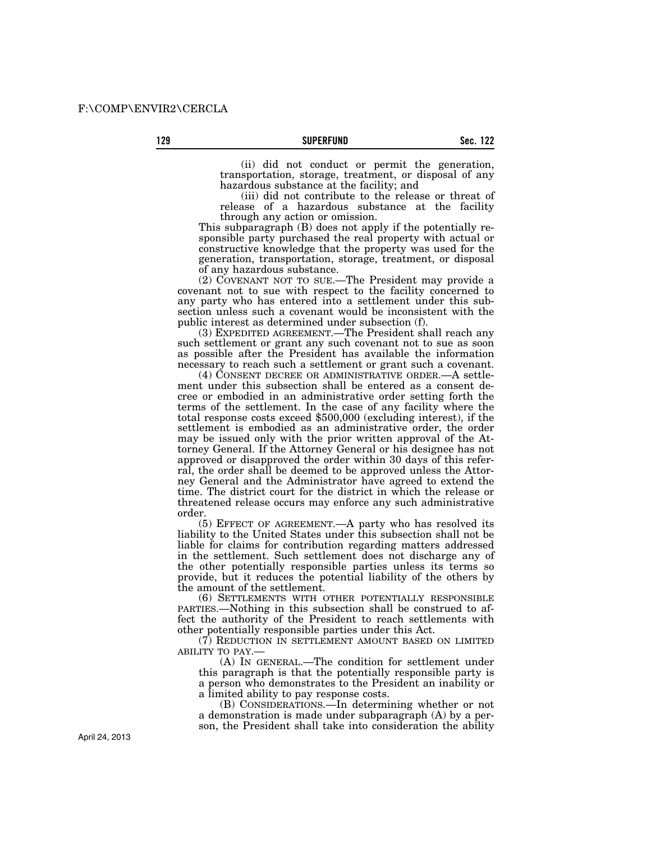(ii) did not conduct or permit the generation, transportation, storage, treatment, or disposal of any hazardous substance at the facility; and

(iii) did not contribute to the release or threat of release of a hazardous substance at the facility through any action or omission.

This subparagraph (B) does not apply if the potentially responsible party purchased the real property with actual or constructive knowledge that the property was used for the generation, transportation, storage, treatment, or disposal of any hazardous substance.

(2) COVENANT NOT TO SUE.—The President may provide a covenant not to sue with respect to the facility concerned to any party who has entered into a settlement under this subsection unless such a covenant would be inconsistent with the public interest as determined under subsection (f).

(3) EXPEDITED AGREEMENT.—The President shall reach any such settlement or grant any such covenant not to sue as soon as possible after the President has available the information necessary to reach such a settlement or grant such a covenant.

(4) CONSENT DECREE OR ADMINISTRATIVE ORDER.—A settlement under this subsection shall be entered as a consent decree or embodied in an administrative order setting forth the terms of the settlement. In the case of any facility where the total response costs exceed \$500,000 (excluding interest), if the settlement is embodied as an administrative order, the order may be issued only with the prior written approval of the Attorney General. If the Attorney General or his designee has not approved or disapproved the order within 30 days of this referral, the order shall be deemed to be approved unless the Attorney General and the Administrator have agreed to extend the time. The district court for the district in which the release or threatened release occurs may enforce any such administrative order.

(5) EFFECT OF AGREEMENT.—A party who has resolved its liability to the United States under this subsection shall not be liable for claims for contribution regarding matters addressed in the settlement. Such settlement does not discharge any of the other potentially responsible parties unless its terms so provide, but it reduces the potential liability of the others by the amount of the settlement.

(6) SETTLEMENTS WITH OTHER POTENTIALLY RESPONSIBLE PARTIES.—Nothing in this subsection shall be construed to affect the authority of the President to reach settlements with other potentially responsible parties under this Act.

(7) REDUCTION IN SETTLEMENT AMOUNT BASED ON LIMITED ABILITY TO PAY.—

(A) IN GENERAL.—The condition for settlement under this paragraph is that the potentially responsible party is a person who demonstrates to the President an inability or a limited ability to pay response costs.

(B) CONSIDERATIONS.—In determining whether or not a demonstration is made under subparagraph (A) by a person, the President shall take into consideration the ability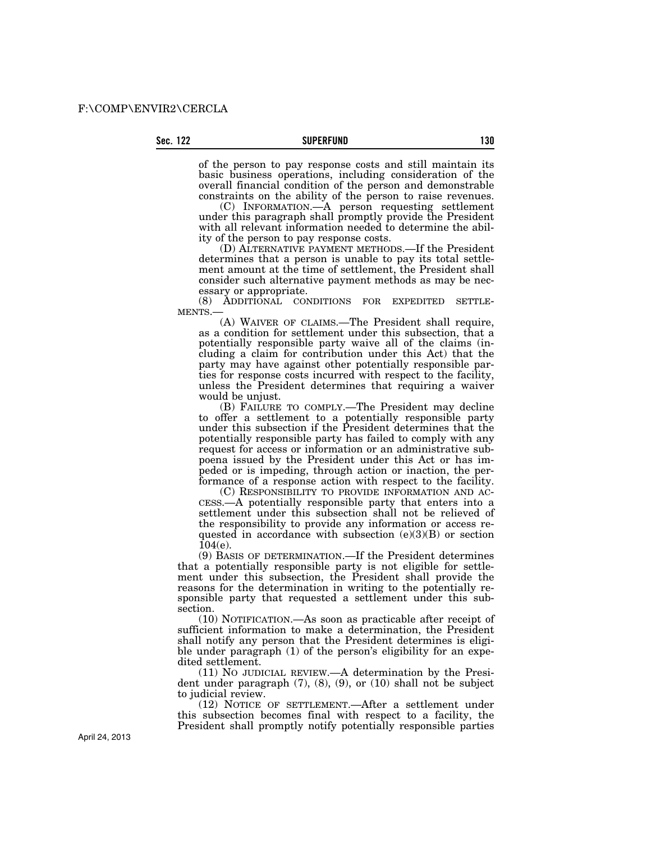of the person to pay response costs and still maintain its basic business operations, including consideration of the overall financial condition of the person and demonstrable constraints on the ability of the person to raise revenues.

(C) INFORMATION.—A person requesting settlement under this paragraph shall promptly provide the President with all relevant information needed to determine the ability of the person to pay response costs.

(D) ALTERNATIVE PAYMENT METHODS.—If the President determines that a person is unable to pay its total settlement amount at the time of settlement, the President shall consider such alternative payment methods as may be necessary or appropriate.

(8) ADDITIONAL CONDITIONS FOR EXPEDITED SETTLE- MENTS.—

(A) WAIVER OF CLAIMS.—The President shall require, as a condition for settlement under this subsection, that a potentially responsible party waive all of the claims (including a claim for contribution under this Act) that the party may have against other potentially responsible parties for response costs incurred with respect to the facility, unless the President determines that requiring a waiver would be unjust.

(B) FAILURE TO COMPLY.—The President may decline to offer a settlement to a potentially responsible party under this subsection if the President determines that the potentially responsible party has failed to comply with any request for access or information or an administrative subpoena issued by the President under this Act or has impeded or is impeding, through action or inaction, the performance of a response action with respect to the facility.

(C) RESPONSIBILITY TO PROVIDE INFORMATION AND AC-CESS.—A potentially responsible party that enters into a settlement under this subsection shall not be relieved of the responsibility to provide any information or access requested in accordance with subsection (e)(3)(B) or section  $104(e)$ .

(9) BASIS OF DETERMINATION.—If the President determines that a potentially responsible party is not eligible for settlement under this subsection, the President shall provide the reasons for the determination in writing to the potentially responsible party that requested a settlement under this subsection.

(10) NOTIFICATION.—As soon as practicable after receipt of sufficient information to make a determination, the President shall notify any person that the President determines is eligible under paragraph (1) of the person's eligibility for an expedited settlement.

(11) NO JUDICIAL REVIEW.—A determination by the President under paragraph (7), (8), (9), or (10) shall not be subject to judicial review.

(12) NOTICE OF SETTLEMENT.—After a settlement under this subsection becomes final with respect to a facility, the President shall promptly notify potentially responsible parties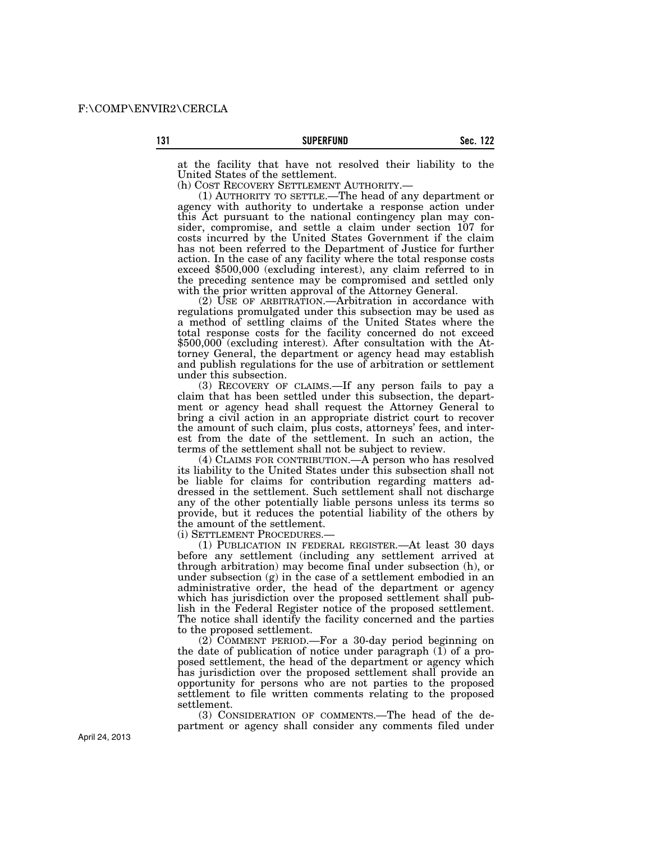at the facility that have not resolved their liability to the United States of the settlement.<br>
(h) COST RECOVERY SETTLEMENT AUTHORITY.—

 $(1)$  AUTHORITY TO SETTLE.—The head of any department or agency with authority to undertake a response action under this Act pursuant to the national contingency plan may consider, compromise, and settle a claim under section 107 for costs incurred by the United States Government if the claim has not been referred to the Department of Justice for further action. In the case of any facility where the total response costs exceed \$500,000 (excluding interest), any claim referred to in the preceding sentence may be compromised and settled only with the prior written approval of the Attorney General.

(2) USE OF ARBITRATION.—Arbitration in accordance with regulations promulgated under this subsection may be used as a method of settling claims of the United States where the total response costs for the facility concerned do not exceed \$500,000 (excluding interest). After consultation with the Attorney General, the department or agency head may establish and publish regulations for the use of arbitration or settlement under this subsection.

(3) RECOVERY OF CLAIMS.—If any person fails to pay a claim that has been settled under this subsection, the department or agency head shall request the Attorney General to bring a civil action in an appropriate district court to recover the amount of such claim, plus costs, attorneys' fees, and interest from the date of the settlement. In such an action, the terms of the settlement shall not be subject to review.

(4) CLAIMS FOR CONTRIBUTION.—A person who has resolved its liability to the United States under this subsection shall not be liable for claims for contribution regarding matters addressed in the settlement. Such settlement shall not discharge any of the other potentially liable persons unless its terms so provide, but it reduces the potential liability of the others by the amount of the settlement.

(i) SETTLEMENT PROCEDURES.—

(1) PUBLICATION IN FEDERAL REGISTER.—At least 30 days before any settlement (including any settlement arrived at through arbitration) may become final under subsection (h), or under subsection (g) in the case of a settlement embodied in an administrative order, the head of the department or agency which has jurisdiction over the proposed settlement shall publish in the Federal Register notice of the proposed settlement. The notice shall identify the facility concerned and the parties to the proposed settlement.

(2) COMMENT PERIOD.—For a 30-day period beginning on the date of publication of notice under paragraph  $(I)$  of a proposed settlement, the head of the department or agency which has jurisdiction over the proposed settlement shall provide an opportunity for persons who are not parties to the proposed settlement to file written comments relating to the proposed settlement.

(3) CONSIDERATION OF COMMENTS.—The head of the department or agency shall consider any comments filed under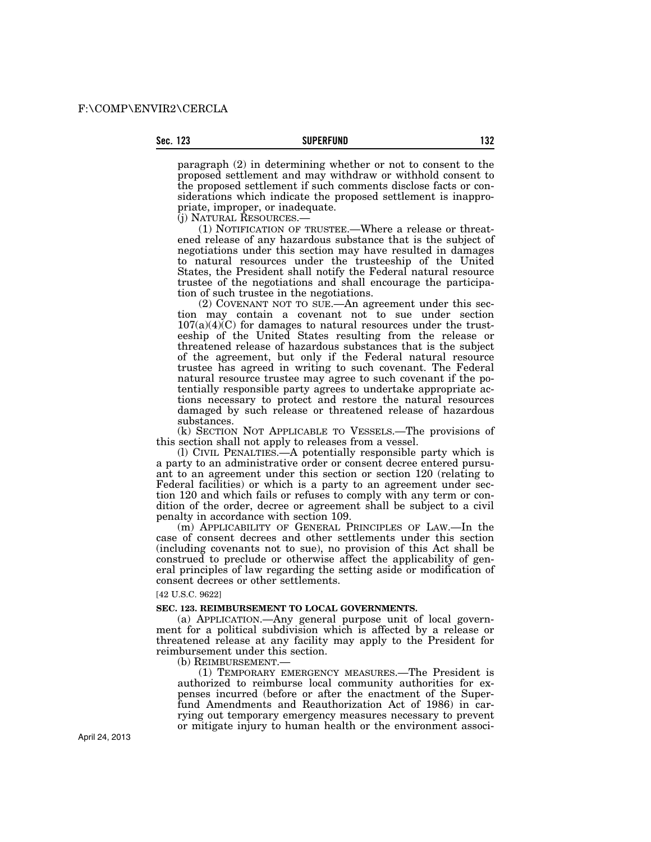paragraph (2) in determining whether or not to consent to the proposed settlement and may withdraw or withhold consent to the proposed settlement if such comments disclose facts or considerations which indicate the proposed settlement is inappropriate, improper, or inadequate.

(j) NATURAL RESOURCES.—

(1) NOTIFICATION OF TRUSTEE.—Where a release or threatened release of any hazardous substance that is the subject of negotiations under this section may have resulted in damages to natural resources under the trusteeship of the United States, the President shall notify the Federal natural resource trustee of the negotiations and shall encourage the participation of such trustee in the negotiations.

(2) COVENANT NOT TO SUE.—An agreement under this section may contain a covenant not to sue under section  $107(a)(4)$ <sup> $\check{C}$ </sup>) for damages to natural resources under the trusteeship of the United States resulting from the release or threatened release of hazardous substances that is the subject of the agreement, but only if the Federal natural resource trustee has agreed in writing to such covenant. The Federal natural resource trustee may agree to such covenant if the potentially responsible party agrees to undertake appropriate actions necessary to protect and restore the natural resources damaged by such release or threatened release of hazardous substances.

(k) SECTION NOT APPLICABLE TO VESSELS.—The provisions of this section shall not apply to releases from a vessel.

(l) CIVIL PENALTIES.—A potentially responsible party which is a party to an administrative order or consent decree entered pursuant to an agreement under this section or section 120 (relating to Federal facilities) or which is a party to an agreement under section 120 and which fails or refuses to comply with any term or condition of the order, decree or agreement shall be subject to a civil penalty in accordance with section 109.

(m) APPLICABILITY OF GENERAL PRINCIPLES OF LAW.—In the case of consent decrees and other settlements under this section (including covenants not to sue), no provision of this Act shall be construed to preclude or otherwise affect the applicability of general principles of law regarding the setting aside or modification of consent decrees or other settlements.

#### [42 U.S.C. 9622]

## **SEC. 123. REIMBURSEMENT TO LOCAL GOVERNMENTS.**

(a) APPLICATION.—Any general purpose unit of local government for a political subdivision which is affected by a release or threatened release at any facility may apply to the President for reimbursement under this section.

(b) REIMBURSEMENT.—

(1) TEMPORARY EMERGENCY MEASURES.—The President is authorized to reimburse local community authorities for expenses incurred (before or after the enactment of the Superfund Amendments and Reauthorization Act of 1986) in carrying out temporary emergency measures necessary to prevent or mitigate injury to human health or the environment associ-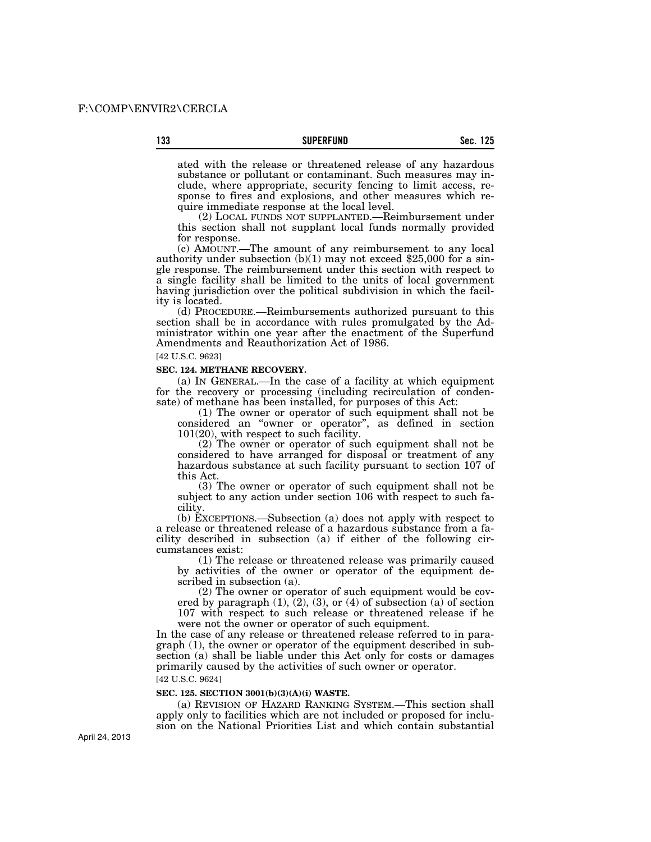ated with the release or threatened release of any hazardous substance or pollutant or contaminant. Such measures may include, where appropriate, security fencing to limit access, response to fires and explosions, and other measures which require immediate response at the local level.

(2) LOCAL FUNDS NOT SUPPLANTED.—Reimbursement under this section shall not supplant local funds normally provided for response.

(c) AMOUNT.—The amount of any reimbursement to any local authority under subsection  $(b)(1)$  may not exceed \$25,000 for a single response. The reimbursement under this section with respect to a single facility shall be limited to the units of local government having jurisdiction over the political subdivision in which the facility is located.

(d) PROCEDURE.—Reimbursements authorized pursuant to this section shall be in accordance with rules promulgated by the Administrator within one year after the enactment of the Superfund Amendments and Reauthorization Act of 1986.

#### [42 U.S.C. 9623]

#### **SEC. 124. METHANE RECOVERY.**

(a) IN GENERAL.—In the case of a facility at which equipment for the recovery or processing (including recirculation of condensate) of methane has been installed, for purposes of this Act:

(1) The owner or operator of such equipment shall not be considered an ''owner or operator'', as defined in section 101(20), with respect to such facility.

(2) The owner or operator of such equipment shall not be considered to have arranged for disposal or treatment of any hazardous substance at such facility pursuant to section 107 of this Act.

(3) The owner or operator of such equipment shall not be subject to any action under section 106 with respect to such facility.

(b) EXCEPTIONS.—Subsection (a) does not apply with respect to a release or threatened release of a hazardous substance from a facility described in subsection (a) if either of the following circumstances exist:

(1) The release or threatened release was primarily caused by activities of the owner or operator of the equipment described in subsection (a).

(2) The owner or operator of such equipment would be covered by paragraph  $(1)$ ,  $(2)$ ,  $(3)$ , or  $(4)$  of subsection  $(a)$  of section 107 with respect to such release or threatened release if he were not the owner or operator of such equipment.

In the case of any release or threatened release referred to in paragraph (1), the owner or operator of the equipment described in subsection (a) shall be liable under this Act only for costs or damages primarily caused by the activities of such owner or operator.

[42 U.S.C. 9624]

#### **SEC. 125. SECTION 3001(b)(3)(A)(i) WASTE.**

(a) REVISION OF HAZARD RANKING SYSTEM.—This section shall apply only to facilities which are not included or proposed for inclusion on the National Priorities List and which contain substantial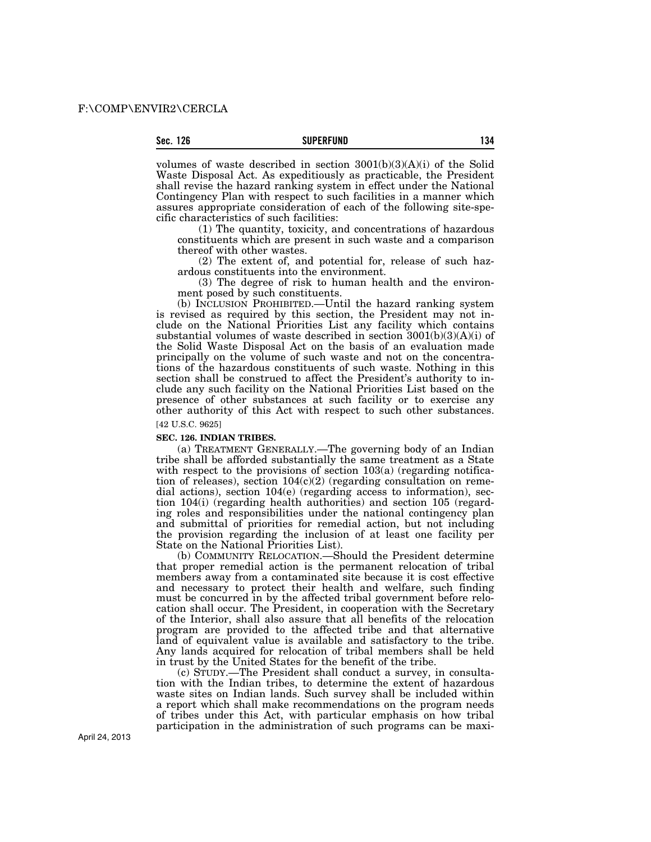volumes of waste described in section  $3001(b)(3)(A)(i)$  of the Solid Waste Disposal Act. As expeditiously as practicable, the President shall revise the hazard ranking system in effect under the National Contingency Plan with respect to such facilities in a manner which assures appropriate consideration of each of the following site-specific characteristics of such facilities:

(1) The quantity, toxicity, and concentrations of hazardous constituents which are present in such waste and a comparison thereof with other wastes.

(2) The extent of, and potential for, release of such hazardous constituents into the environment.

(3) The degree of risk to human health and the environment posed by such constituents.

(b) INCLUSION PROHIBITED.—Until the hazard ranking system is revised as required by this section, the President may not include on the National Priorities List any facility which contains substantial volumes of waste described in section  $3001(b)(3)(A)(i)$  of the Solid Waste Disposal Act on the basis of an evaluation made principally on the volume of such waste and not on the concentrations of the hazardous constituents of such waste. Nothing in this section shall be construed to affect the President's authority to include any such facility on the National Priorities List based on the presence of other substances at such facility or to exercise any other authority of this Act with respect to such other substances.

[42 U.S.C. 9625]

#### **SEC. 126. INDIAN TRIBES.**

(a) TREATMENT GENERALLY.—The governing body of an Indian tribe shall be afforded substantially the same treatment as a State with respect to the provisions of section  $103(a)$  (regarding notification of releases), section  $104(c)(2)$  (regarding consultation on remedial actions), section 104(e) (regarding access to information), section 104(i) (regarding health authorities) and section 105 (regarding roles and responsibilities under the national contingency plan and submittal of priorities for remedial action, but not including the provision regarding the inclusion of at least one facility per State on the National Priorities List).

(b) COMMUNITY RELOCATION.—Should the President determine that proper remedial action is the permanent relocation of tribal members away from a contaminated site because it is cost effective and necessary to protect their health and welfare, such finding must be concurred in by the affected tribal government before relocation shall occur. The President, in cooperation with the Secretary of the Interior, shall also assure that all benefits of the relocation program are provided to the affected tribe and that alternative land of equivalent value is available and satisfactory to the tribe. Any lands acquired for relocation of tribal members shall be held in trust by the United States for the benefit of the tribe.

(c) STUDY.—The President shall conduct a survey, in consultation with the Indian tribes, to determine the extent of hazardous waste sites on Indian lands. Such survey shall be included within a report which shall make recommendations on the program needs of tribes under this Act, with particular emphasis on how tribal participation in the administration of such programs can be maxi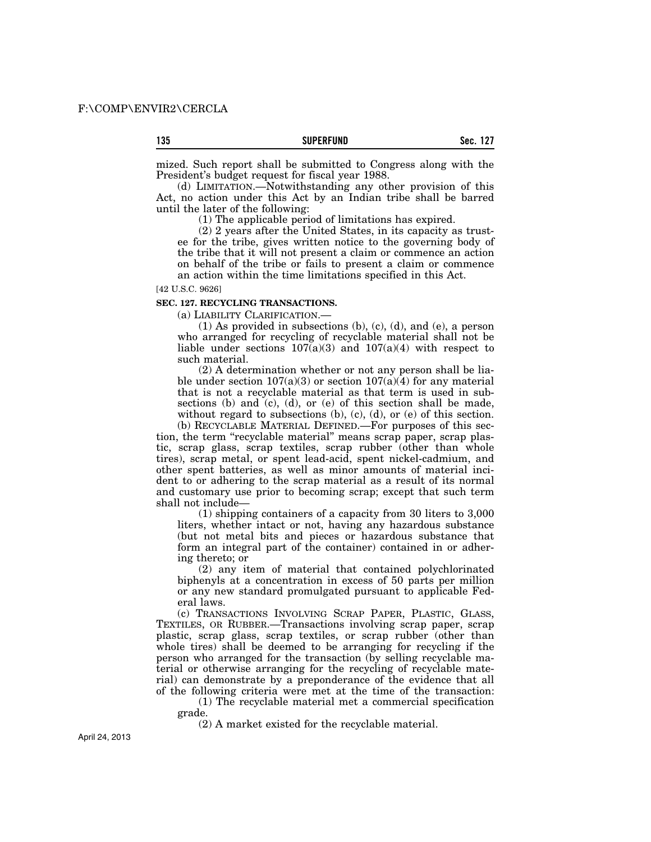mized. Such report shall be submitted to Congress along with the President's budget request for fiscal year 1988.

(d) LIMITATION.—Notwithstanding any other provision of this Act, no action under this Act by an Indian tribe shall be barred until the later of the following:

(1) The applicable period of limitations has expired.

(2) 2 years after the United States, in its capacity as trustee for the tribe, gives written notice to the governing body of the tribe that it will not present a claim or commence an action on behalf of the tribe or fails to present a claim or commence an action within the time limitations specified in this Act.

[42 U.S.C. 9626]

## **SEC. 127. RECYCLING TRANSACTIONS.**

(a) LIABILITY CLARIFICATION.—

(1) As provided in subsections (b), (c), (d), and (e), a person who arranged for recycling of recyclable material shall not be liable under sections  $107(a)(3)$  and  $107(a)(4)$  with respect to such material.

(2) A determination whether or not any person shall be liable under section  $107(a)(3)$  or section  $107(a)(4)$  for any material that is not a recyclable material as that term is used in subsections (b) and (c), (d), or (e) of this section shall be made, without regard to subsections  $(b)$ ,  $(c)$ ,  $(d)$ , or  $(e)$  of this section.

(b) RECYCLABLE MATERIAL DEFINED.—For purposes of this section, the term "recyclable material" means scrap paper, scrap plastic, scrap glass, scrap textiles, scrap rubber (other than whole tires), scrap metal, or spent lead-acid, spent nickel-cadmium, and other spent batteries, as well as minor amounts of material incident to or adhering to the scrap material as a result of its normal and customary use prior to becoming scrap; except that such term shall not include—

(1) shipping containers of a capacity from 30 liters to 3,000 liters, whether intact or not, having any hazardous substance (but not metal bits and pieces or hazardous substance that form an integral part of the container) contained in or adhering thereto; or

(2) any item of material that contained polychlorinated biphenyls at a concentration in excess of 50 parts per million or any new standard promulgated pursuant to applicable Federal laws.

(c) TRANSACTIONS INVOLVING SCRAP PAPER, PLASTIC, GLASS, TEXTILES, OR RUBBER.—Transactions involving scrap paper, scrap plastic, scrap glass, scrap textiles, or scrap rubber (other than whole tires) shall be deemed to be arranging for recycling if the person who arranged for the transaction (by selling recyclable material or otherwise arranging for the recycling of recyclable material) can demonstrate by a preponderance of the evidence that all of the following criteria were met at the time of the transaction:

(1) The recyclable material met a commercial specification grade.

(2) A market existed for the recyclable material.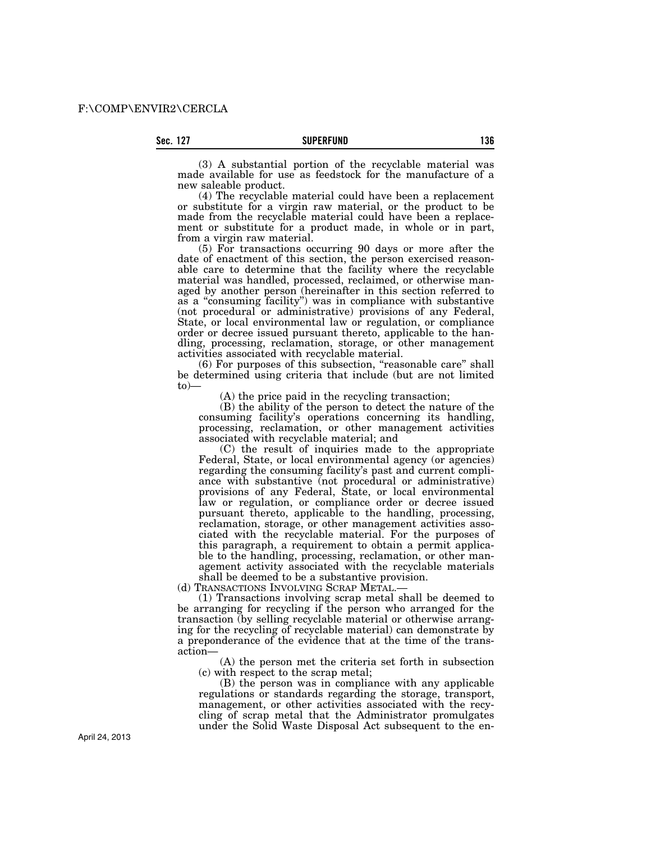(3) A substantial portion of the recyclable material was made available for use as feedstock for the manufacture of a new saleable product.

(4) The recyclable material could have been a replacement or substitute for a virgin raw material, or the product to be made from the recyclable material could have been a replacement or substitute for a product made, in whole or in part, from a virgin raw material.

(5) For transactions occurring 90 days or more after the date of enactment of this section, the person exercised reasonable care to determine that the facility where the recyclable material was handled, processed, reclaimed, or otherwise managed by another person (hereinafter in this section referred to as a ''consuming facility'') was in compliance with substantive (not procedural or administrative) provisions of any Federal, State, or local environmental law or regulation, or compliance order or decree issued pursuant thereto, applicable to the handling, processing, reclamation, storage, or other management activities associated with recyclable material.

(6) For purposes of this subsection, ''reasonable care'' shall be determined using criteria that include (but are not limited to)—

(A) the price paid in the recycling transaction;

(B) the ability of the person to detect the nature of the consuming facility's operations concerning its handling, processing, reclamation, or other management activities associated with recyclable material; and

(C) the result of inquiries made to the appropriate Federal, State, or local environmental agency (or agencies) regarding the consuming facility's past and current compliance with substantive (not procedural or administrative) provisions of any Federal, State, or local environmental law or regulation, or compliance order or decree issued pursuant thereto, applicable to the handling, processing, reclamation, storage, or other management activities associated with the recyclable material. For the purposes of this paragraph, a requirement to obtain a permit applicable to the handling, processing, reclamation, or other management activity associated with the recyclable materials shall be deemed to be a substantive provision.

(d) TRANSACTIONS INVOLVING SCRAP METAL.—

(1) Transactions involving scrap metal shall be deemed to be arranging for recycling if the person who arranged for the transaction (by selling recyclable material or otherwise arranging for the recycling of recyclable material) can demonstrate by a preponderance of the evidence that at the time of the transaction—

(A) the person met the criteria set forth in subsection (c) with respect to the scrap metal;

(B) the person was in compliance with any applicable regulations or standards regarding the storage, transport, management, or other activities associated with the recycling of scrap metal that the Administrator promulgates under the Solid Waste Disposal Act subsequent to the en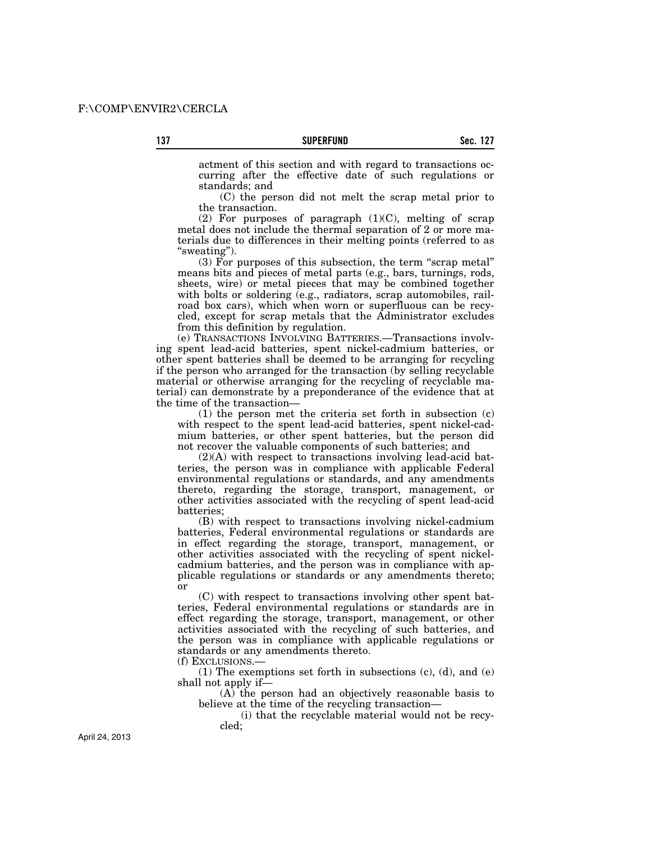actment of this section and with regard to transactions occurring after the effective date of such regulations or standards; and

(C) the person did not melt the scrap metal prior to the transaction.

(2) For purposes of paragraph  $(1)(C)$ , melting of scrap metal does not include the thermal separation of 2 or more materials due to differences in their melting points (referred to as "sweating").

(3) For purposes of this subsection, the term ''scrap metal'' means bits and pieces of metal parts (e.g., bars, turnings, rods, sheets, wire) or metal pieces that may be combined together with bolts or soldering (e.g., radiators, scrap automobiles, railroad box cars), which when worn or superfluous can be recycled, except for scrap metals that the Administrator excludes from this definition by regulation.

(e) TRANSACTIONS INVOLVING BATTERIES.—Transactions involving spent lead-acid batteries, spent nickel-cadmium batteries, or other spent batteries shall be deemed to be arranging for recycling if the person who arranged for the transaction (by selling recyclable material or otherwise arranging for the recycling of recyclable material) can demonstrate by a preponderance of the evidence that at the time of the transaction—

(1) the person met the criteria set forth in subsection (c) with respect to the spent lead-acid batteries, spent nickel-cadmium batteries, or other spent batteries, but the person did not recover the valuable components of such batteries; and

(2)(A) with respect to transactions involving lead-acid batteries, the person was in compliance with applicable Federal environmental regulations or standards, and any amendments thereto, regarding the storage, transport, management, or other activities associated with the recycling of spent lead-acid batteries;

(B) with respect to transactions involving nickel-cadmium batteries, Federal environmental regulations or standards are in effect regarding the storage, transport, management, or other activities associated with the recycling of spent nickelcadmium batteries, and the person was in compliance with applicable regulations or standards or any amendments thereto; or

(C) with respect to transactions involving other spent batteries, Federal environmental regulations or standards are in effect regarding the storage, transport, management, or other activities associated with the recycling of such batteries, and the person was in compliance with applicable regulations or standards or any amendments thereto.

(f) EXCLUSIONS.—

(1) The exemptions set forth in subsections (c), (d), and (e) shall not apply if—

 $(A)$  the person had an objectively reasonable basis to believe at the time of the recycling transaction—

(i) that the recyclable material would not be recycled;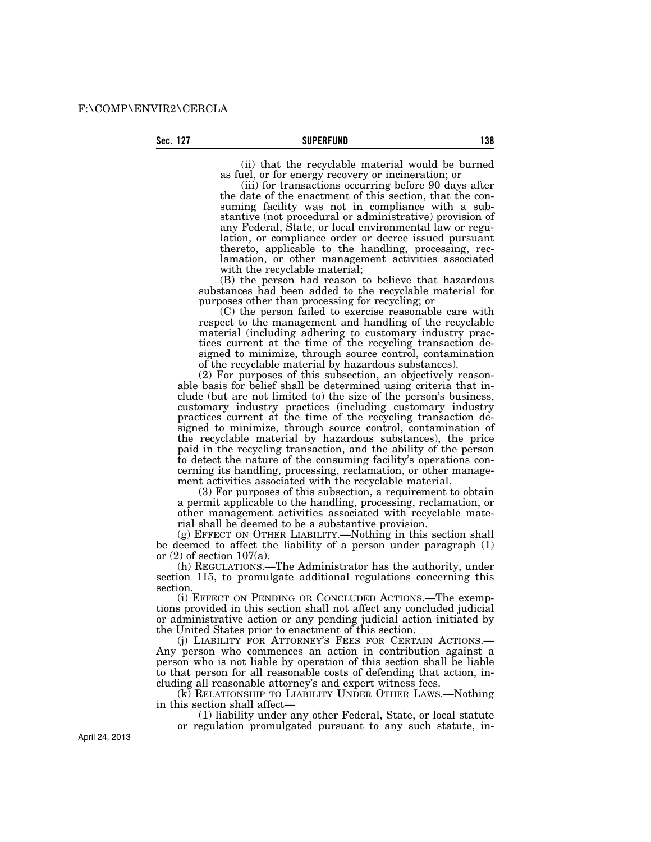(ii) that the recyclable material would be burned as fuel, or for energy recovery or incineration; or

(iii) for transactions occurring before 90 days after the date of the enactment of this section, that the consuming facility was not in compliance with a substantive (not procedural or administrative) provision of any Federal, State, or local environmental law or regulation, or compliance order or decree issued pursuant thereto, applicable to the handling, processing, reclamation, or other management activities associated with the recyclable material;

(B) the person had reason to believe that hazardous substances had been added to the recyclable material for purposes other than processing for recycling; or

(C) the person failed to exercise reasonable care with respect to the management and handling of the recyclable material (including adhering to customary industry practices current at the time of the recycling transaction designed to minimize, through source control, contamination of the recyclable material by hazardous substances).

(2) For purposes of this subsection, an objectively reasonable basis for belief shall be determined using criteria that include (but are not limited to) the size of the person's business, customary industry practices (including customary industry practices current at the time of the recycling transaction designed to minimize, through source control, contamination of the recyclable material by hazardous substances), the price paid in the recycling transaction, and the ability of the person to detect the nature of the consuming facility's operations concerning its handling, processing, reclamation, or other management activities associated with the recyclable material.

(3) For purposes of this subsection, a requirement to obtain a permit applicable to the handling, processing, reclamation, or other management activities associated with recyclable material shall be deemed to be a substantive provision.

(g) EFFECT ON OTHER LIABILITY.—Nothing in this section shall be deemed to affect the liability of a person under paragraph (1) or  $(2)$  of section 107 $(a)$ .

(h) REGULATIONS.—The Administrator has the authority, under section 115, to promulgate additional regulations concerning this section.

(i) EFFECT ON PENDING OR CONCLUDED ACTIONS.—The exemptions provided in this section shall not affect any concluded judicial or administrative action or any pending judicial action initiated by the United States prior to enactment of this section.

(j) LIABILITY FOR ATTORNEY'S FEES FOR CERTAIN ACTIONS.— Any person who commences an action in contribution against a person who is not liable by operation of this section shall be liable to that person for all reasonable costs of defending that action, including all reasonable attorney's and expert witness fees.

(k) RELATIONSHIP TO LIABILITY UNDER OTHER LAWS.—Nothing in this section shall affect—

(1) liability under any other Federal, State, or local statute or regulation promulgated pursuant to any such statute, in-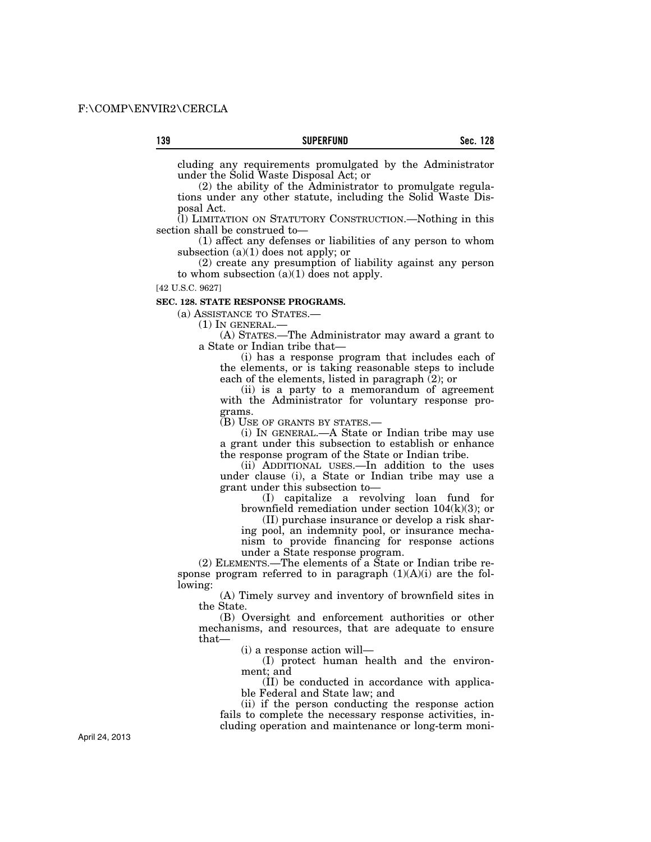cluding any requirements promulgated by the Administrator under the Solid Waste Disposal Act; or

(2) the ability of the Administrator to promulgate regulations under any other statute, including the Solid Waste Disposal Act.

(l) LIMITATION ON STATUTORY CONSTRUCTION.—Nothing in this section shall be construed to—

(1) affect any defenses or liabilities of any person to whom subsection  $(a)(1)$  does not apply; or

(2) create any presumption of liability against any person to whom subsection  $(a)(1)$  does not apply.

[42 U.S.C. 9627]

### **SEC. 128. STATE RESPONSE PROGRAMS.**

(a) ASSISTANCE TO STATES.—

(1) IN GENERAL.—

(A) STATES.—The Administrator may award a grant to a State or Indian tribe that—

(i) has a response program that includes each of the elements, or is taking reasonable steps to include each of the elements, listed in paragraph (2); or

(ii) is a party to a memorandum of agreement with the Administrator for voluntary response programs.

(B) USE OF GRANTS BY STATES.—

(i) IN GENERAL.—A State or Indian tribe may use a grant under this subsection to establish or enhance the response program of the State or Indian tribe.

(ii) ADDITIONAL USES.—In addition to the uses under clause (i), a State or Indian tribe may use a grant under this subsection to—

(I) capitalize a revolving loan fund for brownfield remediation under section 104(k)(3); or

(II) purchase insurance or develop a risk sharing pool, an indemnity pool, or insurance mechanism to provide financing for response actions

under a State response program.

(2) ELEMENTS.—The elements of a State or Indian tribe response program referred to in paragraph  $(1)(A)(i)$  are the following:

(A) Timely survey and inventory of brownfield sites in the State.

(B) Oversight and enforcement authorities or other mechanisms, and resources, that are adequate to ensure that—

(i) a response action will—

(I) protect human health and the environment; and

(II) be conducted in accordance with applicable Federal and State law; and

(ii) if the person conducting the response action fails to complete the necessary response activities, including operation and maintenance or long-term moni-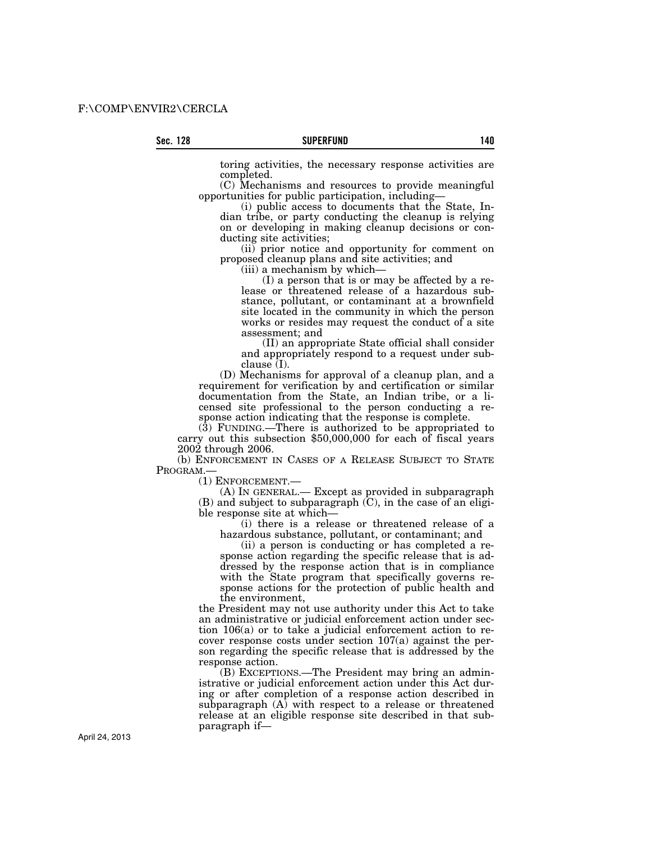toring activities, the necessary response activities are completed.

(C) Mechanisms and resources to provide meaningful opportunities for public participation, including—

(i) public access to documents that the State, Indian tribe, or party conducting the cleanup is relying on or developing in making cleanup decisions or conducting site activities;

(ii) prior notice and opportunity for comment on proposed cleanup plans and site activities; and

(iii) a mechanism by which—

(I) a person that is or may be affected by a release or threatened release of a hazardous substance, pollutant, or contaminant at a brownfield site located in the community in which the person works or resides may request the conduct of a site assessment; and

(II) an appropriate State official shall consider and appropriately respond to a request under subclause (I).

(D) Mechanisms for approval of a cleanup plan, and a requirement for verification by and certification or similar documentation from the State, an Indian tribe, or a licensed site professional to the person conducting a response action indicating that the response is complete.

(3) FUNDING.—There is authorized to be appropriated to carry out this subsection \$50,000,000 for each of fiscal years 2002 through 2006.

(b) ENFORCEMENT IN CASES OF A RELEASE SUBJECT TO STATE PROGRAM.—<br>(1) ENFORCEMENT.—

 $(A)$  In GENERAL.— Except as provided in subparagraph (B) and subject to subparagraph (C), in the case of an eligible response site at which—

(i) there is a release or threatened release of a hazardous substance, pollutant, or contaminant; and

(ii) a person is conducting or has completed a response action regarding the specific release that is addressed by the response action that is in compliance with the State program that specifically governs response actions for the protection of public health and the environment,

the President may not use authority under this Act to take an administrative or judicial enforcement action under section 106(a) or to take a judicial enforcement action to recover response costs under section 107(a) against the person regarding the specific release that is addressed by the response action.

(B) EXCEPTIONS.—The President may bring an administrative or judicial enforcement action under this Act during or after completion of a response action described in subparagraph  $(A)$  with respect to a release or threatened release at an eligible response site described in that subparagraph if—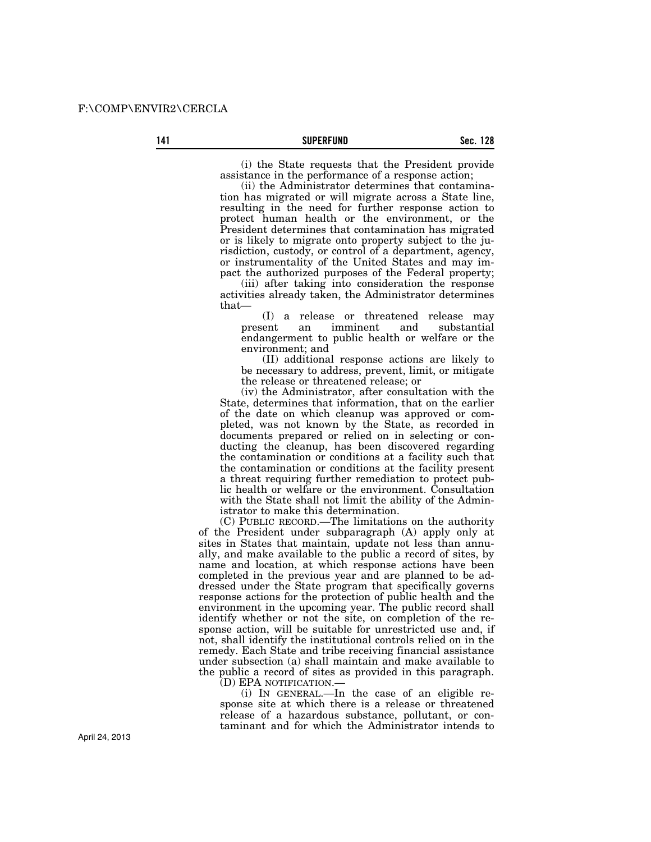(i) the State requests that the President provide assistance in the performance of a response action;

(ii) the Administrator determines that contamination has migrated or will migrate across a State line, resulting in the need for further response action to protect human health or the environment, or the President determines that contamination has migrated or is likely to migrate onto property subject to the jurisdiction, custody, or control of a department, agency, or instrumentality of the United States and may impact the authorized purposes of the Federal property;

(iii) after taking into consideration the response activities already taken, the Administrator determines that—

(I) a release or threatened release may present an imminent and substantial endangerment to public health or welfare or the environment; and

(II) additional response actions are likely to be necessary to address, prevent, limit, or mitigate the release or threatened release; or

(iv) the Administrator, after consultation with the State, determines that information, that on the earlier of the date on which cleanup was approved or completed, was not known by the State, as recorded in documents prepared or relied on in selecting or conducting the cleanup, has been discovered regarding the contamination or conditions at a facility such that the contamination or conditions at the facility present a threat requiring further remediation to protect public health or welfare or the environment. Consultation with the State shall not limit the ability of the Administrator to make this determination.

(C) PUBLIC RECORD.—The limitations on the authority of the President under subparagraph (A) apply only at sites in States that maintain, update not less than annually, and make available to the public a record of sites, by name and location, at which response actions have been completed in the previous year and are planned to be addressed under the State program that specifically governs response actions for the protection of public health and the environment in the upcoming year. The public record shall identify whether or not the site, on completion of the response action, will be suitable for unrestricted use and, if not, shall identify the institutional controls relied on in the remedy. Each State and tribe receiving financial assistance under subsection (a) shall maintain and make available to the public a record of sites as provided in this paragraph.

(D) EPA NOTIFICATION.—

(i) IN GENERAL.—In the case of an eligible response site at which there is a release or threatened release of a hazardous substance, pollutant, or contaminant and for which the Administrator intends to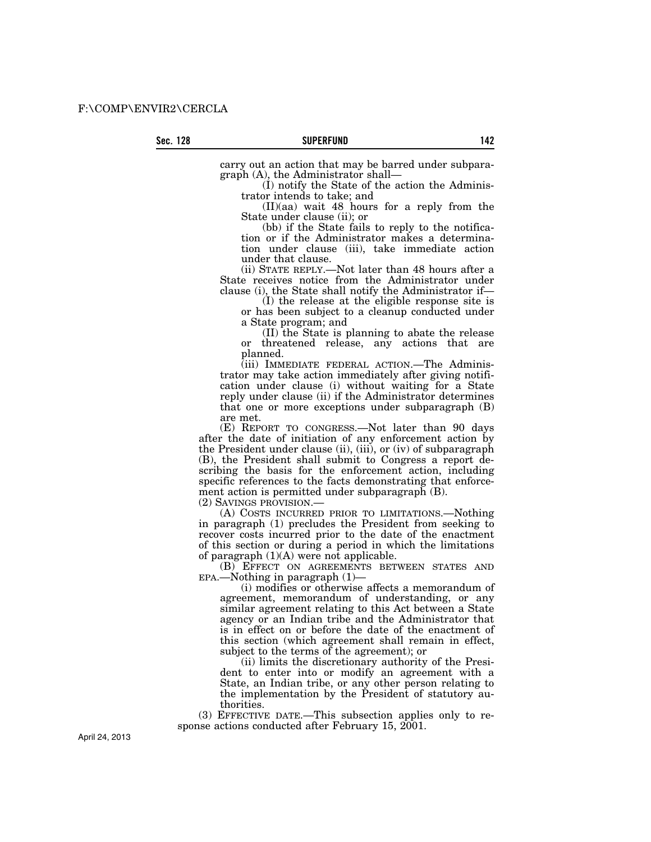carry out an action that may be barred under subparagraph (A), the Administrator shall—

(I) notify the State of the action the Administrator intends to take; and

(II)(aa) wait 48 hours for a reply from the State under clause (ii); or

(bb) if the State fails to reply to the notification or if the Administrator makes a determination under clause (iii), take immediate action under that clause.

(ii) STATE REPLY.—Not later than 48 hours after a State receives notice from the Administrator under clause (i), the State shall notify the Administrator if—

(I) the release at the eligible response site is or has been subject to a cleanup conducted under a State program; and

(II) the State is planning to abate the release or threatened release, any actions that are planned.

(iii) IMMEDIATE FEDERAL ACTION.—The Administrator may take action immediately after giving notification under clause (i) without waiting for a State reply under clause (ii) if the Administrator determines that one or more exceptions under subparagraph (B) are met.

(E) REPORT TO CONGRESS.—Not later than 90 days after the date of initiation of any enforcement action by the President under clause (ii), (iii), or (iv) of subparagraph (B), the President shall submit to Congress a report describing the basis for the enforcement action, including specific references to the facts demonstrating that enforcement action is permitted under subparagraph (B).

(2) SAVINGS PROVISION.—

(A) COSTS INCURRED PRIOR TO LIMITATIONS.—Nothing in paragraph (1) precludes the President from seeking to recover costs incurred prior to the date of the enactment of this section or during a period in which the limitations of paragraph  $(1)(A)$  were not applicable.

(B) EFFECT ON AGREEMENTS BETWEEN STATES AND EPA.—Nothing in paragraph (1)—

(i) modifies or otherwise affects a memorandum of agreement, memorandum of understanding, or any similar agreement relating to this Act between a State agency or an Indian tribe and the Administrator that is in effect on or before the date of the enactment of this section (which agreement shall remain in effect, subject to the terms of the agreement); or

(ii) limits the discretionary authority of the President to enter into or modify an agreement with a State, an Indian tribe, or any other person relating to the implementation by the President of statutory authorities.

(3) EFFECTIVE DATE.—This subsection applies only to response actions conducted after February 15, 2001.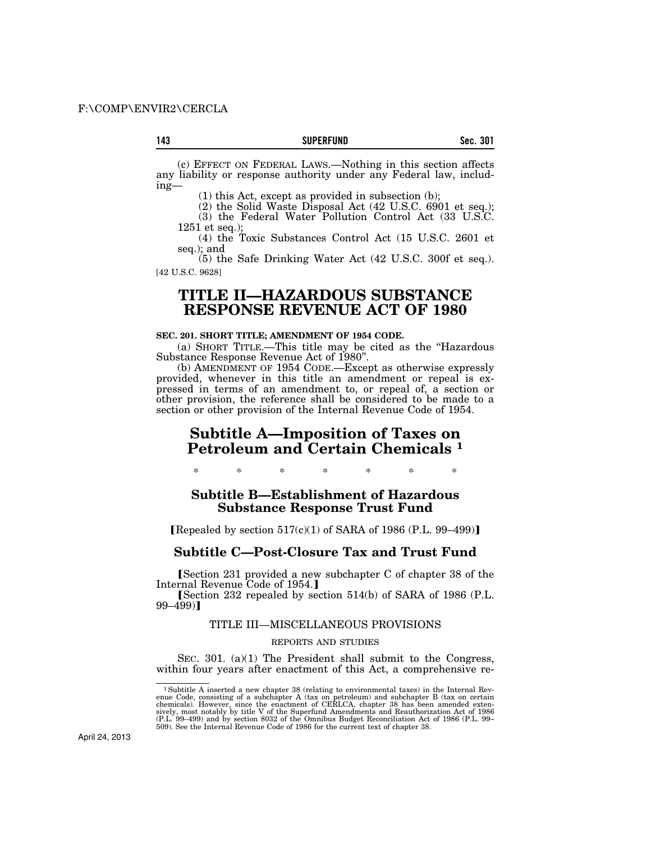### **143 Sec. 301 SUPERFUND**

(c) EFFECT ON FEDERAL LAWS.—Nothing in this section affects any liability or response authority under any Federal law, including—

(1) this Act, except as provided in subsection (b);

 $(2)$  the Solid Waste Disposal Act  $(42 \text{ U.S.C. } 6901 \text{ et seq.})$ ; (3) the Federal Water Pollution Control Act (33 U.S.C. 1251 et seq.);

(4) the Toxic Substances Control Act (15 U.S.C. 2601 et seq.); and

(5) the Safe Drinking Water Act (42 U.S.C. 300f et seq.). [42 U.S.C. 9628]

# **TITLE II—HAZARDOUS SUBSTANCE RESPONSE REVENUE ACT OF 1980**

## **SEC. 201. SHORT TITLE; AMENDMENT OF 1954 CODE.**

(a) SHORT TITLE.—This title may be cited as the ''Hazardous Substance Response Revenue Act of 1980''.

(b) AMENDMENT OF 1954 CODE.—Except as otherwise expressly provided, whenever in this title an amendment or repeal is expressed in terms of an amendment to, or repeal of, a section or other provision, the reference shall be considered to be made to a section or other provision of the Internal Revenue Code of 1954.

# **Subtitle A—Imposition of Taxes on Petroleum and Certain Chemicals 1**

\* \* \* \* \* \* \*

## **Subtitle B—Establishment of Hazardous Substance Response Trust Fund**

**Repealed by section 517(c)(1) of SARA of 1986 (P.L. 99–499)** 

## **Subtitle C—Post-Closure Tax and Trust Fund**

**[Section 231 provided a new subchapter C of chapter 38 of the** Internal Revenue Code of 1954.]

[Section 232 repealed by section 514(b) of SARA of 1986 (P.L.  $99 - 499$ 

## TITLE III—MISCELLANEOUS PROVISIONS

## REPORTS AND STUDIES

SEC. 301. (a)(1) The President shall submit to the Congress, within four years after enactment of this Act, a comprehensive re-

<sup>1</sup>Subtitle A inserted a new chapter 38 (relating to environmental taxes) in the Internal Revenue Code, consisting of a subchapter A (tax on petroleum) and subchapter B (tax on certain<br>chemicals). However, since the enactment of CERLCA, chapter 38 has been amended exten-<br>sively, most notably by title V of the Supe 509). See the Internal Revenue Code of 1986 for the current text of chapter 38.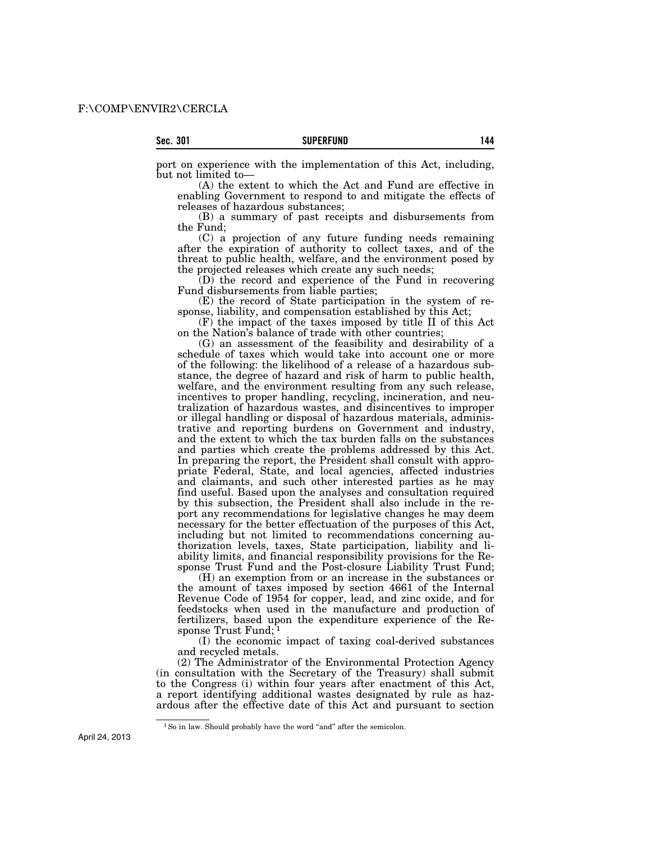port on experience with the implementation of this Act, including, but not limited to—

(A) the extent to which the Act and Fund are effective in enabling Government to respond to and mitigate the effects of releases of hazardous substances;

(B) a summary of past receipts and disbursements from the Fund;

(C) a projection of any future funding needs remaining after the expiration of authority to collect taxes, and of the threat to public health, welfare, and the environment posed by the projected releases which create any such needs;

(D) the record and experience of the Fund in recovering Fund disbursements from liable parties;

(E) the record of State participation in the system of response, liability, and compensation established by this Act;

(F) the impact of the taxes imposed by title II of this Act on the Nation's balance of trade with other countries;

(G) an assessment of the feasibility and desirability of a schedule of taxes which would take into account one or more of the following: the likelihood of a release of a hazardous substance, the degree of hazard and risk of harm to public health, welfare, and the environment resulting from any such release, incentives to proper handling, recycling, incineration, and neutralization of hazardous wastes, and disincentives to improper or illegal handling or disposal of hazardous materials, administrative and reporting burdens on Government and industry, and the extent to which the tax burden falls on the substances and parties which create the problems addressed by this Act. In preparing the report, the President shall consult with appropriate Federal, State, and local agencies, affected industries and claimants, and such other interested parties as he may find useful. Based upon the analyses and consultation required by this subsection, the President shall also include in the report any recommendations for legislative changes he may deem necessary for the better effectuation of the purposes of this Act, including but not limited to recommendations concerning authorization levels, taxes, State participation, liability and liability limits, and financial responsibility provisions for the Response Trust Fund and the Post-closure Liability Trust Fund;

(H) an exemption from or an increase in the substances or the amount of taxes imposed by section 4661 of the Internal Revenue Code of 1954 for copper, lead, and zinc oxide, and for feedstocks when used in the manufacture and production of fertilizers, based upon the expenditure experience of the Response Trust Fund; 1

(I) the economic impact of taxing coal-derived substances and recycled metals.

(2) The Administrator of the Environmental Protection Agency (in consultation with the Secretary of the Treasury) shall submit to the Congress (i) within four years after enactment of this Act, a report identifying additional wastes designated by rule as hazardous after the effective date of this Act and pursuant to section

<sup>&</sup>lt;sup>1</sup>So in law. Should probably have the word "and" after the semicolon.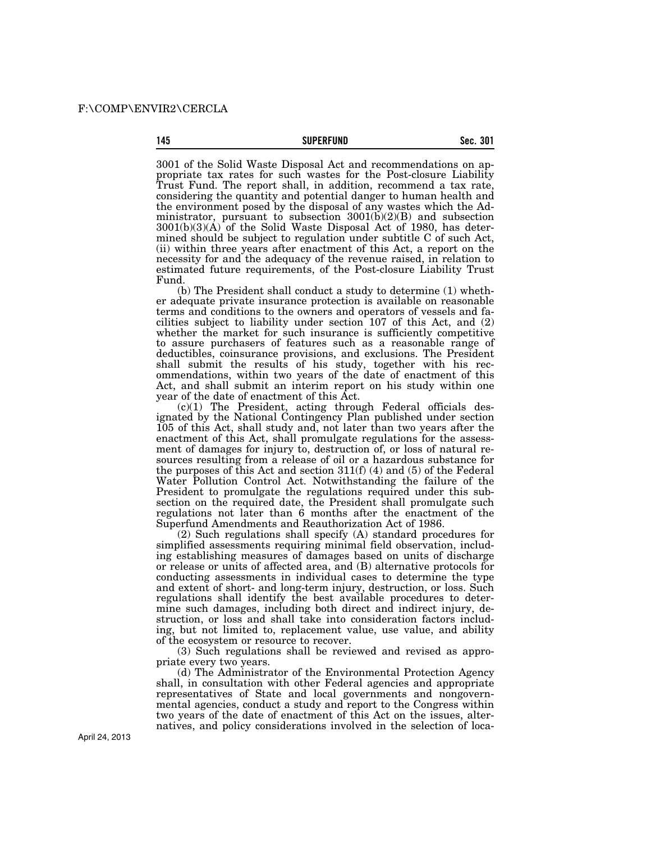3001 of the Solid Waste Disposal Act and recommendations on appropriate tax rates for such wastes for the Post-closure Liability Trust Fund. The report shall, in addition, recommend a tax rate, considering the quantity and potential danger to human health and the environment posed by the disposal of any wastes which the Administrator, pursuant to subsection  $3001(b)(2)(B)$  and subsection  $3001(b)(3)(A)$  of the Solid Waste Disposal Act of 1980, has determined should be subject to regulation under subtitle C of such Act, (ii) within three years after enactment of this Act, a report on the necessity for and the adequacy of the revenue raised, in relation to estimated future requirements, of the Post-closure Liability Trust Fund.

(b) The President shall conduct a study to determine (1) whether adequate private insurance protection is available on reasonable terms and conditions to the owners and operators of vessels and facilities subject to liability under section 107 of this Act, and (2) whether the market for such insurance is sufficiently competitive to assure purchasers of features such as a reasonable range of deductibles, coinsurance provisions, and exclusions. The President shall submit the results of his study, together with his recommendations, within two years of the date of enactment of this Act, and shall submit an interim report on his study within one year of the date of enactment of this Act.

(c)(1) The President, acting through Federal officials designated by the National Contingency Plan published under section 105 of this Act, shall study and, not later than two years after the enactment of this Act, shall promulgate regulations for the assessment of damages for injury to, destruction of, or loss of natural resources resulting from a release of oil or a hazardous substance for the purposes of this Act and section  $311(f)$  (4) and (5) of the Federal Water Pollution Control Act. Notwithstanding the failure of the President to promulgate the regulations required under this subsection on the required date, the President shall promulgate such regulations not later than 6 months after the enactment of the Superfund Amendments and Reauthorization Act of 1986.

(2) Such regulations shall specify (A) standard procedures for simplified assessments requiring minimal field observation, including establishing measures of damages based on units of discharge or release or units of affected area, and (B) alternative protocols for conducting assessments in individual cases to determine the type and extent of short- and long-term injury, destruction, or loss. Such regulations shall identify the best available procedures to determine such damages, including both direct and indirect injury, destruction, or loss and shall take into consideration factors including, but not limited to, replacement value, use value, and ability of the ecosystem or resource to recover.

(3) Such regulations shall be reviewed and revised as appropriate every two years.

(d) The Administrator of the Environmental Protection Agency shall, in consultation with other Federal agencies and appropriate representatives of State and local governments and nongovernmental agencies, conduct a study and report to the Congress within two years of the date of enactment of this Act on the issues, alternatives, and policy considerations involved in the selection of loca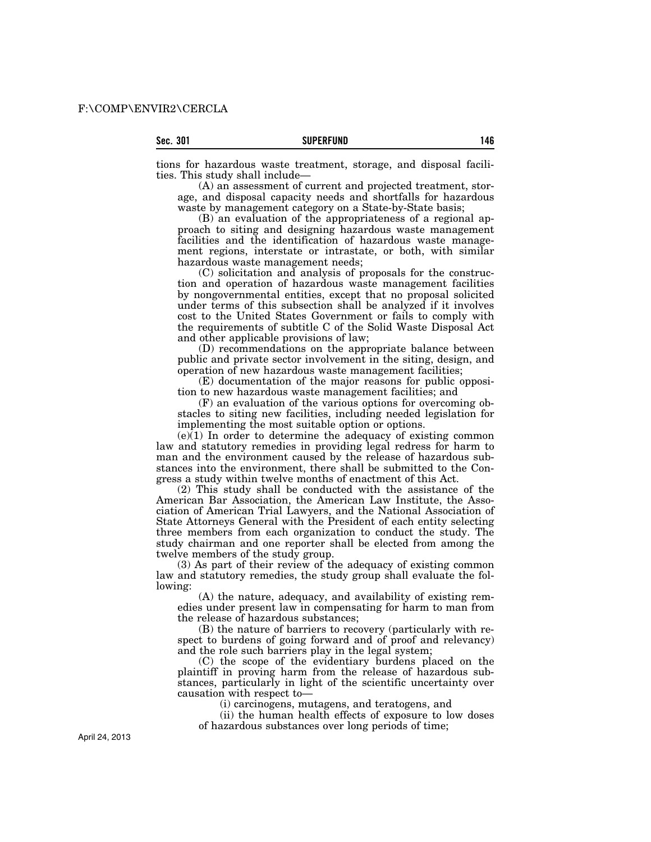tions for hazardous waste treatment, storage, and disposal facilities. This study shall include—

(A) an assessment of current and projected treatment, storage, and disposal capacity needs and shortfalls for hazardous waste by management category on a State-by-State basis;

(B) an evaluation of the appropriateness of a regional approach to siting and designing hazardous waste management facilities and the identification of hazardous waste management regions, interstate or intrastate, or both, with similar hazardous waste management needs;

(C) solicitation and analysis of proposals for the construction and operation of hazardous waste management facilities by nongovernmental entities, except that no proposal solicited under terms of this subsection shall be analyzed if it involves cost to the United States Government or fails to comply with the requirements of subtitle C of the Solid Waste Disposal Act and other applicable provisions of law;

(D) recommendations on the appropriate balance between public and private sector involvement in the siting, design, and operation of new hazardous waste management facilities;

(E) documentation of the major reasons for public opposition to new hazardous waste management facilities; and

(F) an evaluation of the various options for overcoming obstacles to siting new facilities, including needed legislation for implementing the most suitable option or options.

 $(e)$  $(1)$  In order to determine the adequacy of existing common law and statutory remedies in providing legal redress for harm to man and the environment caused by the release of hazardous substances into the environment, there shall be submitted to the Congress a study within twelve months of enactment of this Act.

(2) This study shall be conducted with the assistance of the American Bar Association, the American Law Institute, the Association of American Trial Lawyers, and the National Association of State Attorneys General with the President of each entity selecting three members from each organization to conduct the study. The study chairman and one reporter shall be elected from among the twelve members of the study group.

(3) As part of their review of the adequacy of existing common law and statutory remedies, the study group shall evaluate the following:

(A) the nature, adequacy, and availability of existing remedies under present law in compensating for harm to man from the release of hazardous substances;

(B) the nature of barriers to recovery (particularly with respect to burdens of going forward and of proof and relevancy) and the role such barriers play in the legal system;

(C) the scope of the evidentiary burdens placed on the plaintiff in proving harm from the release of hazardous substances, particularly in light of the scientific uncertainty over causation with respect to—

(i) carcinogens, mutagens, and teratogens, and

(ii) the human health effects of exposure to low doses of hazardous substances over long periods of time;

April 24, 2013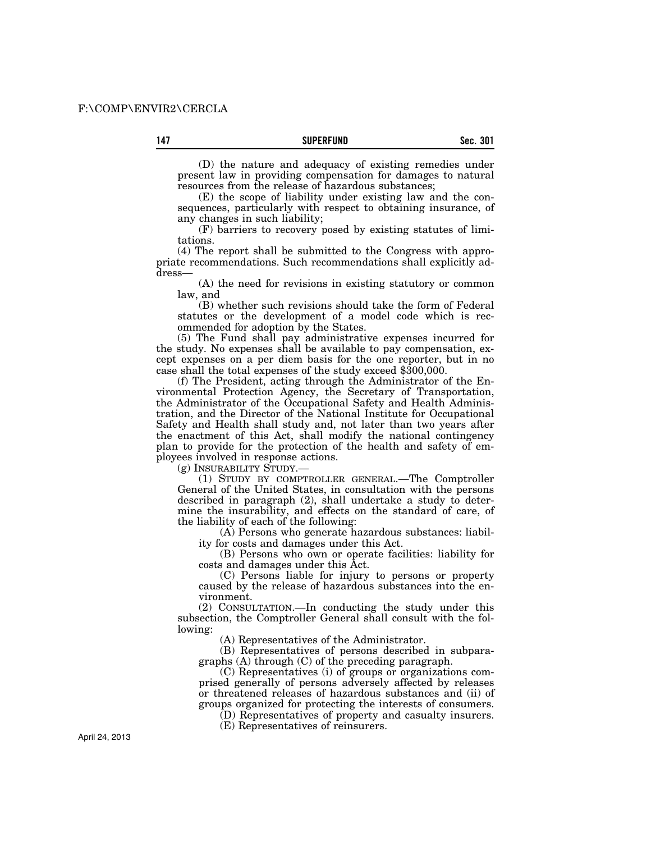(D) the nature and adequacy of existing remedies under present law in providing compensation for damages to natural resources from the release of hazardous substances;

(E) the scope of liability under existing law and the consequences, particularly with respect to obtaining insurance, of any changes in such liability;

(F) barriers to recovery posed by existing statutes of limitations.

(4) The report shall be submitted to the Congress with appropriate recommendations. Such recommendations shall explicitly address—

(A) the need for revisions in existing statutory or common law, and

(B) whether such revisions should take the form of Federal statutes or the development of a model code which is recommended for adoption by the States.

(5) The Fund shall pay administrative expenses incurred for the study. No expenses shall be available to pay compensation, except expenses on a per diem basis for the one reporter, but in no case shall the total expenses of the study exceed \$300,000.

(f) The President, acting through the Administrator of the Environmental Protection Agency, the Secretary of Transportation, the Administrator of the Occupational Safety and Health Administration, and the Director of the National Institute for Occupational Safety and Health shall study and, not later than two years after the enactment of this Act, shall modify the national contingency plan to provide for the protection of the health and safety of employees involved in response actions.

(g) INSURABILITY STUDY.—

(1) STUDY BY COMPTROLLER GENERAL.—The Comptroller General of the United States, in consultation with the persons described in paragraph (2), shall undertake a study to determine the insurability, and effects on the standard of care, of the liability of each of the following:

(A) Persons who generate hazardous substances: liability for costs and damages under this Act.

(B) Persons who own or operate facilities: liability for costs and damages under this Act.

(C) Persons liable for injury to persons or property caused by the release of hazardous substances into the environment.

(2) CONSULTATION.—In conducting the study under this subsection, the Comptroller General shall consult with the following:

(A) Representatives of the Administrator.

(B) Representatives of persons described in subparagraphs (A) through (C) of the preceding paragraph.

(C) Representatives (i) of groups or organizations comprised generally of persons adversely affected by releases or threatened releases of hazardous substances and (ii) of groups organized for protecting the interests of consumers.

(D) Representatives of property and casualty insurers.

(E) Representatives of reinsurers.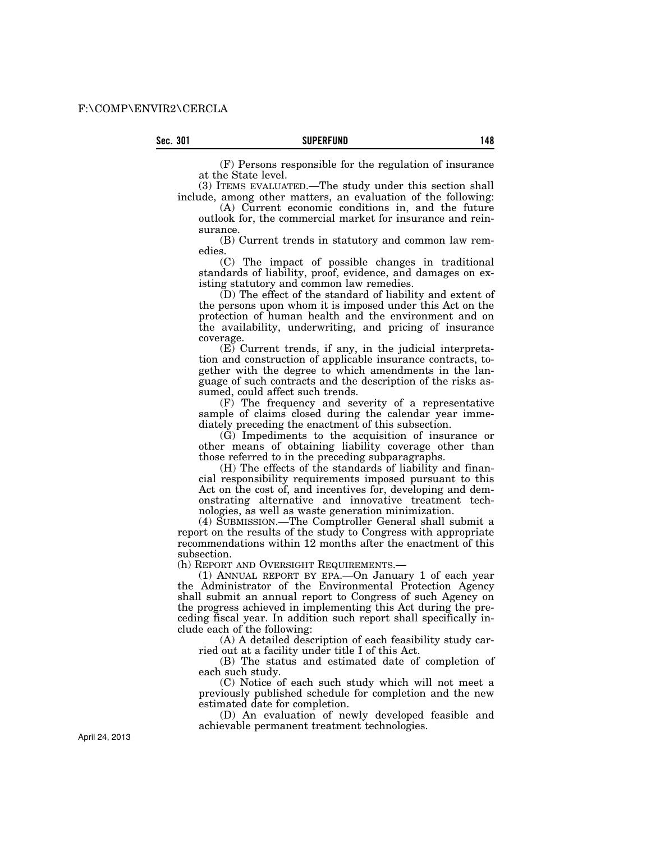(F) Persons responsible for the regulation of insurance at the State level.

(3) ITEMS EVALUATED.—The study under this section shall include, among other matters, an evaluation of the following:

(A) Current economic conditions in, and the future outlook for, the commercial market for insurance and reinsurance.

(B) Current trends in statutory and common law remedies.

(C) The impact of possible changes in traditional standards of liability, proof, evidence, and damages on existing statutory and common law remedies.

(D) The effect of the standard of liability and extent of the persons upon whom it is imposed under this Act on the protection of human health and the environment and on the availability, underwriting, and pricing of insurance coverage.

(E) Current trends, if any, in the judicial interpretation and construction of applicable insurance contracts, together with the degree to which amendments in the language of such contracts and the description of the risks assumed, could affect such trends.

(F) The frequency and severity of a representative sample of claims closed during the calendar year immediately preceding the enactment of this subsection.

(G) Impediments to the acquisition of insurance or other means of obtaining liability coverage other than those referred to in the preceding subparagraphs.

(H) The effects of the standards of liability and financial responsibility requirements imposed pursuant to this Act on the cost of, and incentives for, developing and demonstrating alternative and innovative treatment technologies, as well as waste generation minimization.

(4) SUBMISSION.—The Comptroller General shall submit a report on the results of the study to Congress with appropriate recommendations within 12 months after the enactment of this subsection.

(h) REPORT AND OVERSIGHT REQUIREMENTS.—

(1) ANNUAL REPORT BY EPA.—On January 1 of each year the Administrator of the Environmental Protection Agency shall submit an annual report to Congress of such Agency on the progress achieved in implementing this Act during the preceding fiscal year. In addition such report shall specifically include each of the following:

(A) A detailed description of each feasibility study carried out at a facility under title I of this Act.

(B) The status and estimated date of completion of each such study.

(C) Notice of each such study which will not meet a previously published schedule for completion and the new estimated date for completion.

(D) An evaluation of newly developed feasible and achievable permanent treatment technologies.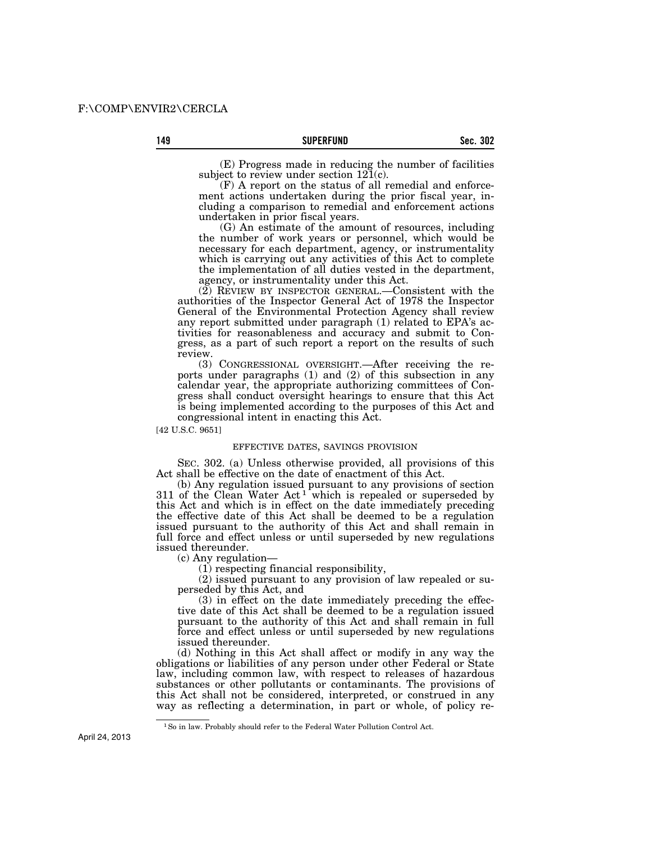(E) Progress made in reducing the number of facilities subject to review under section  $12\tilde{1}(c)$ .

(F) A report on the status of all remedial and enforcement actions undertaken during the prior fiscal year, including a comparison to remedial and enforcement actions undertaken in prior fiscal years.

(G) An estimate of the amount of resources, including the number of work years or personnel, which would be necessary for each department, agency, or instrumentality which is carrying out any activities of this Act to complete the implementation of all duties vested in the department, agency, or instrumentality under this Act.

(2) REVIEW BY INSPECTOR GENERAL.—Consistent with the authorities of the Inspector General Act of 1978 the Inspector General of the Environmental Protection Agency shall review any report submitted under paragraph (1) related to EPA's activities for reasonableness and accuracy and submit to Congress, as a part of such report a report on the results of such review.

(3) CONGRESSIONAL OVERSIGHT.—After receiving the reports under paragraphs (1) and (2) of this subsection in any calendar year, the appropriate authorizing committees of Congress shall conduct oversight hearings to ensure that this Act is being implemented according to the purposes of this Act and congressional intent in enacting this Act.

[42 U.S.C. 9651]

## EFFECTIVE DATES, SAVINGS PROVISION

SEC. 302. (a) Unless otherwise provided, all provisions of this Act shall be effective on the date of enactment of this Act.

(b) Any regulation issued pursuant to any provisions of section  $311$  of the Clean Water Act<sup>1</sup> which is repealed or superseded by this Act and which is in effect on the date immediately preceding the effective date of this Act shall be deemed to be a regulation issued pursuant to the authority of this Act and shall remain in full force and effect unless or until superseded by new regulations issued thereunder.

(c) Any regulation—

(1) respecting financial responsibility,

(2) issued pursuant to any provision of law repealed or superseded by this Act, and

(3) in effect on the date immediately preceding the effective date of this Act shall be deemed to be a regulation issued pursuant to the authority of this Act and shall remain in full force and effect unless or until superseded by new regulations issued thereunder.

(d) Nothing in this Act shall affect or modify in any way the obligations or liabilities of any person under other Federal or State law, including common law, with respect to releases of hazardous substances or other pollutants or contaminants. The provisions of this Act shall not be considered, interpreted, or construed in any way as reflecting a determination, in part or whole, of policy re-

<sup>1</sup>So in law. Probably should refer to the Federal Water Pollution Control Act.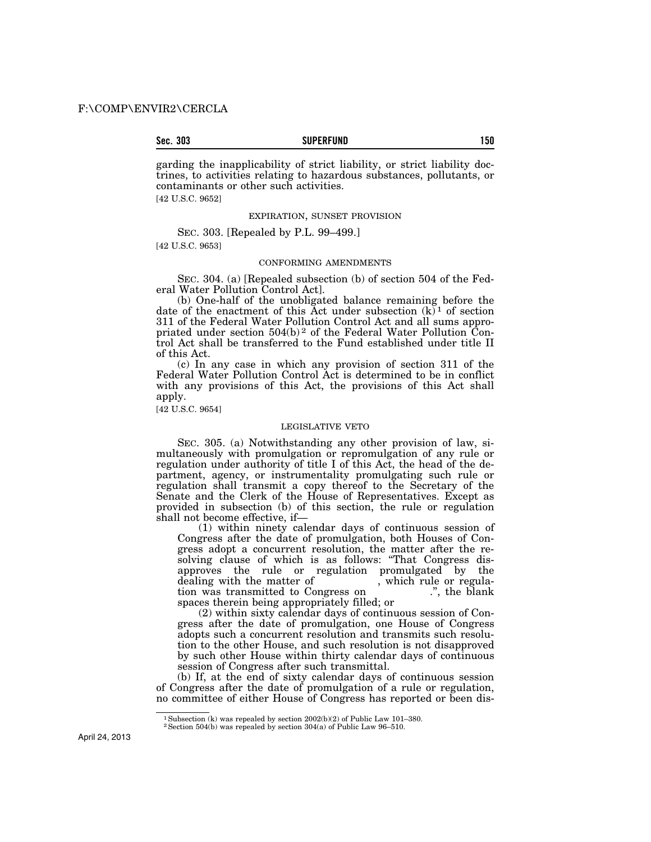**Sec. 303 SUPERFUND 150** 

garding the inapplicability of strict liability, or strict liability doctrines, to activities relating to hazardous substances, pollutants, or contaminants or other such activities.

[42 U.S.C. 9652]

## EXPIRATION, SUNSET PROVISION

SEC. 303. [Repealed by P.L. 99–499.] [42 U.S.C. 9653]

## CONFORMING AMENDMENTS

SEC. 304. (a) [Repealed subsection (b) of section 504 of the Federal Water Pollution Control Act].

(b) One-half of the unobligated balance remaining before the date of the enactment of this Act under subsection  $(k)$ <sup>1</sup> of section 311 of the Federal Water Pollution Control Act and all sums appropriated under section  $504(b)^2$  of the Federal Water Pollution Control Act shall be transferred to the Fund established under title II of this Act.

(c) In any case in which any provision of section 311 of the Federal Water Pollution Control Act is determined to be in conflict with any provisions of this Act, the provisions of this Act shall apply.

[42 U.S.C. 9654]

#### LEGISLATIVE VETO

SEC. 305. (a) Notwithstanding any other provision of law, simultaneously with promulgation or repromulgation of any rule or regulation under authority of title I of this Act, the head of the department, agency, or instrumentality promulgating such rule or regulation shall transmit a copy thereof to the Secretary of the Senate and the Clerk of the House of Representatives. Except as provided in subsection (b) of this section, the rule or regulation shall not become effective, if—

(1) within ninety calendar days of continuous session of Congress after the date of promulgation, both Houses of Congress adopt a concurrent resolution, the matter after the resolving clause of which is as follows: ''That Congress disapproves the rule or regulation promulgated by the dealing with the matter of , which rule or reguladealing with the matter of  $\overline{\phantom{a}}$ , which rule or regulation was transmitted to Congress on  $\overline{\phantom{a}}$ , the blank tion was transmitted to Congress on spaces therein being appropriately filled; or

(2) within sixty calendar days of continuous session of Congress after the date of promulgation, one House of Congress adopts such a concurrent resolution and transmits such resolution to the other House, and such resolution is not disapproved by such other House within thirty calendar days of continuous session of Congress after such transmittal.

(b) If, at the end of sixty calendar days of continuous session of Congress after the date of promulgation of a rule or regulation, no committee of either House of Congress has reported or been dis-

April 24, 2013

<sup>1</sup>Subsection (k) was repealed by section 2002(b)(2) of Public Law 101–380.

<sup>2</sup>Section 504(b) was repealed by section 304(a) of Public Law 96–510.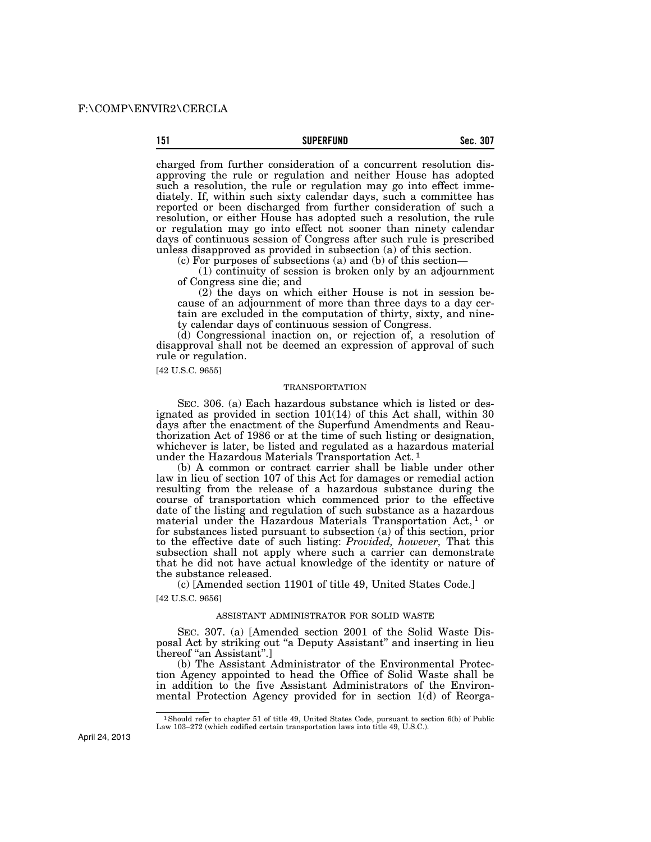# **151** SUPERFUND SEC. 307

charged from further consideration of a concurrent resolution disapproving the rule or regulation and neither House has adopted such a resolution, the rule or regulation may go into effect immediately. If, within such sixty calendar days, such a committee has reported or been discharged from further consideration of such a resolution, or either House has adopted such a resolution, the rule or regulation may go into effect not sooner than ninety calendar days of continuous session of Congress after such rule is prescribed unless disapproved as provided in subsection (a) of this section.

(c) For purposes of subsections (a) and (b) of this section—

(1) continuity of session is broken only by an adjournment of Congress sine die; and

(2) the days on which either House is not in session because of an adjournment of more than three days to a day certain are excluded in the computation of thirty, sixty, and ninety calendar days of continuous session of Congress.

(d) Congressional inaction on, or rejection of, a resolution of disapproval shall not be deemed an expression of approval of such rule or regulation.

[42 U.S.C. 9655]

## TRANSPORTATION

SEC. 306. (a) Each hazardous substance which is listed or designated as provided in section 101(14) of this Act shall, within 30 days after the enactment of the Superfund Amendments and Reauthorization Act of 1986 or at the time of such listing or designation, whichever is later, be listed and regulated as a hazardous material under the Hazardous Materials Transportation Act. 1

(b) A common or contract carrier shall be liable under other law in lieu of section 107 of this Act for damages or remedial action resulting from the release of a hazardous substance during the course of transportation which commenced prior to the effective date of the listing and regulation of such substance as a hazardous material under the Hazardous Materials Transportation Act, 1 or for substances listed pursuant to subsection (a) of this section, prior to the effective date of such listing: *Provided, however,* That this subsection shall not apply where such a carrier can demonstrate that he did not have actual knowledge of the identity or nature of the substance released.

(c) [Amended section 11901 of title 49, United States Code.] [42 U.S.C. 9656]

## ASSISTANT ADMINISTRATOR FOR SOLID WASTE

SEC. 307. (a) [Amended section 2001 of the Solid Waste Disposal Act by striking out ''a Deputy Assistant'' and inserting in lieu thereof "an Assistant".

(b) The Assistant Administrator of the Environmental Protection Agency appointed to head the Office of Solid Waste shall be in addition to the five Assistant Administrators of the Environmental Protection Agency provided for in section 1(d) of Reorga-

<sup>1</sup>Should refer to chapter 51 of title 49, United States Code, pursuant to section 6(b) of Public Law 103–272 (which codified certain transportation laws into title 49, U.S.C.).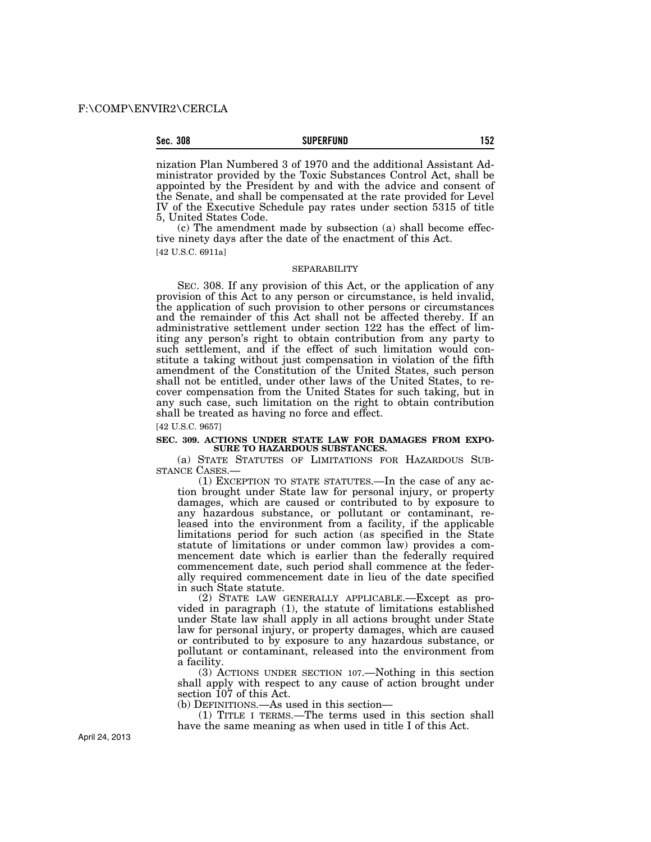nization Plan Numbered 3 of 1970 and the additional Assistant Administrator provided by the Toxic Substances Control Act, shall be appointed by the President by and with the advice and consent of the Senate, and shall be compensated at the rate provided for Level IV of the Executive Schedule pay rates under section 5315 of title 5, United States Code.

(c) The amendment made by subsection (a) shall become effective ninety days after the date of the enactment of this Act.

[42 U.S.C. 6911a]

#### **SEPARABILITY**

SEC. 308. If any provision of this Act, or the application of any provision of this Act to any person or circumstance, is held invalid, the application of such provision to other persons or circumstances and the remainder of this Act shall not be affected thereby. If an administrative settlement under section 122 has the effect of limiting any person's right to obtain contribution from any party to such settlement, and if the effect of such limitation would constitute a taking without just compensation in violation of the fifth amendment of the Constitution of the United States, such person shall not be entitled, under other laws of the United States, to recover compensation from the United States for such taking, but in any such case, such limitation on the right to obtain contribution shall be treated as having no force and effect.

[42 U.S.C. 9657]

#### **SEC. 309. ACTIONS UNDER STATE LAW FOR DAMAGES FROM EXPO-SURE TO HAZARDOUS SUBSTANCES.**

(a) STATE STATUTES OF LIMITATIONS FOR HAZARDOUS SUB-

STANCE CASES.— (1) EXCEPTION TO STATE STATUTES.—In the case of any action brought under State law for personal injury, or property damages, which are caused or contributed to by exposure to any hazardous substance, or pollutant or contaminant, released into the environment from a facility, if the applicable limitations period for such action (as specified in the State statute of limitations or under common law) provides a commencement date which is earlier than the federally required commencement date, such period shall commence at the federally required commencement date in lieu of the date specified in such State statute.

(2) STATE LAW GENERALLY APPLICABLE.—Except as provided in paragraph (1), the statute of limitations established under State law shall apply in all actions brought under State law for personal injury, or property damages, which are caused or contributed to by exposure to any hazardous substance, or pollutant or contaminant, released into the environment from a facility.

(3) ACTIONS UNDER SECTION 107.—Nothing in this section shall apply with respect to any cause of action brought under section 107 of this Act.

(b) DEFINITIONS.—As used in this section—

(1) TITLE I TERMS.—The terms used in this section shall have the same meaning as when used in title I of this Act.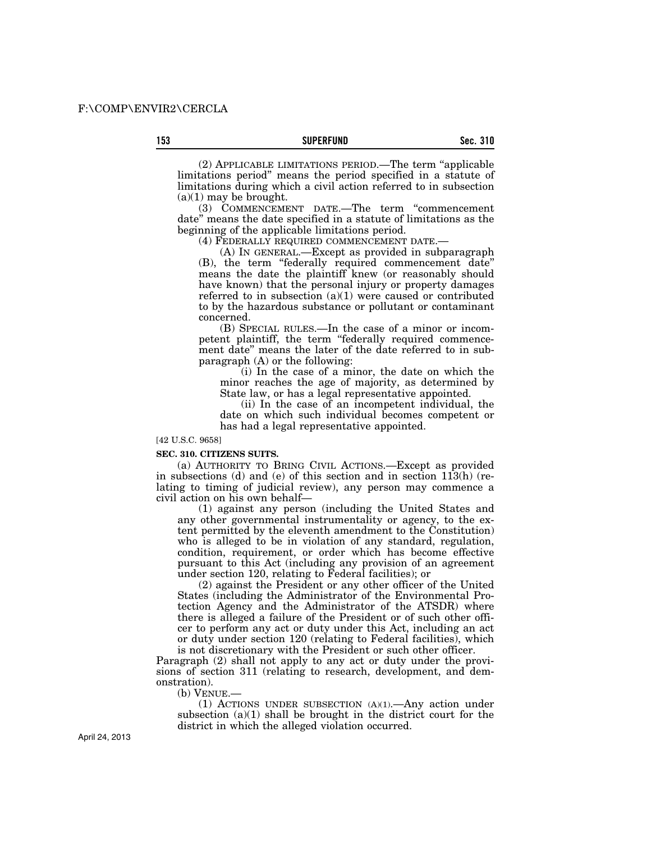(2) APPLICABLE LIMITATIONS PERIOD.—The term ''applicable limitations period'' means the period specified in a statute of limitations during which a civil action referred to in subsection  $(a)(1)$  may be brought.

(3) COMMENCEMENT DATE.—The term ''commencement date'' means the date specified in a statute of limitations as the beginning of the applicable limitations period.

(4) FEDERALLY REQUIRED COMMENCEMENT DATE.—

(A) IN GENERAL.—Except as provided in subparagraph (B), the term ''federally required commencement date'' means the date the plaintiff knew (or reasonably should have known) that the personal injury or property damages referred to in subsection (a)(1) were caused or contributed to by the hazardous substance or pollutant or contaminant concerned.

(B) SPECIAL RULES.—In the case of a minor or incompetent plaintiff, the term ''federally required commencement date'' means the later of the date referred to in subparagraph (A) or the following:

(i) In the case of a minor, the date on which the minor reaches the age of majority, as determined by State law, or has a legal representative appointed.

(ii) In the case of an incompetent individual, the date on which such individual becomes competent or has had a legal representative appointed.

[42 U.S.C. 9658]

## **SEC. 310. CITIZENS SUITS.**

(a) AUTHORITY TO BRING CIVIL ACTIONS.—Except as provided in subsections (d) and (e) of this section and in section 113(h) (relating to timing of judicial review), any person may commence a civil action on his own behalf—

(1) against any person (including the United States and any other governmental instrumentality or agency, to the extent permitted by the eleventh amendment to the Constitution) who is alleged to be in violation of any standard, regulation, condition, requirement, or order which has become effective pursuant to this Act (including any provision of an agreement under section 120, relating to Federal facilities); or

(2) against the President or any other officer of the United States (including the Administrator of the Environmental Protection Agency and the Administrator of the ATSDR) where there is alleged a failure of the President or of such other officer to perform any act or duty under this Act, including an act or duty under section 120 (relating to Federal facilities), which is not discretionary with the President or such other officer.

Paragraph (2) shall not apply to any act or duty under the provisions of section 311 (relating to research, development, and demonstration).

(b) VENUE.—

(1) ACTIONS UNDER SUBSECTION (A)(1).—Any action under subsection  $(a)(1)$  shall be brought in the district court for the district in which the alleged violation occurred.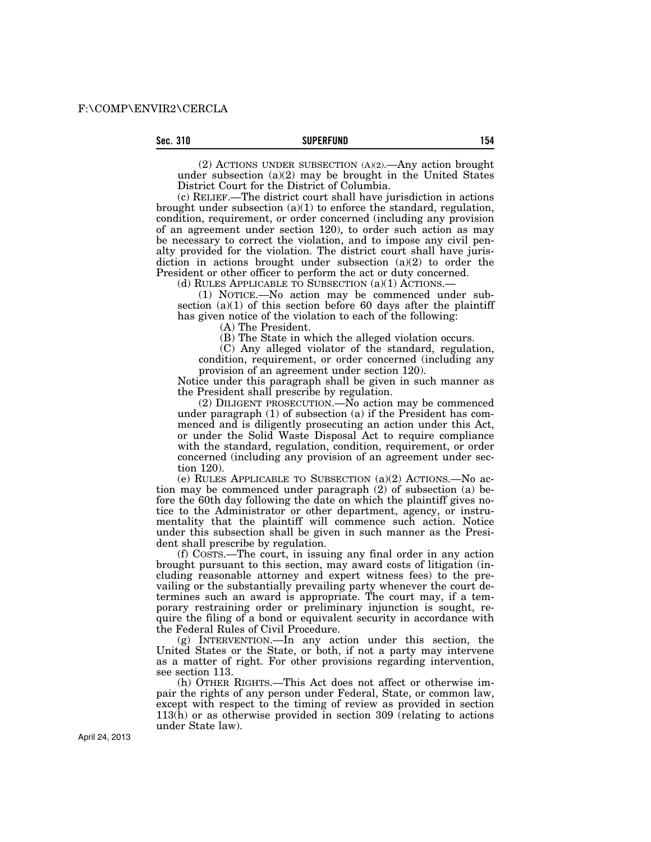(2) ACTIONS UNDER SUBSECTION (A)(2).—Any action brought under subsection (a)(2) may be brought in the United States District Court for the District of Columbia.

(c) RELIEF.—The district court shall have jurisdiction in actions brought under subsection  $(a)(1)$  to enforce the standard, regulation, condition, requirement, or order concerned (including any provision of an agreement under section 120), to order such action as may be necessary to correct the violation, and to impose any civil penalty provided for the violation. The district court shall have jurisdiction in actions brought under subsection (a)(2) to order the President or other officer to perform the act or duty concerned.

(d) RULES APPLICABLE TO SUBSECTION (a)(1) ACTIONS.—

(1) NOTICE.—No action may be commenced under subsection  $(a)(1)$  of this section before 60 days after the plaintiff has given notice of the violation to each of the following:

(A) The President.

(B) The State in which the alleged violation occurs.

(C) Any alleged violator of the standard, regulation, condition, requirement, or order concerned (including any provision of an agreement under section 120).

Notice under this paragraph shall be given in such manner as the President shall prescribe by regulation.

(2) DILIGENT PROSECUTION.—No action may be commenced under paragraph (1) of subsection (a) if the President has commenced and is diligently prosecuting an action under this Act, or under the Solid Waste Disposal Act to require compliance with the standard, regulation, condition, requirement, or order concerned (including any provision of an agreement under section 120).

(e) RULES APPLICABLE TO SUBSECTION (a)(2) ACTIONS.—No action may be commenced under paragraph (2) of subsection (a) before the 60th day following the date on which the plaintiff gives notice to the Administrator or other department, agency, or instrumentality that the plaintiff will commence such action. Notice under this subsection shall be given in such manner as the President shall prescribe by regulation.

(f) COSTS.—The court, in issuing any final order in any action brought pursuant to this section, may award costs of litigation (including reasonable attorney and expert witness fees) to the prevailing or the substantially prevailing party whenever the court determines such an award is appropriate. The court may, if a temporary restraining order or preliminary injunction is sought, require the filing of a bond or equivalent security in accordance with the Federal Rules of Civil Procedure.

(g) INTERVENTION.—In any action under this section, the United States or the State, or both, if not a party may intervene as a matter of right. For other provisions regarding intervention, see section 113.

(h) OTHER RIGHTS.—This Act does not affect or otherwise impair the rights of any person under Federal, State, or common law, except with respect to the timing of review as provided in section 113(h) or as otherwise provided in section 309 (relating to actions under State law).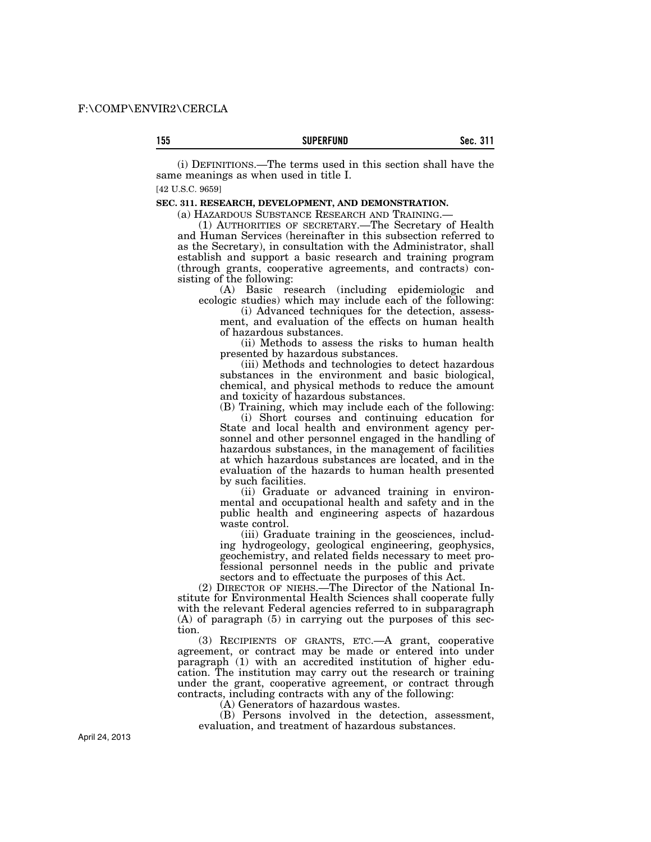(i) DEFINITIONS.—The terms used in this section shall have the same meanings as when used in title I.

[42 U.S.C. 9659]

## **SEC. 311. RESEARCH, DEVELOPMENT, AND DEMONSTRATION.**

(a) HAZARDOUS SUBSTANCE RESEARCH AND TRAINING.—

(1) AUTHORITIES OF SECRETARY.—The Secretary of Health and Human Services (hereinafter in this subsection referred to as the Secretary), in consultation with the Administrator, shall establish and support a basic research and training program (through grants, cooperative agreements, and contracts) consisting of the following:

(A) Basic research (including epidemiologic and ecologic studies) which may include each of the following:

(i) Advanced techniques for the detection, assessment, and evaluation of the effects on human health of hazardous substances.

(ii) Methods to assess the risks to human health presented by hazardous substances.

(iii) Methods and technologies to detect hazardous substances in the environment and basic biological, chemical, and physical methods to reduce the amount and toxicity of hazardous substances.

(B) Training, which may include each of the following: (i) Short courses and continuing education for

State and local health and environment agency personnel and other personnel engaged in the handling of hazardous substances, in the management of facilities at which hazardous substances are located, and in the evaluation of the hazards to human health presented by such facilities.

(ii) Graduate or advanced training in environmental and occupational health and safety and in the public health and engineering aspects of hazardous waste control.

(iii) Graduate training in the geosciences, including hydrogeology, geological engineering, geophysics, geochemistry, and related fields necessary to meet professional personnel needs in the public and private sectors and to effectuate the purposes of this Act.

(2) DIRECTOR OF NIEHS.—The Director of the National Institute for Environmental Health Sciences shall cooperate fully with the relevant Federal agencies referred to in subparagraph (A) of paragraph (5) in carrying out the purposes of this section.

(3) RECIPIENTS OF GRANTS, ETC.—A grant, cooperative agreement, or contract may be made or entered into under paragraph (1) with an accredited institution of higher education. The institution may carry out the research or training under the grant, cooperative agreement, or contract through contracts, including contracts with any of the following:

(A) Generators of hazardous wastes.

(B) Persons involved in the detection, assessment, evaluation, and treatment of hazardous substances.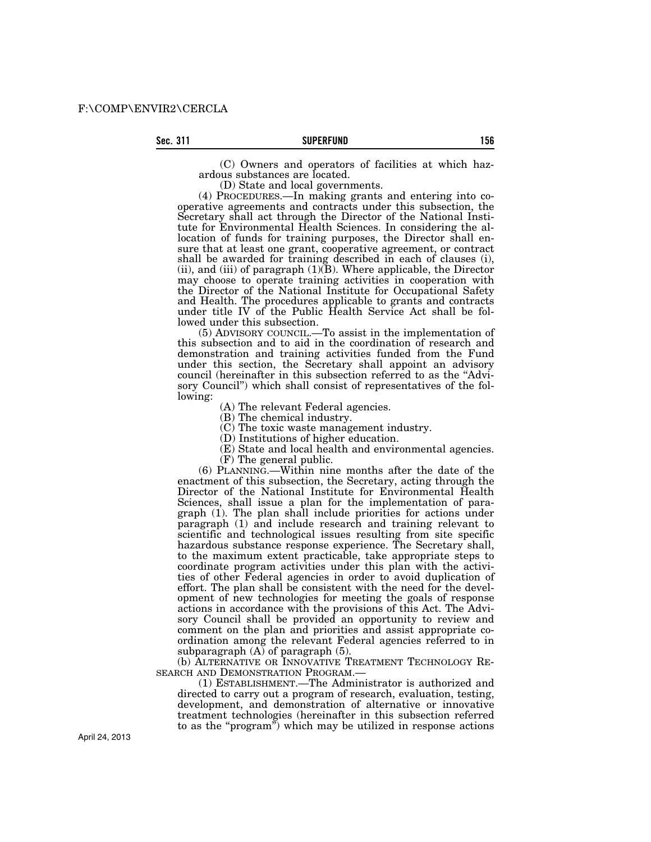(C) Owners and operators of facilities at which hazardous substances are located.

(D) State and local governments.

(4) PROCEDURES.—In making grants and entering into cooperative agreements and contracts under this subsection, the Secretary shall act through the Director of the National Institute for Environmental Health Sciences. In considering the allocation of funds for training purposes, the Director shall ensure that at least one grant, cooperative agreement, or contract shall be awarded for training described in each of clauses (i), (ii), and (iii) of paragraph  $(1)(\overline{B})$ . Where applicable, the Director may choose to operate training activities in cooperation with the Director of the National Institute for Occupational Safety and Health. The procedures applicable to grants and contracts under title IV of the Public Health Service Act shall be followed under this subsection.

(5) ADVISORY COUNCIL.—To assist in the implementation of this subsection and to aid in the coordination of research and demonstration and training activities funded from the Fund under this section, the Secretary shall appoint an advisory council (hereinafter in this subsection referred to as the ''Advisory Council'') which shall consist of representatives of the following:

(A) The relevant Federal agencies.

(B) The chemical industry.

(C) The toxic waste management industry.

(D) Institutions of higher education.

(E) State and local health and environmental agencies.

(F) The general public.

(6) PLANNING.—Within nine months after the date of the enactment of this subsection, the Secretary, acting through the Director of the National Institute for Environmental Health Sciences, shall issue a plan for the implementation of paragraph (1). The plan shall include priorities for actions under paragraph (1) and include research and training relevant to scientific and technological issues resulting from site specific hazardous substance response experience. The Secretary shall, to the maximum extent practicable, take appropriate steps to coordinate program activities under this plan with the activities of other Federal agencies in order to avoid duplication of effort. The plan shall be consistent with the need for the development of new technologies for meeting the goals of response actions in accordance with the provisions of this Act. The Advisory Council shall be provided an opportunity to review and comment on the plan and priorities and assist appropriate coordination among the relevant Federal agencies referred to in subparagraph  $(A)$  of paragraph  $(5)$ .

(b) ALTERNATIVE OR INNOVATIVE TREATMENT TECHNOLOGY RE-SEARCH AND DEMONSTRATION PROGRAM.

(1) ESTABLISHMENT.—The Administrator is authorized and directed to carry out a program of research, evaluation, testing, development, and demonstration of alternative or innovative treatment technologies (hereinafter in this subsection referred to as the ''program'') which may be utilized in response actions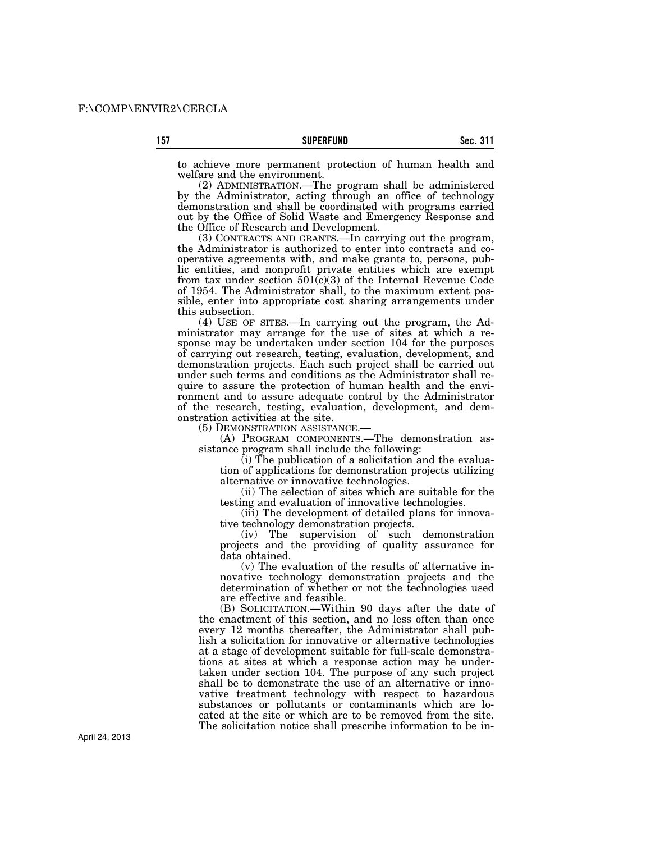to achieve more permanent protection of human health and welfare and the environment.

(2) ADMINISTRATION.—The program shall be administered by the Administrator, acting through an office of technology demonstration and shall be coordinated with programs carried out by the Office of Solid Waste and Emergency Response and the Office of Research and Development.

(3) CONTRACTS AND GRANTS.—In carrying out the program, the Administrator is authorized to enter into contracts and cooperative agreements with, and make grants to, persons, public entities, and nonprofit private entities which are exempt from tax under section 501(c)(3) of the Internal Revenue Code of 1954. The Administrator shall, to the maximum extent possible, enter into appropriate cost sharing arrangements under this subsection.

(4) USE OF SITES.—In carrying out the program, the Administrator may arrange for the use of sites at which a response may be undertaken under section 104 for the purposes of carrying out research, testing, evaluation, development, and demonstration projects. Each such project shall be carried out under such terms and conditions as the Administrator shall require to assure the protection of human health and the environment and to assure adequate control by the Administrator of the research, testing, evaluation, development, and demonstration activities at the site.

(5) DEMONSTRATION ASSISTANCE.—

(A) PROGRAM COMPONENTS.—The demonstration assistance program shall include the following:

 $(i)$  The publication of a solicitation and the evaluation of applications for demonstration projects utilizing alternative or innovative technologies.

(ii) The selection of sites which are suitable for the testing and evaluation of innovative technologies.

(iii) The development of detailed plans for innovative technology demonstration projects.

(iv) The supervision of such demonstration projects and the providing of quality assurance for data obtained.

(v) The evaluation of the results of alternative innovative technology demonstration projects and the determination of whether or not the technologies used are effective and feasible.

(B) SOLICITATION.—Within 90 days after the date of the enactment of this section, and no less often than once every 12 months thereafter, the Administrator shall publish a solicitation for innovative or alternative technologies at a stage of development suitable for full-scale demonstrations at sites at which a response action may be undertaken under section 104. The purpose of any such project shall be to demonstrate the use of an alternative or innovative treatment technology with respect to hazardous substances or pollutants or contaminants which are located at the site or which are to be removed from the site. The solicitation notice shall prescribe information to be in-

April 24, 2013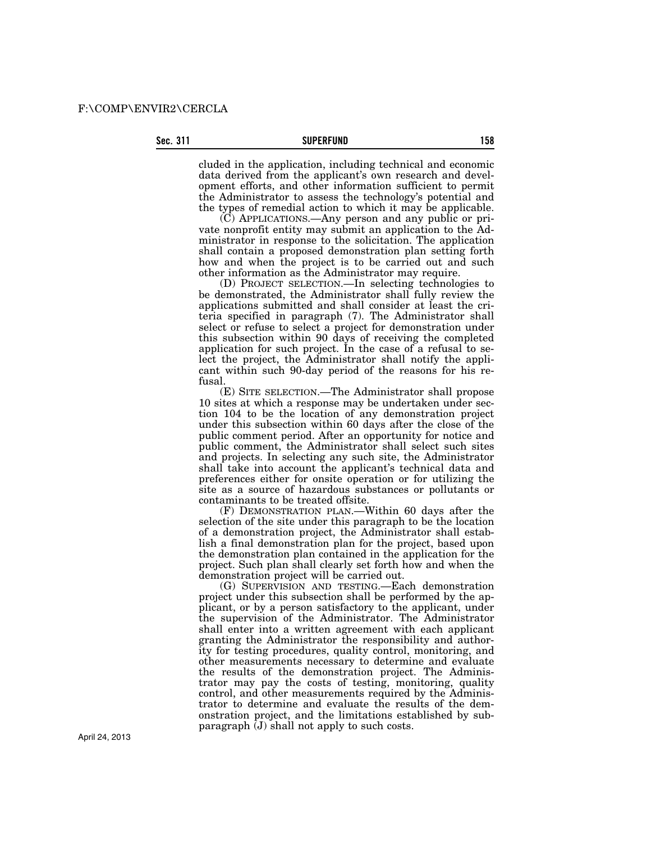cluded in the application, including technical and economic data derived from the applicant's own research and development efforts, and other information sufficient to permit the Administrator to assess the technology's potential and the types of remedial action to which it may be applicable.

(C) APPLICATIONS.—Any person and any public or private nonprofit entity may submit an application to the Administrator in response to the solicitation. The application shall contain a proposed demonstration plan setting forth how and when the project is to be carried out and such other information as the Administrator may require.

(D) PROJECT SELECTION.—In selecting technologies to be demonstrated, the Administrator shall fully review the applications submitted and shall consider at least the criteria specified in paragraph (7). The Administrator shall select or refuse to select a project for demonstration under this subsection within 90 days of receiving the completed application for such project. In the case of a refusal to select the project, the Administrator shall notify the applicant within such 90-day period of the reasons for his refusal.

(E) SITE SELECTION.—The Administrator shall propose 10 sites at which a response may be undertaken under section 104 to be the location of any demonstration project under this subsection within 60 days after the close of the public comment period. After an opportunity for notice and public comment, the Administrator shall select such sites and projects. In selecting any such site, the Administrator shall take into account the applicant's technical data and preferences either for onsite operation or for utilizing the site as a source of hazardous substances or pollutants or contaminants to be treated offsite.

(F) DEMONSTRATION PLAN.—Within 60 days after the selection of the site under this paragraph to be the location of a demonstration project, the Administrator shall establish a final demonstration plan for the project, based upon the demonstration plan contained in the application for the project. Such plan shall clearly set forth how and when the demonstration project will be carried out.

(G) SUPERVISION AND TESTING.—Each demonstration project under this subsection shall be performed by the applicant, or by a person satisfactory to the applicant, under the supervision of the Administrator. The Administrator shall enter into a written agreement with each applicant granting the Administrator the responsibility and authority for testing procedures, quality control, monitoring, and other measurements necessary to determine and evaluate the results of the demonstration project. The Administrator may pay the costs of testing, monitoring, quality control, and other measurements required by the Administrator to determine and evaluate the results of the demonstration project, and the limitations established by subparagraph (J) shall not apply to such costs.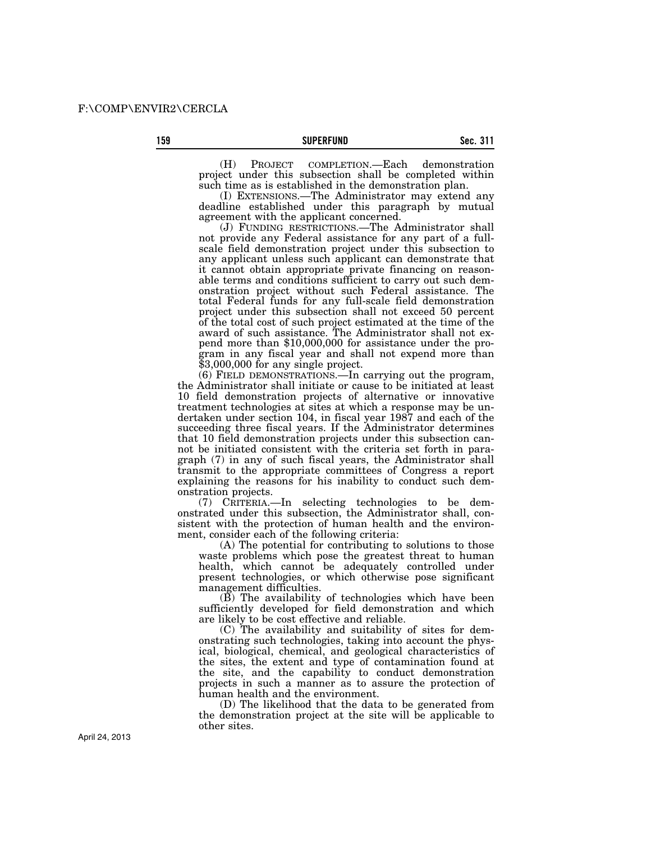(H) PROJECT COMPLETION.—Each demonstration project under this subsection shall be completed within such time as is established in the demonstration plan.

(I) EXTENSIONS.—The Administrator may extend any deadline established under this paragraph by mutual agreement with the applicant concerned.

(J) FUNDING RESTRICTIONS.—The Administrator shall not provide any Federal assistance for any part of a fullscale field demonstration project under this subsection to any applicant unless such applicant can demonstrate that it cannot obtain appropriate private financing on reasonable terms and conditions sufficient to carry out such demonstration project without such Federal assistance. The total Federal funds for any full-scale field demonstration project under this subsection shall not exceed 50 percent of the total cost of such project estimated at the time of the award of such assistance. The Administrator shall not expend more than \$10,000,000 for assistance under the program in any fiscal year and shall not expend more than \$3,000,000 for any single project.

(6) FIELD DEMONSTRATIONS.—In carrying out the program, the Administrator shall initiate or cause to be initiated at least 10 field demonstration projects of alternative or innovative treatment technologies at sites at which a response may be undertaken under section 104, in fiscal year 1987 and each of the succeeding three fiscal years. If the Administrator determines that 10 field demonstration projects under this subsection cannot be initiated consistent with the criteria set forth in paragraph (7) in any of such fiscal years, the Administrator shall transmit to the appropriate committees of Congress a report explaining the reasons for his inability to conduct such demonstration projects.

(7) CRITERIA.—In selecting technologies to be demonstrated under this subsection, the Administrator shall, consistent with the protection of human health and the environment, consider each of the following criteria:

(A) The potential for contributing to solutions to those waste problems which pose the greatest threat to human health, which cannot be adequately controlled under present technologies, or which otherwise pose significant management difficulties.

(B) The availability of technologies which have been sufficiently developed for field demonstration and which are likely to be cost effective and reliable.

(C) The availability and suitability of sites for demonstrating such technologies, taking into account the physical, biological, chemical, and geological characteristics of the sites, the extent and type of contamination found at the site, and the capability to conduct demonstration projects in such a manner as to assure the protection of human health and the environment.

(D) The likelihood that the data to be generated from the demonstration project at the site will be applicable to other sites.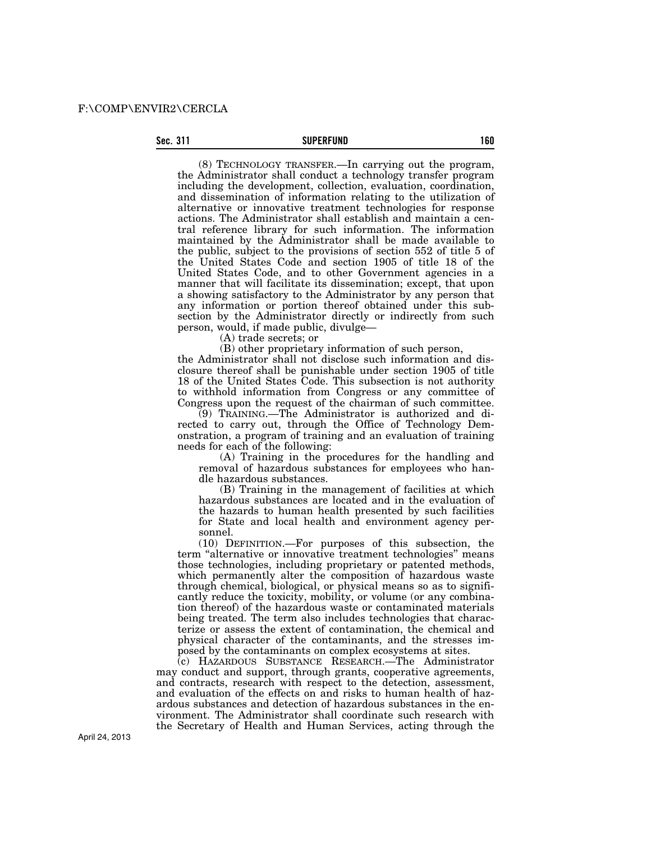## **Sec. 311 SUPERFUND 160**

(8) TECHNOLOGY TRANSFER.—In carrying out the program, the Administrator shall conduct a technology transfer program including the development, collection, evaluation, coordination, and dissemination of information relating to the utilization of alternative or innovative treatment technologies for response actions. The Administrator shall establish and maintain a central reference library for such information. The information maintained by the Administrator shall be made available to the public, subject to the provisions of section 552 of title 5 of the United States Code and section 1905 of title 18 of the United States Code, and to other Government agencies in a manner that will facilitate its dissemination; except, that upon a showing satisfactory to the Administrator by any person that any information or portion thereof obtained under this subsection by the Administrator directly or indirectly from such person, would, if made public, divulge—

(A) trade secrets; or

(B) other proprietary information of such person,

the Administrator shall not disclose such information and disclosure thereof shall be punishable under section 1905 of title 18 of the United States Code. This subsection is not authority to withhold information from Congress or any committee of Congress upon the request of the chairman of such committee.

(9) TRAINING.—The Administrator is authorized and directed to carry out, through the Office of Technology Demonstration, a program of training and an evaluation of training needs for each of the following:

(A) Training in the procedures for the handling and removal of hazardous substances for employees who handle hazardous substances.

(B) Training in the management of facilities at which hazardous substances are located and in the evaluation of the hazards to human health presented by such facilities for State and local health and environment agency personnel.

(10) DEFINITION.—For purposes of this subsection, the term ''alternative or innovative treatment technologies'' means those technologies, including proprietary or patented methods, which permanently alter the composition of hazardous waste through chemical, biological, or physical means so as to significantly reduce the toxicity, mobility, or volume (or any combination thereof) of the hazardous waste or contaminated materials being treated. The term also includes technologies that characterize or assess the extent of contamination, the chemical and physical character of the contaminants, and the stresses imposed by the contaminants on complex ecosystems at sites.

(c) HAZARDOUS SUBSTANCE RESEARCH.—The Administrator may conduct and support, through grants, cooperative agreements, and contracts, research with respect to the detection, assessment, and evaluation of the effects on and risks to human health of hazardous substances and detection of hazardous substances in the environment. The Administrator shall coordinate such research with the Secretary of Health and Human Services, acting through the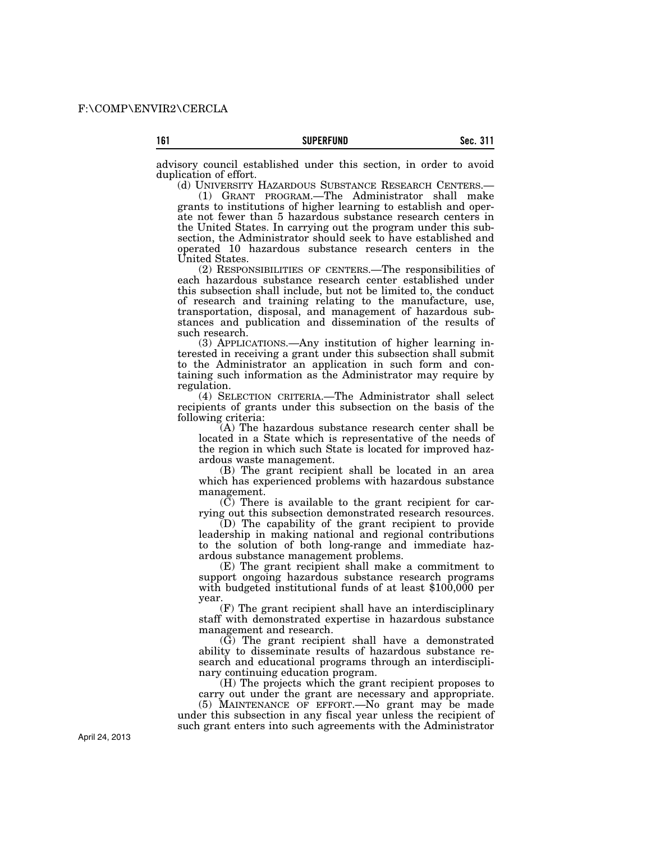advisory council established under this section, in order to avoid duplication of effort.

(d) UNIVERSITY HAZARDOUS SUBSTANCE RESEARCH CENTERS.— (1) GRANT PROGRAM.—The Administrator shall make

grants to institutions of higher learning to establish and operate not fewer than 5 hazardous substance research centers in the United States. In carrying out the program under this subsection, the Administrator should seek to have established and operated 10 hazardous substance research centers in the United States.

(2) RESPONSIBILITIES OF CENTERS.—The responsibilities of each hazardous substance research center established under this subsection shall include, but not be limited to, the conduct of research and training relating to the manufacture, use, transportation, disposal, and management of hazardous substances and publication and dissemination of the results of such research.

(3) APPLICATIONS.—Any institution of higher learning interested in receiving a grant under this subsection shall submit to the Administrator an application in such form and containing such information as the Administrator may require by regulation.

(4) SELECTION CRITERIA.—The Administrator shall select recipients of grants under this subsection on the basis of the following criteria:

(A) The hazardous substance research center shall be located in a State which is representative of the needs of the region in which such State is located for improved hazardous waste management.

(B) The grant recipient shall be located in an area which has experienced problems with hazardous substance management.

(C) There is available to the grant recipient for carrying out this subsection demonstrated research resources.

(D) The capability of the grant recipient to provide leadership in making national and regional contributions to the solution of both long-range and immediate hazardous substance management problems.

(E) The grant recipient shall make a commitment to support ongoing hazardous substance research programs with budgeted institutional funds of at least \$100,000 per year.

(F) The grant recipient shall have an interdisciplinary staff with demonstrated expertise in hazardous substance management and research.

(G) The grant recipient shall have a demonstrated ability to disseminate results of hazardous substance research and educational programs through an interdisciplinary continuing education program.

(H) The projects which the grant recipient proposes to carry out under the grant are necessary and appropriate.

(5) MAINTENANCE OF EFFORT.—No grant may be made under this subsection in any fiscal year unless the recipient of such grant enters into such agreements with the Administrator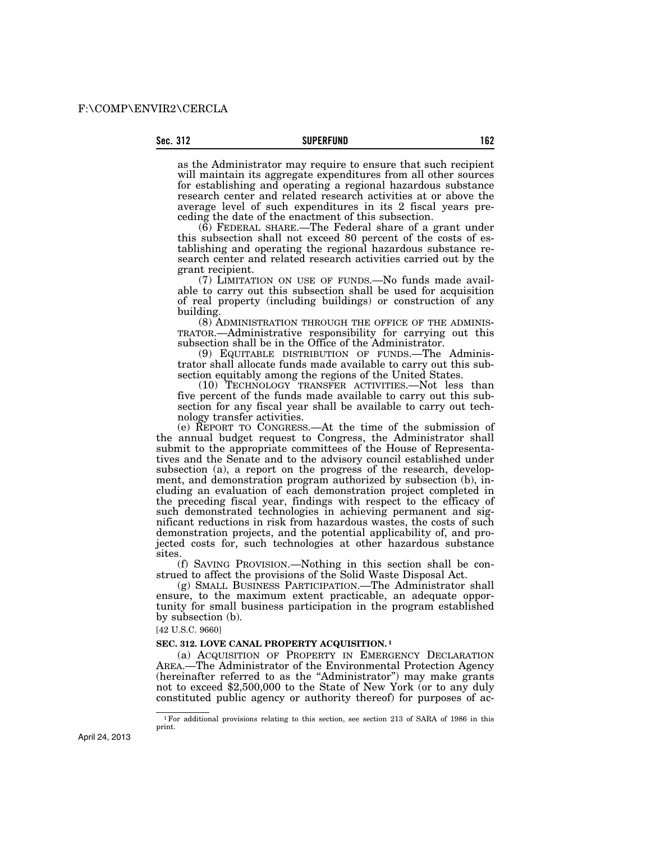as the Administrator may require to ensure that such recipient will maintain its aggregate expenditures from all other sources for establishing and operating a regional hazardous substance research center and related research activities at or above the average level of such expenditures in its 2 fiscal years preceding the date of the enactment of this subsection.

 $(6)$  FEDERAL SHARE.—The Federal share of a grant under this subsection shall not exceed 80 percent of the costs of establishing and operating the regional hazardous substance research center and related research activities carried out by the grant recipient.

(7) LIMITATION ON USE OF FUNDS.—No funds made available to carry out this subsection shall be used for acquisition of real property (including buildings) or construction of any building.<br>(8) ADMINISTRATION THROUGH THE OFFICE OF THE ADMINIS-

TRATOR.—Administrative responsibility for carrying out this subsection shall be in the Office of the Administrator.

(9) EQUITABLE DISTRIBUTION OF FUNDS.—The Administrator shall allocate funds made available to carry out this subsection equitably among the regions of the United States.

(10) TECHNOLOGY TRANSFER ACTIVITIES.—Not less than five percent of the funds made available to carry out this subsection for any fiscal year shall be available to carry out technology transfer activities.

(e) REPORT TO CONGRESS.—At the time of the submission of the annual budget request to Congress, the Administrator shall submit to the appropriate committees of the House of Representatives and the Senate and to the advisory council established under subsection (a), a report on the progress of the research, development, and demonstration program authorized by subsection (b), including an evaluation of each demonstration project completed in the preceding fiscal year, findings with respect to the efficacy of such demonstrated technologies in achieving permanent and significant reductions in risk from hazardous wastes, the costs of such demonstration projects, and the potential applicability of, and projected costs for, such technologies at other hazardous substance sites.

(f) SAVING PROVISION.—Nothing in this section shall be construed to affect the provisions of the Solid Waste Disposal Act.

(g) SMALL BUSINESS PARTICIPATION.—The Administrator shall ensure, to the maximum extent practicable, an adequate opportunity for small business participation in the program established by subsection (b).

[42 U.S.C. 9660]

## **SEC. 312. LOVE CANAL PROPERTY ACQUISITION. 1**

(a) ACQUISITION OF PROPERTY IN EMERGENCY DECLARATION AREA.—The Administrator of the Environmental Protection Agency (hereinafter referred to as the ''Administrator'') may make grants not to exceed \$2,500,000 to the State of New York (or to any duly constituted public agency or authority thereof) for purposes of ac-

<sup>1</sup>For additional provisions relating to this section, see section 213 of SARA of 1986 in this print.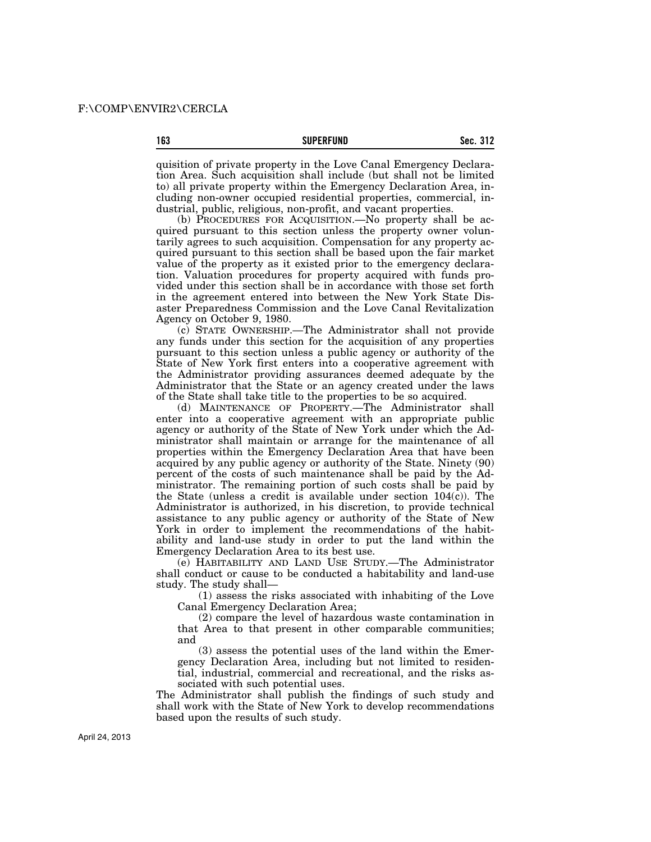quisition of private property in the Love Canal Emergency Declaration Area. Such acquisition shall include (but shall not be limited to) all private property within the Emergency Declaration Area, including non-owner occupied residential properties, commercial, industrial, public, religious, non-profit, and vacant properties.

(b) PROCEDURES FOR ACQUISITION.—No property shall be acquired pursuant to this section unless the property owner voluntarily agrees to such acquisition. Compensation for any property acquired pursuant to this section shall be based upon the fair market value of the property as it existed prior to the emergency declaration. Valuation procedures for property acquired with funds provided under this section shall be in accordance with those set forth in the agreement entered into between the New York State Disaster Preparedness Commission and the Love Canal Revitalization Agency on October 9, 1980.

(c) STATE OWNERSHIP.—The Administrator shall not provide any funds under this section for the acquisition of any properties pursuant to this section unless a public agency or authority of the State of New York first enters into a cooperative agreement with the Administrator providing assurances deemed adequate by the Administrator that the State or an agency created under the laws of the State shall take title to the properties to be so acquired.

(d) MAINTENANCE OF PROPERTY.—The Administrator shall enter into a cooperative agreement with an appropriate public agency or authority of the State of New York under which the Administrator shall maintain or arrange for the maintenance of all properties within the Emergency Declaration Area that have been acquired by any public agency or authority of the State. Ninety (90) percent of the costs of such maintenance shall be paid by the Administrator. The remaining portion of such costs shall be paid by the State (unless a credit is available under section 104(c)). The Administrator is authorized, in his discretion, to provide technical assistance to any public agency or authority of the State of New York in order to implement the recommendations of the habitability and land-use study in order to put the land within the Emergency Declaration Area to its best use.

(e) HABITABILITY AND LAND USE STUDY.—The Administrator shall conduct or cause to be conducted a habitability and land-use study. The study shall—

(1) assess the risks associated with inhabiting of the Love Canal Emergency Declaration Area;

(2) compare the level of hazardous waste contamination in that Area to that present in other comparable communities; and

(3) assess the potential uses of the land within the Emergency Declaration Area, including but not limited to residential, industrial, commercial and recreational, and the risks associated with such potential uses.

The Administrator shall publish the findings of such study and shall work with the State of New York to develop recommendations based upon the results of such study.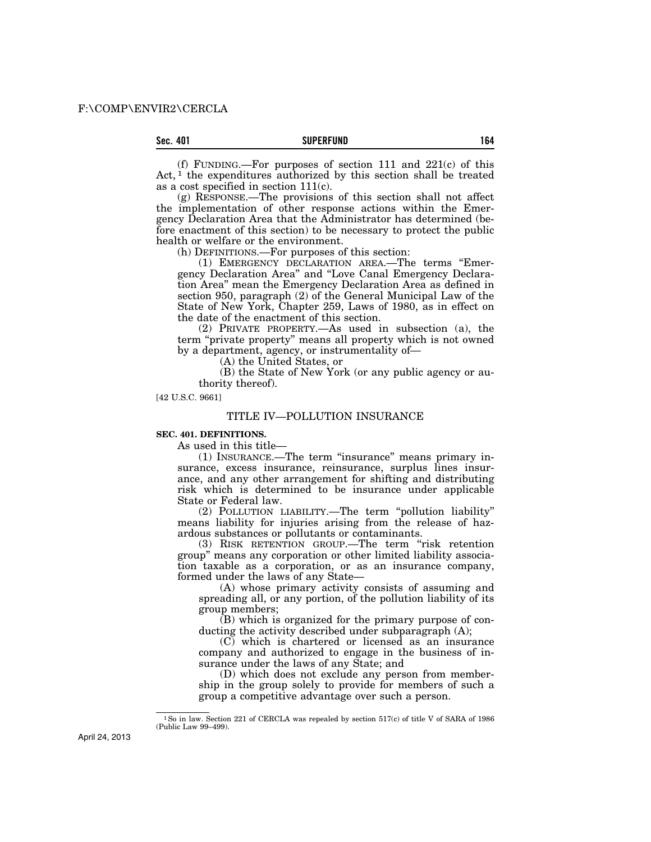(f) FUNDING.—For purposes of section 111 and  $221(c)$  of this Act,  $\frac{1}{1}$  the expenditures authorized by this section shall be treated as a cost specified in section 111(c).

(g) RESPONSE.—The provisions of this section shall not affect the implementation of other response actions within the Emergency Declaration Area that the Administrator has determined (before enactment of this section) to be necessary to protect the public health or welfare or the environment.

(h) DEFINITIONS.—For purposes of this section:

(1) EMERGENCY DECLARATION AREA.—The terms ''Emergency Declaration Area'' and ''Love Canal Emergency Declaration Area'' mean the Emergency Declaration Area as defined in section 950, paragraph (2) of the General Municipal Law of the State of New York, Chapter 259, Laws of 1980, as in effect on the date of the enactment of this section.

(2) PRIVATE PROPERTY.—As used in subsection (a), the term ''private property'' means all property which is not owned by a department, agency, or instrumentality of—

(A) the United States, or

(B) the State of New York (or any public agency or authority thereof).

[42 U.S.C. 9661]

# TITLE IV—POLLUTION INSURANCE

#### **SEC. 401. DEFINITIONS.**

As used in this title—

(1) INSURANCE.—The term ''insurance'' means primary insurance, excess insurance, reinsurance, surplus lines insurance, and any other arrangement for shifting and distributing risk which is determined to be insurance under applicable State or Federal law.

(2) POLLUTION LIABILITY.—The term ''pollution liability'' means liability for injuries arising from the release of hazardous substances or pollutants or contaminants.

(3) RISK RETENTION GROUP.—The term ''risk retention group'' means any corporation or other limited liability association taxable as a corporation, or as an insurance company, formed under the laws of any State—

(A) whose primary activity consists of assuming and spreading all, or any portion, of the pollution liability of its group members;

 $(B)$  which is organized for the primary purpose of conducting the activity described under subparagraph (A);

(C) which is chartered or licensed as an insurance company and authorized to engage in the business of insurance under the laws of any State; and

(D) which does not exclude any person from membership in the group solely to provide for members of such a group a competitive advantage over such a person.

<sup>1</sup>So in law. Section 221 of CERCLA was repealed by section 517(c) of title V of SARA of 1986 (Public Law 99–499).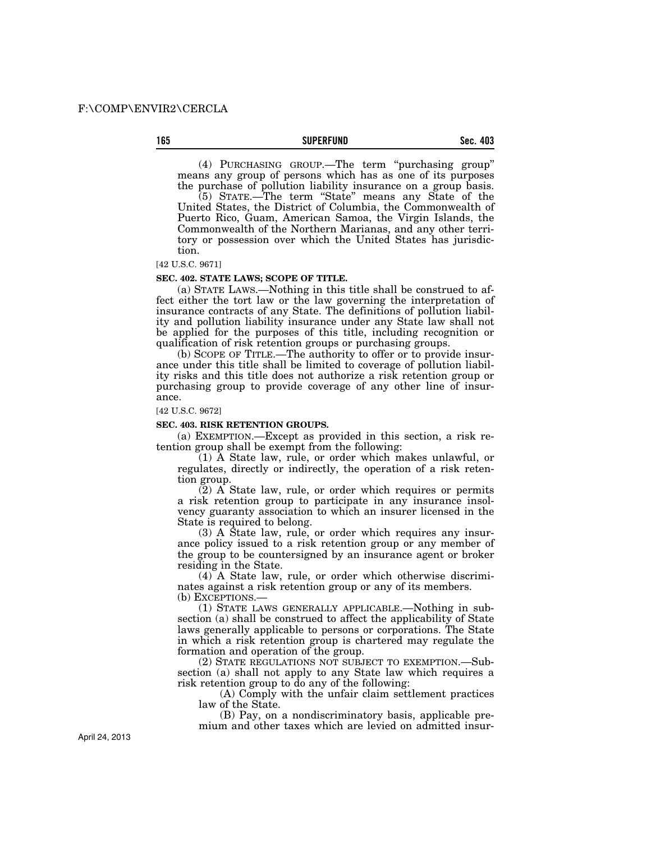(4) PURCHASING GROUP.—The term ''purchasing group'' means any group of persons which has as one of its purposes the purchase of pollution liability insurance on a group basis.

(5) STATE.—The term ''State'' means any State of the United States, the District of Columbia, the Commonwealth of Puerto Rico, Guam, American Samoa, the Virgin Islands, the Commonwealth of the Northern Marianas, and any other territory or possession over which the United States has jurisdiction.

[42 U.S.C. 9671]

#### **SEC. 402. STATE LAWS; SCOPE OF TITLE.**

(a) STATE LAWS.—Nothing in this title shall be construed to affect either the tort law or the law governing the interpretation of insurance contracts of any State. The definitions of pollution liability and pollution liability insurance under any State law shall not be applied for the purposes of this title, including recognition or qualification of risk retention groups or purchasing groups.

(b) SCOPE OF TITLE.—The authority to offer or to provide insurance under this title shall be limited to coverage of pollution liability risks and this title does not authorize a risk retention group or purchasing group to provide coverage of any other line of insurance.

[42 U.S.C. 9672]

# **SEC. 403. RISK RETENTION GROUPS.**

(a) EXEMPTION.—Except as provided in this section, a risk retention group shall be exempt from the following:

(1) A State law, rule, or order which makes unlawful, or regulates, directly or indirectly, the operation of a risk retention group.

(2) A State law, rule, or order which requires or permits a risk retention group to participate in any insurance insolvency guaranty association to which an insurer licensed in the State is required to belong.

(3) A State law, rule, or order which requires any insurance policy issued to a risk retention group or any member of the group to be countersigned by an insurance agent or broker residing in the State.

(4) A State law, rule, or order which otherwise discriminates against a risk retention group or any of its members. (b) EXCEPTIONS.—

(1) STATE LAWS GENERALLY APPLICABLE.—Nothing in subsection (a) shall be construed to affect the applicability of State laws generally applicable to persons or corporations. The State in which a risk retention group is chartered may regulate the formation and operation of the group.

(2) STATE REGULATIONS NOT SUBJECT TO EXEMPTION.—Subsection (a) shall not apply to any State law which requires a risk retention group to do any of the following:

(A) Comply with the unfair claim settlement practices law of the State.

(B) Pay, on a nondiscriminatory basis, applicable premium and other taxes which are levied on admitted insur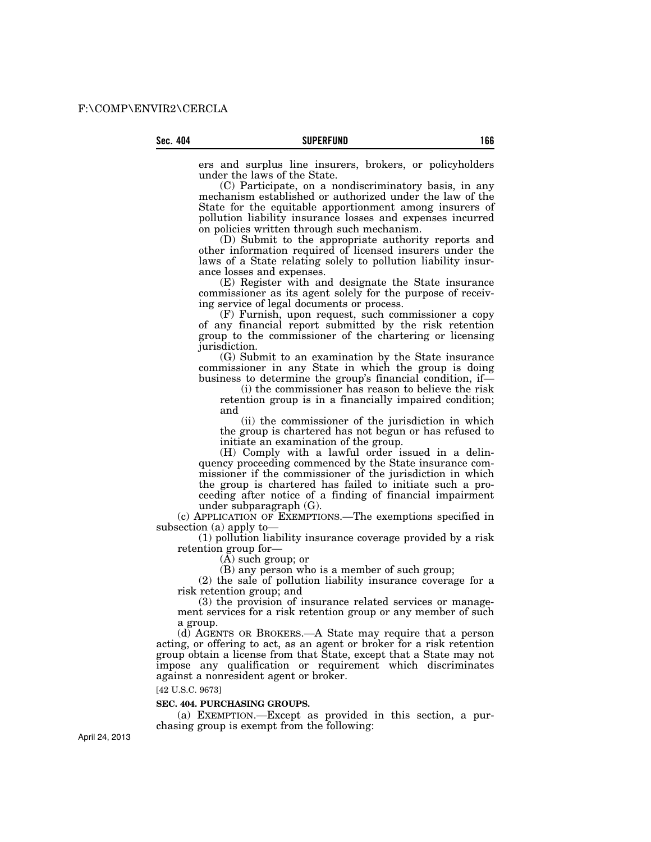ers and surplus line insurers, brokers, or policyholders under the laws of the State.

(C) Participate, on a nondiscriminatory basis, in any mechanism established or authorized under the law of the State for the equitable apportionment among insurers of pollution liability insurance losses and expenses incurred on policies written through such mechanism.

(D) Submit to the appropriate authority reports and other information required of licensed insurers under the laws of a State relating solely to pollution liability insurance losses and expenses.

(E) Register with and designate the State insurance commissioner as its agent solely for the purpose of receiving service of legal documents or process.

(F) Furnish, upon request, such commissioner a copy of any financial report submitted by the risk retention group to the commissioner of the chartering or licensing jurisdiction.

(G) Submit to an examination by the State insurance commissioner in any State in which the group is doing business to determine the group's financial condition, if—

(i) the commissioner has reason to believe the risk retention group is in a financially impaired condition; and

(ii) the commissioner of the jurisdiction in which the group is chartered has not begun or has refused to initiate an examination of the group.

(H) Comply with a lawful order issued in a delinquency proceeding commenced by the State insurance commissioner if the commissioner of the jurisdiction in which the group is chartered has failed to initiate such a proceeding after notice of a finding of financial impairment under subparagraph (G).

(c) APPLICATION OF EXEMPTIONS.—The exemptions specified in subsection (a) apply to—

(1) pollution liability insurance coverage provided by a risk retention group for—

(A) such group; or

(B) any person who is a member of such group;

(2) the sale of pollution liability insurance coverage for a risk retention group; and

(3) the provision of insurance related services or management services for a risk retention group or any member of such a group.

(d) AGENTS OR BROKERS.—A State may require that a person acting, or offering to act, as an agent or broker for a risk retention group obtain a license from that State, except that a State may not impose any qualification or requirement which discriminates against a nonresident agent or broker.

[42 U.S.C. 9673]

#### **SEC. 404. PURCHASING GROUPS.**

(a) EXEMPTION.—Except as provided in this section, a purchasing group is exempt from the following: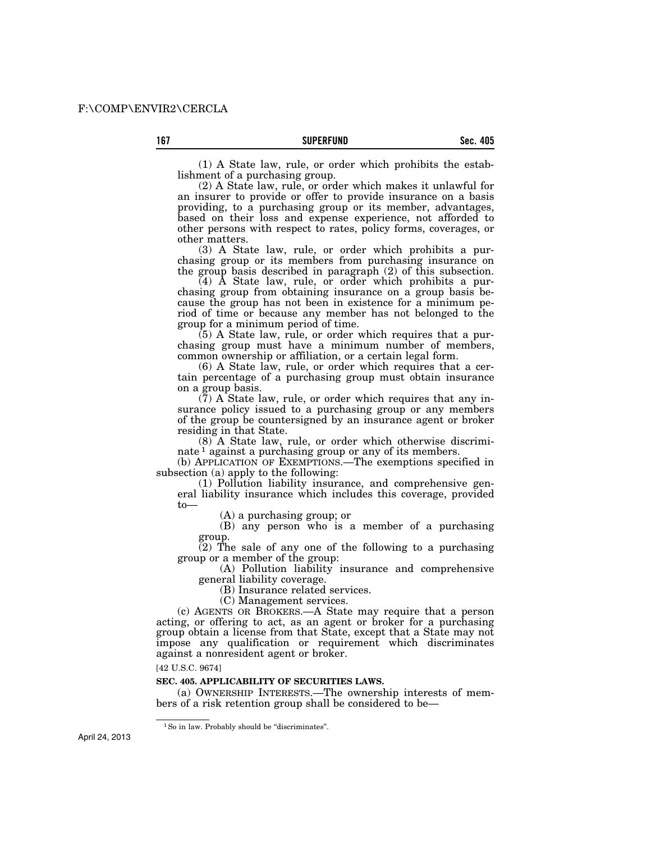(1) A State law, rule, or order which prohibits the establishment of a purchasing group.

(2) A State law, rule, or order which makes it unlawful for an insurer to provide or offer to provide insurance on a basis providing, to a purchasing group or its member, advantages, based on their loss and expense experience, not afforded to other persons with respect to rates, policy forms, coverages, or other matters.

(3) A State law, rule, or order which prohibits a purchasing group or its members from purchasing insurance on the group basis described in paragraph (2) of this subsection.

(4) A State law, rule, or order which prohibits a purchasing group from obtaining insurance on a group basis because the group has not been in existence for a minimum period of time or because any member has not belonged to the group for a minimum period of time.

(5) A State law, rule, or order which requires that a purchasing group must have a minimum number of members, common ownership or affiliation, or a certain legal form.

(6) A State law, rule, or order which requires that a certain percentage of a purchasing group must obtain insurance on a group basis.

 $(7)$  A State law, rule, or order which requires that any insurance policy issued to a purchasing group or any members of the group be countersigned by an insurance agent or broker residing in that State.

(8) A State law, rule, or order which otherwise discriminate 1 against a purchasing group or any of its members.

(b) APPLICATION OF EXEMPTIONS.—The exemptions specified in subsection (a) apply to the following:

(1) Pollution liability insurance, and comprehensive general liability insurance which includes this coverage, provided to—

(A) a purchasing group; or

(B) any person who is a member of a purchasing group.

 $(2)$  The sale of any one of the following to a purchasing group or a member of the group:

(A) Pollution liability insurance and comprehensive general liability coverage.

(B) Insurance related services.

(C) Management services.

(c) AGENTS OR BROKERS.—A State may require that a person acting, or offering to act, as an agent or broker for a purchasing group obtain a license from that State, except that a State may not impose any qualification or requirement which discriminates against a nonresident agent or broker.

[42 U.S.C. 9674]

## **SEC. 405. APPLICABILITY OF SECURITIES LAWS.**

(a) OWNERSHIP INTERESTS.—The ownership interests of members of a risk retention group shall be considered to be—

<sup>&</sup>lt;sup>1</sup>So in law. Probably should be "discriminates".